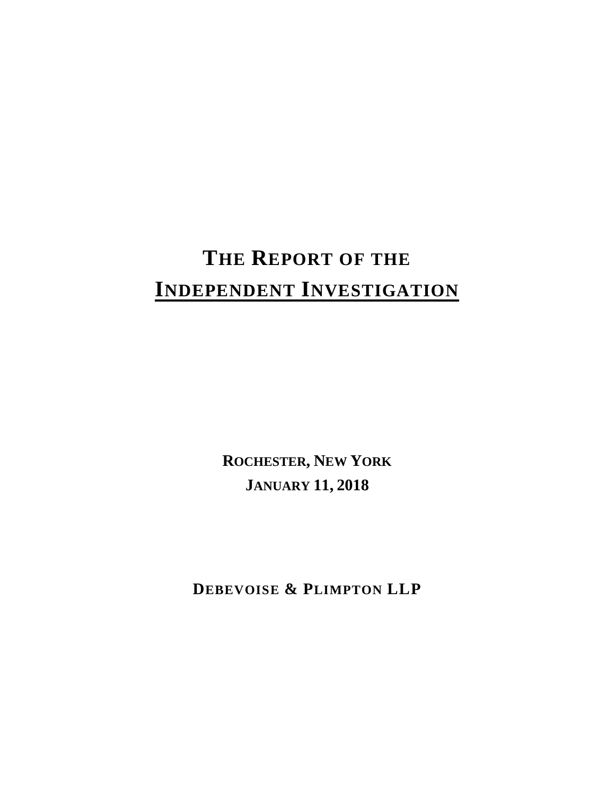# **THE REPORT OF THE INDEPENDENT INVESTIGATION**

**ROCHESTER, NEW YORK JANUARY 11, 2018** 

**DEBEVOISE & PLIMPTON LLP**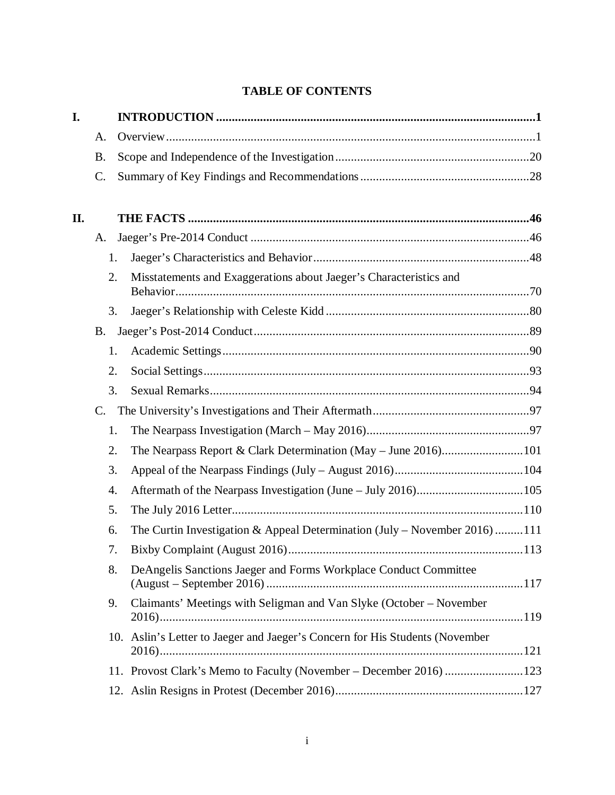# **TABLE OF CONTENTS**

| I.  |             |                                                                              |  |
|-----|-------------|------------------------------------------------------------------------------|--|
|     | A.          |                                                                              |  |
|     | <b>B.</b>   |                                                                              |  |
|     | C.          |                                                                              |  |
| II. |             |                                                                              |  |
|     | A.          |                                                                              |  |
|     |             | 1.                                                                           |  |
|     | 2.          | Misstatements and Exaggerations about Jaeger's Characteristics and           |  |
|     |             |                                                                              |  |
|     |             | 3.                                                                           |  |
|     | <b>B.</b>   |                                                                              |  |
|     |             | 1.                                                                           |  |
|     | 2.          |                                                                              |  |
|     | 3.          |                                                                              |  |
|     | $C_{\cdot}$ |                                                                              |  |
|     |             | 1.                                                                           |  |
|     | 2.          | The Nearpass Report & Clark Determination (May - June 2016)101               |  |
|     | 3.          |                                                                              |  |
|     | 4.          |                                                                              |  |
|     | 5.          |                                                                              |  |
|     | 6.          | The Curtin Investigation & Appeal Determination (July – November 2016)111    |  |
|     |             | 7.                                                                           |  |
|     |             | 8.<br>DeAngelis Sanctions Jaeger and Forms Workplace Conduct Committee       |  |
|     | 9.          | Claimants' Meetings with Seligman and Van Slyke (October – November          |  |
|     |             | 10. Aslin's Letter to Jaeger and Jaeger's Concern for His Students (November |  |
|     |             | 11. Provost Clark's Memo to Faculty (November - December 2016) 123           |  |
|     |             |                                                                              |  |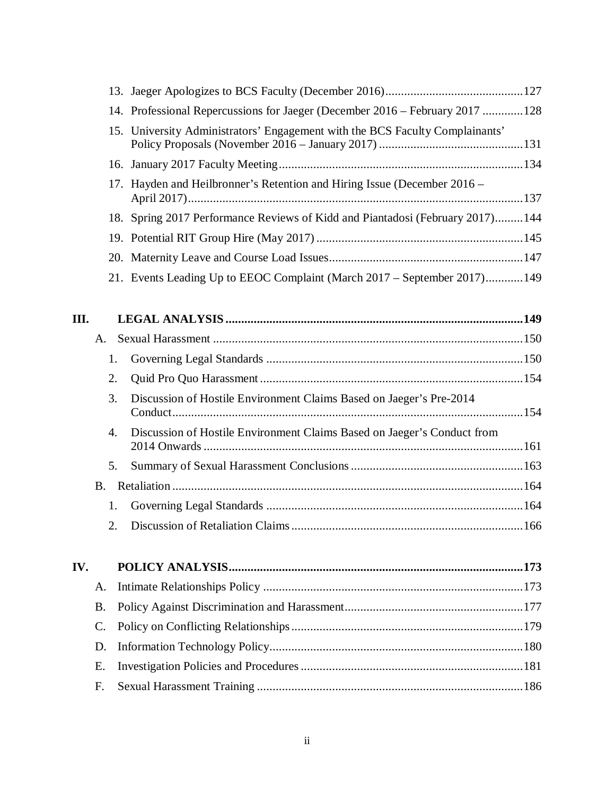| 14. Professional Repercussions for Jaeger (December 2016 – February 2017 128) |  |
|-------------------------------------------------------------------------------|--|
| 15. University Administrators' Engagement with the BCS Faculty Complainants'  |  |
|                                                                               |  |
| 17. Hayden and Heilbronner's Retention and Hiring Issue (December 2016 –      |  |
| 18. Spring 2017 Performance Reviews of Kidd and Piantadosi (February 2017)144 |  |
|                                                                               |  |
|                                                                               |  |
| 21. Events Leading Up to EEOC Complaint (March 2017 – September 2017)149      |  |

| $A_{\cdot}$    |                                                                     |                                                                         |
|----------------|---------------------------------------------------------------------|-------------------------------------------------------------------------|
| 1.             |                                                                     |                                                                         |
| 2.             |                                                                     |                                                                         |
| 3.             | Discussion of Hostile Environment Claims Based on Jaeger's Pre-2014 |                                                                         |
| $\mathbf{4}$ . |                                                                     |                                                                         |
| 5.             |                                                                     |                                                                         |
| $B_{-}$        |                                                                     |                                                                         |
| 1.             |                                                                     |                                                                         |
| $2^{\circ}$    |                                                                     |                                                                         |
|                |                                                                     | Discussion of Hostile Environment Claims Based on Jaeger's Conduct from |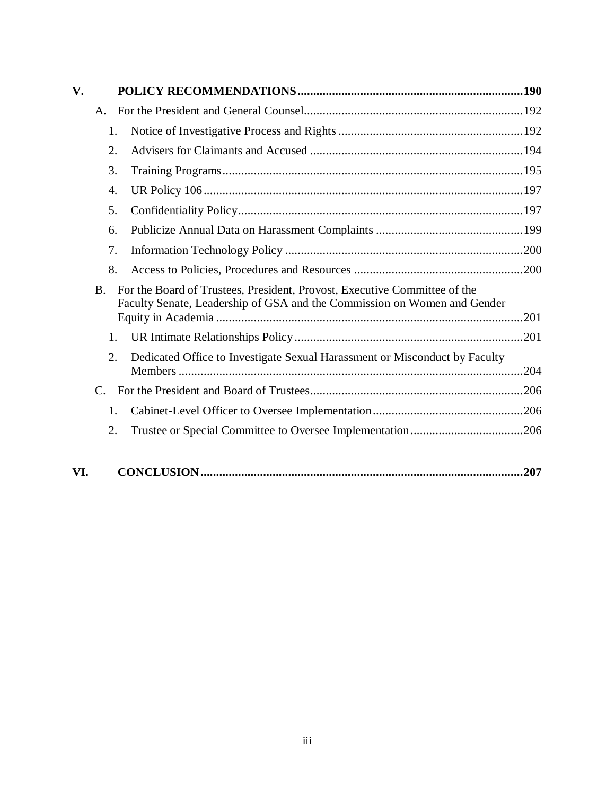| $\mathbf{V}$ . |           |                                                                                                                                                       |      |
|----------------|-----------|-------------------------------------------------------------------------------------------------------------------------------------------------------|------|
|                | A.        |                                                                                                                                                       |      |
|                | 1.        |                                                                                                                                                       |      |
|                | 2.        |                                                                                                                                                       |      |
|                | 3.        |                                                                                                                                                       |      |
|                | 4.        |                                                                                                                                                       |      |
|                | 5.        |                                                                                                                                                       |      |
|                | 6.        |                                                                                                                                                       |      |
|                | 7.        |                                                                                                                                                       |      |
|                | 8.        |                                                                                                                                                       |      |
|                | <b>B.</b> | For the Board of Trustees, President, Provost, Executive Committee of the<br>Faculty Senate, Leadership of GSA and the Commission on Women and Gender |      |
|                | 1.        |                                                                                                                                                       |      |
|                | 2.        | Dedicated Office to Investigate Sexual Harassment or Misconduct by Faculty                                                                            |      |
|                | C.        |                                                                                                                                                       |      |
|                | 1.        |                                                                                                                                                       |      |
|                | 2.        |                                                                                                                                                       |      |
| VI.            |           |                                                                                                                                                       | .207 |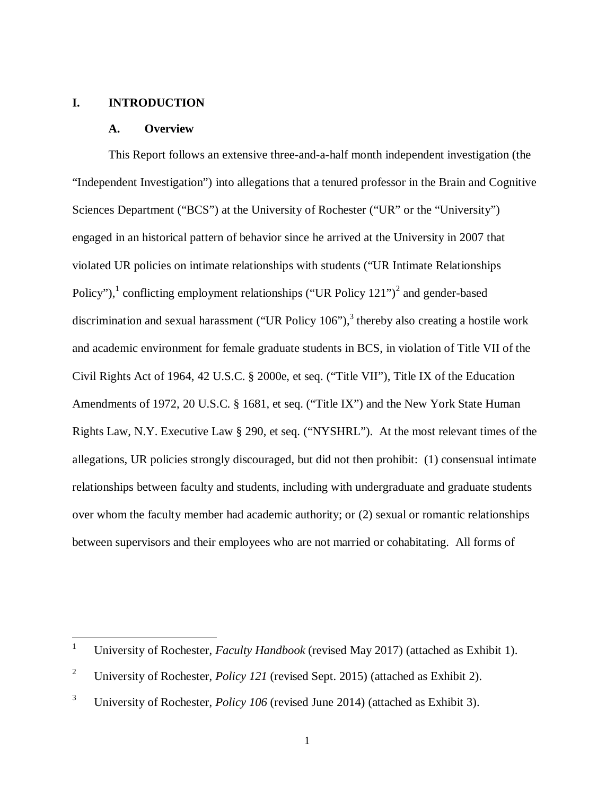### **I. INTRODUCTION**

 $\overline{a}$ 

#### **A. Overview**

This Report follows an extensive three-and-a-half month independent investigation (the "Independent Investigation") into allegations that a tenured professor in the Brain and Cognitive Sciences Department ("BCS") at the University of Rochester ("UR" or the "University") engaged in an historical pattern of behavior since he arrived at the University in 2007 that violated UR policies on intimate relationships with students ("UR Intimate Relationships Policy"),<sup>1</sup> conflicting employment relationships ("UR Policy  $121"$ )<sup>2</sup> and gender-based discrimination and sexual harassment ("UR Policy  $106$ "), thereby also creating a hostile work and academic environment for female graduate students in BCS, in violation of Title VII of the Civil Rights Act of 1964, 42 U.S.C. § 2000e, et seq. ("Title VII"), Title IX of the Education Amendments of 1972, 20 U.S.C. § 1681, et seq. ("Title IX") and the New York State Human Rights Law, N.Y. Executive Law § 290, et seq. ("NYSHRL"). At the most relevant times of the allegations, UR policies strongly discouraged, but did not then prohibit: (1) consensual intimate relationships between faculty and students, including with undergraduate and graduate students over whom the faculty member had academic authority; or (2) sexual or romantic relationships between supervisors and their employees who are not married or cohabitating. All forms of

<sup>1</sup> University of Rochester, *Faculty Handbook* (revised May 2017) (attached as Exhibit 1).

<sup>2</sup> University of Rochester, *Policy 121* (revised Sept. 2015) (attached as Exhibit 2).

<sup>3</sup> University of Rochester, *Policy 106* (revised June 2014) (attached as Exhibit 3).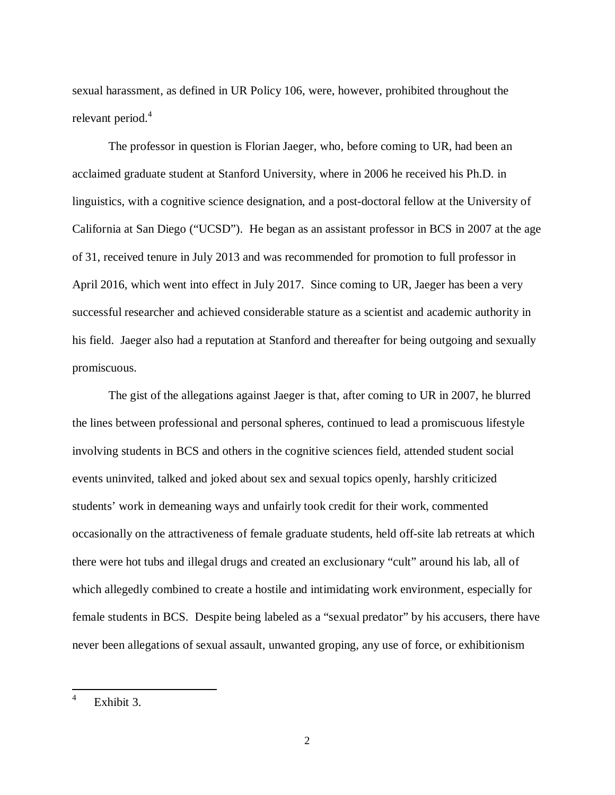sexual harassment, as defined in UR Policy 106, were, however, prohibited throughout the relevant period.<sup>4</sup>

The professor in question is Florian Jaeger, who, before coming to UR, had been an acclaimed graduate student at Stanford University, where in 2006 he received his Ph.D. in linguistics, with a cognitive science designation, and a post-doctoral fellow at the University of California at San Diego ("UCSD"). He began as an assistant professor in BCS in 2007 at the age of 31, received tenure in July 2013 and was recommended for promotion to full professor in April 2016, which went into effect in July 2017. Since coming to UR, Jaeger has been a very successful researcher and achieved considerable stature as a scientist and academic authority in his field. Jaeger also had a reputation at Stanford and thereafter for being outgoing and sexually promiscuous.

The gist of the allegations against Jaeger is that, after coming to UR in 2007, he blurred the lines between professional and personal spheres, continued to lead a promiscuous lifestyle involving students in BCS and others in the cognitive sciences field, attended student social events uninvited, talked and joked about sex and sexual topics openly, harshly criticized students' work in demeaning ways and unfairly took credit for their work, commented occasionally on the attractiveness of female graduate students, held off-site lab retreats at which there were hot tubs and illegal drugs and created an exclusionary "cult" around his lab, all of which allegedly combined to create a hostile and intimidating work environment, especially for female students in BCS. Despite being labeled as a "sexual predator" by his accusers, there have never been allegations of sexual assault, unwanted groping, any use of force, or exhibitionism

<sup>4</sup> Exhibit 3.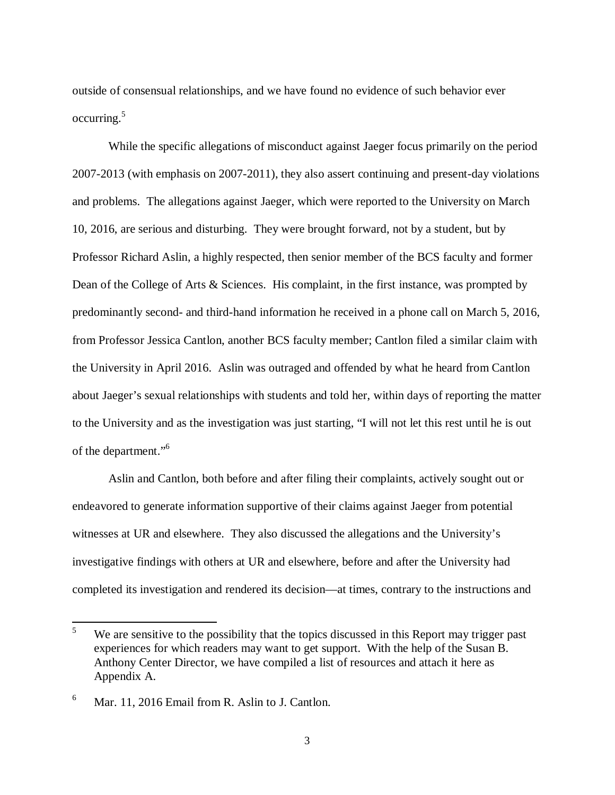outside of consensual relationships, and we have found no evidence of such behavior ever occurring.<sup>5</sup>

While the specific allegations of misconduct against Jaeger focus primarily on the period 2007-2013 (with emphasis on 2007-2011), they also assert continuing and present-day violations and problems. The allegations against Jaeger, which were reported to the University on March 10, 2016, are serious and disturbing. They were brought forward, not by a student, but by Professor Richard Aslin, a highly respected, then senior member of the BCS faculty and former Dean of the College of Arts & Sciences. His complaint, in the first instance, was prompted by predominantly second- and third-hand information he received in a phone call on March 5, 2016, from Professor Jessica Cantlon, another BCS faculty member; Cantlon filed a similar claim with the University in April 2016. Aslin was outraged and offended by what he heard from Cantlon about Jaeger's sexual relationships with students and told her, within days of reporting the matter to the University and as the investigation was just starting, "I will not let this rest until he is out of the department."<sup>6</sup>

Aslin and Cantlon, both before and after filing their complaints, actively sought out or endeavored to generate information supportive of their claims against Jaeger from potential witnesses at UR and elsewhere. They also discussed the allegations and the University's investigative findings with others at UR and elsewhere, before and after the University had completed its investigation and rendered its decision—at times, contrary to the instructions and

<sup>5</sup> We are sensitive to the possibility that the topics discussed in this Report may trigger past experiences for which readers may want to get support. With the help of the Susan B. Anthony Center Director, we have compiled a list of resources and attach it here as Appendix A.

<sup>6</sup> Mar. 11, 2016 Email from R. Aslin to J. Cantlon.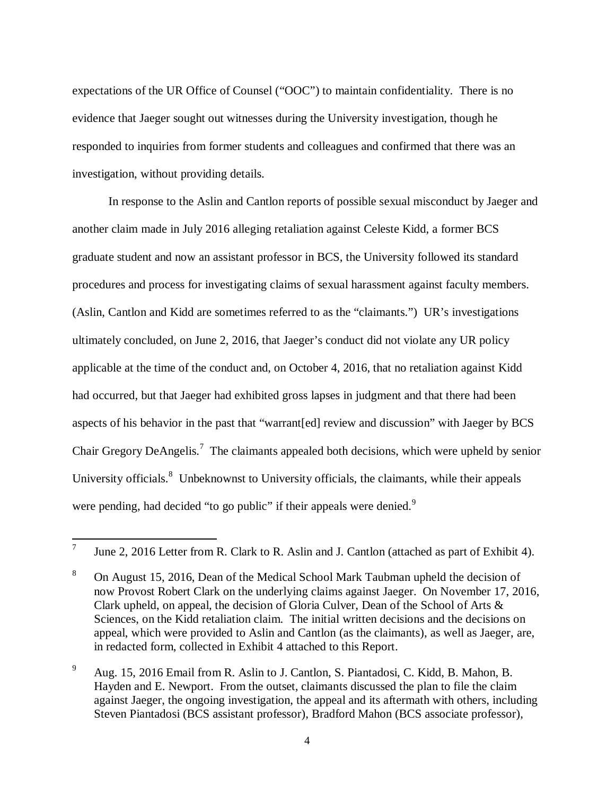expectations of the UR Office of Counsel ("OOC") to maintain confidentiality. There is no evidence that Jaeger sought out witnesses during the University investigation, though he responded to inquiries from former students and colleagues and confirmed that there was an investigation, without providing details.

In response to the Aslin and Cantlon reports of possible sexual misconduct by Jaeger and another claim made in July 2016 alleging retaliation against Celeste Kidd, a former BCS graduate student and now an assistant professor in BCS, the University followed its standard procedures and process for investigating claims of sexual harassment against faculty members. (Aslin, Cantlon and Kidd are sometimes referred to as the "claimants.") UR's investigations ultimately concluded, on June 2, 2016, that Jaeger's conduct did not violate any UR policy applicable at the time of the conduct and, on October 4, 2016, that no retaliation against Kidd had occurred, but that Jaeger had exhibited gross lapses in judgment and that there had been aspects of his behavior in the past that "warrant[ed] review and discussion" with Jaeger by BCS Chair Gregory DeAngelis.<sup>7</sup> The claimants appealed both decisions, which were upheld by senior University officials.<sup>8</sup> Unbeknownst to University officials, the claimants, while their appeals were pending, had decided "to go public" if their appeals were denied.<sup>9</sup>

<sup>7</sup> June 2, 2016 Letter from R. Clark to R. Aslin and J. Cantlon (attached as part of Exhibit 4).

<sup>8</sup> On August 15, 2016, Dean of the Medical School Mark Taubman upheld the decision of now Provost Robert Clark on the underlying claims against Jaeger. On November 17, 2016, Clark upheld, on appeal, the decision of Gloria Culver, Dean of the School of Arts & Sciences, on the Kidd retaliation claim. The initial written decisions and the decisions on appeal, which were provided to Aslin and Cantlon (as the claimants), as well as Jaeger, are, in redacted form, collected in Exhibit 4 attached to this Report.

<sup>9</sup> Aug. 15, 2016 Email from R. Aslin to J. Cantlon, S. Piantadosi, C. Kidd, B. Mahon, B. Hayden and E. Newport. From the outset, claimants discussed the plan to file the claim against Jaeger, the ongoing investigation, the appeal and its aftermath with others, including Steven Piantadosi (BCS assistant professor), Bradford Mahon (BCS associate professor),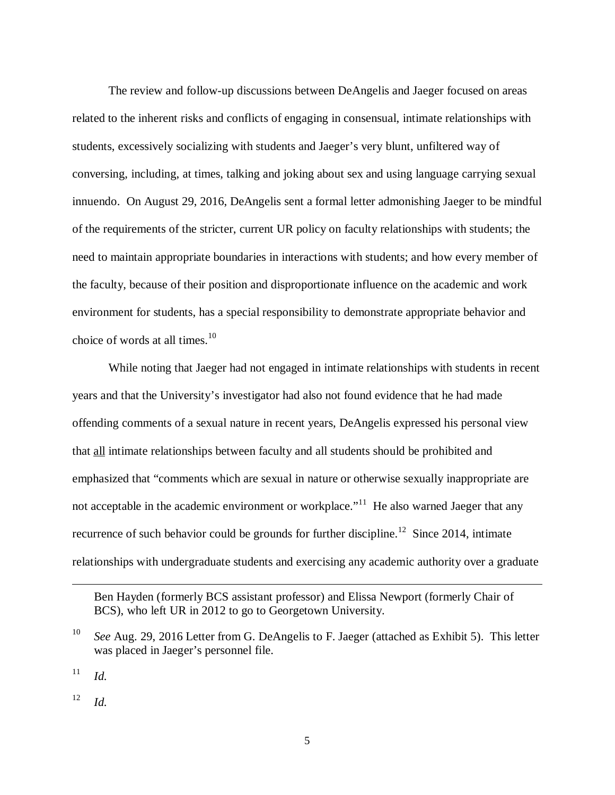The review and follow-up discussions between DeAngelis and Jaeger focused on areas related to the inherent risks and conflicts of engaging in consensual, intimate relationships with students, excessively socializing with students and Jaeger's very blunt, unfiltered way of conversing, including, at times, talking and joking about sex and using language carrying sexual innuendo. On August 29, 2016, DeAngelis sent a formal letter admonishing Jaeger to be mindful of the requirements of the stricter, current UR policy on faculty relationships with students; the need to maintain appropriate boundaries in interactions with students; and how every member of the faculty, because of their position and disproportionate influence on the academic and work environment for students, has a special responsibility to demonstrate appropriate behavior and choice of words at all times. $10$ 

While noting that Jaeger had not engaged in intimate relationships with students in recent years and that the University's investigator had also not found evidence that he had made offending comments of a sexual nature in recent years, DeAngelis expressed his personal view that all intimate relationships between faculty and all students should be prohibited and emphasized that "comments which are sexual in nature or otherwise sexually inappropriate are not acceptable in the academic environment or workplace.<sup>"11</sup> He also warned Jaeger that any recurrence of such behavior could be grounds for further discipline.<sup>12</sup> Since 2014, intimate relationships with undergraduate students and exercising any academic authority over a graduate

11 *Id.*

 $\overline{a}$ 

12 *Id.*

Ben Hayden (formerly BCS assistant professor) and Elissa Newport (formerly Chair of BCS), who left UR in 2012 to go to Georgetown University.

<sup>10</sup> *See* Aug. 29, 2016 Letter from G. DeAngelis to F. Jaeger (attached as Exhibit 5). This letter was placed in Jaeger's personnel file.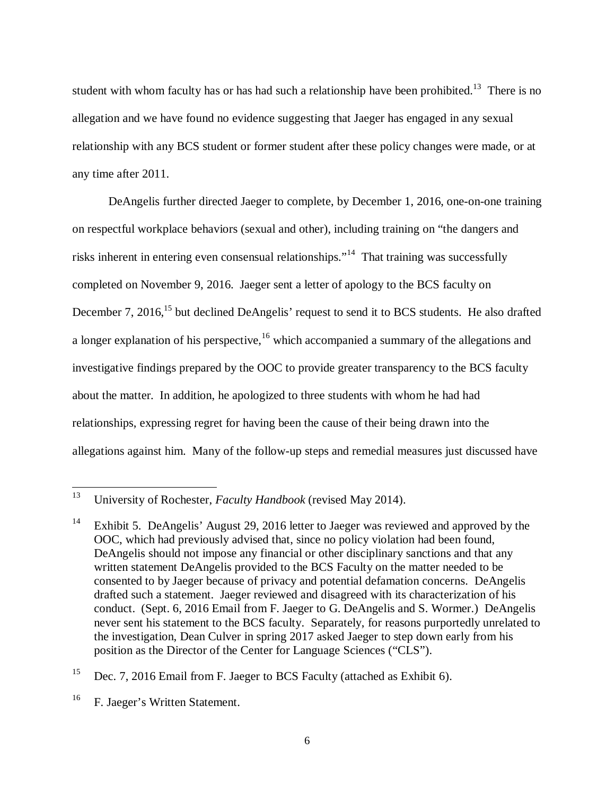student with whom faculty has or has had such a relationship have been prohibited.<sup>13</sup> There is no allegation and we have found no evidence suggesting that Jaeger has engaged in any sexual relationship with any BCS student or former student after these policy changes were made, or at any time after 2011.

DeAngelis further directed Jaeger to complete, by December 1, 2016, one-on-one training on respectful workplace behaviors (sexual and other), including training on "the dangers and risks inherent in entering even consensual relationships."<sup>14</sup> That training was successfully completed on November 9, 2016. Jaeger sent a letter of apology to the BCS faculty on December 7, 2016,<sup>15</sup> but declined DeAngelis' request to send it to BCS students. He also drafted a longer explanation of his perspective,  $16$  which accompanied a summary of the allegations and investigative findings prepared by the OOC to provide greater transparency to the BCS faculty about the matter. In addition, he apologized to three students with whom he had had relationships, expressing regret for having been the cause of their being drawn into the allegations against him. Many of the follow-up steps and remedial measures just discussed have

<sup>15</sup> Dec. 7, 2016 Email from F. Jaeger to BCS Faculty (attached as Exhibit 6).

<sup>13</sup> University of Rochester, *Faculty Handbook* (revised May 2014).

<sup>&</sup>lt;sup>14</sup> Exhibit 5. DeAngelis' August 29, 2016 letter to Jaeger was reviewed and approved by the OOC, which had previously advised that, since no policy violation had been found, DeAngelis should not impose any financial or other disciplinary sanctions and that any written statement DeAngelis provided to the BCS Faculty on the matter needed to be consented to by Jaeger because of privacy and potential defamation concerns. DeAngelis drafted such a statement. Jaeger reviewed and disagreed with its characterization of his conduct. (Sept. 6, 2016 Email from F. Jaeger to G. DeAngelis and S. Wormer.) DeAngelis never sent his statement to the BCS faculty. Separately, for reasons purportedly unrelated to the investigation, Dean Culver in spring 2017 asked Jaeger to step down early from his position as the Director of the Center for Language Sciences ("CLS").

<sup>&</sup>lt;sup>16</sup> F. Jaeger's Written Statement.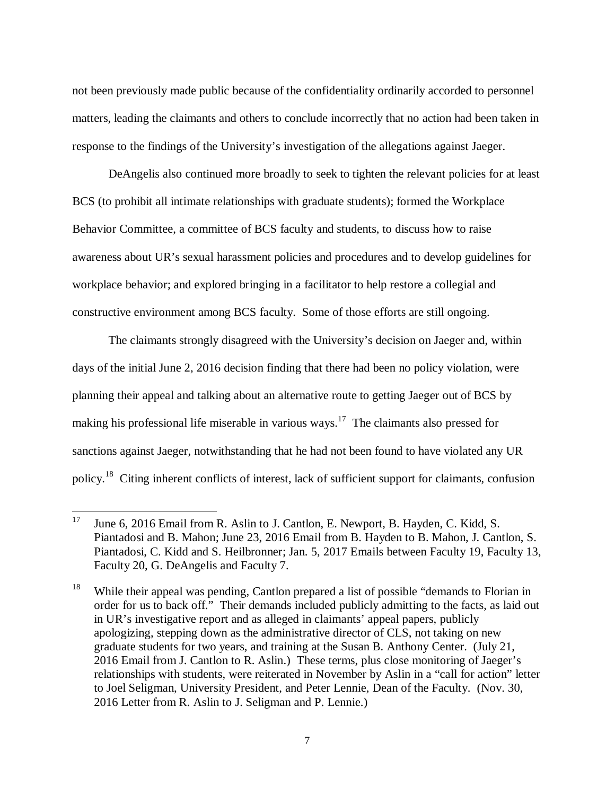not been previously made public because of the confidentiality ordinarily accorded to personnel matters, leading the claimants and others to conclude incorrectly that no action had been taken in response to the findings of the University's investigation of the allegations against Jaeger.

DeAngelis also continued more broadly to seek to tighten the relevant policies for at least BCS (to prohibit all intimate relationships with graduate students); formed the Workplace Behavior Committee, a committee of BCS faculty and students, to discuss how to raise awareness about UR's sexual harassment policies and procedures and to develop guidelines for workplace behavior; and explored bringing in a facilitator to help restore a collegial and constructive environment among BCS faculty. Some of those efforts are still ongoing.

The claimants strongly disagreed with the University's decision on Jaeger and, within days of the initial June 2, 2016 decision finding that there had been no policy violation, were planning their appeal and talking about an alternative route to getting Jaeger out of BCS by making his professional life miserable in various ways.<sup>17</sup> The claimants also pressed for sanctions against Jaeger, notwithstanding that he had not been found to have violated any UR policy.<sup>18</sup> Citing inherent conflicts of interest, lack of sufficient support for claimants, confusion

<sup>&</sup>lt;sup>17</sup> June 6, 2016 Email from R. Aslin to J. Cantlon, E. Newport, B. Hayden, C. Kidd, S. Piantadosi and B. Mahon; June 23, 2016 Email from B. Hayden to B. Mahon, J. Cantlon, S. Piantadosi, C. Kidd and S. Heilbronner; Jan. 5, 2017 Emails between Faculty 19, Faculty 13, Faculty 20, G. DeAngelis and Faculty 7.

<sup>&</sup>lt;sup>18</sup> While their appeal was pending, Cantlon prepared a list of possible "demands to Florian in order for us to back off." Their demands included publicly admitting to the facts, as laid out in UR's investigative report and as alleged in claimants' appeal papers, publicly apologizing, stepping down as the administrative director of CLS, not taking on new graduate students for two years, and training at the Susan B. Anthony Center. (July 21, 2016 Email from J. Cantlon to R. Aslin.) These terms, plus close monitoring of Jaeger's relationships with students, were reiterated in November by Aslin in a "call for action" letter to Joel Seligman, University President, and Peter Lennie, Dean of the Faculty. (Nov. 30, 2016 Letter from R. Aslin to J. Seligman and P. Lennie.)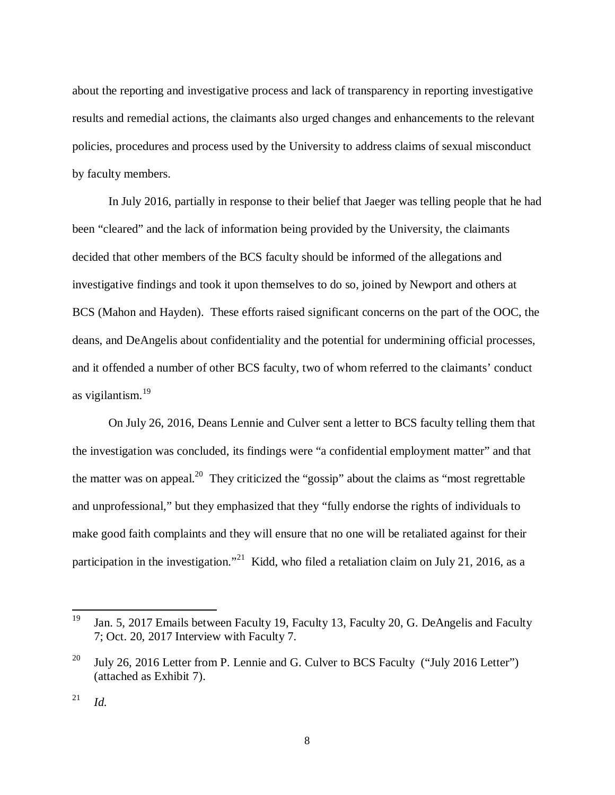about the reporting and investigative process and lack of transparency in reporting investigative results and remedial actions, the claimants also urged changes and enhancements to the relevant policies, procedures and process used by the University to address claims of sexual misconduct by faculty members.

In July 2016, partially in response to their belief that Jaeger was telling people that he had been "cleared" and the lack of information being provided by the University, the claimants decided that other members of the BCS faculty should be informed of the allegations and investigative findings and took it upon themselves to do so, joined by Newport and others at BCS (Mahon and Hayden). These efforts raised significant concerns on the part of the OOC, the deans, and DeAngelis about confidentiality and the potential for undermining official processes, and it offended a number of other BCS faculty, two of whom referred to the claimants' conduct as vigilantism.<sup>19</sup>

On July 26, 2016, Deans Lennie and Culver sent a letter to BCS faculty telling them that the investigation was concluded, its findings were "a confidential employment matter" and that the matter was on appeal.<sup>20</sup> They criticized the "gossip" about the claims as "most regrettable" and unprofessional," but they emphasized that they "fully endorse the rights of individuals to make good faith complaints and they will ensure that no one will be retaliated against for their participation in the investigation."<sup>21</sup> Kidd, who filed a retaliation claim on July 21, 2016, as a

<sup>&</sup>lt;sup>19</sup> Jan. 5, 2017 Emails between Faculty 19, Faculty 13, Faculty 20, G. DeAngelis and Faculty 7; Oct. 20, 2017 Interview with Faculty 7.

<sup>&</sup>lt;sup>20</sup> July 26, 2016 Letter from P. Lennie and G. Culver to BCS Faculty ("July 2016 Letter") (attached as Exhibit 7).

 $^{21}$  *Id.*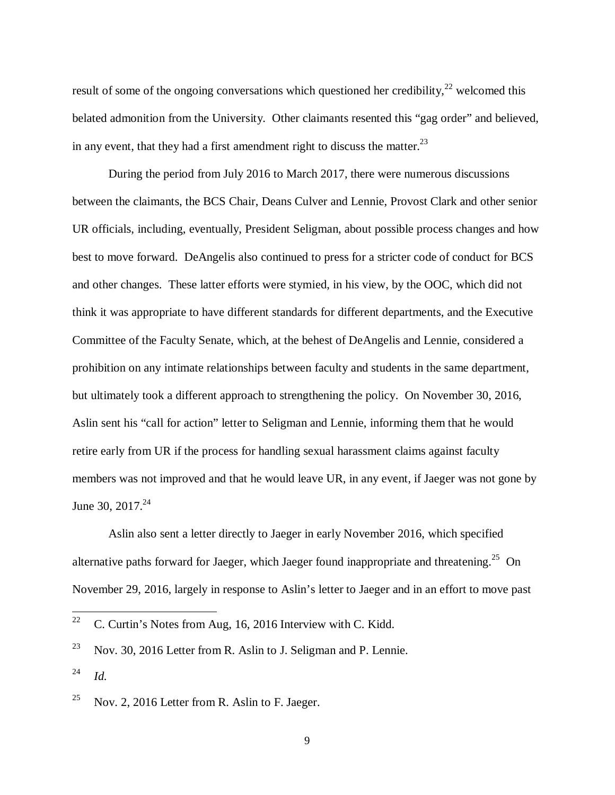result of some of the ongoing conversations which questioned her credibility,  $2^2$  welcomed this belated admonition from the University. Other claimants resented this "gag order" and believed, in any event, that they had a first amendment right to discuss the matter.<sup>23</sup>

During the period from July 2016 to March 2017, there were numerous discussions between the claimants, the BCS Chair, Deans Culver and Lennie, Provost Clark and other senior UR officials, including, eventually, President Seligman, about possible process changes and how best to move forward. DeAngelis also continued to press for a stricter code of conduct for BCS and other changes. These latter efforts were stymied, in his view, by the OOC, which did not think it was appropriate to have different standards for different departments, and the Executive Committee of the Faculty Senate, which, at the behest of DeAngelis and Lennie, considered a prohibition on any intimate relationships between faculty and students in the same department, but ultimately took a different approach to strengthening the policy. On November 30, 2016, Aslin sent his "call for action" letter to Seligman and Lennie, informing them that he would retire early from UR if the process for handling sexual harassment claims against faculty members was not improved and that he would leave UR, in any event, if Jaeger was not gone by June 30, 2017. $^{24}$ 

Aslin also sent a letter directly to Jaeger in early November 2016, which specified alternative paths forward for Jaeger, which Jaeger found inappropriate and threatening.<sup>25</sup> On November 29, 2016, largely in response to Aslin's letter to Jaeger and in an effort to move past

l

<sup>&</sup>lt;sup>22</sup> C. Curtin's Notes from Aug, 16, 2016 Interview with C. Kidd.

<sup>&</sup>lt;sup>23</sup> Nov. 30, 2016 Letter from R. Aslin to J. Seligman and P. Lennie.

<sup>24</sup> *Id.*

<sup>&</sup>lt;sup>25</sup> Nov. 2, 2016 Letter from R. Aslin to F. Jaeger.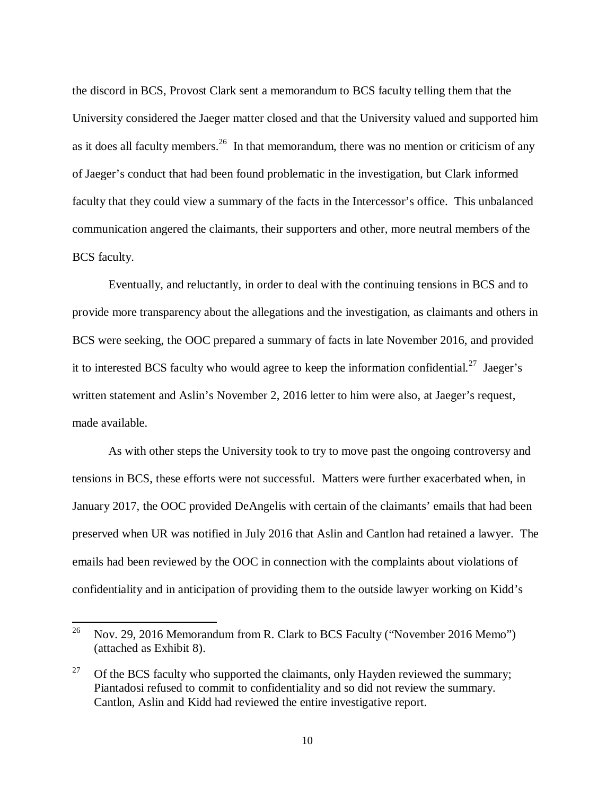the discord in BCS, Provost Clark sent a memorandum to BCS faculty telling them that the University considered the Jaeger matter closed and that the University valued and supported him as it does all faculty members.<sup>26</sup> In that memorandum, there was no mention or criticism of any of Jaeger's conduct that had been found problematic in the investigation, but Clark informed faculty that they could view a summary of the facts in the Intercessor's office. This unbalanced communication angered the claimants, their supporters and other, more neutral members of the BCS faculty.

Eventually, and reluctantly, in order to deal with the continuing tensions in BCS and to provide more transparency about the allegations and the investigation, as claimants and others in BCS were seeking, the OOC prepared a summary of facts in late November 2016, and provided it to interested BCS faculty who would agree to keep the information confidential.<sup>27</sup> Jaeger's written statement and Aslin's November 2, 2016 letter to him were also, at Jaeger's request, made available.

As with other steps the University took to try to move past the ongoing controversy and tensions in BCS, these efforts were not successful. Matters were further exacerbated when, in January 2017, the OOC provided DeAngelis with certain of the claimants' emails that had been preserved when UR was notified in July 2016 that Aslin and Cantlon had retained a lawyer. The emails had been reviewed by the OOC in connection with the complaints about violations of confidentiality and in anticipation of providing them to the outside lawyer working on Kidd's

<sup>&</sup>lt;sup>26</sup> Nov. 29, 2016 Memorandum from R. Clark to BCS Faculty ("November 2016 Memo") (attached as Exhibit 8).

<sup>&</sup>lt;sup>27</sup> Of the BCS faculty who supported the claimants, only Hayden reviewed the summary; Piantadosi refused to commit to confidentiality and so did not review the summary. Cantlon, Aslin and Kidd had reviewed the entire investigative report.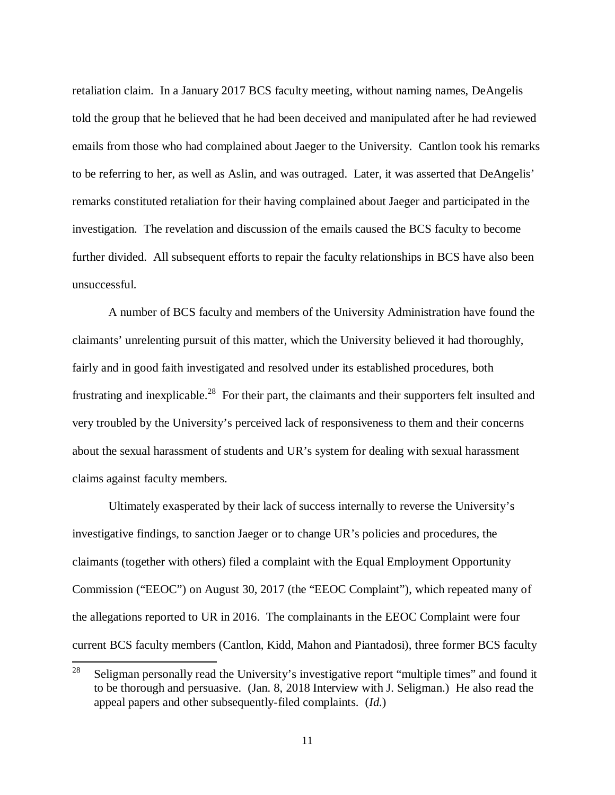retaliation claim. In a January 2017 BCS faculty meeting, without naming names, DeAngelis told the group that he believed that he had been deceived and manipulated after he had reviewed emails from those who had complained about Jaeger to the University. Cantlon took his remarks to be referring to her, as well as Aslin, and was outraged. Later, it was asserted that DeAngelis' remarks constituted retaliation for their having complained about Jaeger and participated in the investigation. The revelation and discussion of the emails caused the BCS faculty to become further divided. All subsequent efforts to repair the faculty relationships in BCS have also been unsuccessful.

A number of BCS faculty and members of the University Administration have found the claimants' unrelenting pursuit of this matter, which the University believed it had thoroughly, fairly and in good faith investigated and resolved under its established procedures, both frustrating and inexplicable.<sup>28</sup> For their part, the claimants and their supporters felt insulted and very troubled by the University's perceived lack of responsiveness to them and their concerns about the sexual harassment of students and UR's system for dealing with sexual harassment claims against faculty members.

Ultimately exasperated by their lack of success internally to reverse the University's investigative findings, to sanction Jaeger or to change UR's policies and procedures, the claimants (together with others) filed a complaint with the Equal Employment Opportunity Commission ("EEOC") on August 30, 2017 (the "EEOC Complaint"), which repeated many of the allegations reported to UR in 2016. The complainants in the EEOC Complaint were four current BCS faculty members (Cantlon, Kidd, Mahon and Piantadosi), three former BCS faculty

<sup>&</sup>lt;sup>28</sup> Seligman personally read the University's investigative report "multiple times" and found it to be thorough and persuasive. (Jan. 8, 2018 Interview with J. Seligman.) He also read the appeal papers and other subsequently-filed complaints. (*Id.*)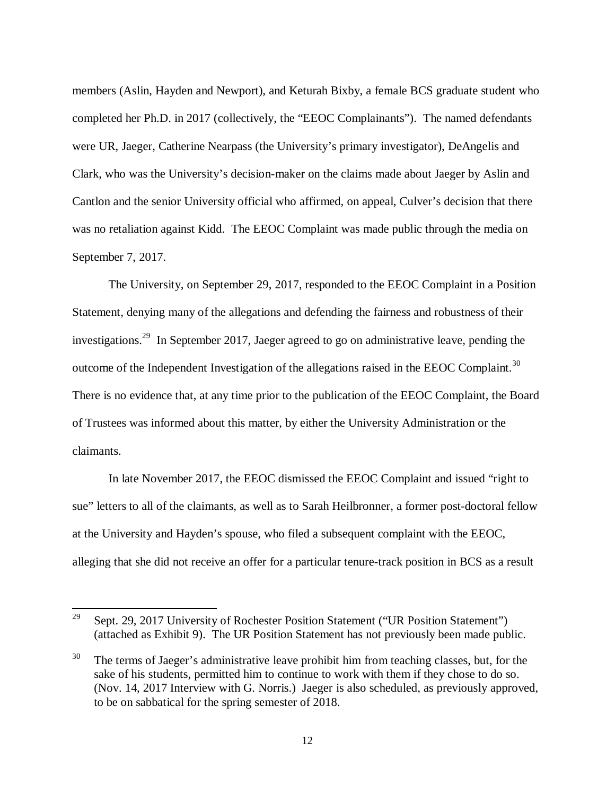members (Aslin, Hayden and Newport), and Keturah Bixby, a female BCS graduate student who completed her Ph.D. in 2017 (collectively, the "EEOC Complainants"). The named defendants were UR, Jaeger, Catherine Nearpass (the University's primary investigator), DeAngelis and Clark, who was the University's decision-maker on the claims made about Jaeger by Aslin and Cantlon and the senior University official who affirmed, on appeal, Culver's decision that there was no retaliation against Kidd. The EEOC Complaint was made public through the media on September 7, 2017.

The University, on September 29, 2017, responded to the EEOC Complaint in a Position Statement, denying many of the allegations and defending the fairness and robustness of their investigations.<sup>29</sup> In September 2017, Jaeger agreed to go on administrative leave, pending the outcome of the Independent Investigation of the allegations raised in the EEOC Complaint.<sup>30</sup> There is no evidence that, at any time prior to the publication of the EEOC Complaint, the Board of Trustees was informed about this matter, by either the University Administration or the claimants.

In late November 2017, the EEOC dismissed the EEOC Complaint and issued "right to sue" letters to all of the claimants, as well as to Sarah Heilbronner, a former post-doctoral fellow at the University and Hayden's spouse, who filed a subsequent complaint with the EEOC, alleging that she did not receive an offer for a particular tenure-track position in BCS as a result

<sup>&</sup>lt;sup>29</sup> Sept. 29, 2017 University of Rochester Position Statement ("UR Position Statement") (attached as Exhibit 9). The UR Position Statement has not previously been made public.

 $30$  The terms of Jaeger's administrative leave prohibit him from teaching classes, but, for the sake of his students, permitted him to continue to work with them if they chose to do so. (Nov. 14, 2017 Interview with G. Norris.) Jaeger is also scheduled, as previously approved, to be on sabbatical for the spring semester of 2018.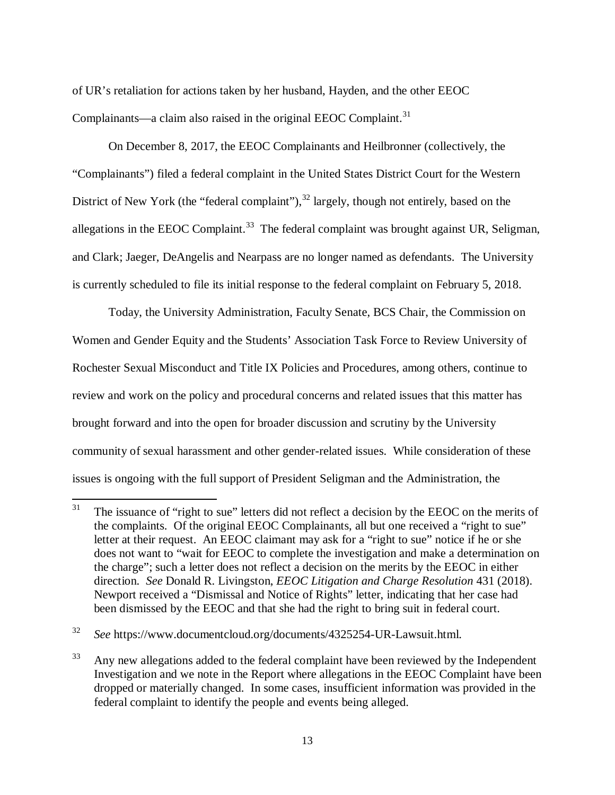of UR's retaliation for actions taken by her husband, Hayden, and the other EEOC Complainants—a claim also raised in the original EEOC Complaint. $31$ 

On December 8, 2017, the EEOC Complainants and Heilbronner (collectively, the "Complainants") filed a federal complaint in the United States District Court for the Western District of New York (the "federal complaint"), $^{32}$  largely, though not entirely, based on the allegations in the EEOC Complaint.<sup>33</sup> The federal complaint was brought against UR, Seligman, and Clark; Jaeger, DeAngelis and Nearpass are no longer named as defendants. The University is currently scheduled to file its initial response to the federal complaint on February 5, 2018.

Today, the University Administration, Faculty Senate, BCS Chair, the Commission on Women and Gender Equity and the Students' Association Task Force to Review University of Rochester Sexual Misconduct and Title IX Policies and Procedures, among others, continue to review and work on the policy and procedural concerns and related issues that this matter has brought forward and into the open for broader discussion and scrutiny by the University community of sexual harassment and other gender-related issues. While consideration of these issues is ongoing with the full support of President Seligman and the Administration, the

 $31$  The issuance of "right to sue" letters did not reflect a decision by the EEOC on the merits of the complaints. Of the original EEOC Complainants, all but one received a "right to sue" letter at their request. An EEOC claimant may ask for a "right to sue" notice if he or she does not want to "wait for EEOC to complete the investigation and make a determination on the charge"; such a letter does not reflect a decision on the merits by the EEOC in either direction. *See* Donald R. Livingston, *EEOC Litigation and Charge Resolution* 431 (2018). Newport received a "Dismissal and Notice of Rights" letter, indicating that her case had been dismissed by the EEOC and that she had the right to bring suit in federal court.

<sup>32</sup> *See* https://www.documentcloud.org/documents/4325254-UR-Lawsuit.html.

 $33$  Any new allegations added to the federal complaint have been reviewed by the Independent Investigation and we note in the Report where allegations in the EEOC Complaint have been dropped or materially changed. In some cases, insufficient information was provided in the federal complaint to identify the people and events being alleged.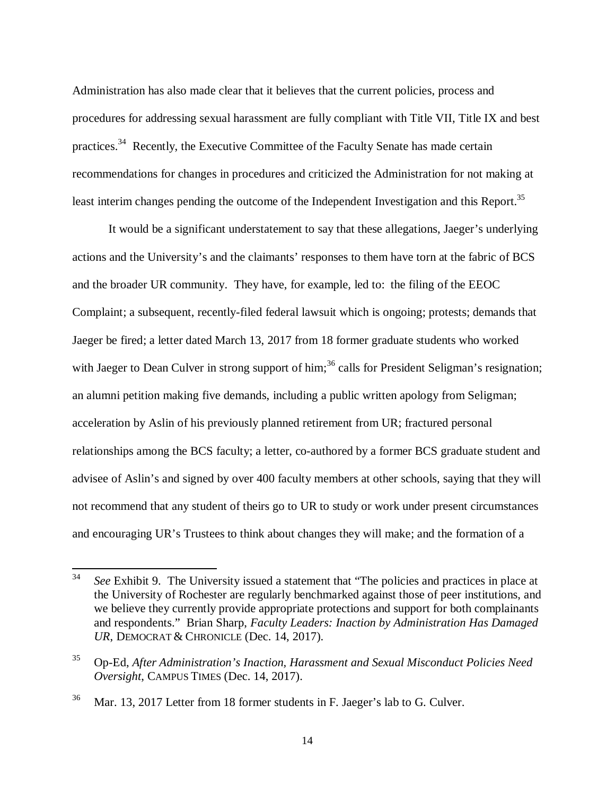Administration has also made clear that it believes that the current policies, process and procedures for addressing sexual harassment are fully compliant with Title VII, Title IX and best practices.<sup>34</sup> Recently, the Executive Committee of the Faculty Senate has made certain recommendations for changes in procedures and criticized the Administration for not making at least interim changes pending the outcome of the Independent Investigation and this Report.<sup>35</sup>

It would be a significant understatement to say that these allegations, Jaeger's underlying actions and the University's and the claimants' responses to them have torn at the fabric of BCS and the broader UR community. They have, for example, led to: the filing of the EEOC Complaint; a subsequent, recently-filed federal lawsuit which is ongoing; protests; demands that Jaeger be fired; a letter dated March 13, 2017 from 18 former graduate students who worked with Jaeger to Dean Culver in strong support of him;<sup>36</sup> calls for President Seligman's resignation; an alumni petition making five demands, including a public written apology from Seligman; acceleration by Aslin of his previously planned retirement from UR; fractured personal relationships among the BCS faculty; a letter, co-authored by a former BCS graduate student and advisee of Aslin's and signed by over 400 faculty members at other schools, saying that they will not recommend that any student of theirs go to UR to study or work under present circumstances and encouraging UR's Trustees to think about changes they will make; and the formation of a

<sup>34</sup> *See* Exhibit 9. The University issued a statement that "The policies and practices in place at the University of Rochester are regularly benchmarked against those of peer institutions, and we believe they currently provide appropriate protections and support for both complainants and respondents." Brian Sharp, *Faculty Leaders: Inaction by Administration Has Damaged UR*, DEMOCRAT & CHRONICLE (Dec. 14, 2017).

<sup>35</sup> Op-Ed, *After Administration's Inaction, Harassment and Sexual Misconduct Policies Need Oversight*, CAMPUS TIMES (Dec. 14, 2017).

<sup>36</sup> Mar. 13, 2017 Letter from 18 former students in F. Jaeger's lab to G. Culver.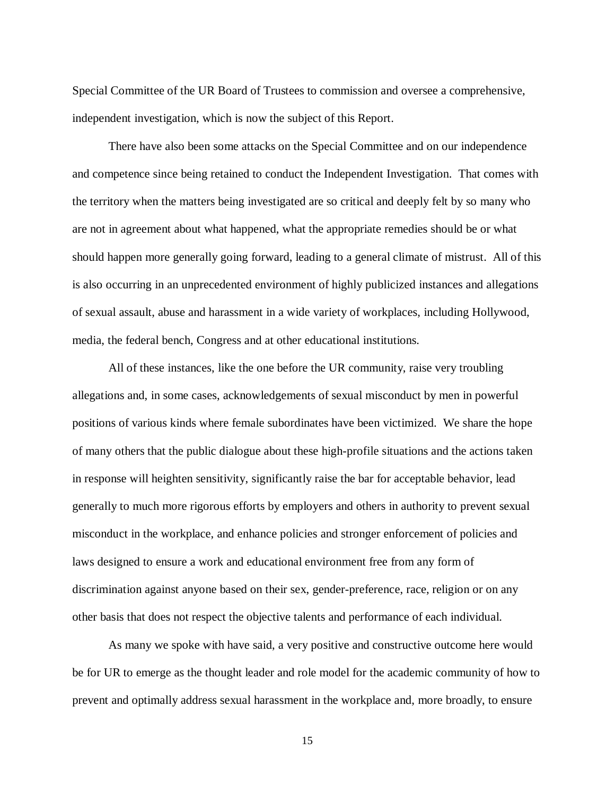Special Committee of the UR Board of Trustees to commission and oversee a comprehensive, independent investigation, which is now the subject of this Report.

There have also been some attacks on the Special Committee and on our independence and competence since being retained to conduct the Independent Investigation. That comes with the territory when the matters being investigated are so critical and deeply felt by so many who are not in agreement about what happened, what the appropriate remedies should be or what should happen more generally going forward, leading to a general climate of mistrust. All of this is also occurring in an unprecedented environment of highly publicized instances and allegations of sexual assault, abuse and harassment in a wide variety of workplaces, including Hollywood, media, the federal bench, Congress and at other educational institutions.

All of these instances, like the one before the UR community, raise very troubling allegations and, in some cases, acknowledgements of sexual misconduct by men in powerful positions of various kinds where female subordinates have been victimized. We share the hope of many others that the public dialogue about these high-profile situations and the actions taken in response will heighten sensitivity, significantly raise the bar for acceptable behavior, lead generally to much more rigorous efforts by employers and others in authority to prevent sexual misconduct in the workplace, and enhance policies and stronger enforcement of policies and laws designed to ensure a work and educational environment free from any form of discrimination against anyone based on their sex, gender-preference, race, religion or on any other basis that does not respect the objective talents and performance of each individual.

As many we spoke with have said, a very positive and constructive outcome here would be for UR to emerge as the thought leader and role model for the academic community of how to prevent and optimally address sexual harassment in the workplace and, more broadly, to ensure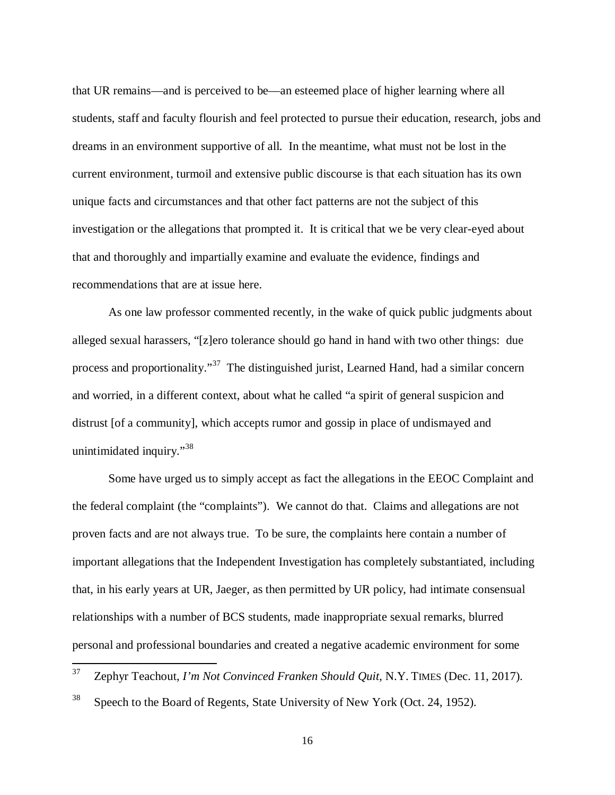that UR remains—and is perceived to be—an esteemed place of higher learning where all students, staff and faculty flourish and feel protected to pursue their education, research, jobs and dreams in an environment supportive of all. In the meantime, what must not be lost in the current environment, turmoil and extensive public discourse is that each situation has its own unique facts and circumstances and that other fact patterns are not the subject of this investigation or the allegations that prompted it. It is critical that we be very clear-eyed about that and thoroughly and impartially examine and evaluate the evidence, findings and recommendations that are at issue here.

As one law professor commented recently, in the wake of quick public judgments about alleged sexual harassers, "[z]ero tolerance should go hand in hand with two other things: due process and proportionality."<sup>37</sup> The distinguished jurist, Learned Hand, had a similar concern and worried, in a different context, about what he called "a spirit of general suspicion and distrust [of a community], which accepts rumor and gossip in place of undismayed and unintimidated inquiry."<sup>38</sup>

Some have urged us to simply accept as fact the allegations in the EEOC Complaint and the federal complaint (the "complaints"). We cannot do that. Claims and allegations are not proven facts and are not always true. To be sure, the complaints here contain a number of important allegations that the Independent Investigation has completely substantiated, including that, in his early years at UR, Jaeger, as then permitted by UR policy, had intimate consensual relationships with a number of BCS students, made inappropriate sexual remarks, blurred personal and professional boundaries and created a negative academic environment for some

<sup>37</sup> Zephyr Teachout, *I'm Not Convinced Franken Should Quit*, N.Y. TIMES (Dec. 11, 2017).

 $38$  Speech to the Board of Regents, State University of New York (Oct. 24, 1952).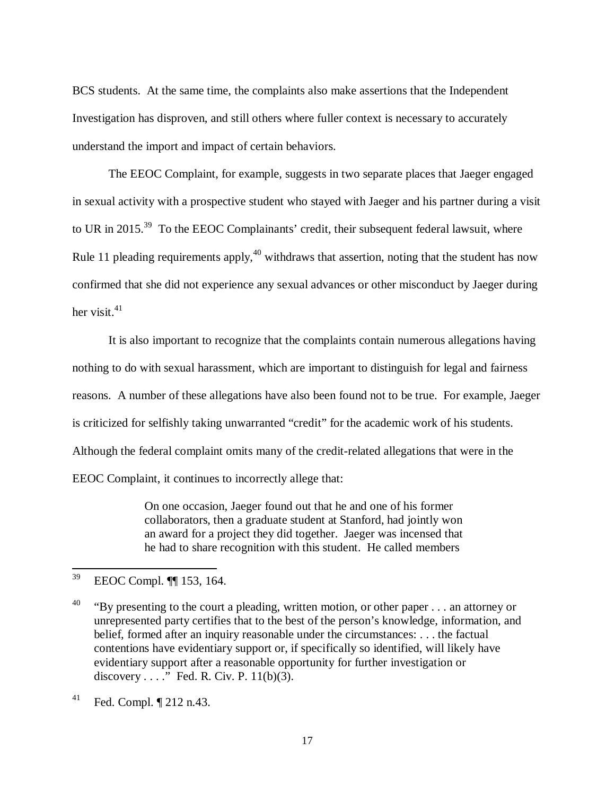BCS students. At the same time, the complaints also make assertions that the Independent Investigation has disproven, and still others where fuller context is necessary to accurately understand the import and impact of certain behaviors.

The EEOC Complaint, for example, suggests in two separate places that Jaeger engaged in sexual activity with a prospective student who stayed with Jaeger and his partner during a visit to UR in 2015.<sup>39</sup> To the EEOC Complainants' credit, their subsequent federal lawsuit, where Rule 11 pleading requirements apply, $40$  withdraws that assertion, noting that the student has now confirmed that she did not experience any sexual advances or other misconduct by Jaeger during her visit. $41$ 

It is also important to recognize that the complaints contain numerous allegations having nothing to do with sexual harassment, which are important to distinguish for legal and fairness reasons. A number of these allegations have also been found not to be true. For example, Jaeger is criticized for selfishly taking unwarranted "credit" for the academic work of his students. Although the federal complaint omits many of the credit-related allegations that were in the EEOC Complaint, it continues to incorrectly allege that:

> On one occasion, Jaeger found out that he and one of his former collaborators, then a graduate student at Stanford, had jointly won an award for a project they did together. Jaeger was incensed that he had to share recognition with this student. He called members

<sup>39</sup> EEOC Compl. ¶¶ 153, 164.

<sup>&</sup>lt;sup>40</sup> "By presenting to the court a pleading, written motion, or other paper . . . an attorney or unrepresented party certifies that to the best of the person's knowledge, information, and belief, formed after an inquiry reasonable under the circumstances: . . . the factual contentions have evidentiary support or, if specifically so identified, will likely have evidentiary support after a reasonable opportunity for further investigation or discovery  $\dots$ ." Fed. R. Civ. P. 11(b)(3).

 $^{41}$  Fed. Compl.  $\P$  212 n.43.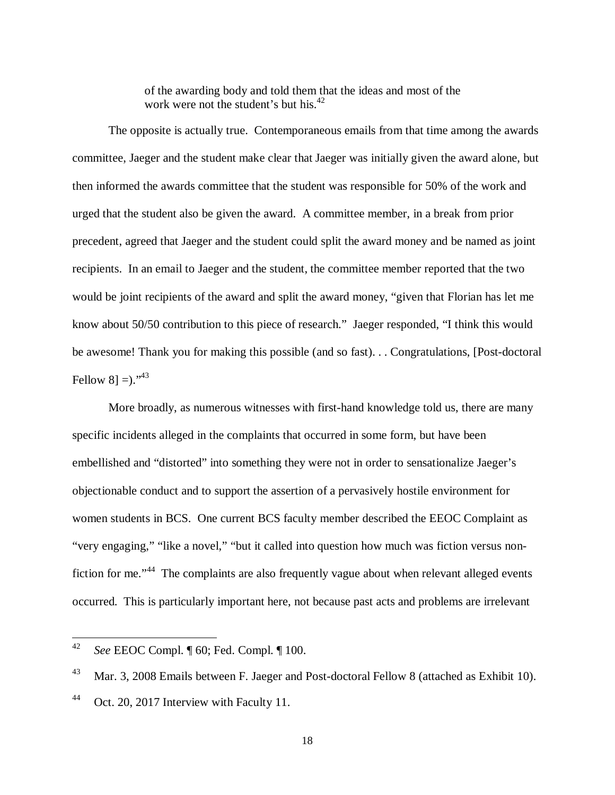of the awarding body and told them that the ideas and most of the work were not the student's but his.<sup>42</sup>

The opposite is actually true. Contemporaneous emails from that time among the awards committee, Jaeger and the student make clear that Jaeger was initially given the award alone, but then informed the awards committee that the student was responsible for 50% of the work and urged that the student also be given the award. A committee member, in a break from prior precedent, agreed that Jaeger and the student could split the award money and be named as joint recipients. In an email to Jaeger and the student, the committee member reported that the two would be joint recipients of the award and split the award money, "given that Florian has let me know about 50/50 contribution to this piece of research." Jaeger responded, "I think this would be awesome! Thank you for making this possible (and so fast). . . Congratulations, [Post-doctoral Fellow 8] = $).$ <sup>\*43</sup>

More broadly, as numerous witnesses with first-hand knowledge told us, there are many specific incidents alleged in the complaints that occurred in some form, but have been embellished and "distorted" into something they were not in order to sensationalize Jaeger's objectionable conduct and to support the assertion of a pervasively hostile environment for women students in BCS. One current BCS faculty member described the EEOC Complaint as "very engaging," "like a novel," "but it called into question how much was fiction versus nonfiction for me."<sup>44</sup> The complaints are also frequently vague about when relevant alleged events occurred. This is particularly important here, not because past acts and problems are irrelevant

<sup>42</sup> *See* EEOC Compl. ¶ 60; Fed. Compl. ¶ 100.

<sup>&</sup>lt;sup>43</sup> Mar. 3, 2008 Emails between F. Jaeger and Post-doctoral Fellow 8 (attached as Exhibit 10).

<sup>&</sup>lt;sup>44</sup> Oct. 20, 2017 Interview with Faculty 11.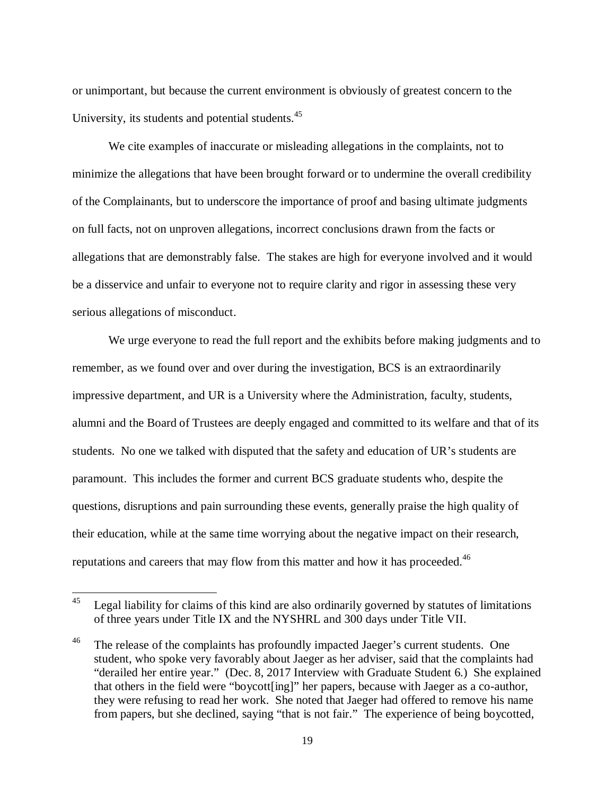or unimportant, but because the current environment is obviously of greatest concern to the University, its students and potential students.<sup>45</sup>

We cite examples of inaccurate or misleading allegations in the complaints, not to minimize the allegations that have been brought forward or to undermine the overall credibility of the Complainants, but to underscore the importance of proof and basing ultimate judgments on full facts, not on unproven allegations, incorrect conclusions drawn from the facts or allegations that are demonstrably false. The stakes are high for everyone involved and it would be a disservice and unfair to everyone not to require clarity and rigor in assessing these very serious allegations of misconduct.

We urge everyone to read the full report and the exhibits before making judgments and to remember, as we found over and over during the investigation, BCS is an extraordinarily impressive department, and UR is a University where the Administration, faculty, students, alumni and the Board of Trustees are deeply engaged and committed to its welfare and that of its students. No one we talked with disputed that the safety and education of UR's students are paramount. This includes the former and current BCS graduate students who, despite the questions, disruptions and pain surrounding these events, generally praise the high quality of their education, while at the same time worrying about the negative impact on their research, reputations and careers that may flow from this matter and how it has proceeded.<sup>46</sup>

 $45$  Legal liability for claims of this kind are also ordinarily governed by statutes of limitations of three years under Title IX and the NYSHRL and 300 days under Title VII.

<sup>&</sup>lt;sup>46</sup> The release of the complaints has profoundly impacted Jaeger's current students. One student, who spoke very favorably about Jaeger as her adviser, said that the complaints had "derailed her entire year." (Dec. 8, 2017 Interview with Graduate Student 6.) She explained that others in the field were "boycott[ing]" her papers, because with Jaeger as a co-author, they were refusing to read her work. She noted that Jaeger had offered to remove his name from papers, but she declined, saying "that is not fair." The experience of being boycotted,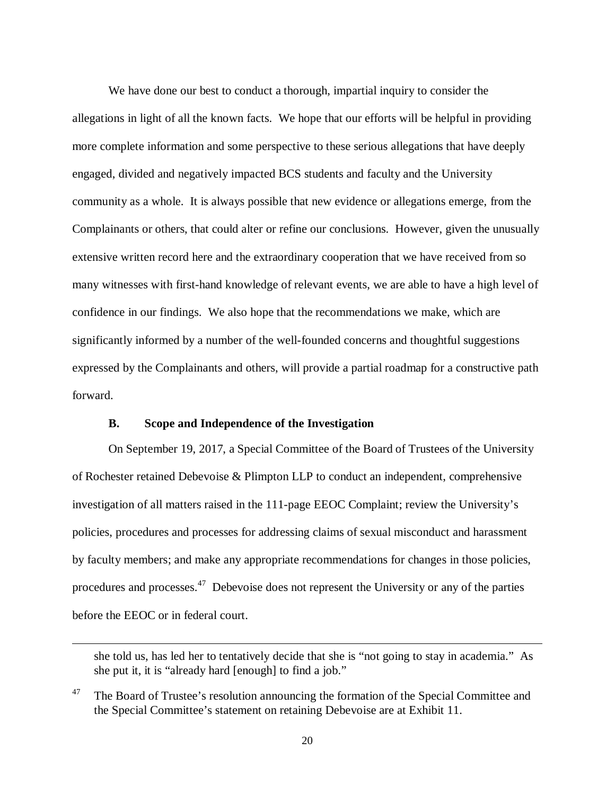We have done our best to conduct a thorough, impartial inquiry to consider the allegations in light of all the known facts. We hope that our efforts will be helpful in providing more complete information and some perspective to these serious allegations that have deeply engaged, divided and negatively impacted BCS students and faculty and the University community as a whole. It is always possible that new evidence or allegations emerge, from the Complainants or others, that could alter or refine our conclusions. However, given the unusually extensive written record here and the extraordinary cooperation that we have received from so many witnesses with first-hand knowledge of relevant events, we are able to have a high level of confidence in our findings. We also hope that the recommendations we make, which are significantly informed by a number of the well-founded concerns and thoughtful suggestions expressed by the Complainants and others, will provide a partial roadmap for a constructive path forward.

## **B. Scope and Independence of the Investigation**

 $\overline{a}$ 

On September 19, 2017, a Special Committee of the Board of Trustees of the University of Rochester retained Debevoise & Plimpton LLP to conduct an independent, comprehensive investigation of all matters raised in the 111-page EEOC Complaint; review the University's policies, procedures and processes for addressing claims of sexual misconduct and harassment by faculty members; and make any appropriate recommendations for changes in those policies, procedures and processes.<sup>47</sup> Debevoise does not represent the University or any of the parties before the EEOC or in federal court.

she told us, has led her to tentatively decide that she is "not going to stay in academia." As she put it, it is "already hard [enough] to find a job."

<sup>&</sup>lt;sup>47</sup> The Board of Trustee's resolution announcing the formation of the Special Committee and the Special Committee's statement on retaining Debevoise are at Exhibit 11.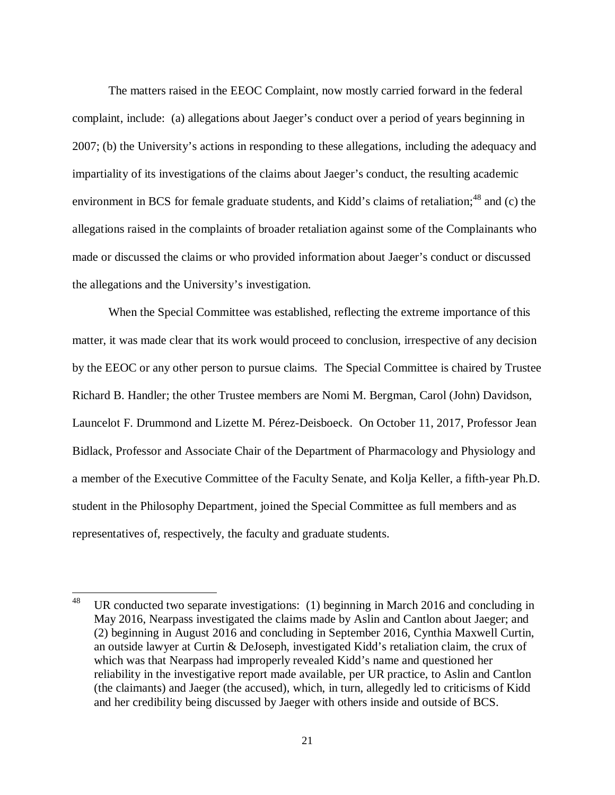The matters raised in the EEOC Complaint, now mostly carried forward in the federal complaint, include: (a) allegations about Jaeger's conduct over a period of years beginning in 2007; (b) the University's actions in responding to these allegations, including the adequacy and impartiality of its investigations of the claims about Jaeger's conduct, the resulting academic environment in BCS for female graduate students, and Kidd's claims of retaliation; $^{48}$  and (c) the allegations raised in the complaints of broader retaliation against some of the Complainants who made or discussed the claims or who provided information about Jaeger's conduct or discussed the allegations and the University's investigation.

When the Special Committee was established, reflecting the extreme importance of this matter, it was made clear that its work would proceed to conclusion, irrespective of any decision by the EEOC or any other person to pursue claims. The Special Committee is chaired by Trustee Richard B. Handler; the other Trustee members are Nomi M. Bergman, Carol (John) Davidson, Launcelot F. Drummond and Lizette M. Pérez-Deisboeck. On October 11, 2017, Professor Jean Bidlack, Professor and Associate Chair of the Department of Pharmacology and Physiology and a member of the Executive Committee of the Faculty Senate, and Kolja Keller, a fifth-year Ph.D. student in the Philosophy Department, joined the Special Committee as full members and as representatives of, respectively, the faculty and graduate students.

<sup>&</sup>lt;sup>48</sup> UR conducted two separate investigations: (1) beginning in March 2016 and concluding in May 2016, Nearpass investigated the claims made by Aslin and Cantlon about Jaeger; and (2) beginning in August 2016 and concluding in September 2016, Cynthia Maxwell Curtin, an outside lawyer at Curtin & DeJoseph, investigated Kidd's retaliation claim, the crux of which was that Nearpass had improperly revealed Kidd's name and questioned her reliability in the investigative report made available, per UR practice, to Aslin and Cantlon (the claimants) and Jaeger (the accused), which, in turn, allegedly led to criticisms of Kidd and her credibility being discussed by Jaeger with others inside and outside of BCS.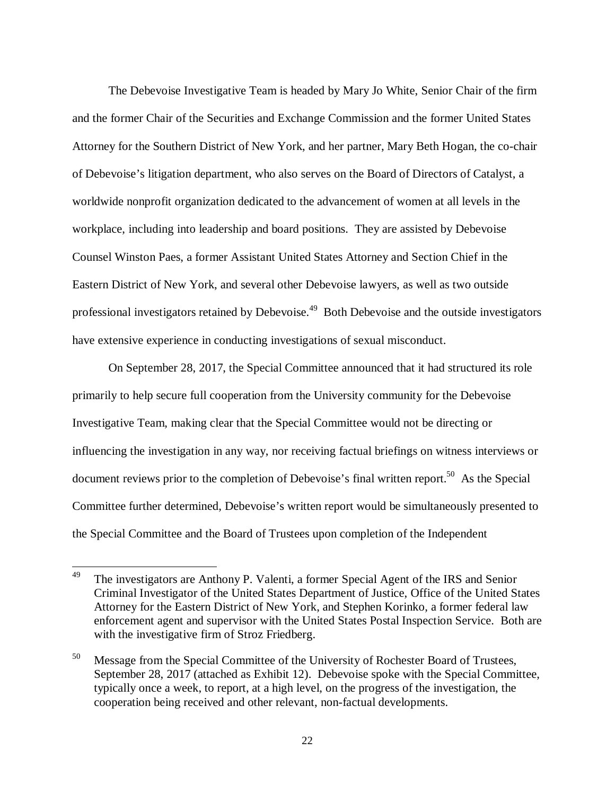The Debevoise Investigative Team is headed by Mary Jo White, Senior Chair of the firm and the former Chair of the Securities and Exchange Commission and the former United States Attorney for the Southern District of New York, and her partner, Mary Beth Hogan, the co-chair of Debevoise's litigation department, who also serves on the Board of Directors of Catalyst, a worldwide nonprofit organization dedicated to the advancement of women at all levels in the workplace, including into leadership and board positions. They are assisted by Debevoise Counsel Winston Paes, a former Assistant United States Attorney and Section Chief in the Eastern District of New York, and several other Debevoise lawyers, as well as two outside professional investigators retained by Debevoise.<sup>49</sup> Both Debevoise and the outside investigators have extensive experience in conducting investigations of sexual misconduct.

On September 28, 2017, the Special Committee announced that it had structured its role primarily to help secure full cooperation from the University community for the Debevoise Investigative Team, making clear that the Special Committee would not be directing or influencing the investigation in any way, nor receiving factual briefings on witness interviews or document reviews prior to the completion of Debevoise's final written report.<sup>50</sup> As the Special Committee further determined, Debevoise's written report would be simultaneously presented to the Special Committee and the Board of Trustees upon completion of the Independent

<sup>&</sup>lt;sup>49</sup> The investigators are Anthony P. Valenti, a former Special Agent of the IRS and Senior Criminal Investigator of the United States Department of Justice, Office of the United States Attorney for the Eastern District of New York, and Stephen Korinko, a former federal law enforcement agent and supervisor with the United States Postal Inspection Service. Both are with the investigative firm of Stroz Friedberg.

<sup>&</sup>lt;sup>50</sup> Message from the Special Committee of the University of Rochester Board of Trustees, September 28, 2017 (attached as Exhibit 12). Debevoise spoke with the Special Committee, typically once a week, to report, at a high level, on the progress of the investigation, the cooperation being received and other relevant, non-factual developments.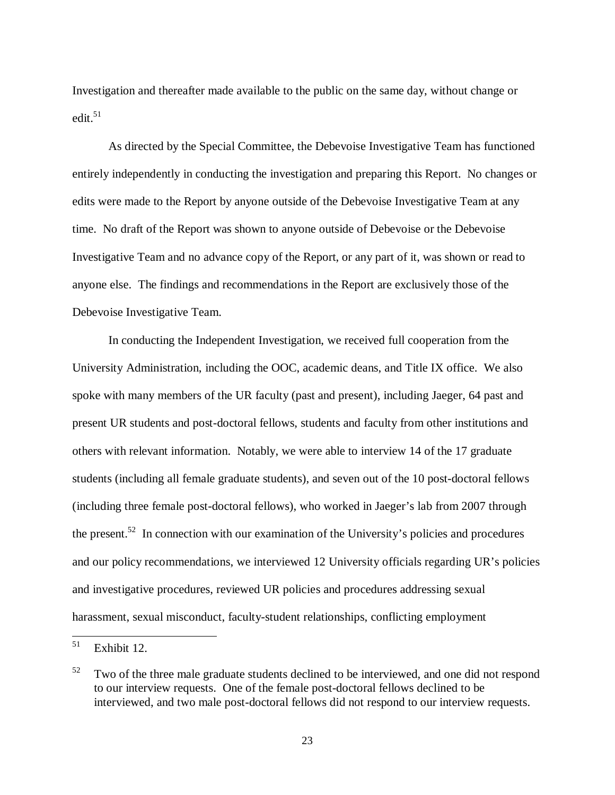Investigation and thereafter made available to the public on the same day, without change or edit. $51$ 

As directed by the Special Committee, the Debevoise Investigative Team has functioned entirely independently in conducting the investigation and preparing this Report. No changes or edits were made to the Report by anyone outside of the Debevoise Investigative Team at any time. No draft of the Report was shown to anyone outside of Debevoise or the Debevoise Investigative Team and no advance copy of the Report, or any part of it, was shown or read to anyone else. The findings and recommendations in the Report are exclusively those of the Debevoise Investigative Team.

In conducting the Independent Investigation, we received full cooperation from the University Administration, including the OOC, academic deans, and Title IX office. We also spoke with many members of the UR faculty (past and present), including Jaeger, 64 past and present UR students and post-doctoral fellows, students and faculty from other institutions and others with relevant information. Notably, we were able to interview 14 of the 17 graduate students (including all female graduate students), and seven out of the 10 post-doctoral fellows (including three female post-doctoral fellows), who worked in Jaeger's lab from 2007 through the present.<sup>52</sup> In connection with our examination of the University's policies and procedures and our policy recommendations, we interviewed 12 University officials regarding UR's policies and investigative procedures, reviewed UR policies and procedures addressing sexual harassment, sexual misconduct, faculty-student relationships, conflicting employment

 $51$  Exhibit 12.

 $52$  Two of the three male graduate students declined to be interviewed, and one did not respond to our interview requests. One of the female post-doctoral fellows declined to be interviewed, and two male post-doctoral fellows did not respond to our interview requests.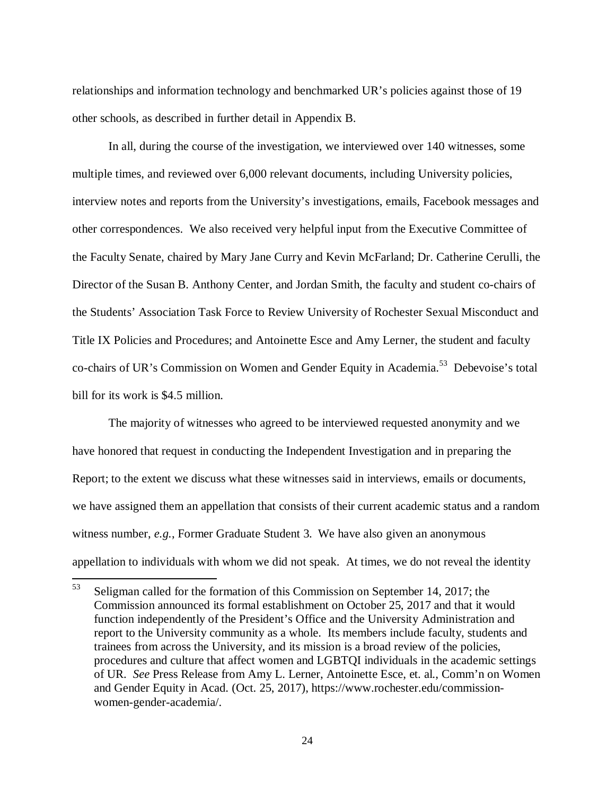relationships and information technology and benchmarked UR's policies against those of 19 other schools, as described in further detail in Appendix B.

In all, during the course of the investigation, we interviewed over 140 witnesses, some multiple times, and reviewed over 6,000 relevant documents, including University policies, interview notes and reports from the University's investigations, emails, Facebook messages and other correspondences. We also received very helpful input from the Executive Committee of the Faculty Senate, chaired by Mary Jane Curry and Kevin McFarland; Dr. Catherine Cerulli, the Director of the Susan B. Anthony Center, and Jordan Smith, the faculty and student co-chairs of the Students' Association Task Force to Review University of Rochester Sexual Misconduct and Title IX Policies and Procedures; and Antoinette Esce and Amy Lerner, the student and faculty co-chairs of UR's Commission on Women and Gender Equity in Academia.<sup>53</sup> Debevoise's total bill for its work is \$4.5 million.

The majority of witnesses who agreed to be interviewed requested anonymity and we have honored that request in conducting the Independent Investigation and in preparing the Report; to the extent we discuss what these witnesses said in interviews, emails or documents, we have assigned them an appellation that consists of their current academic status and a random witness number, *e.g.*, Former Graduate Student 3. We have also given an anonymous appellation to individuals with whom we did not speak. At times, we do not reveal the identity

<sup>53</sup> Seligman called for the formation of this Commission on September 14, 2017; the Commission announced its formal establishment on October 25, 2017 and that it would function independently of the President's Office and the University Administration and report to the University community as a whole. Its members include faculty, students and trainees from across the University, and its mission is a broad review of the policies, procedures and culture that affect women and LGBTQI individuals in the academic settings of UR. *See* Press Release from Amy L. Lerner, Antoinette Esce, et. al., Comm'n on Women and Gender Equity in Acad. (Oct. 25, 2017), https://www.rochester.edu/commissionwomen-gender-academia/.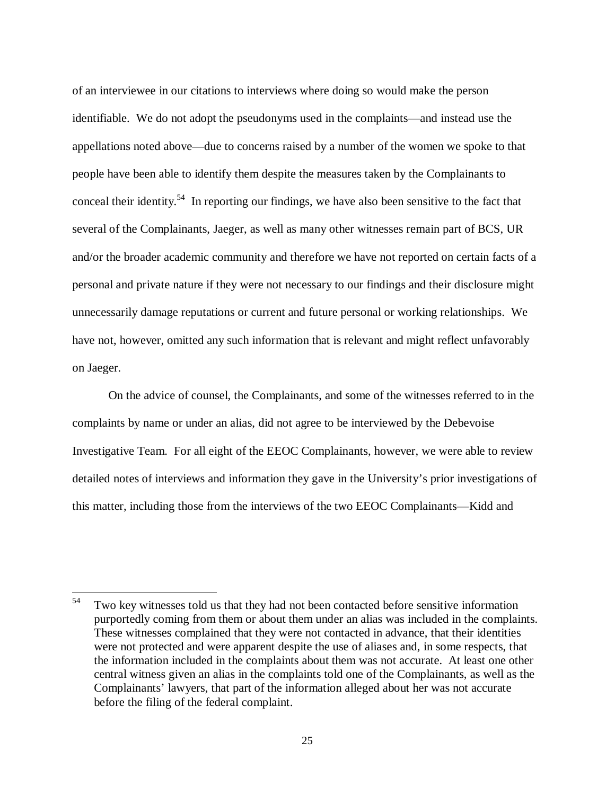of an interviewee in our citations to interviews where doing so would make the person identifiable. We do not adopt the pseudonyms used in the complaints—and instead use the appellations noted above—due to concerns raised by a number of the women we spoke to that people have been able to identify them despite the measures taken by the Complainants to conceal their identity.<sup>54</sup> In reporting our findings, we have also been sensitive to the fact that several of the Complainants, Jaeger, as well as many other witnesses remain part of BCS, UR and/or the broader academic community and therefore we have not reported on certain facts of a personal and private nature if they were not necessary to our findings and their disclosure might unnecessarily damage reputations or current and future personal or working relationships. We have not, however, omitted any such information that is relevant and might reflect unfavorably on Jaeger.

On the advice of counsel, the Complainants, and some of the witnesses referred to in the complaints by name or under an alias, did not agree to be interviewed by the Debevoise Investigative Team. For all eight of the EEOC Complainants, however, we were able to review detailed notes of interviews and information they gave in the University's prior investigations of this matter, including those from the interviews of the two EEOC Complainants—Kidd and

<sup>&</sup>lt;sup>54</sup> Two key witnesses told us that they had not been contacted before sensitive information purportedly coming from them or about them under an alias was included in the complaints. These witnesses complained that they were not contacted in advance, that their identities were not protected and were apparent despite the use of aliases and, in some respects, that the information included in the complaints about them was not accurate. At least one other central witness given an alias in the complaints told one of the Complainants, as well as the Complainants' lawyers, that part of the information alleged about her was not accurate before the filing of the federal complaint.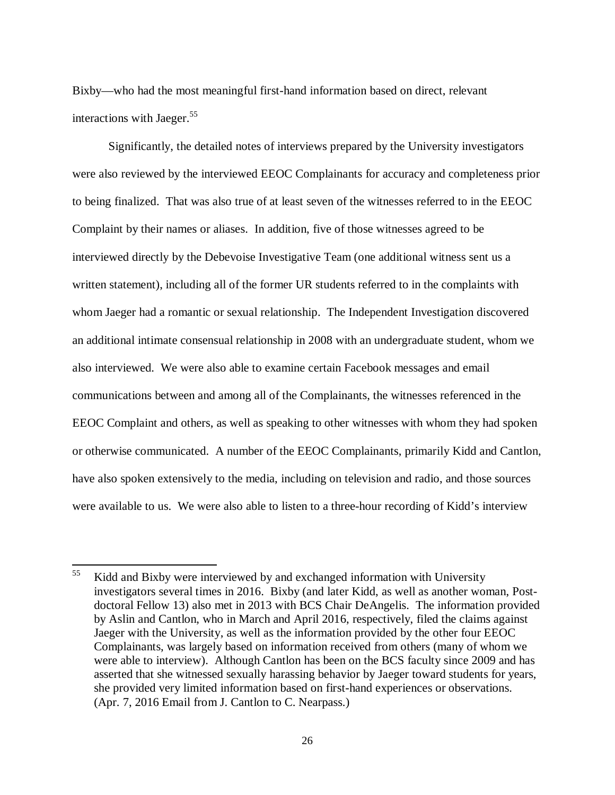Bixby—who had the most meaningful first-hand information based on direct, relevant interactions with Jaeger. $55$ 

Significantly, the detailed notes of interviews prepared by the University investigators were also reviewed by the interviewed EEOC Complainants for accuracy and completeness prior to being finalized. That was also true of at least seven of the witnesses referred to in the EEOC Complaint by their names or aliases. In addition, five of those witnesses agreed to be interviewed directly by the Debevoise Investigative Team (one additional witness sent us a written statement), including all of the former UR students referred to in the complaints with whom Jaeger had a romantic or sexual relationship. The Independent Investigation discovered an additional intimate consensual relationship in 2008 with an undergraduate student, whom we also interviewed. We were also able to examine certain Facebook messages and email communications between and among all of the Complainants, the witnesses referenced in the EEOC Complaint and others, as well as speaking to other witnesses with whom they had spoken or otherwise communicated. A number of the EEOC Complainants, primarily Kidd and Cantlon, have also spoken extensively to the media, including on television and radio, and those sources were available to us. We were also able to listen to a three-hour recording of Kidd's interview

<sup>&</sup>lt;sup>55</sup> Kidd and Bixby were interviewed by and exchanged information with University investigators several times in 2016. Bixby (and later Kidd, as well as another woman, Postdoctoral Fellow 13) also met in 2013 with BCS Chair DeAngelis. The information provided by Aslin and Cantlon, who in March and April 2016, respectively, filed the claims against Jaeger with the University, as well as the information provided by the other four EEOC Complainants, was largely based on information received from others (many of whom we were able to interview). Although Cantlon has been on the BCS faculty since 2009 and has asserted that she witnessed sexually harassing behavior by Jaeger toward students for years, she provided very limited information based on first-hand experiences or observations. (Apr. 7, 2016 Email from J. Cantlon to C. Nearpass.)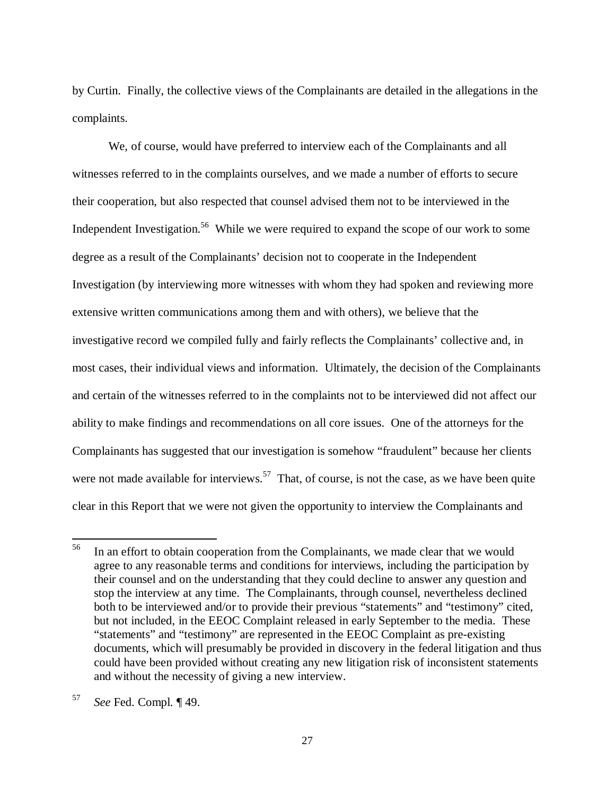by Curtin. Finally, the collective views of the Complainants are detailed in the allegations in the complaints.

We, of course, would have preferred to interview each of the Complainants and all witnesses referred to in the complaints ourselves, and we made a number of efforts to secure their cooperation, but also respected that counsel advised them not to be interviewed in the Independent Investigation.<sup>56</sup> While we were required to expand the scope of our work to some degree as a result of the Complainants' decision not to cooperate in the Independent Investigation (by interviewing more witnesses with whom they had spoken and reviewing more extensive written communications among them and with others), we believe that the investigative record we compiled fully and fairly reflects the Complainants' collective and, in most cases, their individual views and information. Ultimately, the decision of the Complainants and certain of the witnesses referred to in the complaints not to be interviewed did not affect our ability to make findings and recommendations on all core issues. One of the attorneys for the Complainants has suggested that our investigation is somehow "fraudulent" because her clients were not made available for interviews.<sup>57</sup> That, of course, is not the case, as we have been quite clear in this Report that we were not given the opportunity to interview the Complainants and

<sup>&</sup>lt;sup>56</sup> In an effort to obtain cooperation from the Complainants, we made clear that we would agree to any reasonable terms and conditions for interviews, including the participation by their counsel and on the understanding that they could decline to answer any question and stop the interview at any time. The Complainants, through counsel, nevertheless declined both to be interviewed and/or to provide their previous "statements" and "testimony" cited, but not included, in the EEOC Complaint released in early September to the media. These "statements" and "testimony" are represented in the EEOC Complaint as pre-existing documents, which will presumably be provided in discovery in the federal litigation and thus could have been provided without creating any new litigation risk of inconsistent statements and without the necessity of giving a new interview.

<sup>57</sup> *See* Fed. Compl. ¶ 49.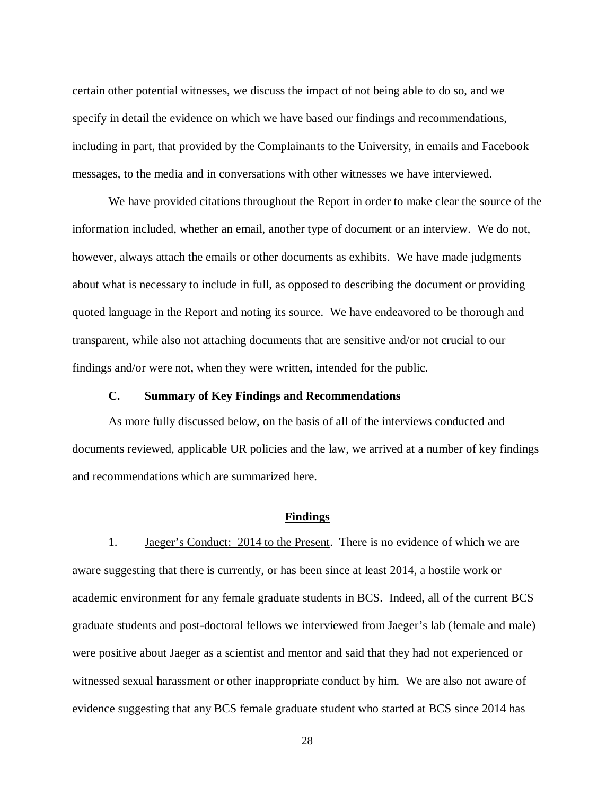certain other potential witnesses, we discuss the impact of not being able to do so, and we specify in detail the evidence on which we have based our findings and recommendations, including in part, that provided by the Complainants to the University, in emails and Facebook messages, to the media and in conversations with other witnesses we have interviewed.

We have provided citations throughout the Report in order to make clear the source of the information included, whether an email, another type of document or an interview. We do not, however, always attach the emails or other documents as exhibits. We have made judgments about what is necessary to include in full, as opposed to describing the document or providing quoted language in the Report and noting its source. We have endeavored to be thorough and transparent, while also not attaching documents that are sensitive and/or not crucial to our findings and/or were not, when they were written, intended for the public.

#### **C. Summary of Key Findings and Recommendations**

As more fully discussed below, on the basis of all of the interviews conducted and documents reviewed, applicable UR policies and the law, we arrived at a number of key findings and recommendations which are summarized here.

#### **Findings**

1. Jaeger's Conduct: 2014 to the Present. There is no evidence of which we are aware suggesting that there is currently, or has been since at least 2014, a hostile work or academic environment for any female graduate students in BCS. Indeed, all of the current BCS graduate students and post-doctoral fellows we interviewed from Jaeger's lab (female and male) were positive about Jaeger as a scientist and mentor and said that they had not experienced or witnessed sexual harassment or other inappropriate conduct by him. We are also not aware of evidence suggesting that any BCS female graduate student who started at BCS since 2014 has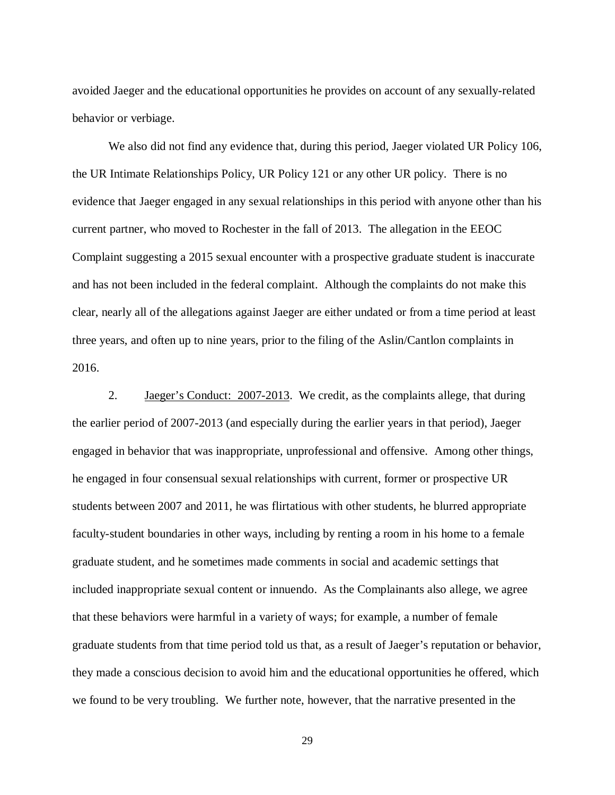avoided Jaeger and the educational opportunities he provides on account of any sexually-related behavior or verbiage.

We also did not find any evidence that, during this period, Jaeger violated UR Policy 106, the UR Intimate Relationships Policy, UR Policy 121 or any other UR policy. There is no evidence that Jaeger engaged in any sexual relationships in this period with anyone other than his current partner, who moved to Rochester in the fall of 2013. The allegation in the EEOC Complaint suggesting a 2015 sexual encounter with a prospective graduate student is inaccurate and has not been included in the federal complaint. Although the complaints do not make this clear, nearly all of the allegations against Jaeger are either undated or from a time period at least three years, and often up to nine years, prior to the filing of the Aslin/Cantlon complaints in 2016.

2. Jaeger's Conduct: 2007-2013. We credit, as the complaints allege, that during the earlier period of 2007-2013 (and especially during the earlier years in that period), Jaeger engaged in behavior that was inappropriate, unprofessional and offensive. Among other things, he engaged in four consensual sexual relationships with current, former or prospective UR students between 2007 and 2011, he was flirtatious with other students, he blurred appropriate faculty-student boundaries in other ways, including by renting a room in his home to a female graduate student, and he sometimes made comments in social and academic settings that included inappropriate sexual content or innuendo. As the Complainants also allege, we agree that these behaviors were harmful in a variety of ways; for example, a number of female graduate students from that time period told us that, as a result of Jaeger's reputation or behavior, they made a conscious decision to avoid him and the educational opportunities he offered, which we found to be very troubling. We further note, however, that the narrative presented in the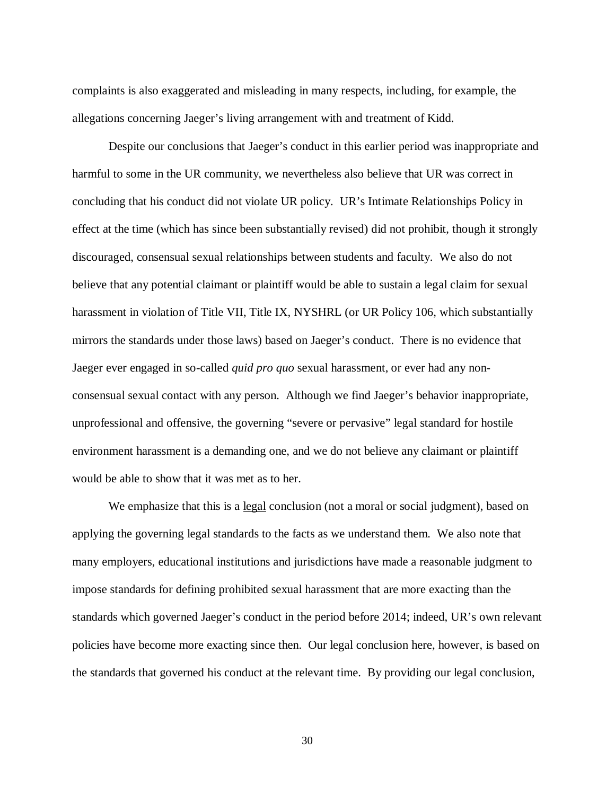complaints is also exaggerated and misleading in many respects, including, for example, the allegations concerning Jaeger's living arrangement with and treatment of Kidd.

Despite our conclusions that Jaeger's conduct in this earlier period was inappropriate and harmful to some in the UR community, we nevertheless also believe that UR was correct in concluding that his conduct did not violate UR policy. UR's Intimate Relationships Policy in effect at the time (which has since been substantially revised) did not prohibit, though it strongly discouraged, consensual sexual relationships between students and faculty. We also do not believe that any potential claimant or plaintiff would be able to sustain a legal claim for sexual harassment in violation of Title VII, Title IX, NYSHRL (or UR Policy 106, which substantially mirrors the standards under those laws) based on Jaeger's conduct. There is no evidence that Jaeger ever engaged in so-called *quid pro quo* sexual harassment, or ever had any nonconsensual sexual contact with any person. Although we find Jaeger's behavior inappropriate, unprofessional and offensive, the governing "severe or pervasive" legal standard for hostile environment harassment is a demanding one, and we do not believe any claimant or plaintiff would be able to show that it was met as to her.

We emphasize that this is a <u>legal</u> conclusion (not a moral or social judgment), based on applying the governing legal standards to the facts as we understand them. We also note that many employers, educational institutions and jurisdictions have made a reasonable judgment to impose standards for defining prohibited sexual harassment that are more exacting than the standards which governed Jaeger's conduct in the period before 2014; indeed, UR's own relevant policies have become more exacting since then. Our legal conclusion here, however, is based on the standards that governed his conduct at the relevant time. By providing our legal conclusion,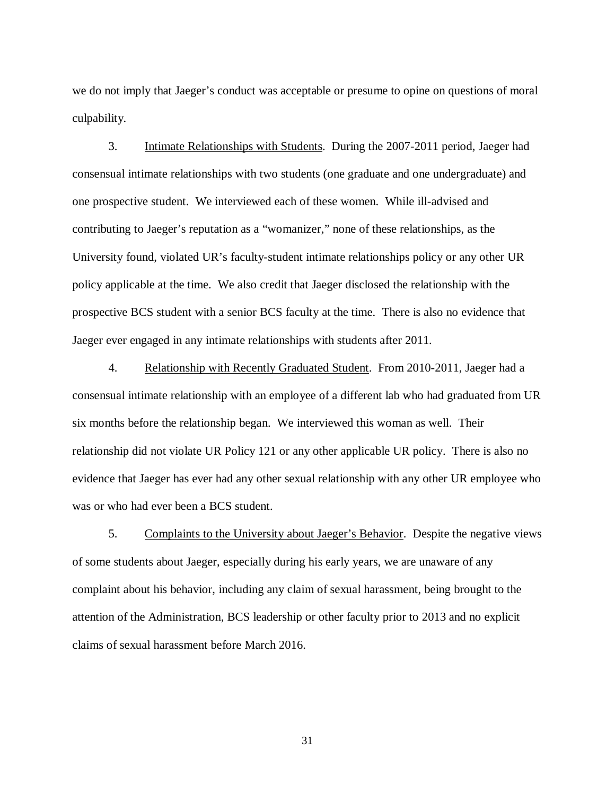we do not imply that Jaeger's conduct was acceptable or presume to opine on questions of moral culpability.

3. Intimate Relationships with Students. During the 2007-2011 period, Jaeger had consensual intimate relationships with two students (one graduate and one undergraduate) and one prospective student. We interviewed each of these women. While ill-advised and contributing to Jaeger's reputation as a "womanizer," none of these relationships, as the University found, violated UR's faculty-student intimate relationships policy or any other UR policy applicable at the time. We also credit that Jaeger disclosed the relationship with the prospective BCS student with a senior BCS faculty at the time. There is also no evidence that Jaeger ever engaged in any intimate relationships with students after 2011.

4. Relationship with Recently Graduated Student. From 2010-2011, Jaeger had a consensual intimate relationship with an employee of a different lab who had graduated from UR six months before the relationship began. We interviewed this woman as well. Their relationship did not violate UR Policy 121 or any other applicable UR policy. There is also no evidence that Jaeger has ever had any other sexual relationship with any other UR employee who was or who had ever been a BCS student.

5. Complaints to the University about Jaeger's Behavior. Despite the negative views of some students about Jaeger, especially during his early years, we are unaware of any complaint about his behavior, including any claim of sexual harassment, being brought to the attention of the Administration, BCS leadership or other faculty prior to 2013 and no explicit claims of sexual harassment before March 2016.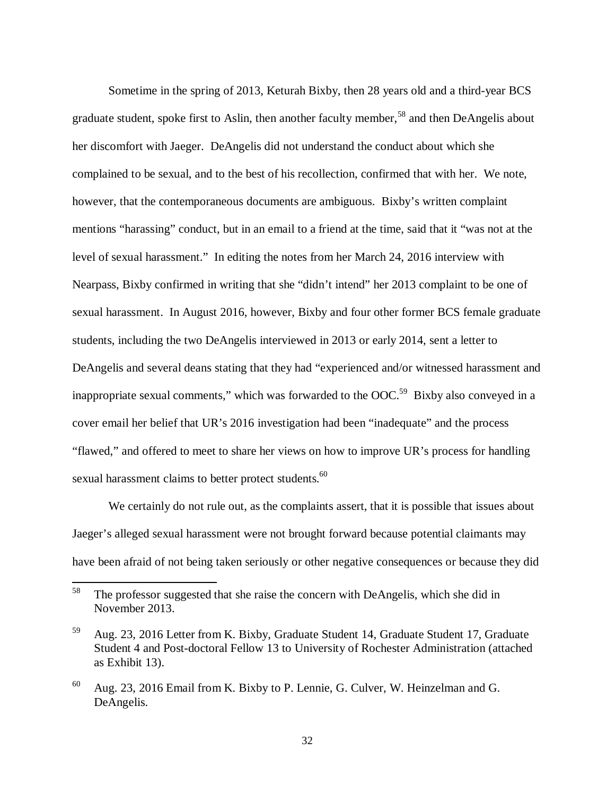Sometime in the spring of 2013, Keturah Bixby, then 28 years old and a third-year BCS graduate student, spoke first to Aslin, then another faculty member,<sup>58</sup> and then DeAngelis about her discomfort with Jaeger. DeAngelis did not understand the conduct about which she complained to be sexual, and to the best of his recollection, confirmed that with her. We note, however, that the contemporaneous documents are ambiguous. Bixby's written complaint mentions "harassing" conduct, but in an email to a friend at the time, said that it "was not at the level of sexual harassment." In editing the notes from her March 24, 2016 interview with Nearpass, Bixby confirmed in writing that she "didn't intend" her 2013 complaint to be one of sexual harassment. In August 2016, however, Bixby and four other former BCS female graduate students, including the two DeAngelis interviewed in 2013 or early 2014, sent a letter to DeAngelis and several deans stating that they had "experienced and/or witnessed harassment and inappropriate sexual comments," which was forwarded to the  $OOC<sup>59</sup>$  Bixby also conveyed in a cover email her belief that UR's 2016 investigation had been "inadequate" and the process "flawed," and offered to meet to share her views on how to improve UR's process for handling sexual harassment claims to better protect students.<sup>60</sup>

We certainly do not rule out, as the complaints assert, that it is possible that issues about Jaeger's alleged sexual harassment were not brought forward because potential claimants may have been afraid of not being taken seriously or other negative consequences or because they did

<sup>&</sup>lt;sup>58</sup> The professor suggested that she raise the concern with DeAngelis, which she did in November 2013.

<sup>59</sup> Aug. 23, 2016 Letter from K. Bixby, Graduate Student 14, Graduate Student 17, Graduate Student 4 and Post-doctoral Fellow 13 to University of Rochester Administration (attached as Exhibit 13).

<sup>60</sup> Aug. 23, 2016 Email from K. Bixby to P. Lennie, G. Culver, W. Heinzelman and G. DeAngelis.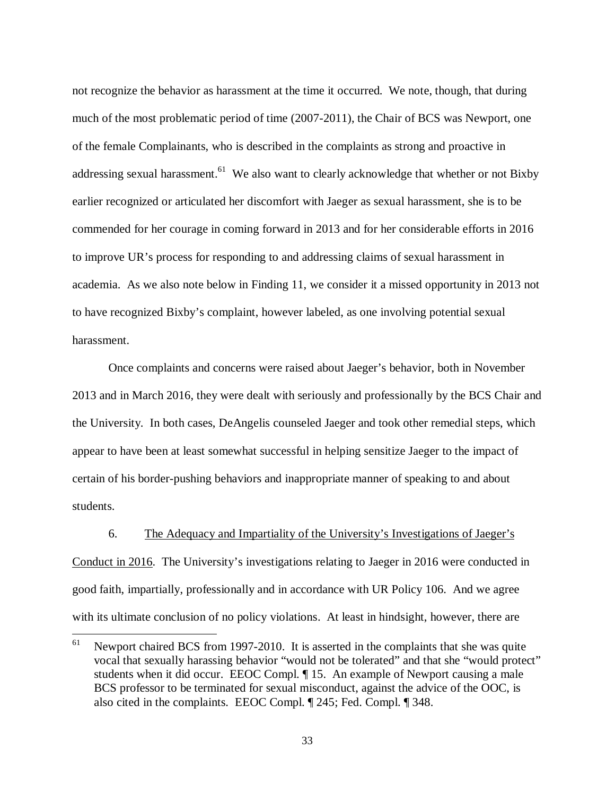not recognize the behavior as harassment at the time it occurred. We note, though, that during much of the most problematic period of time (2007-2011), the Chair of BCS was Newport, one of the female Complainants, who is described in the complaints as strong and proactive in addressing sexual harassment.<sup>61</sup> We also want to clearly acknowledge that whether or not Bixby earlier recognized or articulated her discomfort with Jaeger as sexual harassment, she is to be commended for her courage in coming forward in 2013 and for her considerable efforts in 2016 to improve UR's process for responding to and addressing claims of sexual harassment in academia. As we also note below in Finding 11, we consider it a missed opportunity in 2013 not to have recognized Bixby's complaint, however labeled, as one involving potential sexual harassment.

Once complaints and concerns were raised about Jaeger's behavior, both in November 2013 and in March 2016, they were dealt with seriously and professionally by the BCS Chair and the University. In both cases, DeAngelis counseled Jaeger and took other remedial steps, which appear to have been at least somewhat successful in helping sensitize Jaeger to the impact of certain of his border-pushing behaviors and inappropriate manner of speaking to and about students.

6. The Adequacy and Impartiality of the University's Investigations of Jaeger's Conduct in 2016. The University's investigations relating to Jaeger in 2016 were conducted in good faith, impartially, professionally and in accordance with UR Policy 106. And we agree with its ultimate conclusion of no policy violations. At least in hindsight, however, there are

 $61$  Newport chaired BCS from 1997-2010. It is asserted in the complaints that she was quite vocal that sexually harassing behavior "would not be tolerated" and that she "would protect" students when it did occur. EEOC Compl. ¶ 15. An example of Newport causing a male BCS professor to be terminated for sexual misconduct, against the advice of the OOC, is also cited in the complaints. EEOC Compl. ¶ 245; Fed. Compl. ¶ 348.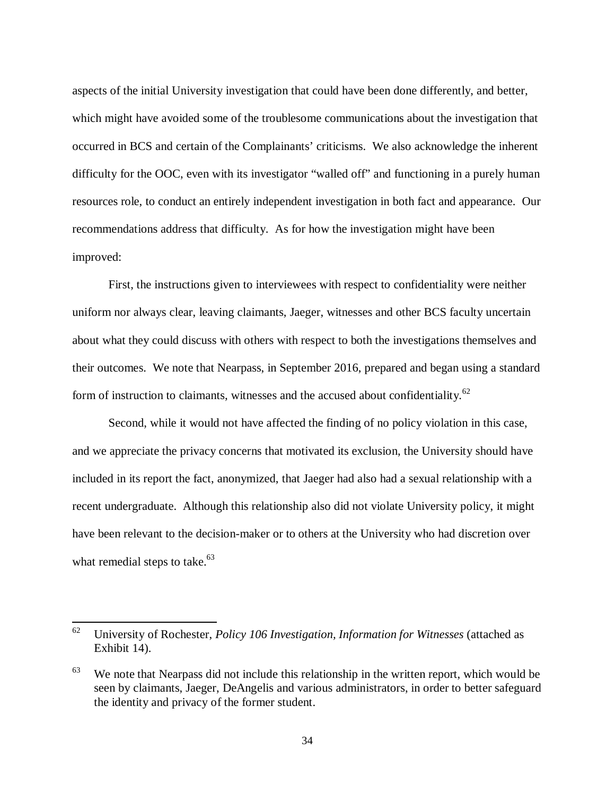aspects of the initial University investigation that could have been done differently, and better, which might have avoided some of the troublesome communications about the investigation that occurred in BCS and certain of the Complainants' criticisms. We also acknowledge the inherent difficulty for the OOC, even with its investigator "walled off" and functioning in a purely human resources role, to conduct an entirely independent investigation in both fact and appearance. Our recommendations address that difficulty. As for how the investigation might have been improved:

First, the instructions given to interviewees with respect to confidentiality were neither uniform nor always clear, leaving claimants, Jaeger, witnesses and other BCS faculty uncertain about what they could discuss with others with respect to both the investigations themselves and their outcomes. We note that Nearpass, in September 2016, prepared and began using a standard form of instruction to claimants, witnesses and the accused about confidentiality.<sup>62</sup>

Second, while it would not have affected the finding of no policy violation in this case, and we appreciate the privacy concerns that motivated its exclusion, the University should have included in its report the fact, anonymized, that Jaeger had also had a sexual relationship with a recent undergraduate. Although this relationship also did not violate University policy, it might have been relevant to the decision-maker or to others at the University who had discretion over what remedial steps to take. $63$ 

<sup>62</sup> University of Rochester, *Policy 106 Investigation, Information for Witnesses* (attached as Exhibit 14).

 $63$  We note that Nearpass did not include this relationship in the written report, which would be seen by claimants, Jaeger, DeAngelis and various administrators, in order to better safeguard the identity and privacy of the former student.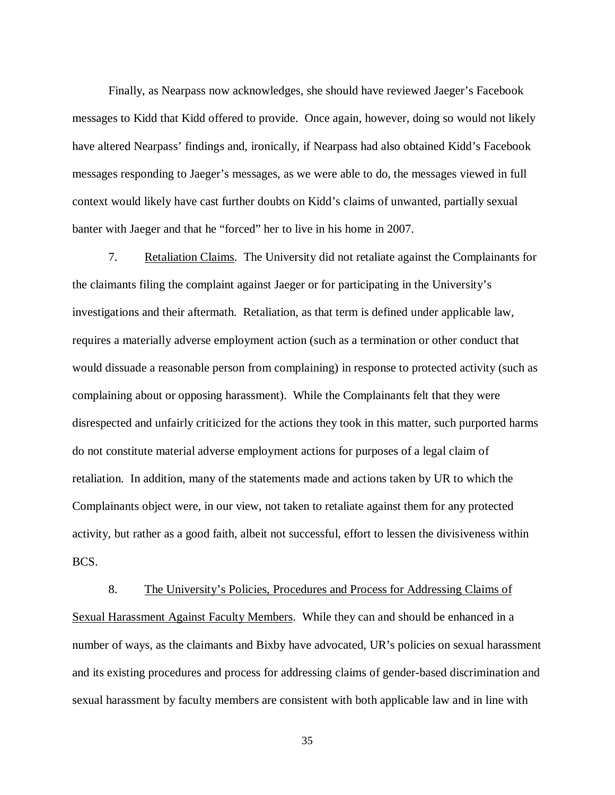Finally, as Nearpass now acknowledges, she should have reviewed Jaeger's Facebook messages to Kidd that Kidd offered to provide. Once again, however, doing so would not likely have altered Nearpass' findings and, ironically, if Nearpass had also obtained Kidd's Facebook messages responding to Jaeger's messages, as we were able to do, the messages viewed in full context would likely have cast further doubts on Kidd's claims of unwanted, partially sexual banter with Jaeger and that he "forced" her to live in his home in 2007.

7. Retaliation Claims. The University did not retaliate against the Complainants for the claimants filing the complaint against Jaeger or for participating in the University's investigations and their aftermath. Retaliation, as that term is defined under applicable law, requires a materially adverse employment action (such as a termination or other conduct that would dissuade a reasonable person from complaining) in response to protected activity (such as complaining about or opposing harassment). While the Complainants felt that they were disrespected and unfairly criticized for the actions they took in this matter, such purported harms do not constitute material adverse employment actions for purposes of a legal claim of retaliation. In addition, many of the statements made and actions taken by UR to which the Complainants object were, in our view, not taken to retaliate against them for any protected activity, but rather as a good faith, albeit not successful, effort to lessen the divisiveness within BCS.

8. The University's Policies, Procedures and Process for Addressing Claims of Sexual Harassment Against Faculty Members. While they can and should be enhanced in a number of ways, as the claimants and Bixby have advocated, UR's policies on sexual harassment and its existing procedures and process for addressing claims of gender-based discrimination and sexual harassment by faculty members are consistent with both applicable law and in line with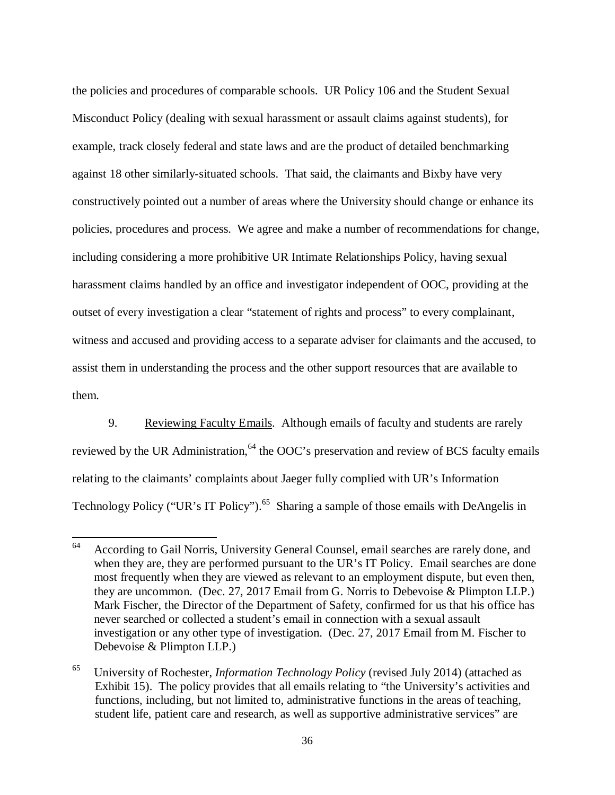the policies and procedures of comparable schools. UR Policy 106 and the Student Sexual Misconduct Policy (dealing with sexual harassment or assault claims against students), for example, track closely federal and state laws and are the product of detailed benchmarking against 18 other similarly-situated schools. That said, the claimants and Bixby have very constructively pointed out a number of areas where the University should change or enhance its policies, procedures and process. We agree and make a number of recommendations for change, including considering a more prohibitive UR Intimate Relationships Policy, having sexual harassment claims handled by an office and investigator independent of OOC, providing at the outset of every investigation a clear "statement of rights and process" to every complainant, witness and accused and providing access to a separate adviser for claimants and the accused, to assist them in understanding the process and the other support resources that are available to them.

9. Reviewing Faculty Emails. Although emails of faculty and students are rarely reviewed by the UR Administration,<sup>64</sup> the OOC's preservation and review of BCS faculty emails relating to the claimants' complaints about Jaeger fully complied with UR's Information Technology Policy ("UR's IT Policy").<sup>65</sup> Sharing a sample of those emails with DeAngelis in

<sup>&</sup>lt;sup>64</sup> According to Gail Norris, University General Counsel, email searches are rarely done, and when they are, they are performed pursuant to the UR's IT Policy. Email searches are done most frequently when they are viewed as relevant to an employment dispute, but even then, they are uncommon. (Dec. 27, 2017 Email from G. Norris to Debevoise & Plimpton LLP.) Mark Fischer, the Director of the Department of Safety, confirmed for us that his office has never searched or collected a student's email in connection with a sexual assault investigation or any other type of investigation. (Dec. 27, 2017 Email from M. Fischer to Debevoise & Plimpton LLP.)

<sup>65</sup> University of Rochester, *Information Technology Policy* (revised July 2014) (attached as Exhibit 15). The policy provides that all emails relating to "the University's activities and functions, including, but not limited to, administrative functions in the areas of teaching, student life, patient care and research, as well as supportive administrative services" are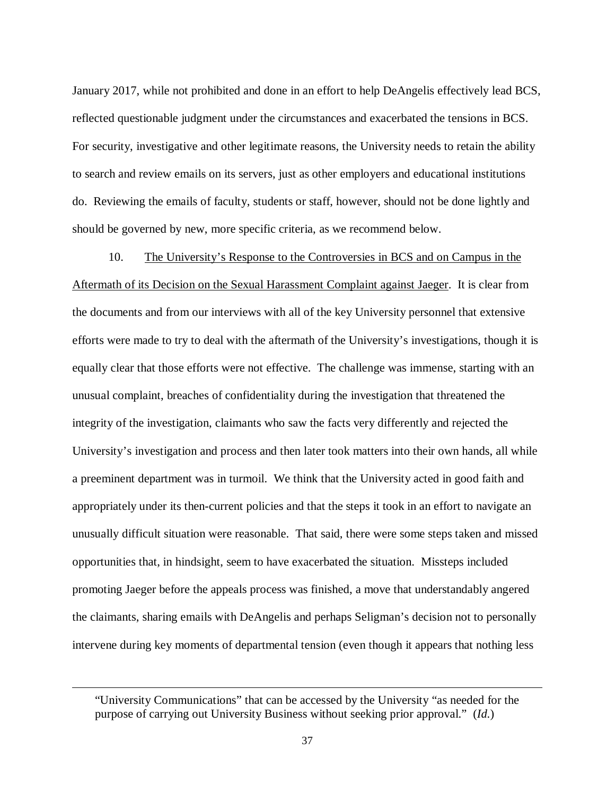January 2017, while not prohibited and done in an effort to help DeAngelis effectively lead BCS, reflected questionable judgment under the circumstances and exacerbated the tensions in BCS. For security, investigative and other legitimate reasons, the University needs to retain the ability to search and review emails on its servers, just as other employers and educational institutions do. Reviewing the emails of faculty, students or staff, however, should not be done lightly and should be governed by new, more specific criteria, as we recommend below.

10. The University's Response to the Controversies in BCS and on Campus in the Aftermath of its Decision on the Sexual Harassment Complaint against Jaeger. It is clear from the documents and from our interviews with all of the key University personnel that extensive efforts were made to try to deal with the aftermath of the University's investigations, though it is equally clear that those efforts were not effective. The challenge was immense, starting with an unusual complaint, breaches of confidentiality during the investigation that threatened the integrity of the investigation, claimants who saw the facts very differently and rejected the University's investigation and process and then later took matters into their own hands, all while a preeminent department was in turmoil. We think that the University acted in good faith and appropriately under its then-current policies and that the steps it took in an effort to navigate an unusually difficult situation were reasonable. That said, there were some steps taken and missed opportunities that, in hindsight, seem to have exacerbated the situation. Missteps included promoting Jaeger before the appeals process was finished, a move that understandably angered the claimants, sharing emails with DeAngelis and perhaps Seligman's decision not to personally intervene during key moments of departmental tension (even though it appears that nothing less

<sup>&</sup>quot;University Communications" that can be accessed by the University "as needed for the purpose of carrying out University Business without seeking prior approval." (*Id.*)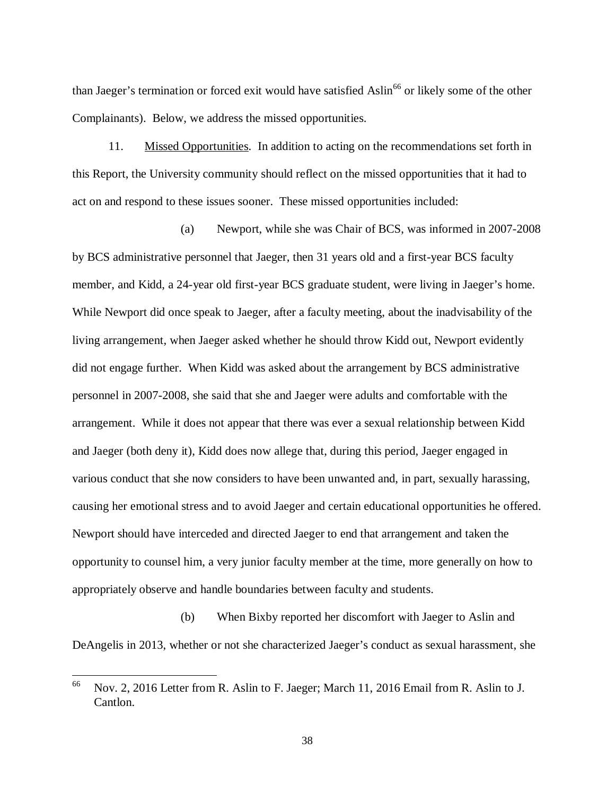than Jaeger's termination or forced exit would have satisfied Aslin<sup>66</sup> or likely some of the other Complainants). Below, we address the missed opportunities.

11. Missed Opportunities. In addition to acting on the recommendations set forth in this Report, the University community should reflect on the missed opportunities that it had to act on and respond to these issues sooner. These missed opportunities included:

(a) Newport, while she was Chair of BCS, was informed in 2007-2008 by BCS administrative personnel that Jaeger, then 31 years old and a first-year BCS faculty member, and Kidd, a 24-year old first-year BCS graduate student, were living in Jaeger's home. While Newport did once speak to Jaeger, after a faculty meeting, about the inadvisability of the living arrangement, when Jaeger asked whether he should throw Kidd out, Newport evidently did not engage further. When Kidd was asked about the arrangement by BCS administrative personnel in 2007-2008, she said that she and Jaeger were adults and comfortable with the arrangement. While it does not appear that there was ever a sexual relationship between Kidd and Jaeger (both deny it), Kidd does now allege that, during this period, Jaeger engaged in various conduct that she now considers to have been unwanted and, in part, sexually harassing, causing her emotional stress and to avoid Jaeger and certain educational opportunities he offered. Newport should have interceded and directed Jaeger to end that arrangement and taken the opportunity to counsel him, a very junior faculty member at the time, more generally on how to appropriately observe and handle boundaries between faculty and students.

(b) When Bixby reported her discomfort with Jaeger to Aslin and DeAngelis in 2013, whether or not she characterized Jaeger's conduct as sexual harassment, she

<sup>66</sup> Nov. 2, 2016 Letter from R. Aslin to F. Jaeger; March 11, 2016 Email from R. Aslin to J. Cantlon.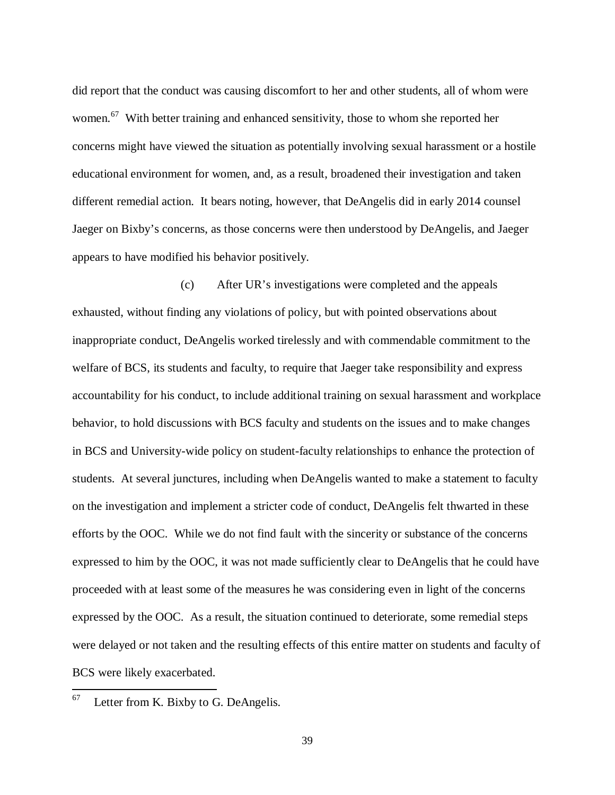did report that the conduct was causing discomfort to her and other students, all of whom were women.<sup>67</sup> With better training and enhanced sensitivity, those to whom she reported her concerns might have viewed the situation as potentially involving sexual harassment or a hostile educational environment for women, and, as a result, broadened their investigation and taken different remedial action. It bears noting, however, that DeAngelis did in early 2014 counsel Jaeger on Bixby's concerns, as those concerns were then understood by DeAngelis, and Jaeger appears to have modified his behavior positively.

(c) After UR's investigations were completed and the appeals exhausted, without finding any violations of policy, but with pointed observations about inappropriate conduct, DeAngelis worked tirelessly and with commendable commitment to the welfare of BCS, its students and faculty, to require that Jaeger take responsibility and express accountability for his conduct, to include additional training on sexual harassment and workplace behavior, to hold discussions with BCS faculty and students on the issues and to make changes in BCS and University-wide policy on student-faculty relationships to enhance the protection of students. At several junctures, including when DeAngelis wanted to make a statement to faculty on the investigation and implement a stricter code of conduct, DeAngelis felt thwarted in these efforts by the OOC. While we do not find fault with the sincerity or substance of the concerns expressed to him by the OOC, it was not made sufficiently clear to DeAngelis that he could have proceeded with at least some of the measures he was considering even in light of the concerns expressed by the OOC. As a result, the situation continued to deteriorate, some remedial steps were delayed or not taken and the resulting effects of this entire matter on students and faculty of BCS were likely exacerbated.

 $67$  Letter from K. Bixby to G. DeAngelis.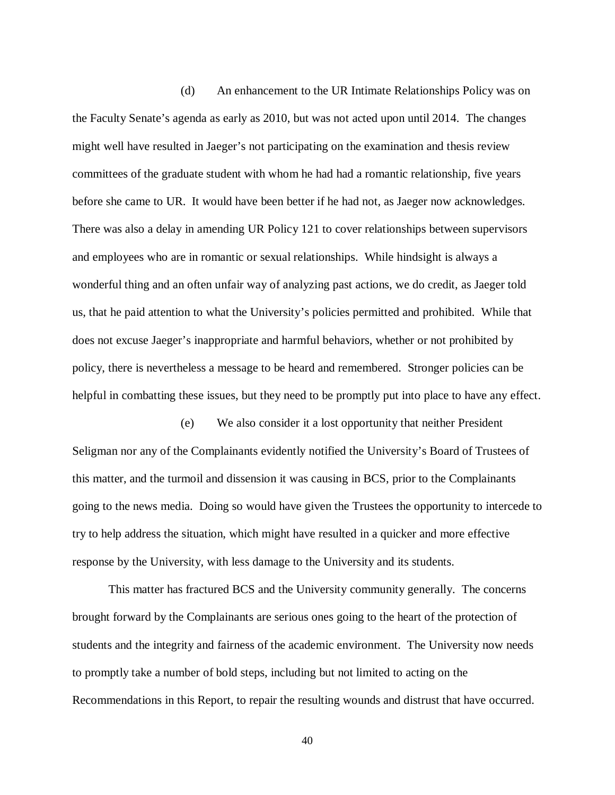(d) An enhancement to the UR Intimate Relationships Policy was on the Faculty Senate's agenda as early as 2010, but was not acted upon until 2014. The changes might well have resulted in Jaeger's not participating on the examination and thesis review committees of the graduate student with whom he had had a romantic relationship, five years before she came to UR. It would have been better if he had not, as Jaeger now acknowledges. There was also a delay in amending UR Policy 121 to cover relationships between supervisors and employees who are in romantic or sexual relationships. While hindsight is always a wonderful thing and an often unfair way of analyzing past actions, we do credit, as Jaeger told us, that he paid attention to what the University's policies permitted and prohibited. While that does not excuse Jaeger's inappropriate and harmful behaviors, whether or not prohibited by policy, there is nevertheless a message to be heard and remembered. Stronger policies can be helpful in combatting these issues, but they need to be promptly put into place to have any effect.

(e) We also consider it a lost opportunity that neither President Seligman nor any of the Complainants evidently notified the University's Board of Trustees of this matter, and the turmoil and dissension it was causing in BCS, prior to the Complainants going to the news media. Doing so would have given the Trustees the opportunity to intercede to try to help address the situation, which might have resulted in a quicker and more effective response by the University, with less damage to the University and its students.

This matter has fractured BCS and the University community generally. The concerns brought forward by the Complainants are serious ones going to the heart of the protection of students and the integrity and fairness of the academic environment. The University now needs to promptly take a number of bold steps, including but not limited to acting on the Recommendations in this Report, to repair the resulting wounds and distrust that have occurred.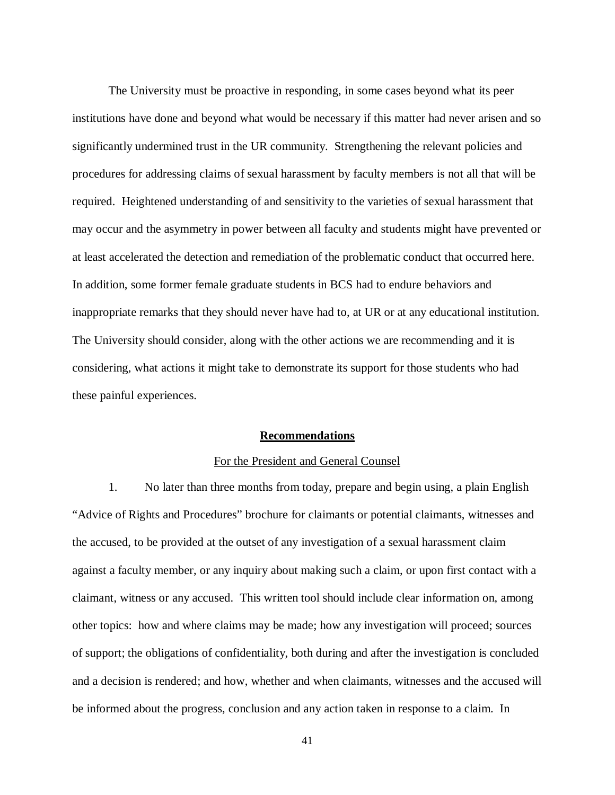The University must be proactive in responding, in some cases beyond what its peer institutions have done and beyond what would be necessary if this matter had never arisen and so significantly undermined trust in the UR community. Strengthening the relevant policies and procedures for addressing claims of sexual harassment by faculty members is not all that will be required. Heightened understanding of and sensitivity to the varieties of sexual harassment that may occur and the asymmetry in power between all faculty and students might have prevented or at least accelerated the detection and remediation of the problematic conduct that occurred here. In addition, some former female graduate students in BCS had to endure behaviors and inappropriate remarks that they should never have had to, at UR or at any educational institution. The University should consider, along with the other actions we are recommending and it is considering, what actions it might take to demonstrate its support for those students who had these painful experiences.

## **Recommendations**

#### For the President and General Counsel

1. No later than three months from today, prepare and begin using, a plain English "Advice of Rights and Procedures" brochure for claimants or potential claimants, witnesses and the accused, to be provided at the outset of any investigation of a sexual harassment claim against a faculty member, or any inquiry about making such a claim, or upon first contact with a claimant, witness or any accused. This written tool should include clear information on, among other topics: how and where claims may be made; how any investigation will proceed; sources of support; the obligations of confidentiality, both during and after the investigation is concluded and a decision is rendered; and how, whether and when claimants, witnesses and the accused will be informed about the progress, conclusion and any action taken in response to a claim. In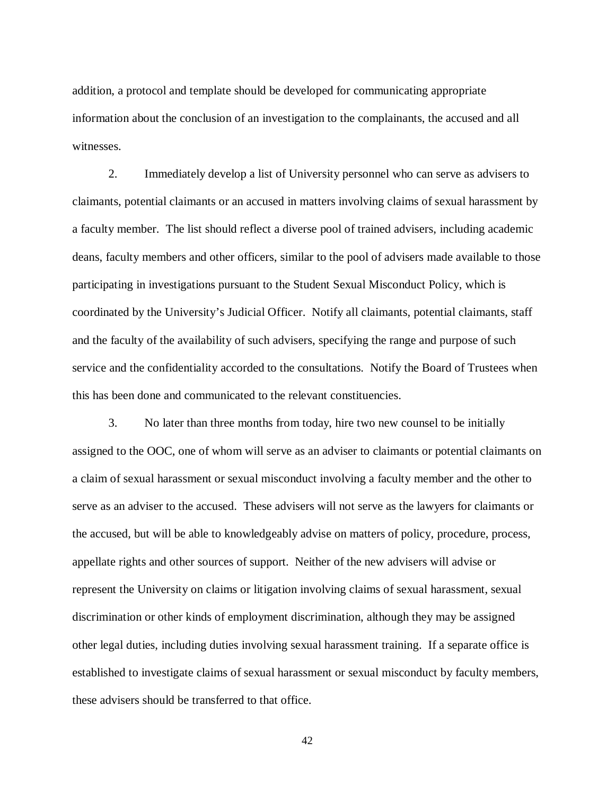addition, a protocol and template should be developed for communicating appropriate information about the conclusion of an investigation to the complainants, the accused and all witnesses.

2. Immediately develop a list of University personnel who can serve as advisers to claimants, potential claimants or an accused in matters involving claims of sexual harassment by a faculty member. The list should reflect a diverse pool of trained advisers, including academic deans, faculty members and other officers, similar to the pool of advisers made available to those participating in investigations pursuant to the Student Sexual Misconduct Policy, which is coordinated by the University's Judicial Officer. Notify all claimants, potential claimants, staff and the faculty of the availability of such advisers, specifying the range and purpose of such service and the confidentiality accorded to the consultations. Notify the Board of Trustees when this has been done and communicated to the relevant constituencies.

3. No later than three months from today, hire two new counsel to be initially assigned to the OOC, one of whom will serve as an adviser to claimants or potential claimants on a claim of sexual harassment or sexual misconduct involving a faculty member and the other to serve as an adviser to the accused. These advisers will not serve as the lawyers for claimants or the accused, but will be able to knowledgeably advise on matters of policy, procedure, process, appellate rights and other sources of support. Neither of the new advisers will advise or represent the University on claims or litigation involving claims of sexual harassment, sexual discrimination or other kinds of employment discrimination, although they may be assigned other legal duties, including duties involving sexual harassment training. If a separate office is established to investigate claims of sexual harassment or sexual misconduct by faculty members, these advisers should be transferred to that office.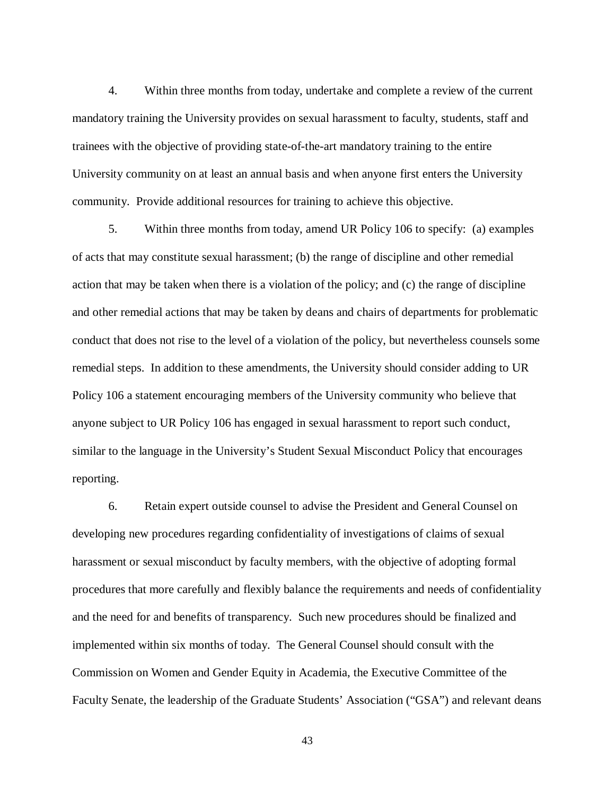4. Within three months from today, undertake and complete a review of the current mandatory training the University provides on sexual harassment to faculty, students, staff and trainees with the objective of providing state-of-the-art mandatory training to the entire University community on at least an annual basis and when anyone first enters the University community. Provide additional resources for training to achieve this objective.

5. Within three months from today, amend UR Policy 106 to specify: (a) examples of acts that may constitute sexual harassment; (b) the range of discipline and other remedial action that may be taken when there is a violation of the policy; and (c) the range of discipline and other remedial actions that may be taken by deans and chairs of departments for problematic conduct that does not rise to the level of a violation of the policy, but nevertheless counsels some remedial steps. In addition to these amendments, the University should consider adding to UR Policy 106 a statement encouraging members of the University community who believe that anyone subject to UR Policy 106 has engaged in sexual harassment to report such conduct, similar to the language in the University's Student Sexual Misconduct Policy that encourages reporting.

6. Retain expert outside counsel to advise the President and General Counsel on developing new procedures regarding confidentiality of investigations of claims of sexual harassment or sexual misconduct by faculty members, with the objective of adopting formal procedures that more carefully and flexibly balance the requirements and needs of confidentiality and the need for and benefits of transparency. Such new procedures should be finalized and implemented within six months of today. The General Counsel should consult with the Commission on Women and Gender Equity in Academia, the Executive Committee of the Faculty Senate, the leadership of the Graduate Students' Association ("GSA") and relevant deans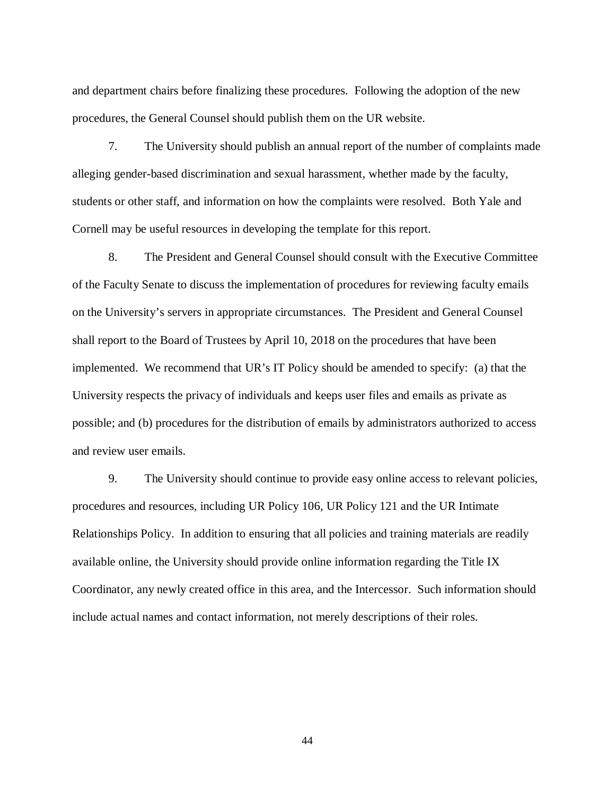and department chairs before finalizing these procedures. Following the adoption of the new procedures, the General Counsel should publish them on the UR website.

7. The University should publish an annual report of the number of complaints made alleging gender-based discrimination and sexual harassment, whether made by the faculty, students or other staff, and information on how the complaints were resolved. Both Yale and Cornell may be useful resources in developing the template for this report.

8. The President and General Counsel should consult with the Executive Committee of the Faculty Senate to discuss the implementation of procedures for reviewing faculty emails on the University's servers in appropriate circumstances. The President and General Counsel shall report to the Board of Trustees by April 10, 2018 on the procedures that have been implemented. We recommend that UR's IT Policy should be amended to specify: (a) that the University respects the privacy of individuals and keeps user files and emails as private as possible; and (b) procedures for the distribution of emails by administrators authorized to access and review user emails.

9. The University should continue to provide easy online access to relevant policies, procedures and resources, including UR Policy 106, UR Policy 121 and the UR Intimate Relationships Policy. In addition to ensuring that all policies and training materials are readily available online, the University should provide online information regarding the Title IX Coordinator, any newly created office in this area, and the Intercessor. Such information should include actual names and contact information, not merely descriptions of their roles.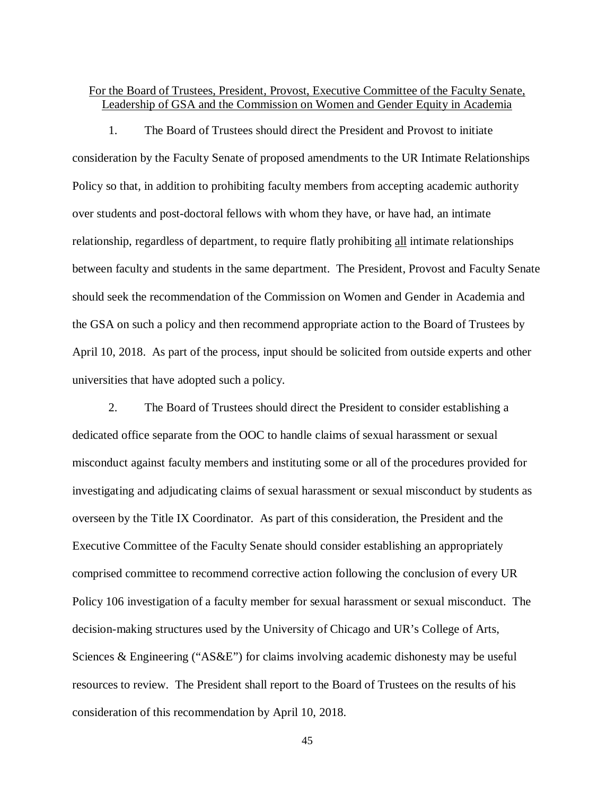# For the Board of Trustees, President, Provost, Executive Committee of the Faculty Senate, Leadership of GSA and the Commission on Women and Gender Equity in Academia

1. The Board of Trustees should direct the President and Provost to initiate consideration by the Faculty Senate of proposed amendments to the UR Intimate Relationships Policy so that, in addition to prohibiting faculty members from accepting academic authority over students and post-doctoral fellows with whom they have, or have had, an intimate relationship, regardless of department, to require flatly prohibiting all intimate relationships between faculty and students in the same department. The President, Provost and Faculty Senate should seek the recommendation of the Commission on Women and Gender in Academia and the GSA on such a policy and then recommend appropriate action to the Board of Trustees by April 10, 2018. As part of the process, input should be solicited from outside experts and other universities that have adopted such a policy.

2. The Board of Trustees should direct the President to consider establishing a dedicated office separate from the OOC to handle claims of sexual harassment or sexual misconduct against faculty members and instituting some or all of the procedures provided for investigating and adjudicating claims of sexual harassment or sexual misconduct by students as overseen by the Title IX Coordinator. As part of this consideration, the President and the Executive Committee of the Faculty Senate should consider establishing an appropriately comprised committee to recommend corrective action following the conclusion of every UR Policy 106 investigation of a faculty member for sexual harassment or sexual misconduct. The decision-making structures used by the University of Chicago and UR's College of Arts, Sciences & Engineering ("AS&E") for claims involving academic dishonesty may be useful resources to review. The President shall report to the Board of Trustees on the results of his consideration of this recommendation by April 10, 2018.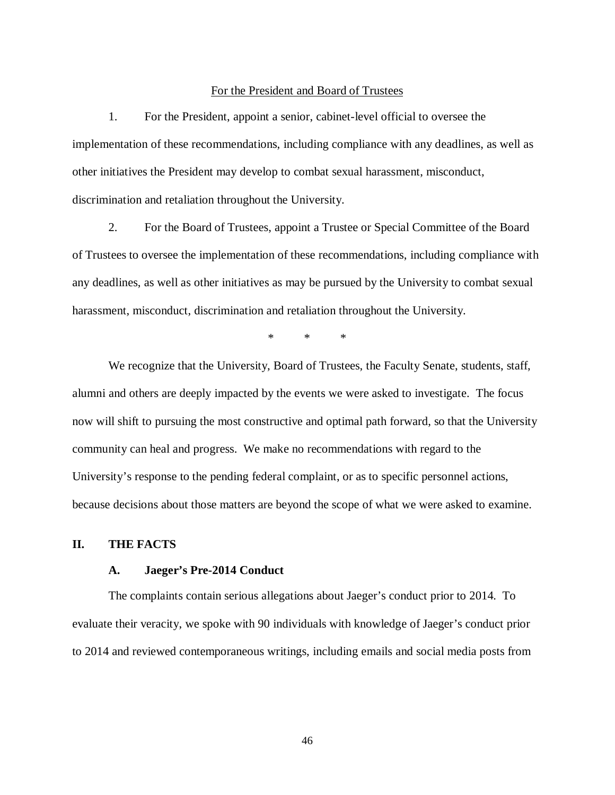## For the President and Board of Trustees

1. For the President, appoint a senior, cabinet-level official to oversee the implementation of these recommendations, including compliance with any deadlines, as well as other initiatives the President may develop to combat sexual harassment, misconduct, discrimination and retaliation throughout the University.

2. For the Board of Trustees, appoint a Trustee or Special Committee of the Board of Trustees to oversee the implementation of these recommendations, including compliance with any deadlines, as well as other initiatives as may be pursued by the University to combat sexual harassment, misconduct, discrimination and retaliation throughout the University.

\* \* \*

We recognize that the University, Board of Trustees, the Faculty Senate, students, staff, alumni and others are deeply impacted by the events we were asked to investigate. The focus now will shift to pursuing the most constructive and optimal path forward, so that the University community can heal and progress. We make no recommendations with regard to the University's response to the pending federal complaint, or as to specific personnel actions, because decisions about those matters are beyond the scope of what we were asked to examine.

## **II. THE FACTS**

## **A. Jaeger's Pre-2014 Conduct**

The complaints contain serious allegations about Jaeger's conduct prior to 2014. To evaluate their veracity, we spoke with 90 individuals with knowledge of Jaeger's conduct prior to 2014 and reviewed contemporaneous writings, including emails and social media posts from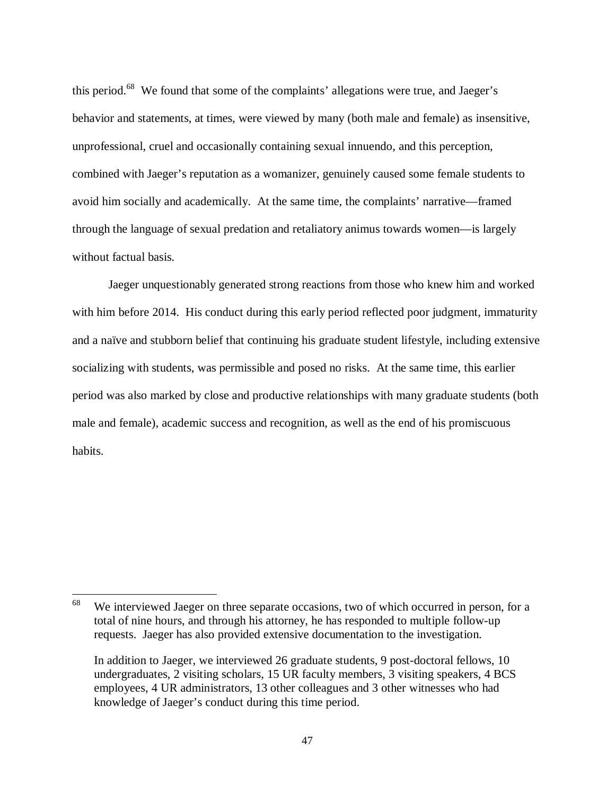this period.<sup>68</sup> We found that some of the complaints' allegations were true, and Jaeger's behavior and statements, at times, were viewed by many (both male and female) as insensitive, unprofessional, cruel and occasionally containing sexual innuendo, and this perception, combined with Jaeger's reputation as a womanizer, genuinely caused some female students to avoid him socially and academically. At the same time, the complaints' narrative—framed through the language of sexual predation and retaliatory animus towards women—is largely without factual basis.

Jaeger unquestionably generated strong reactions from those who knew him and worked with him before 2014. His conduct during this early period reflected poor judgment, immaturity and a naïve and stubborn belief that continuing his graduate student lifestyle, including extensive socializing with students, was permissible and posed no risks. At the same time, this earlier period was also marked by close and productive relationships with many graduate students (both male and female), academic success and recognition, as well as the end of his promiscuous habits.

<sup>&</sup>lt;sup>68</sup> We interviewed Jaeger on three separate occasions, two of which occurred in person, for a total of nine hours, and through his attorney, he has responded to multiple follow-up requests. Jaeger has also provided extensive documentation to the investigation.

In addition to Jaeger, we interviewed 26 graduate students, 9 post-doctoral fellows, 10 undergraduates, 2 visiting scholars, 15 UR faculty members, 3 visiting speakers, 4 BCS employees, 4 UR administrators, 13 other colleagues and 3 other witnesses who had knowledge of Jaeger's conduct during this time period.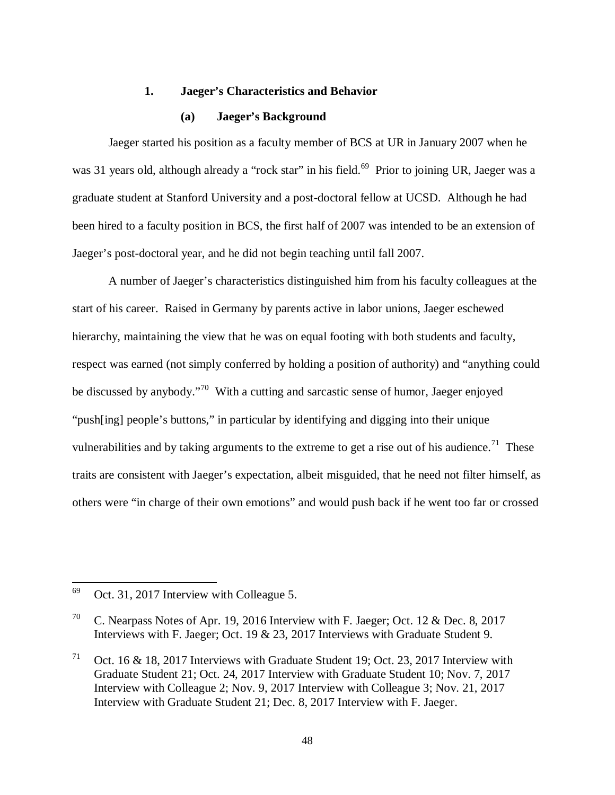## **1. Jaeger's Characteristics and Behavior**

#### **(a) Jaeger's Background**

 Jaeger started his position as a faculty member of BCS at UR in January 2007 when he was 31 years old, although already a "rock star" in his field.<sup>69</sup> Prior to joining UR, Jaeger was a graduate student at Stanford University and a post-doctoral fellow at UCSD. Although he had been hired to a faculty position in BCS, the first half of 2007 was intended to be an extension of Jaeger's post-doctoral year, and he did not begin teaching until fall 2007.

 A number of Jaeger's characteristics distinguished him from his faculty colleagues at the start of his career. Raised in Germany by parents active in labor unions, Jaeger eschewed hierarchy, maintaining the view that he was on equal footing with both students and faculty, respect was earned (not simply conferred by holding a position of authority) and "anything could be discussed by anybody."<sup>70</sup> With a cutting and sarcastic sense of humor, Jaeger enjoyed "push[ing] people's buttons," in particular by identifying and digging into their unique vulnerabilities and by taking arguments to the extreme to get a rise out of his audience.<sup>71</sup> These traits are consistent with Jaeger's expectation, albeit misguided, that he need not filter himself, as others were "in charge of their own emotions" and would push back if he went too far or crossed

 $69$  Oct. 31, 2017 Interview with Colleague 5.

<sup>&</sup>lt;sup>70</sup> C. Nearpass Notes of Apr. 19, 2016 Interview with F. Jaeger; Oct. 12 & Dec. 8, 2017 Interviews with F. Jaeger; Oct. 19 & 23, 2017 Interviews with Graduate Student 9.

<sup>&</sup>lt;sup>71</sup> Oct. 16 & 18, 2017 Interviews with Graduate Student 19; Oct. 23, 2017 Interview with Graduate Student 21; Oct. 24, 2017 Interview with Graduate Student 10; Nov. 7, 2017 Interview with Colleague 2; Nov. 9, 2017 Interview with Colleague 3; Nov. 21, 2017 Interview with Graduate Student 21; Dec. 8, 2017 Interview with F. Jaeger.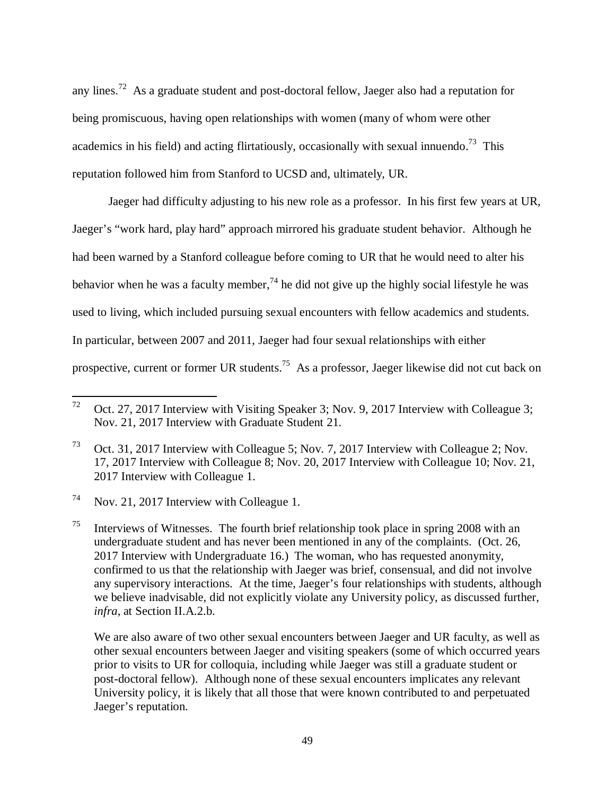any lines.<sup>72</sup> As a graduate student and post-doctoral fellow, Jaeger also had a reputation for being promiscuous, having open relationships with women (many of whom were other academics in his field) and acting flirtatiously, occasionally with sexual innuendo.<sup>73</sup> This reputation followed him from Stanford to UCSD and, ultimately, UR.

 Jaeger had difficulty adjusting to his new role as a professor. In his first few years at UR, Jaeger's "work hard, play hard" approach mirrored his graduate student behavior. Although he had been warned by a Stanford colleague before coming to UR that he would need to alter his behavior when he was a faculty member,  $^{74}$  he did not give up the highly social lifestyle he was used to living, which included pursuing sexual encounters with fellow academics and students. In particular, between 2007 and 2011, Jaeger had four sexual relationships with either prospective, current or former UR students.<sup>75</sup> As a professor, Jaeger likewise did not cut back on

l

 We are also aware of two other sexual encounters between Jaeger and UR faculty, as well as other sexual encounters between Jaeger and visiting speakers (some of which occurred years prior to visits to UR for colloquia, including while Jaeger was still a graduate student or post-doctoral fellow). Although none of these sexual encounters implicates any relevant University policy, it is likely that all those that were known contributed to and perpetuated Jaeger's reputation.

<sup>&</sup>lt;sup>72</sup> Oct. 27, 2017 Interview with Visiting Speaker 3; Nov. 9, 2017 Interview with Colleague 3; Nov. 21, 2017 Interview with Graduate Student 21.

<sup>73</sup> Oct. 31, 2017 Interview with Colleague 5; Nov. 7, 2017 Interview with Colleague 2; Nov. 17, 2017 Interview with Colleague 8; Nov. 20, 2017 Interview with Colleague 10; Nov. 21, 2017 Interview with Colleague 1.

<sup>74</sup> Nov. 21, 2017 Interview with Colleague 1.

<sup>&</sup>lt;sup>75</sup> Interviews of Witnesses. The fourth brief relationship took place in spring 2008 with an undergraduate student and has never been mentioned in any of the complaints. (Oct. 26, 2017 Interview with Undergraduate 16.) The woman, who has requested anonymity, confirmed to us that the relationship with Jaeger was brief, consensual, and did not involve any supervisory interactions. At the time, Jaeger's four relationships with students, although we believe inadvisable, did not explicitly violate any University policy, as discussed further, *infra*, at Section II.A.2.b.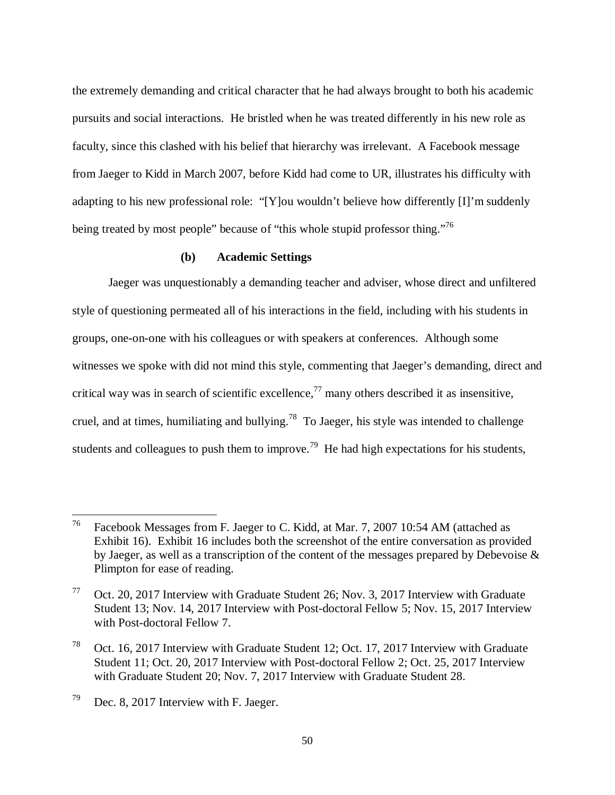the extremely demanding and critical character that he had always brought to both his academic pursuits and social interactions. He bristled when he was treated differently in his new role as faculty, since this clashed with his belief that hierarchy was irrelevant. A Facebook message from Jaeger to Kidd in March 2007, before Kidd had come to UR, illustrates his difficulty with adapting to his new professional role: "[Y]ou wouldn't believe how differently [I]'m suddenly being treated by most people" because of "this whole stupid professor thing."<sup>76</sup>

# **(b) Academic Settings**

 Jaeger was unquestionably a demanding teacher and adviser, whose direct and unfiltered style of questioning permeated all of his interactions in the field, including with his students in groups, one-on-one with his colleagues or with speakers at conferences. Although some witnesses we spoke with did not mind this style, commenting that Jaeger's demanding, direct and critical way was in search of scientific excellence,<sup>77</sup> many others described it as insensitive, cruel, and at times, humiliating and bullying.<sup>78</sup> To Jaeger, his style was intended to challenge students and colleagues to push them to improve.<sup>79</sup> He had high expectations for his students,

<sup>76</sup> Facebook Messages from F. Jaeger to C. Kidd, at Mar. 7, 2007 10:54 AM (attached as Exhibit 16). Exhibit 16 includes both the screenshot of the entire conversation as provided by Jaeger, as well as a transcription of the content of the messages prepared by Debevoise  $\&$ Plimpton for ease of reading.

<sup>77</sup> Oct. 20, 2017 Interview with Graduate Student 26; Nov. 3, 2017 Interview with Graduate Student 13; Nov. 14, 2017 Interview with Post-doctoral Fellow 5; Nov. 15, 2017 Interview with Post-doctoral Fellow 7.

<sup>78</sup> Oct. 16, 2017 Interview with Graduate Student 12; Oct. 17, 2017 Interview with Graduate Student 11; Oct. 20, 2017 Interview with Post-doctoral Fellow 2; Oct. 25, 2017 Interview with Graduate Student 20; Nov. 7, 2017 Interview with Graduate Student 28.

 $79$  Dec. 8, 2017 Interview with F. Jaeger.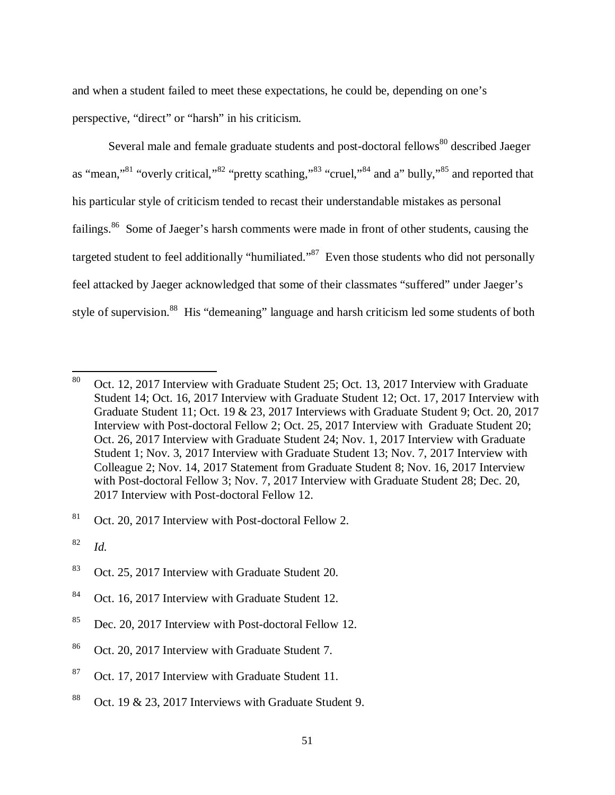and when a student failed to meet these expectations, he could be, depending on one's perspective, "direct" or "harsh" in his criticism.

Several male and female graduate students and post-doctoral fellows<sup>80</sup> described Jaeger as "mean,"<sup>81</sup> "overly critical,"<sup>82</sup> "pretty scathing,"<sup>83</sup> "cruel,"<sup>84</sup> and a" bully,"<sup>85</sup> and reported that his particular style of criticism tended to recast their understandable mistakes as personal failings.<sup>86</sup> Some of Jaeger's harsh comments were made in front of other students, causing the targeted student to feel additionally "humiliated."<sup>87</sup> Even those students who did not personally feel attacked by Jaeger acknowledged that some of their classmates "suffered" under Jaeger's style of supervision.<sup>88</sup> His "demeaning" language and harsh criticism led some students of both

<sup>80</sup> Oct. 12, 2017 Interview with Graduate Student 25; Oct. 13, 2017 Interview with Graduate Student 14; Oct. 16, 2017 Interview with Graduate Student 12; Oct. 17, 2017 Interview with Graduate Student 11; Oct. 19 & 23, 2017 Interviews with Graduate Student 9; Oct. 20, 2017 Interview with Post-doctoral Fellow 2; Oct. 25, 2017 Interview with Graduate Student 20; Oct. 26, 2017 Interview with Graduate Student 24; Nov. 1, 2017 Interview with Graduate Student 1; Nov. 3, 2017 Interview with Graduate Student 13; Nov. 7, 2017 Interview with Colleague 2; Nov. 14, 2017 Statement from Graduate Student 8; Nov. 16, 2017 Interview with Post-doctoral Fellow 3; Nov. 7, 2017 Interview with Graduate Student 28; Dec. 20, 2017 Interview with Post-doctoral Fellow 12.

 $81$  Oct. 20, 2017 Interview with Post-doctoral Fellow 2.

<sup>82</sup> *Id.*

<sup>83</sup> Oct. 25, 2017 Interview with Graduate Student 20.

<sup>84</sup> Oct. 16, 2017 Interview with Graduate Student 12.

<sup>85</sup> Dec. 20, 2017 Interview with Post-doctoral Fellow 12.

<sup>86</sup> Oct. 20, 2017 Interview with Graduate Student 7.

<sup>&</sup>lt;sup>87</sup> Oct. 17, 2017 Interview with Graduate Student 11.

<sup>&</sup>lt;sup>88</sup> Oct. 19 & 23, 2017 Interviews with Graduate Student 9.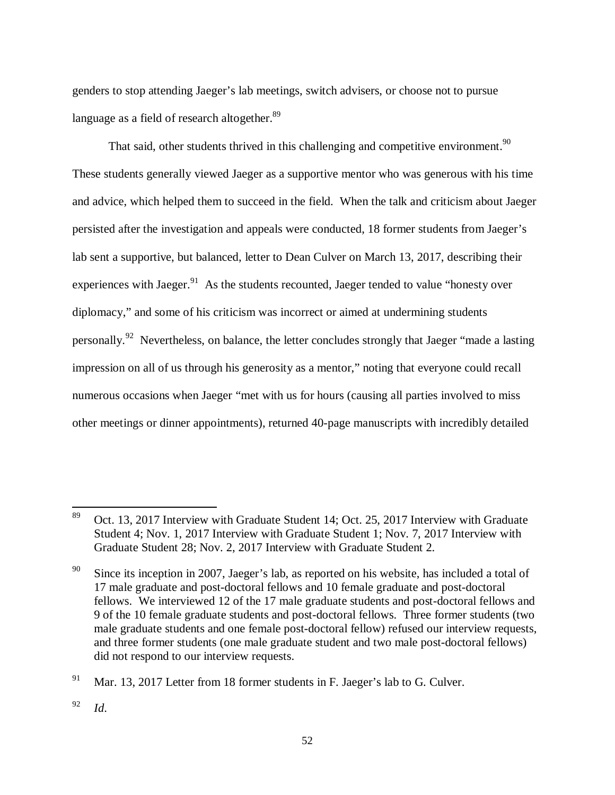genders to stop attending Jaeger's lab meetings, switch advisers, or choose not to pursue language as a field of research altogether. $89$ 

That said, other students thrived in this challenging and competitive environment. $90$ These students generally viewed Jaeger as a supportive mentor who was generous with his time and advice, which helped them to succeed in the field. When the talk and criticism about Jaeger persisted after the investigation and appeals were conducted, 18 former students from Jaeger's lab sent a supportive, but balanced, letter to Dean Culver on March 13, 2017, describing their experiences with Jaeger. $91$  As the students recounted, Jaeger tended to value "honesty over diplomacy," and some of his criticism was incorrect or aimed at undermining students personally.<sup>92</sup> Nevertheless, on balance, the letter concludes strongly that Jaeger "made a lasting" impression on all of us through his generosity as a mentor," noting that everyone could recall numerous occasions when Jaeger "met with us for hours (causing all parties involved to miss other meetings or dinner appointments), returned 40-page manuscripts with incredibly detailed

<sup>&</sup>lt;sup>89</sup> Oct. 13, 2017 Interview with Graduate Student 14; Oct. 25, 2017 Interview with Graduate Student 4; Nov. 1, 2017 Interview with Graduate Student 1; Nov. 7, 2017 Interview with Graduate Student 28; Nov. 2, 2017 Interview with Graduate Student 2.

<sup>&</sup>lt;sup>90</sup> Since its inception in 2007, Jaeger's lab, as reported on his website, has included a total of 17 male graduate and post-doctoral fellows and 10 female graduate and post-doctoral fellows. We interviewed 12 of the 17 male graduate students and post-doctoral fellows and 9 of the 10 female graduate students and post-doctoral fellows. Three former students (two male graduate students and one female post-doctoral fellow) refused our interview requests, and three former students (one male graduate student and two male post-doctoral fellows) did not respond to our interview requests.

<sup>&</sup>lt;sup>91</sup> Mar. 13, 2017 Letter from 18 former students in F. Jaeger's lab to G. Culver.

<sup>92</sup> *Id*.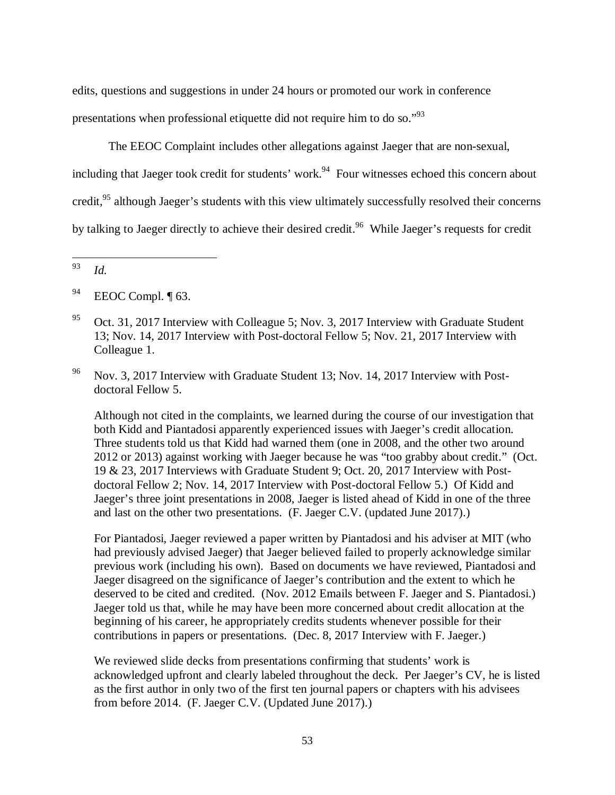edits, questions and suggestions in under 24 hours or promoted our work in conference presentations when professional etiquette did not require him to do so."<sup>93</sup>

 The EEOC Complaint includes other allegations against Jaeger that are non-sexual, including that Jaeger took credit for students' work.<sup>94</sup> Four witnesses echoed this concern about credit,<sup>95</sup> although Jaeger's students with this view ultimately successfully resolved their concerns by talking to Jaeger directly to achieve their desired credit.<sup>96</sup> While Jaeger's requests for credit

l

 Although not cited in the complaints, we learned during the course of our investigation that both Kidd and Piantadosi apparently experienced issues with Jaeger's credit allocation. Three students told us that Kidd had warned them (one in 2008, and the other two around 2012 or 2013) against working with Jaeger because he was "too grabby about credit." (Oct. 19 & 23, 2017 Interviews with Graduate Student 9; Oct. 20, 2017 Interview with Postdoctoral Fellow 2; Nov. 14, 2017 Interview with Post-doctoral Fellow 5.) Of Kidd and Jaeger's three joint presentations in 2008, Jaeger is listed ahead of Kidd in one of the three and last on the other two presentations. (F. Jaeger C.V. (updated June 2017).)

 For Piantadosi, Jaeger reviewed a paper written by Piantadosi and his adviser at MIT (who had previously advised Jaeger) that Jaeger believed failed to properly acknowledge similar previous work (including his own). Based on documents we have reviewed, Piantadosi and Jaeger disagreed on the significance of Jaeger's contribution and the extent to which he deserved to be cited and credited. (Nov. 2012 Emails between F. Jaeger and S. Piantadosi.) Jaeger told us that, while he may have been more concerned about credit allocation at the beginning of his career, he appropriately credits students whenever possible for their contributions in papers or presentations. (Dec. 8, 2017 Interview with F. Jaeger.)

 We reviewed slide decks from presentations confirming that students' work is acknowledged upfront and clearly labeled throughout the deck. Per Jaeger's CV, he is listed as the first author in only two of the first ten journal papers or chapters with his advisees from before 2014. (F. Jaeger C.V. (Updated June 2017).)

<sup>93</sup> *Id.*

<sup>&</sup>lt;sup>94</sup> EEOC Compl. ¶ 63.

<sup>&</sup>lt;sup>95</sup> Oct. 31, 2017 Interview with Colleague 5; Nov. 3, 2017 Interview with Graduate Student 13; Nov. 14, 2017 Interview with Post-doctoral Fellow 5; Nov. 21, 2017 Interview with Colleague 1.

<sup>96</sup> Nov. 3, 2017 Interview with Graduate Student 13; Nov. 14, 2017 Interview with Postdoctoral Fellow 5.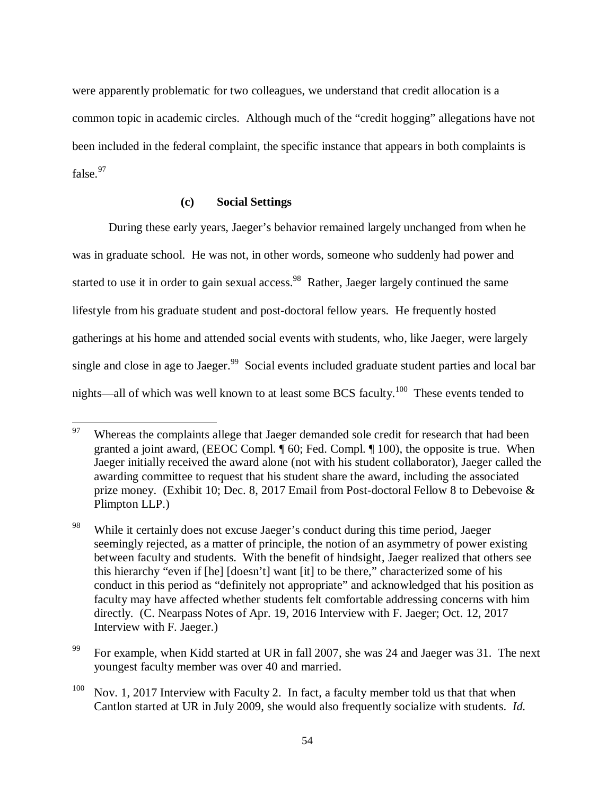were apparently problematic for two colleagues, we understand that credit allocation is a common topic in academic circles. Although much of the "credit hogging" allegations have not been included in the federal complaint, the specific instance that appears in both complaints is false. $97$ 

# **(c) Social Settings**

 $\overline{a}$ 

During these early years, Jaeger's behavior remained largely unchanged from when he was in graduate school. He was not, in other words, someone who suddenly had power and started to use it in order to gain sexual access.<sup>98</sup> Rather, Jaeger largely continued the same lifestyle from his graduate student and post-doctoral fellow years. He frequently hosted gatherings at his home and attended social events with students, who, like Jaeger, were largely single and close in age to Jaeger.<sup>99</sup> Social events included graduate student parties and local bar nights—all of which was well known to at least some BCS faculty.<sup>100</sup> These events tended to

<sup>&</sup>lt;sup>97</sup> Whereas the complaints allege that Jaeger demanded sole credit for research that had been granted a joint award, (EEOC Compl. ¶ 60; Fed. Compl. ¶ 100), the opposite is true. When Jaeger initially received the award alone (not with his student collaborator), Jaeger called the awarding committee to request that his student share the award, including the associated prize money. (Exhibit 10; Dec. 8, 2017 Email from Post-doctoral Fellow 8 to Debevoise & Plimpton LLP.)

<sup>&</sup>lt;sup>98</sup> While it certainly does not excuse Jaeger's conduct during this time period, Jaeger seemingly rejected, as a matter of principle, the notion of an asymmetry of power existing between faculty and students. With the benefit of hindsight, Jaeger realized that others see this hierarchy "even if [he] [doesn't] want [it] to be there," characterized some of his conduct in this period as "definitely not appropriate" and acknowledged that his position as faculty may have affected whether students felt comfortable addressing concerns with him directly. (C. Nearpass Notes of Apr. 19, 2016 Interview with F. Jaeger; Oct. 12, 2017 Interview with F. Jaeger.)

<sup>&</sup>lt;sup>99</sup> For example, when Kidd started at UR in fall 2007, she was 24 and Jaeger was 31. The next youngest faculty member was over 40 and married.

 $100$  Nov. 1, 2017 Interview with Faculty 2. In fact, a faculty member told us that that when Cantlon started at UR in July 2009, she would also frequently socialize with students. *Id.*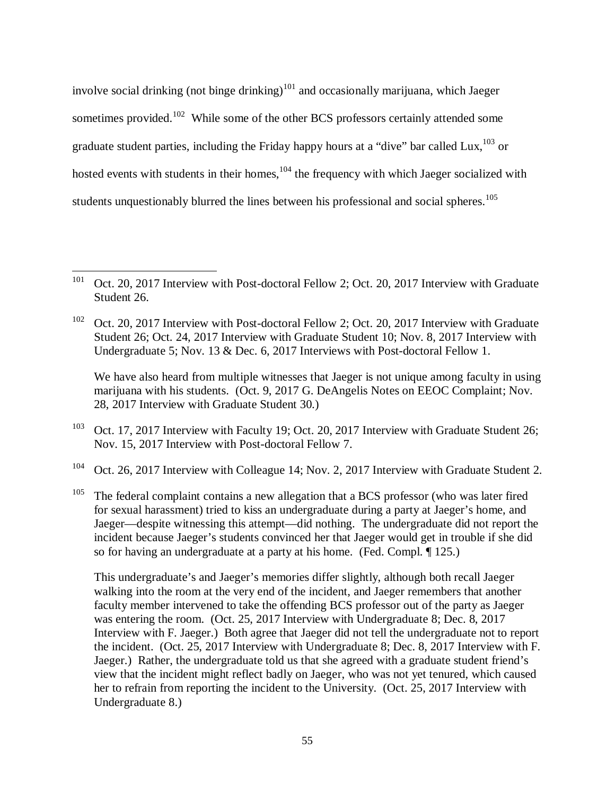involve social drinking (not binge drinking)<sup>101</sup> and occasionally marijuana, which Jaeger sometimes provided.<sup>102</sup> While some of the other BCS professors certainly attended some graduate student parties, including the Friday happy hours at a "dive" bar called Lux.<sup>103</sup> or hosted events with students in their homes,  $104$  the frequency with which Jaeger socialized with students unquestionably blurred the lines between his professional and social spheres.<sup>105</sup>

 $\overline{a}$ 

We have also heard from multiple witnesses that Jaeger is not unique among faculty in using marijuana with his students. (Oct. 9, 2017 G. DeAngelis Notes on EEOC Complaint; Nov. 28, 2017 Interview with Graduate Student 30.)

- <sup>103</sup> Oct. 17, 2017 Interview with Faculty 19; Oct. 20, 2017 Interview with Graduate Student 26; Nov. 15, 2017 Interview with Post-doctoral Fellow 7.
- <sup>104</sup> Oct. 26, 2017 Interview with Colleague 14; Nov. 2, 2017 Interview with Graduate Student 2.
- <sup>105</sup> The federal complaint contains a new allegation that a BCS professor (who was later fired for sexual harassment) tried to kiss an undergraduate during a party at Jaeger's home, and Jaeger—despite witnessing this attempt—did nothing. The undergraduate did not report the incident because Jaeger's students convinced her that Jaeger would get in trouble if she did so for having an undergraduate at a party at his home. (Fed. Compl. ¶ 125.)

 This undergraduate's and Jaeger's memories differ slightly, although both recall Jaeger walking into the room at the very end of the incident, and Jaeger remembers that another faculty member intervened to take the offending BCS professor out of the party as Jaeger was entering the room. (Oct. 25, 2017 Interview with Undergraduate 8; Dec. 8, 2017 Interview with F. Jaeger.) Both agree that Jaeger did not tell the undergraduate not to report the incident. (Oct. 25, 2017 Interview with Undergraduate 8; Dec. 8, 2017 Interview with F. Jaeger.) Rather, the undergraduate told us that she agreed with a graduate student friend's view that the incident might reflect badly on Jaeger, who was not yet tenured, which caused her to refrain from reporting the incident to the University. (Oct. 25, 2017 Interview with Undergraduate 8.)

<sup>&</sup>lt;sup>101</sup> Oct. 20, 2017 Interview with Post-doctoral Fellow 2; Oct. 20, 2017 Interview with Graduate Student 26.

<sup>&</sup>lt;sup>102</sup> Oct. 20, 2017 Interview with Post-doctoral Fellow 2; Oct. 20, 2017 Interview with Graduate Student 26; Oct. 24, 2017 Interview with Graduate Student 10; Nov. 8, 2017 Interview with Undergraduate 5; Nov. 13 & Dec. 6, 2017 Interviews with Post-doctoral Fellow 1.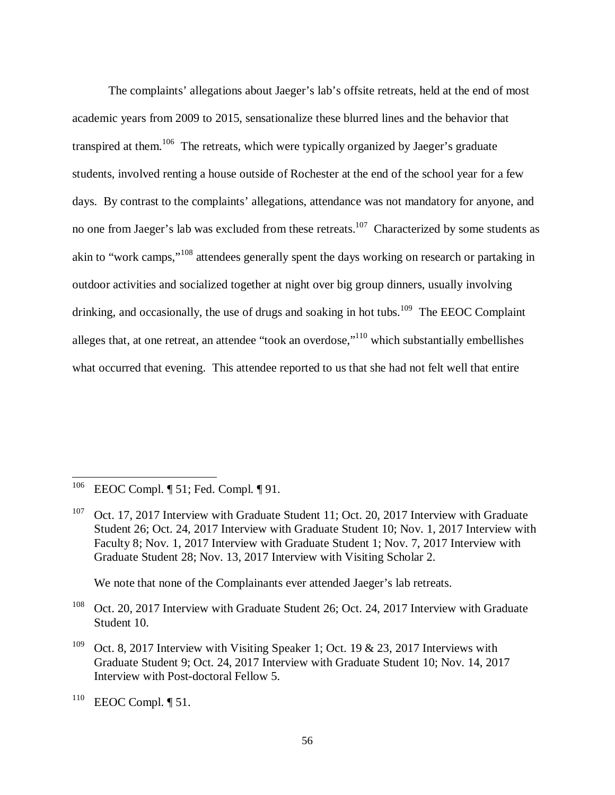The complaints' allegations about Jaeger's lab's offsite retreats, held at the end of most academic years from 2009 to 2015, sensationalize these blurred lines and the behavior that transpired at them.<sup>106</sup> The retreats, which were typically organized by Jaeger's graduate students, involved renting a house outside of Rochester at the end of the school year for a few days. By contrast to the complaints' allegations, attendance was not mandatory for anyone, and no one from Jaeger's lab was excluded from these retreats.<sup>107</sup> Characterized by some students as akin to "work camps,"<sup>108</sup> attendees generally spent the days working on research or partaking in outdoor activities and socialized together at night over big group dinners, usually involving drinking, and occasionally, the use of drugs and soaking in hot tubs.<sup>109</sup> The EEOC Complaint alleges that, at one retreat, an attendee "took an overdose,"<sup>110</sup> which substantially embellishes what occurred that evening. This attendee reported to us that she had not felt well that entire

We note that none of the Complainants ever attended Jaeger's lab retreats.

<sup>109</sup> Oct. 8, 2017 Interview with Visiting Speaker 1; Oct. 19 & 23, 2017 Interviews with Graduate Student 9; Oct. 24, 2017 Interview with Graduate Student 10; Nov. 14, 2017 Interview with Post-doctoral Fellow 5.

<sup>106</sup> EEOC Compl. ¶ 51; Fed. Compl. ¶ 91.

<sup>&</sup>lt;sup>107</sup> Oct. 17, 2017 Interview with Graduate Student 11; Oct. 20, 2017 Interview with Graduate Student 26; Oct. 24, 2017 Interview with Graduate Student 10; Nov. 1, 2017 Interview with Faculty 8; Nov. 1, 2017 Interview with Graduate Student 1; Nov. 7, 2017 Interview with Graduate Student 28; Nov. 13, 2017 Interview with Visiting Scholar 2.

<sup>&</sup>lt;sup>108</sup> Oct. 20, 2017 Interview with Graduate Student 26; Oct. 24, 2017 Interview with Graduate Student 10.

 $^{110}$  EEOC Compl. ¶ 51.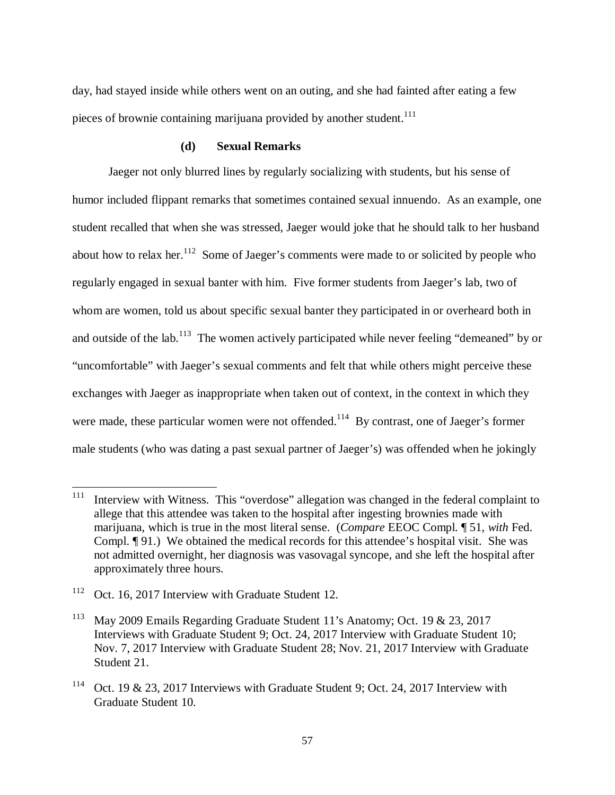day, had stayed inside while others went on an outing, and she had fainted after eating a few pieces of brownie containing marijuana provided by another student.<sup>111</sup>

## **(d) Sexual Remarks**

Jaeger not only blurred lines by regularly socializing with students, but his sense of humor included flippant remarks that sometimes contained sexual innuendo. As an example, one student recalled that when she was stressed, Jaeger would joke that he should talk to her husband about how to relax her.<sup>112</sup> Some of Jaeger's comments were made to or solicited by people who regularly engaged in sexual banter with him. Five former students from Jaeger's lab, two of whom are women, told us about specific sexual banter they participated in or overheard both in and outside of the lab.<sup>113</sup> The women actively participated while never feeling "demeaned" by or "uncomfortable" with Jaeger's sexual comments and felt that while others might perceive these exchanges with Jaeger as inappropriate when taken out of context, in the context in which they were made, these particular women were not offended.<sup>114</sup> By contrast, one of Jaeger's former male students (who was dating a past sexual partner of Jaeger's) was offended when he jokingly

<sup>&</sup>lt;sup>111</sup> Interview with Witness. This "overdose" allegation was changed in the federal complaint to allege that this attendee was taken to the hospital after ingesting brownies made with marijuana, which is true in the most literal sense. (*Compare* EEOC Compl. ¶ 51, *with* Fed. Compl. ¶ 91.) We obtained the medical records for this attendee's hospital visit. She was not admitted overnight, her diagnosis was vasovagal syncope, and she left the hospital after approximately three hours.

<sup>112</sup> Oct. 16, 2017 Interview with Graduate Student 12.

<sup>113</sup> May 2009 Emails Regarding Graduate Student 11's Anatomy; Oct. 19 & 23, 2017 Interviews with Graduate Student 9; Oct. 24, 2017 Interview with Graduate Student 10; Nov. 7, 2017 Interview with Graduate Student 28; Nov. 21, 2017 Interview with Graduate Student 21.

<sup>114</sup> Oct. 19 & 23, 2017 Interviews with Graduate Student 9; Oct. 24, 2017 Interview with Graduate Student 10.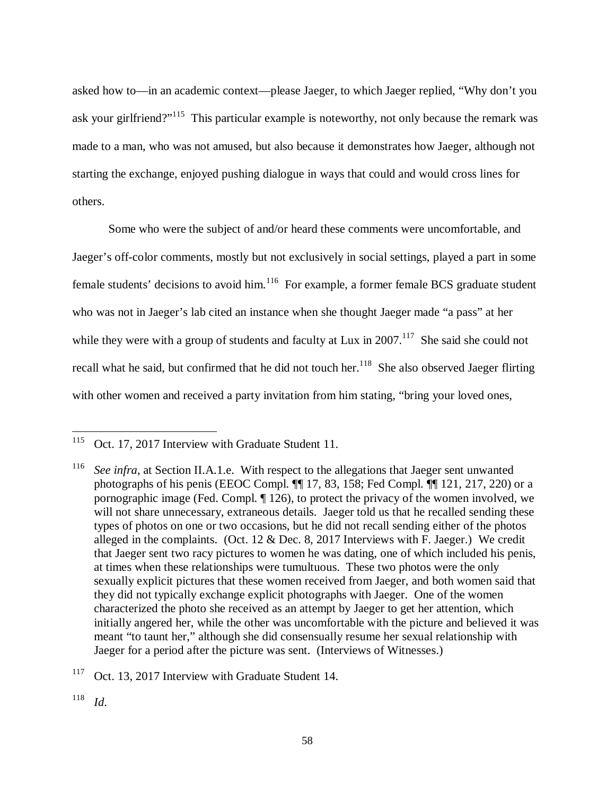asked how to—in an academic context—please Jaeger, to which Jaeger replied, "Why don't you ask your girlfriend?"<sup>115</sup> This particular example is noteworthy, not only because the remark was made to a man, who was not amused, but also because it demonstrates how Jaeger, although not starting the exchange, enjoyed pushing dialogue in ways that could and would cross lines for others.

Some who were the subject of and/or heard these comments were uncomfortable, and Jaeger's off-color comments, mostly but not exclusively in social settings, played a part in some female students' decisions to avoid him.<sup>116</sup> For example, a former female BCS graduate student who was not in Jaeger's lab cited an instance when she thought Jaeger made "a pass" at her while they were with a group of students and faculty at Lux in  $2007$ <sup>117</sup>. She said she could not recall what he said, but confirmed that he did not touch her.<sup>118</sup> She also observed Jaeger flirting with other women and received a party invitation from him stating, "bring your loved ones,

<sup>117</sup> Oct. 13, 2017 Interview with Graduate Student 14.

<sup>&</sup>lt;sup>115</sup> Oct. 17, 2017 Interview with Graduate Student 11.

<sup>116</sup> *See infra*, at Section II.A.1.e. With respect to the allegations that Jaeger sent unwanted photographs of his penis (EEOC Compl. ¶¶ 17, 83, 158; Fed Compl. ¶¶ 121, 217, 220) or a pornographic image (Fed. Compl. ¶ 126), to protect the privacy of the women involved, we will not share unnecessary, extraneous details. Jaeger told us that he recalled sending these types of photos on one or two occasions, but he did not recall sending either of the photos alleged in the complaints. (Oct.  $12 \&$  Dec. 8, 2017 Interviews with F. Jaeger.) We credit that Jaeger sent two racy pictures to women he was dating, one of which included his penis, at times when these relationships were tumultuous. These two photos were the only sexually explicit pictures that these women received from Jaeger, and both women said that they did not typically exchange explicit photographs with Jaeger. One of the women characterized the photo she received as an attempt by Jaeger to get her attention, which initially angered her, while the other was uncomfortable with the picture and believed it was meant "to taunt her," although she did consensually resume her sexual relationship with Jaeger for a period after the picture was sent. (Interviews of Witnesses.)

<sup>118</sup> *Id*.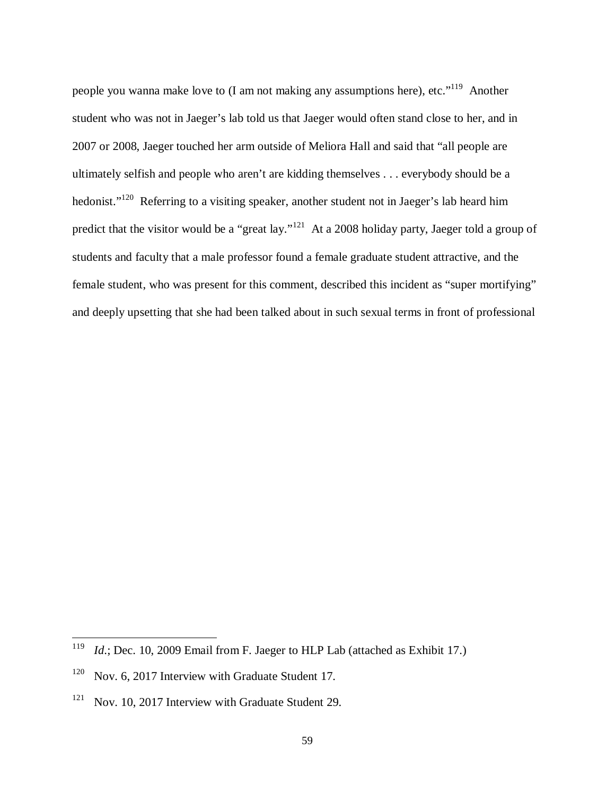people you wanna make love to (I am not making any assumptions here), etc."<sup>119</sup> Another student who was not in Jaeger's lab told us that Jaeger would often stand close to her, and in 2007 or 2008, Jaeger touched her arm outside of Meliora Hall and said that "all people are ultimately selfish and people who aren't are kidding themselves . . . everybody should be a hedonist."<sup>120</sup> Referring to a visiting speaker, another student not in Jaeger's lab heard him predict that the visitor would be a "great lay."<sup>121</sup> At a 2008 holiday party, Jaeger told a group of students and faculty that a male professor found a female graduate student attractive, and the female student, who was present for this comment, described this incident as "super mortifying" and deeply upsetting that she had been talked about in such sexual terms in front of professional

<sup>119</sup> *Id*.; Dec. 10, 2009 Email from F. Jaeger to HLP Lab (attached as Exhibit 17.)

<sup>&</sup>lt;sup>120</sup> Nov. 6, 2017 Interview with Graduate Student 17.

<sup>&</sup>lt;sup>121</sup> Nov. 10, 2017 Interview with Graduate Student 29.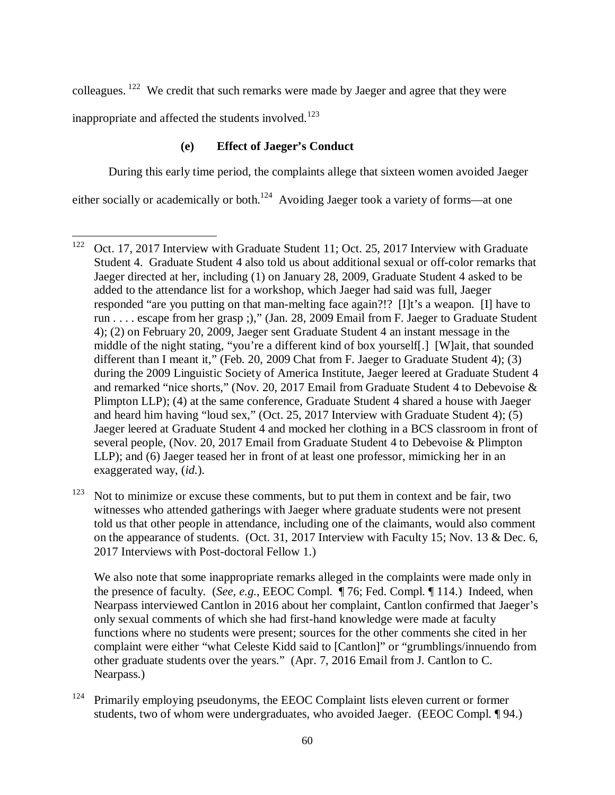colleagues.<sup>122</sup> We credit that such remarks were made by Jaeger and agree that they were inappropriate and affected the students involved.<sup>123</sup>

# **(e) Effect of Jaeger's Conduct**

 $\overline{a}$ 

During this early time period, the complaints allege that sixteen women avoided Jaeger either socially or academically or both.<sup>124</sup> Avoiding Jaeger took a variety of forms—at one

<sup>123</sup> Not to minimize or excuse these comments, but to put them in context and be fair, two witnesses who attended gatherings with Jaeger where graduate students were not present told us that other people in attendance, including one of the claimants, would also comment on the appearance of students. (Oct. 31, 2017 Interview with Faculty 15; Nov. 13 & Dec. 6, 2017 Interviews with Post-doctoral Fellow 1.)

 We also note that some inappropriate remarks alleged in the complaints were made only in the presence of faculty. (*See, e.g.*, EEOC Compl. ¶ 76; Fed. Compl. ¶ 114.) Indeed, when Nearpass interviewed Cantlon in 2016 about her complaint, Cantlon confirmed that Jaeger's only sexual comments of which she had first-hand knowledge were made at faculty functions where no students were present; sources for the other comments she cited in her complaint were either "what Celeste Kidd said to [Cantlon]" or "grumblings/innuendo from other graduate students over the years." (Apr. 7, 2016 Email from J. Cantlon to C. Nearpass.)

<sup>&</sup>lt;sup>122</sup> Oct. 17, 2017 Interview with Graduate Student 11; Oct. 25, 2017 Interview with Graduate Student 4. Graduate Student 4 also told us about additional sexual or off-color remarks that Jaeger directed at her, including (1) on January 28, 2009, Graduate Student 4 asked to be added to the attendance list for a workshop, which Jaeger had said was full, Jaeger responded "are you putting on that man-melting face again?!? [I]t's a weapon. [I] have to run . . . . escape from her grasp ;)," (Jan. 28, 2009 Email from F. Jaeger to Graduate Student 4); (2) on February 20, 2009, Jaeger sent Graduate Student 4 an instant message in the middle of the night stating, "you're a different kind of box yourself[.] [W]ait, that sounded different than I meant it," (Feb. 20, 2009 Chat from F. Jaeger to Graduate Student 4); (3) during the 2009 Linguistic Society of America Institute, Jaeger leered at Graduate Student 4 and remarked "nice shorts," (Nov. 20, 2017 Email from Graduate Student 4 to Debevoise & Plimpton LLP); (4) at the same conference, Graduate Student 4 shared a house with Jaeger and heard him having "loud sex," (Oct. 25, 2017 Interview with Graduate Student 4); (5) Jaeger leered at Graduate Student 4 and mocked her clothing in a BCS classroom in front of several people, (Nov. 20, 2017 Email from Graduate Student 4 to Debevoise & Plimpton LLP); and (6) Jaeger teased her in front of at least one professor, mimicking her in an exaggerated way, (*id.*).

 $124$  Primarily employing pseudonyms, the EEOC Complaint lists eleven current or former students, two of whom were undergraduates, who avoided Jaeger. (EEOC Compl. ¶ 94.)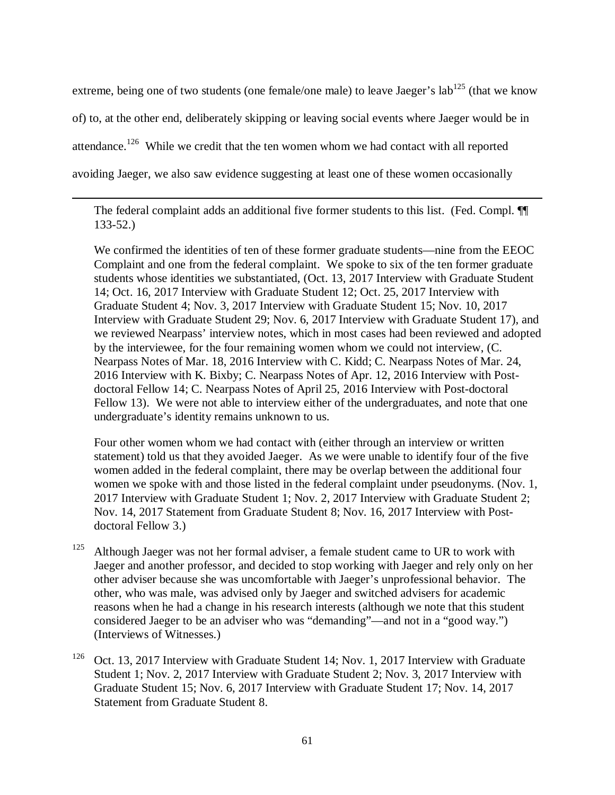extreme, being one of two students (one female/one male) to leave Jaeger's  $\text{lab}^{125}$  (that we know of) to, at the other end, deliberately skipping or leaving social events where Jaeger would be in attendance.<sup>126</sup> While we credit that the ten women whom we had contact with all reported avoiding Jaeger, we also saw evidence suggesting at least one of these women occasionally

The federal complaint adds an additional five former students to this list. (Fed. Compl. ¶¶ 133-52.)

 $\overline{a}$ 

 We confirmed the identities of ten of these former graduate students—nine from the EEOC Complaint and one from the federal complaint. We spoke to six of the ten former graduate students whose identities we substantiated, (Oct. 13, 2017 Interview with Graduate Student 14; Oct. 16, 2017 Interview with Graduate Student 12; Oct. 25, 2017 Interview with Graduate Student 4; Nov. 3, 2017 Interview with Graduate Student 15; Nov. 10, 2017 Interview with Graduate Student 29; Nov. 6, 2017 Interview with Graduate Student 17), and we reviewed Nearpass' interview notes, which in most cases had been reviewed and adopted by the interviewee, for the four remaining women whom we could not interview, (C. Nearpass Notes of Mar. 18, 2016 Interview with C. Kidd; C. Nearpass Notes of Mar. 24, 2016 Interview with K. Bixby; C. Nearpass Notes of Apr. 12, 2016 Interview with Postdoctoral Fellow 14; C. Nearpass Notes of April 25, 2016 Interview with Post-doctoral Fellow 13). We were not able to interview either of the undergraduates, and note that one undergraduate's identity remains unknown to us.

 Four other women whom we had contact with (either through an interview or written statement) told us that they avoided Jaeger. As we were unable to identify four of the five women added in the federal complaint, there may be overlap between the additional four women we spoke with and those listed in the federal complaint under pseudonyms. (Nov. 1, 2017 Interview with Graduate Student 1; Nov. 2, 2017 Interview with Graduate Student 2; Nov. 14, 2017 Statement from Graduate Student 8; Nov. 16, 2017 Interview with Postdoctoral Fellow 3.)

- <sup>125</sup> Although Jaeger was not her formal adviser, a female student came to UR to work with Jaeger and another professor, and decided to stop working with Jaeger and rely only on her other adviser because she was uncomfortable with Jaeger's unprofessional behavior. The other, who was male, was advised only by Jaeger and switched advisers for academic reasons when he had a change in his research interests (although we note that this student considered Jaeger to be an adviser who was "demanding"—and not in a "good way.") (Interviews of Witnesses.)
- <sup>126</sup> Oct. 13, 2017 Interview with Graduate Student 14; Nov. 1, 2017 Interview with Graduate Student 1; Nov. 2, 2017 Interview with Graduate Student 2; Nov. 3, 2017 Interview with Graduate Student 15; Nov. 6, 2017 Interview with Graduate Student 17; Nov. 14, 2017 Statement from Graduate Student 8.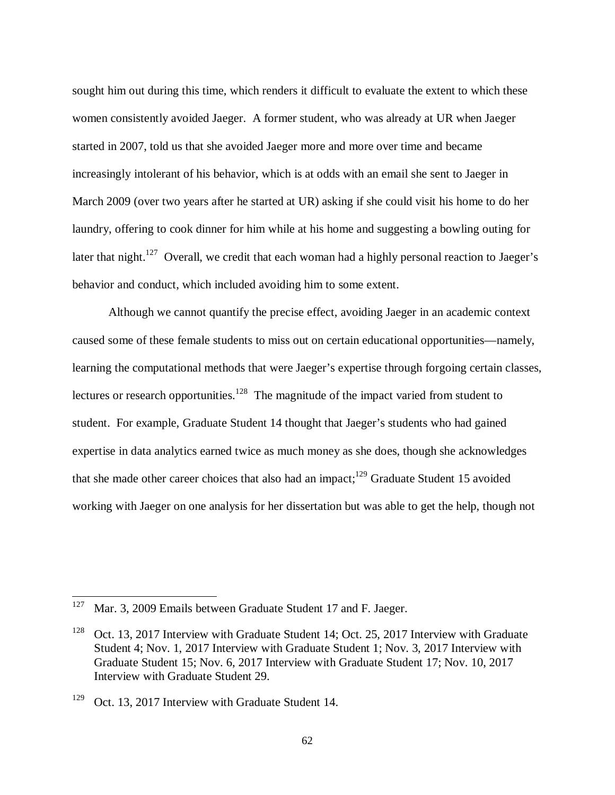sought him out during this time, which renders it difficult to evaluate the extent to which these women consistently avoided Jaeger. A former student, who was already at UR when Jaeger started in 2007, told us that she avoided Jaeger more and more over time and became increasingly intolerant of his behavior, which is at odds with an email she sent to Jaeger in March 2009 (over two years after he started at UR) asking if she could visit his home to do her laundry, offering to cook dinner for him while at his home and suggesting a bowling outing for later that night.<sup>127</sup> Overall, we credit that each woman had a highly personal reaction to Jaeger's behavior and conduct, which included avoiding him to some extent.

Although we cannot quantify the precise effect, avoiding Jaeger in an academic context caused some of these female students to miss out on certain educational opportunities—namely, learning the computational methods that were Jaeger's expertise through forgoing certain classes, lectures or research opportunities.<sup>128</sup> The magnitude of the impact varied from student to student. For example, Graduate Student 14 thought that Jaeger's students who had gained expertise in data analytics earned twice as much money as she does, though she acknowledges that she made other career choices that also had an impact;<sup>129</sup> Graduate Student 15 avoided working with Jaeger on one analysis for her dissertation but was able to get the help, though not

<sup>127</sup> Mar. 3, 2009 Emails between Graduate Student 17 and F. Jaeger.

<sup>&</sup>lt;sup>128</sup> Oct. 13, 2017 Interview with Graduate Student 14; Oct. 25, 2017 Interview with Graduate Student 4; Nov. 1, 2017 Interview with Graduate Student 1; Nov. 3, 2017 Interview with Graduate Student 15; Nov. 6, 2017 Interview with Graduate Student 17; Nov. 10, 2017 Interview with Graduate Student 29.

 $129$  Oct. 13, 2017 Interview with Graduate Student 14.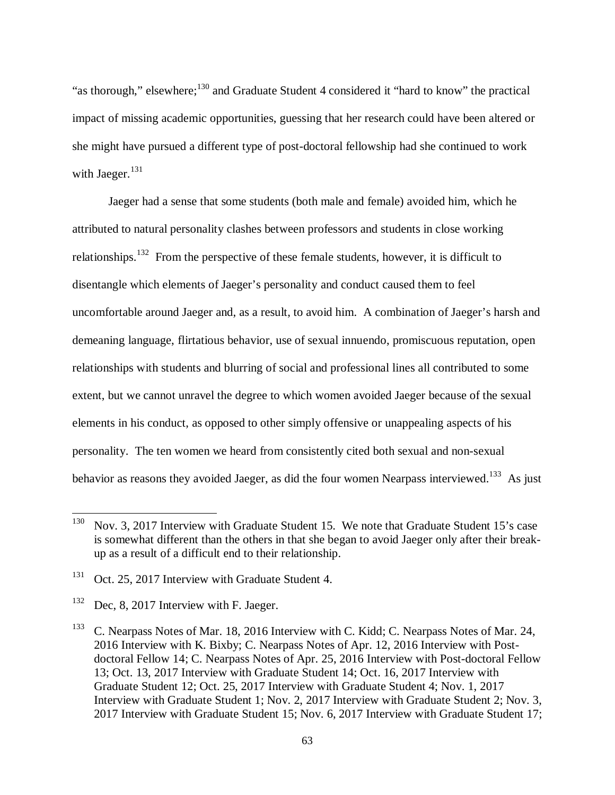"as thorough," elsewhere;<sup>130</sup> and Graduate Student 4 considered it "hard to know" the practical impact of missing academic opportunities, guessing that her research could have been altered or she might have pursued a different type of post-doctoral fellowship had she continued to work with Jaeger.<sup>131</sup>

Jaeger had a sense that some students (both male and female) avoided him, which he attributed to natural personality clashes between professors and students in close working relationships.<sup>132</sup> From the perspective of these female students, however, it is difficult to disentangle which elements of Jaeger's personality and conduct caused them to feel uncomfortable around Jaeger and, as a result, to avoid him. A combination of Jaeger's harsh and demeaning language, flirtatious behavior, use of sexual innuendo, promiscuous reputation, open relationships with students and blurring of social and professional lines all contributed to some extent, but we cannot unravel the degree to which women avoided Jaeger because of the sexual elements in his conduct, as opposed to other simply offensive or unappealing aspects of his personality. The ten women we heard from consistently cited both sexual and non-sexual behavior as reasons they avoided Jaeger, as did the four women Nearpass interviewed.<sup>133</sup> As just

 $130$  Nov. 3, 2017 Interview with Graduate Student 15. We note that Graduate Student 15's case is somewhat different than the others in that she began to avoid Jaeger only after their breakup as a result of a difficult end to their relationship.

<sup>&</sup>lt;sup>131</sup> Oct. 25, 2017 Interview with Graduate Student 4.

<sup>&</sup>lt;sup>132</sup> Dec, 8, 2017 Interview with F. Jaeger.

<sup>&</sup>lt;sup>133</sup> C. Nearpass Notes of Mar. 18, 2016 Interview with C. Kidd; C. Nearpass Notes of Mar. 24, 2016 Interview with K. Bixby; C. Nearpass Notes of Apr. 12, 2016 Interview with Postdoctoral Fellow 14; C. Nearpass Notes of Apr. 25, 2016 Interview with Post-doctoral Fellow 13; Oct. 13, 2017 Interview with Graduate Student 14; Oct. 16, 2017 Interview with Graduate Student 12; Oct. 25, 2017 Interview with Graduate Student 4; Nov. 1, 2017 Interview with Graduate Student 1; Nov. 2, 2017 Interview with Graduate Student 2; Nov. 3, 2017 Interview with Graduate Student 15; Nov. 6, 2017 Interview with Graduate Student 17;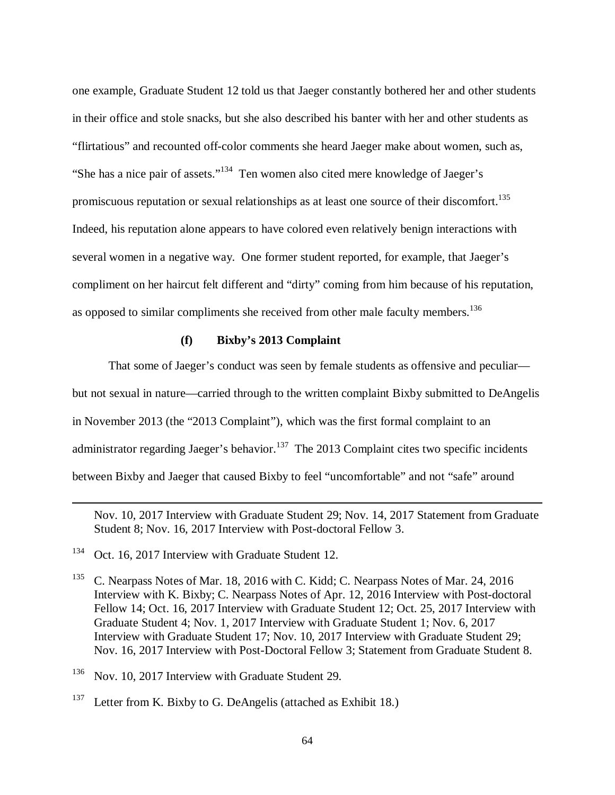one example, Graduate Student 12 told us that Jaeger constantly bothered her and other students in their office and stole snacks, but she also described his banter with her and other students as "flirtatious" and recounted off-color comments she heard Jaeger make about women, such as, "She has a nice pair of assets."<sup>134</sup> Ten women also cited mere knowledge of Jaeger's promiscuous reputation or sexual relationships as at least one source of their discomfort.<sup>135</sup> Indeed, his reputation alone appears to have colored even relatively benign interactions with several women in a negative way. One former student reported, for example, that Jaeger's compliment on her haircut felt different and "dirty" coming from him because of his reputation, as opposed to similar compliments she received from other male faculty members.<sup>136</sup>

# **(f) Bixby's 2013 Complaint**

That some of Jaeger's conduct was seen by female students as offensive and peculiar but not sexual in nature—carried through to the written complaint Bixby submitted to DeAngelis in November 2013 (the "2013 Complaint"), which was the first formal complaint to an administrator regarding Jaeger's behavior.<sup>137</sup> The 2013 Complaint cites two specific incidents between Bixby and Jaeger that caused Bixby to feel "uncomfortable" and not "safe" around

Nov. 10, 2017 Interview with Graduate Student 29; Nov. 14, 2017 Statement from Graduate Student 8; Nov. 16, 2017 Interview with Post-doctoral Fellow 3.

<sup>&</sup>lt;sup>134</sup> Oct. 16, 2017 Interview with Graduate Student 12.

<sup>&</sup>lt;sup>135</sup> C. Nearpass Notes of Mar. 18, 2016 with C. Kidd; C. Nearpass Notes of Mar. 24, 2016 Interview with K. Bixby; C. Nearpass Notes of Apr. 12, 2016 Interview with Post-doctoral Fellow 14; Oct. 16, 2017 Interview with Graduate Student 12; Oct. 25, 2017 Interview with Graduate Student 4; Nov. 1, 2017 Interview with Graduate Student 1; Nov. 6, 2017 Interview with Graduate Student 17; Nov. 10, 2017 Interview with Graduate Student 29; Nov. 16, 2017 Interview with Post-Doctoral Fellow 3; Statement from Graduate Student 8.

<sup>&</sup>lt;sup>136</sup> Nov. 10, 2017 Interview with Graduate Student 29.

<sup>&</sup>lt;sup>137</sup> Letter from K. Bixby to G. DeAngelis (attached as Exhibit 18.)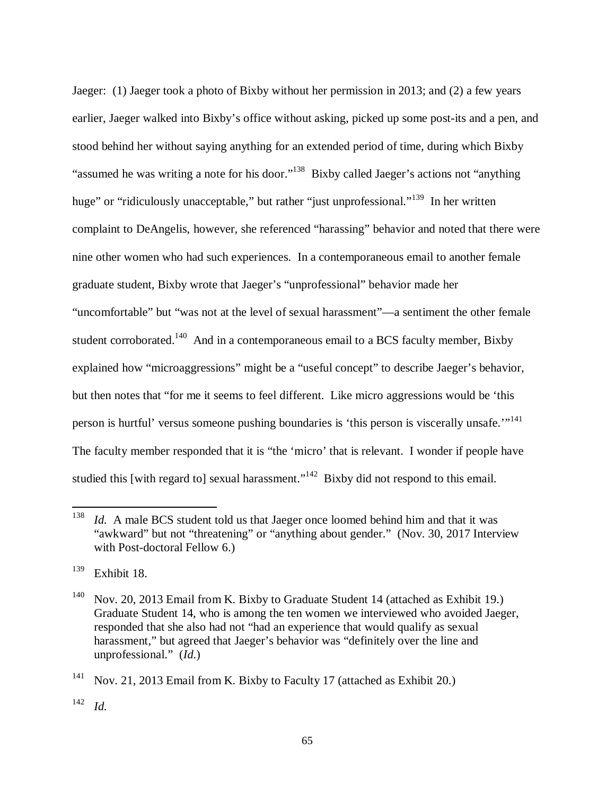Jaeger: (1) Jaeger took a photo of Bixby without her permission in 2013; and (2) a few years earlier, Jaeger walked into Bixby's office without asking, picked up some post-its and a pen, and stood behind her without saying anything for an extended period of time, during which Bixby "assumed he was writing a note for his door."<sup>138</sup> Bixby called Jaeger's actions not "anything" huge" or "ridiculously unacceptable," but rather "just unprofessional."<sup>139</sup> In her written complaint to DeAngelis, however, she referenced "harassing" behavior and noted that there were nine other women who had such experiences. In a contemporaneous email to another female graduate student, Bixby wrote that Jaeger's "unprofessional" behavior made her "uncomfortable" but "was not at the level of sexual harassment"—a sentiment the other female student corroborated.<sup>140</sup> And in a contemporaneous email to a BCS faculty member, Bixby explained how "microaggressions" might be a "useful concept" to describe Jaeger's behavior, but then notes that "for me it seems to feel different. Like micro aggressions would be 'this person is hurtful' versus someone pushing boundaries is 'this person is viscerally unsafe."<sup>141</sup> The faculty member responded that it is "the 'micro' that is relevant. I wonder if people have studied this [with regard to] sexual harassment."<sup>142</sup> Bixby did not respond to this email.

<sup>138</sup> *Id.* A male BCS student told us that Jaeger once loomed behind him and that it was "awkward" but not "threatening" or "anything about gender." (Nov. 30, 2017 Interview with Post-doctoral Fellow 6.)

<sup>139</sup> Exhibit 18.

 $140$  Nov. 20, 2013 Email from K. Bixby to Graduate Student 14 (attached as Exhibit 19.) Graduate Student 14, who is among the ten women we interviewed who avoided Jaeger, responded that she also had not "had an experience that would qualify as sexual harassment," but agreed that Jaeger's behavior was "definitely over the line and unprofessional." (*Id.*)

<sup>&</sup>lt;sup>141</sup> Nov. 21, 2013 Email from K. Bixby to Faculty 17 (attached as Exhibit 20.)

<sup>142</sup> *Id.*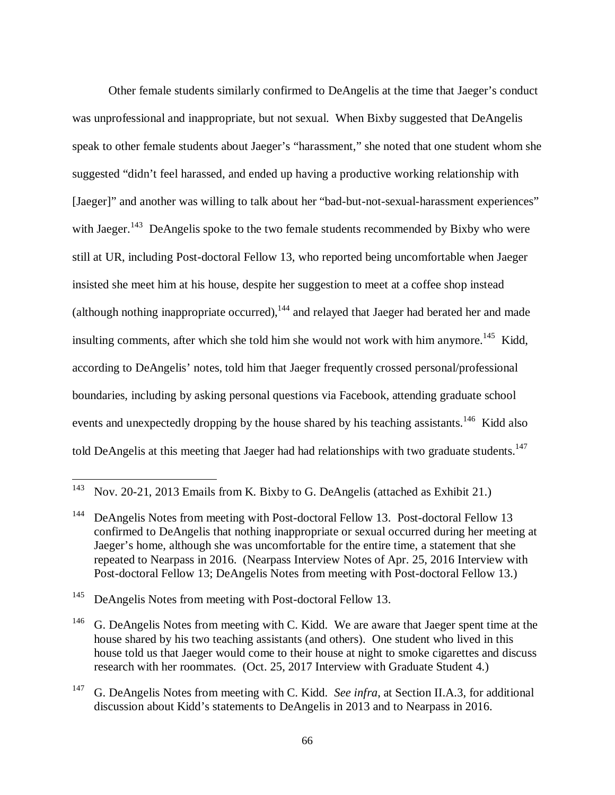Other female students similarly confirmed to DeAngelis at the time that Jaeger's conduct was unprofessional and inappropriate, but not sexual. When Bixby suggested that DeAngelis speak to other female students about Jaeger's "harassment," she noted that one student whom she suggested "didn't feel harassed, and ended up having a productive working relationship with [Jaeger]" and another was willing to talk about her "bad-but-not-sexual-harassment experiences" with Jaeger.<sup>143</sup> DeAngelis spoke to the two female students recommended by Bixby who were still at UR, including Post-doctoral Fellow 13, who reported being uncomfortable when Jaeger insisted she meet him at his house, despite her suggestion to meet at a coffee shop instead (although nothing inappropriate occurred),  $144$  and relayed that Jaeger had berated her and made insulting comments, after which she told him she would not work with him anymore.<sup>145</sup> Kidd, according to DeAngelis' notes, told him that Jaeger frequently crossed personal/professional boundaries, including by asking personal questions via Facebook, attending graduate school events and unexpectedly dropping by the house shared by his teaching assistants.<sup>146</sup> Kidd also told DeAngelis at this meeting that Jaeger had had relationships with two graduate students.<sup>147</sup>

<sup>143</sup> Nov. 20-21, 2013 Emails from K. Bixby to G. DeAngelis (attached as Exhibit 21.)

<sup>&</sup>lt;sup>144</sup> DeAngelis Notes from meeting with Post-doctoral Fellow 13. Post-doctoral Fellow 13 confirmed to DeAngelis that nothing inappropriate or sexual occurred during her meeting at Jaeger's home, although she was uncomfortable for the entire time, a statement that she repeated to Nearpass in 2016. (Nearpass Interview Notes of Apr. 25, 2016 Interview with Post-doctoral Fellow 13; DeAngelis Notes from meeting with Post-doctoral Fellow 13.)

<sup>&</sup>lt;sup>145</sup> DeAngelis Notes from meeting with Post-doctoral Fellow 13.

<sup>&</sup>lt;sup>146</sup> G. DeAngelis Notes from meeting with C. Kidd. We are aware that Jaeger spent time at the house shared by his two teaching assistants (and others). One student who lived in this house told us that Jaeger would come to their house at night to smoke cigarettes and discuss research with her roommates. (Oct. 25, 2017 Interview with Graduate Student 4.)

<sup>147</sup> G. DeAngelis Notes from meeting with C. Kidd. *See infra*, at Section II.A.3, for additional discussion about Kidd's statements to DeAngelis in 2013 and to Nearpass in 2016.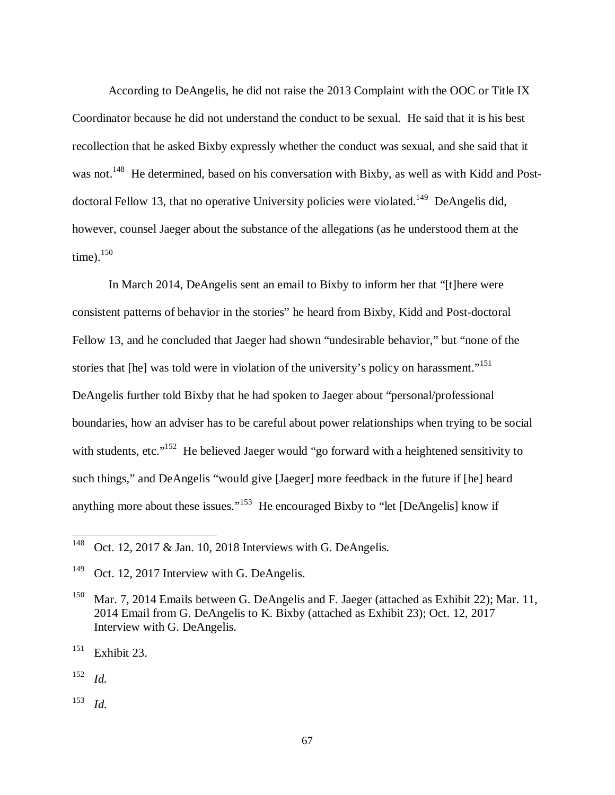According to DeAngelis, he did not raise the 2013 Complaint with the OOC or Title IX Coordinator because he did not understand the conduct to be sexual. He said that it is his best recollection that he asked Bixby expressly whether the conduct was sexual, and she said that it was not.<sup>148</sup> He determined, based on his conversation with Bixby, as well as with Kidd and Postdoctoral Fellow 13, that no operative University policies were violated.<sup>149</sup> DeAngelis did, however, counsel Jaeger about the substance of the allegations (as he understood them at the time). $150$ 

In March 2014, DeAngelis sent an email to Bixby to inform her that "[t]here were consistent patterns of behavior in the stories" he heard from Bixby, Kidd and Post-doctoral Fellow 13, and he concluded that Jaeger had shown "undesirable behavior," but "none of the stories that [he] was told were in violation of the university's policy on harassment."<sup>151</sup> DeAngelis further told Bixby that he had spoken to Jaeger about "personal/professional boundaries, how an adviser has to be careful about power relationships when trying to be social with students, etc."<sup>152</sup> He believed Jaeger would "go forward with a heightened sensitivity to such things," and DeAngelis "would give [Jaeger] more feedback in the future if [he] heard anything more about these issues."<sup>153</sup> He encouraged Bixby to "let [DeAngelis] know if

152 *Id.*

l

153 *Id.*

<sup>&</sup>lt;sup>148</sup> Oct. 12, 2017 & Jan. 10, 2018 Interviews with G. DeAngelis.

<sup>&</sup>lt;sup>149</sup> Oct. 12, 2017 Interview with G. DeAngelis.

<sup>&</sup>lt;sup>150</sup> Mar. 7, 2014 Emails between G. DeAngelis and F. Jaeger (attached as Exhibit 22); Mar. 11, 2014 Email from G. DeAngelis to K. Bixby (attached as Exhibit 23); Oct. 12, 2017 Interview with G. DeAngelis.

 $151$  Exhibit 23.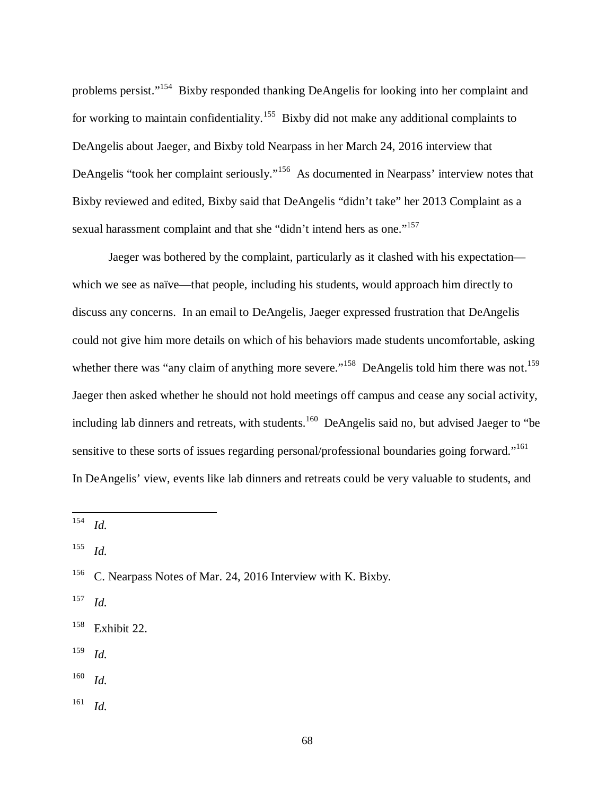problems persist."<sup>154</sup> Bixby responded thanking DeAngelis for looking into her complaint and for working to maintain confidentiality.<sup>155</sup> Bixby did not make any additional complaints to DeAngelis about Jaeger, and Bixby told Nearpass in her March 24, 2016 interview that DeAngelis "took her complaint seriously."<sup>156</sup> As documented in Nearpass' interview notes that Bixby reviewed and edited, Bixby said that DeAngelis "didn't take" her 2013 Complaint as a sexual harassment complaint and that she "didn't intend hers as one."<sup>157</sup>

Jaeger was bothered by the complaint, particularly as it clashed with his expectation which we see as naïve—that people, including his students, would approach him directly to discuss any concerns. In an email to DeAngelis, Jaeger expressed frustration that DeAngelis could not give him more details on which of his behaviors made students uncomfortable, asking whether there was "any claim of anything more severe."<sup>158</sup> DeAngelis told him there was not.<sup>159</sup> Jaeger then asked whether he should not hold meetings off campus and cease any social activity, including lab dinners and retreats, with students.<sup>160</sup> DeAngelis said no, but advised Jaeger to "be" sensitive to these sorts of issues regarding personal/professional boundaries going forward."<sup>161</sup> In DeAngelis' view, events like lab dinners and retreats could be very valuable to students, and

154 *Id.*

 $\overline{a}$ 

155 *Id.*

157 *Id.*

159 *Id.*

160 *Id.*

161 *Id.*

<sup>&</sup>lt;sup>156</sup> C. Nearpass Notes of Mar. 24, 2016 Interview with K. Bixby.

<sup>158</sup> Exhibit 22.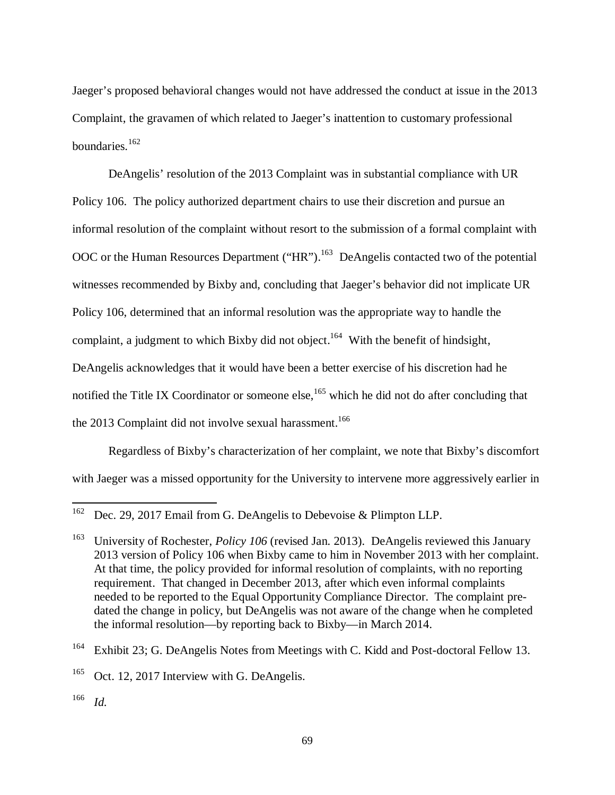Jaeger's proposed behavioral changes would not have addressed the conduct at issue in the 2013 Complaint, the gravamen of which related to Jaeger's inattention to customary professional boundaries.<sup>162</sup>

DeAngelis' resolution of the 2013 Complaint was in substantial compliance with UR Policy 106. The policy authorized department chairs to use their discretion and pursue an informal resolution of the complaint without resort to the submission of a formal complaint with OOC or the Human Resources Department ("HR").<sup>163</sup> DeAngelis contacted two of the potential witnesses recommended by Bixby and, concluding that Jaeger's behavior did not implicate UR Policy 106, determined that an informal resolution was the appropriate way to handle the complaint, a judgment to which Bixby did not object.<sup>164</sup> With the benefit of hindsight, DeAngelis acknowledges that it would have been a better exercise of his discretion had he notified the Title IX Coordinator or someone else,<sup>165</sup> which he did not do after concluding that the 2013 Complaint did not involve sexual harassment.<sup>166</sup>

Regardless of Bixby's characterization of her complaint, we note that Bixby's discomfort with Jaeger was a missed opportunity for the University to intervene more aggressively earlier in

<sup>&</sup>lt;sup>162</sup> Dec. 29, 2017 Email from G. DeAngelis to Debevoise & Plimpton LLP.

<sup>&</sup>lt;sup>163</sup> University of Rochester, *Policy 106* (revised Jan. 2013). DeAngelis reviewed this January 2013 version of Policy 106 when Bixby came to him in November 2013 with her complaint. At that time, the policy provided for informal resolution of complaints, with no reporting requirement. That changed in December 2013, after which even informal complaints needed to be reported to the Equal Opportunity Compliance Director. The complaint predated the change in policy, but DeAngelis was not aware of the change when he completed the informal resolution—by reporting back to Bixby—in March 2014.

<sup>&</sup>lt;sup>164</sup> Exhibit 23; G. DeAngelis Notes from Meetings with C. Kidd and Post-doctoral Fellow 13.

<sup>&</sup>lt;sup>165</sup> Oct. 12, 2017 Interview with G. DeAngelis.

<sup>166</sup> *Id.*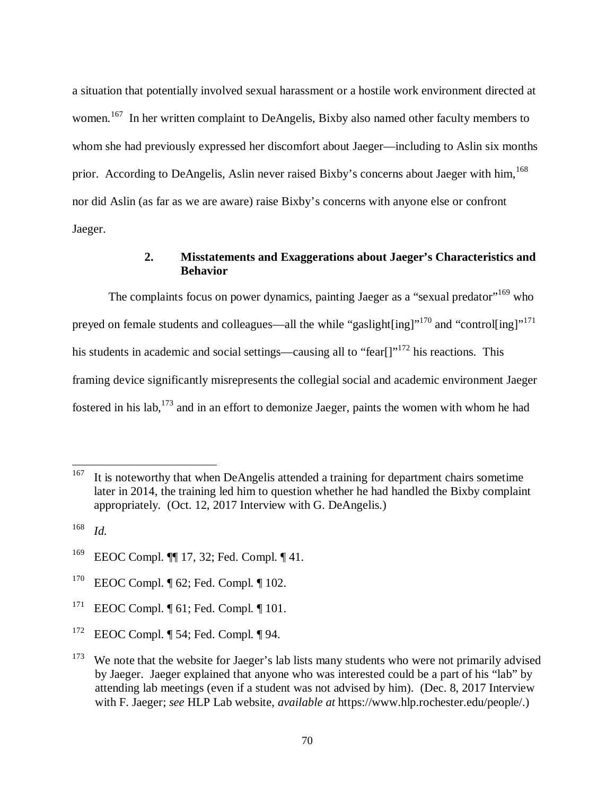a situation that potentially involved sexual harassment or a hostile work environment directed at women.<sup>167</sup> In her written complaint to DeAngelis, Bixby also named other faculty members to whom she had previously expressed her discomfort about Jaeger—including to Aslin six months prior. According to DeAngelis, Aslin never raised Bixby's concerns about Jaeger with him,<sup>168</sup> nor did Aslin (as far as we are aware) raise Bixby's concerns with anyone else or confront Jaeger.

# **2. Misstatements and Exaggerations about Jaeger's Characteristics and Behavior**

The complaints focus on power dynamics, painting Jaeger as a "sexual predator"<sup>169</sup> who preyed on female students and colleagues—all the while "gaslight[ing]"<sup>170</sup> and "control[ing]"<sup>171</sup> his students in academic and social settings—causing all to "fear[] $172$  his reactions. This framing device significantly misrepresents the collegial social and academic environment Jaeger fostered in his lab,  $173$  and in an effort to demonize Jaeger, paints the women with whom he had

- <sup>170</sup> EEOC Compl. ¶ 62; Fed. Compl. ¶ 102.
- <sup>171</sup> EEOC Compl.  $\P$  61; Fed. Compl.  $\P$  101.
- <sup>172</sup> EEOC Compl. ¶ 54; Fed. Compl. ¶ 94.

<sup>&</sup>lt;sup>167</sup> It is noteworthy that when DeAngelis attended a training for department chairs sometime later in 2014, the training led him to question whether he had handled the Bixby complaint appropriately. (Oct. 12, 2017 Interview with G. DeAngelis.)

<sup>168</sup> *Id.*

<sup>169</sup> EEOC Compl. ¶¶ 17, 32; Fed. Compl. ¶ 41.

 $173$  We note that the website for Jaeger's lab lists many students who were not primarily advised by Jaeger. Jaeger explained that anyone who was interested could be a part of his "lab" by attending lab meetings (even if a student was not advised by him). (Dec. 8, 2017 Interview with F. Jaeger; *see* HLP Lab website, *available at* https://www.hlp.rochester.edu/people/.)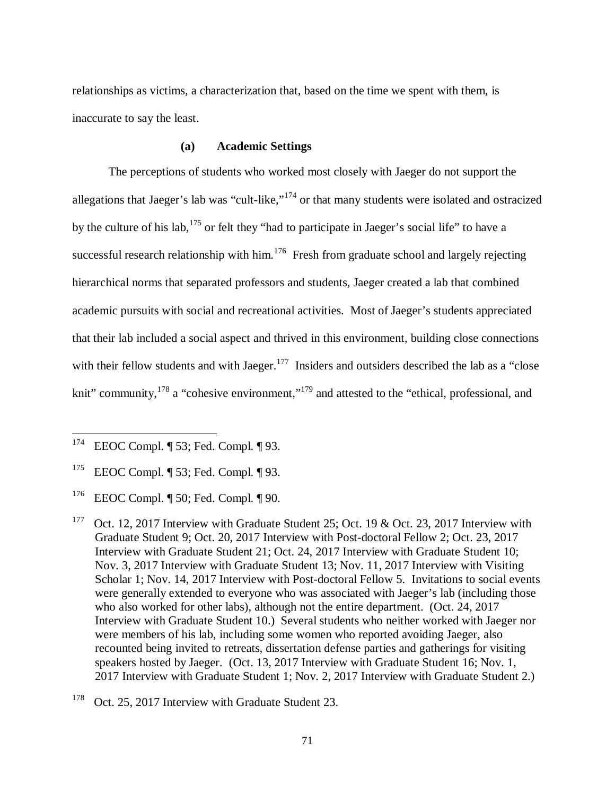relationships as victims, a characterization that, based on the time we spent with them, is inaccurate to say the least.

### **(a) Academic Settings**

The perceptions of students who worked most closely with Jaeger do not support the allegations that Jaeger's lab was "cult-like,"<sup>174</sup> or that many students were isolated and ostracized by the culture of his lab,  $175$  or felt they "had to participate in Jaeger's social life" to have a successful research relationship with him.<sup>176</sup> Fresh from graduate school and largely rejecting hierarchical norms that separated professors and students, Jaeger created a lab that combined academic pursuits with social and recreational activities. Most of Jaeger's students appreciated that their lab included a social aspect and thrived in this environment, building close connections with their fellow students and with Jaeger.<sup>177</sup> Insiders and outsiders described the lab as a "close" knit" community,<sup>178</sup> a "cohesive environment,"<sup>179</sup> and attested to the "ethical, professional, and

<sup>174</sup> EEOC Compl. ¶ 53; Fed. Compl. ¶ 93.

<sup>175</sup> EEOC Compl. ¶ 53; Fed. Compl. ¶ 93.

<sup>176</sup> EEOC Compl. ¶ 50; Fed. Compl. ¶ 90.

<sup>&</sup>lt;sup>177</sup> Oct. 12, 2017 Interview with Graduate Student 25; Oct. 19 & Oct. 23, 2017 Interview with Graduate Student 9; Oct. 20, 2017 Interview with Post-doctoral Fellow 2; Oct. 23, 2017 Interview with Graduate Student 21; Oct. 24, 2017 Interview with Graduate Student 10; Nov. 3, 2017 Interview with Graduate Student 13; Nov. 11, 2017 Interview with Visiting Scholar 1; Nov. 14, 2017 Interview with Post-doctoral Fellow 5. Invitations to social events were generally extended to everyone who was associated with Jaeger's lab (including those who also worked for other labs), although not the entire department. (Oct. 24, 2017 Interview with Graduate Student 10.) Several students who neither worked with Jaeger nor were members of his lab, including some women who reported avoiding Jaeger, also recounted being invited to retreats, dissertation defense parties and gatherings for visiting speakers hosted by Jaeger. (Oct. 13, 2017 Interview with Graduate Student 16; Nov. 1, 2017 Interview with Graduate Student 1; Nov. 2, 2017 Interview with Graduate Student 2.)

<sup>&</sup>lt;sup>178</sup> Oct. 25, 2017 Interview with Graduate Student 23.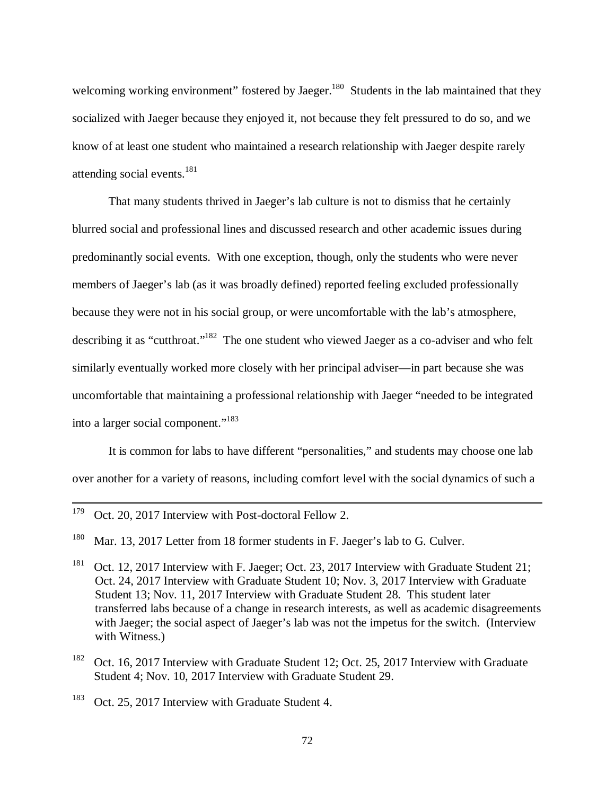welcoming working environment" fostered by Jaeger.<sup>180</sup> Students in the lab maintained that they socialized with Jaeger because they enjoyed it, not because they felt pressured to do so, and we know of at least one student who maintained a research relationship with Jaeger despite rarely attending social events.<sup>181</sup>

That many students thrived in Jaeger's lab culture is not to dismiss that he certainly blurred social and professional lines and discussed research and other academic issues during predominantly social events. With one exception, though, only the students who were never members of Jaeger's lab (as it was broadly defined) reported feeling excluded professionally because they were not in his social group, or were uncomfortable with the lab's atmosphere, describing it as "cutthroat."<sup>182</sup> The one student who viewed Jaeger as a co-adviser and who felt similarly eventually worked more closely with her principal adviser—in part because she was uncomfortable that maintaining a professional relationship with Jaeger "needed to be integrated into a larger social component."<sup>183</sup>

It is common for labs to have different "personalities," and students may choose one lab over another for a variety of reasons, including comfort level with the social dynamics of such a

<sup>&</sup>lt;sup>179</sup> Oct. 20, 2017 Interview with Post-doctoral Fellow 2.

<sup>&</sup>lt;sup>180</sup> Mar. 13, 2017 Letter from 18 former students in F. Jaeger's lab to G. Culver.

<sup>&</sup>lt;sup>181</sup> Oct. 12, 2017 Interview with F. Jaeger; Oct. 23, 2017 Interview with Graduate Student 21; Oct. 24, 2017 Interview with Graduate Student 10; Nov. 3, 2017 Interview with Graduate Student 13; Nov. 11, 2017 Interview with Graduate Student 28. This student later transferred labs because of a change in research interests, as well as academic disagreements with Jaeger; the social aspect of Jaeger's lab was not the impetus for the switch. (Interview with Witness.)

<sup>&</sup>lt;sup>182</sup> Oct. 16, 2017 Interview with Graduate Student 12; Oct. 25, 2017 Interview with Graduate Student 4; Nov. 10, 2017 Interview with Graduate Student 29.

<sup>&</sup>lt;sup>183</sup> Oct. 25, 2017 Interview with Graduate Student 4.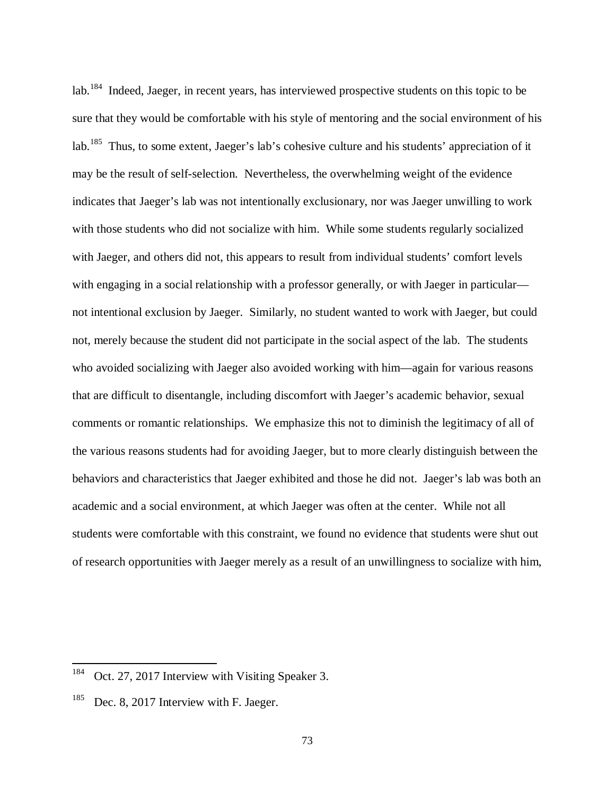lab.<sup>184</sup> Indeed, Jaeger, in recent years, has interviewed prospective students on this topic to be sure that they would be comfortable with his style of mentoring and the social environment of his lab.<sup>185</sup> Thus, to some extent, Jaeger's lab's cohesive culture and his students' appreciation of it may be the result of self-selection. Nevertheless, the overwhelming weight of the evidence indicates that Jaeger's lab was not intentionally exclusionary, nor was Jaeger unwilling to work with those students who did not socialize with him. While some students regularly socialized with Jaeger, and others did not, this appears to result from individual students' comfort levels with engaging in a social relationship with a professor generally, or with Jaeger in particular not intentional exclusion by Jaeger. Similarly, no student wanted to work with Jaeger, but could not, merely because the student did not participate in the social aspect of the lab. The students who avoided socializing with Jaeger also avoided working with him—again for various reasons that are difficult to disentangle, including discomfort with Jaeger's academic behavior, sexual comments or romantic relationships. We emphasize this not to diminish the legitimacy of all of the various reasons students had for avoiding Jaeger, but to more clearly distinguish between the behaviors and characteristics that Jaeger exhibited and those he did not. Jaeger's lab was both an academic and a social environment, at which Jaeger was often at the center. While not all students were comfortable with this constraint, we found no evidence that students were shut out of research opportunities with Jaeger merely as a result of an unwillingness to socialize with him,

<sup>&</sup>lt;sup>184</sup> Oct. 27, 2017 Interview with Visiting Speaker 3.

 $185$  Dec. 8, 2017 Interview with F. Jaeger.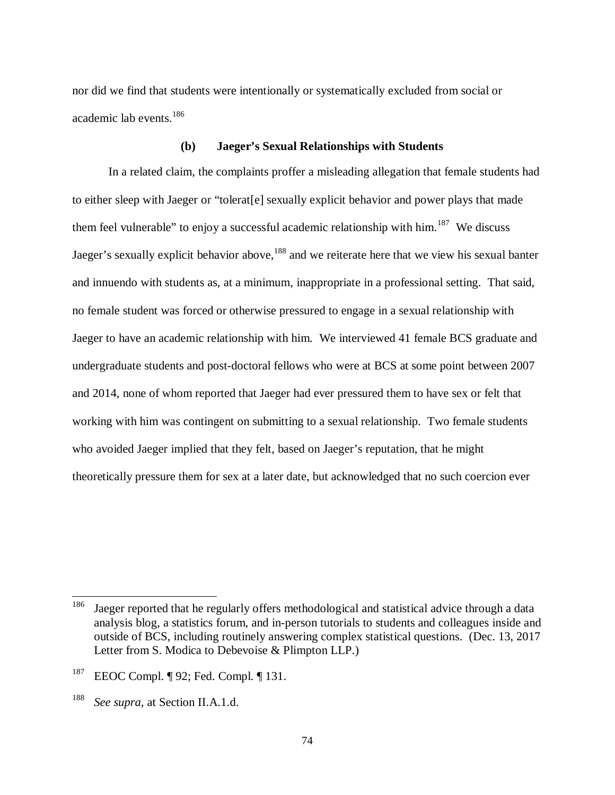nor did we find that students were intentionally or systematically excluded from social or academic lab events.<sup>186</sup>

#### **(b) Jaeger's Sexual Relationships with Students**

In a related claim, the complaints proffer a misleading allegation that female students had to either sleep with Jaeger or "tolerat[e] sexually explicit behavior and power plays that made them feel vulnerable" to enjoy a successful academic relationship with him.<sup>187</sup> We discuss Jaeger's sexually explicit behavior above,<sup>188</sup> and we reiterate here that we view his sexual banter and innuendo with students as, at a minimum, inappropriate in a professional setting. That said, no female student was forced or otherwise pressured to engage in a sexual relationship with Jaeger to have an academic relationship with him. We interviewed 41 female BCS graduate and undergraduate students and post-doctoral fellows who were at BCS at some point between 2007 and 2014, none of whom reported that Jaeger had ever pressured them to have sex or felt that working with him was contingent on submitting to a sexual relationship. Two female students who avoided Jaeger implied that they felt, based on Jaeger's reputation, that he might theoretically pressure them for sex at a later date, but acknowledged that no such coercion ever

<sup>&</sup>lt;sup>186</sup> Jaeger reported that he regularly offers methodological and statistical advice through a data analysis blog, a statistics forum, and in-person tutorials to students and colleagues inside and outside of BCS, including routinely answering complex statistical questions. (Dec. 13, 2017 Letter from S. Modica to Debevoise & Plimpton LLP.)

<sup>187</sup> EEOC Compl. ¶ 92; Fed. Compl. ¶ 131.

<sup>188</sup> *See supra*, at Section II.A.1.d.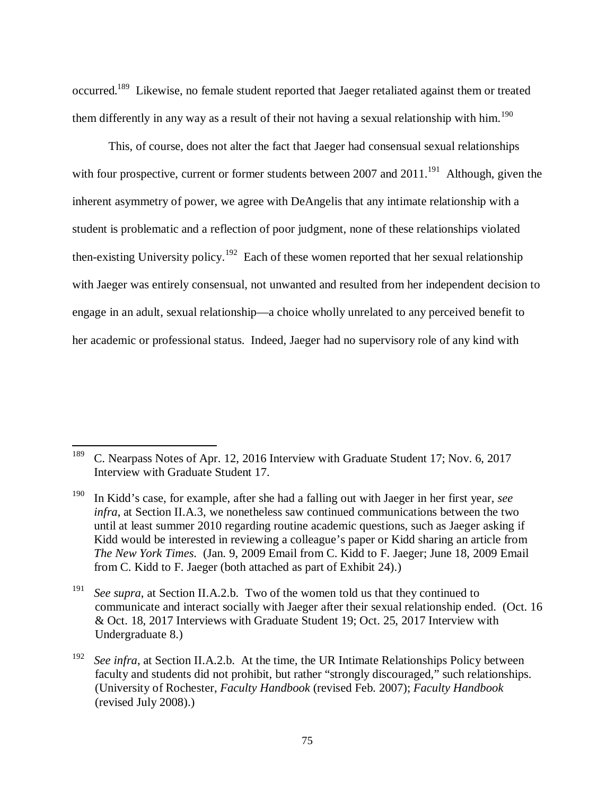occurred.<sup>189</sup> Likewise, no female student reported that Jaeger retaliated against them or treated them differently in any way as a result of their not having a sexual relationship with him.<sup>190</sup>

This, of course, does not alter the fact that Jaeger had consensual sexual relationships with four prospective, current or former students between 2007 and  $2011$ <sup>191</sup> Although, given the inherent asymmetry of power, we agree with DeAngelis that any intimate relationship with a student is problematic and a reflection of poor judgment, none of these relationships violated then-existing University policy.<sup>192</sup> Each of these women reported that her sexual relationship with Jaeger was entirely consensual, not unwanted and resulted from her independent decision to engage in an adult, sexual relationship—a choice wholly unrelated to any perceived benefit to her academic or professional status. Indeed, Jaeger had no supervisory role of any kind with

<sup>&</sup>lt;sup>189</sup> C. Nearpass Notes of Apr. 12, 2016 Interview with Graduate Student 17; Nov. 6, 2017 Interview with Graduate Student 17.

<sup>190</sup> In Kidd's case, for example, after she had a falling out with Jaeger in her first year, *see infra*, at Section II.A.3, we nonetheless saw continued communications between the two until at least summer 2010 regarding routine academic questions, such as Jaeger asking if Kidd would be interested in reviewing a colleague's paper or Kidd sharing an article from *The New York Times*. (Jan. 9, 2009 Email from C. Kidd to F. Jaeger; June 18, 2009 Email from C. Kidd to F. Jaeger (both attached as part of Exhibit 24).)

<sup>191</sup> *See supra*, at Section II.A.2.b. Two of the women told us that they continued to communicate and interact socially with Jaeger after their sexual relationship ended. (Oct. 16 & Oct. 18, 2017 Interviews with Graduate Student 19; Oct. 25, 2017 Interview with Undergraduate 8.)

<sup>192</sup> *See infra*, at Section II.A.2.b. At the time, the UR Intimate Relationships Policy between faculty and students did not prohibit, but rather "strongly discouraged," such relationships. (University of Rochester, *Faculty Handbook* (revised Feb. 2007); *Faculty Handbook* (revised July 2008).)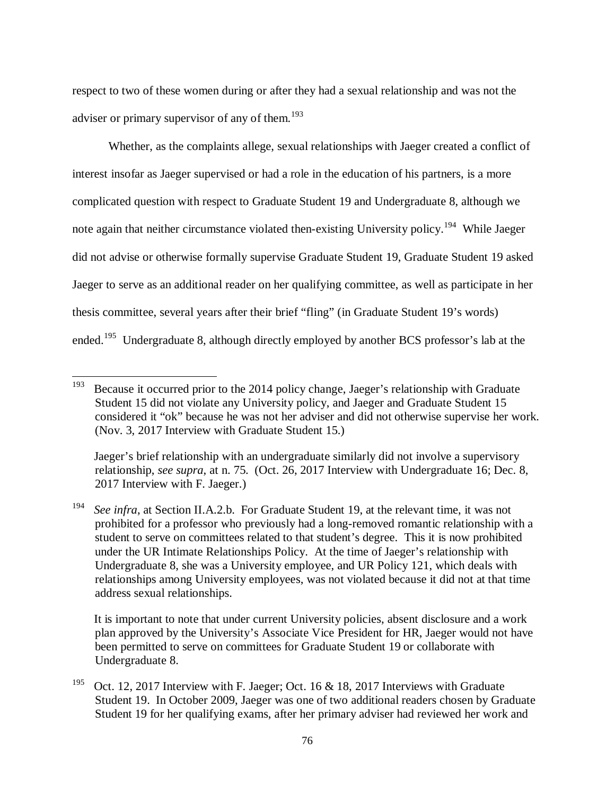respect to two of these women during or after they had a sexual relationship and was not the adviser or primary supervisor of any of them.<sup>193</sup>

Whether, as the complaints allege, sexual relationships with Jaeger created a conflict of interest insofar as Jaeger supervised or had a role in the education of his partners, is a more complicated question with respect to Graduate Student 19 and Undergraduate 8, although we note again that neither circumstance violated then-existing University policy.<sup>194</sup> While Jaeger did not advise or otherwise formally supervise Graduate Student 19, Graduate Student 19 asked Jaeger to serve as an additional reader on her qualifying committee, as well as participate in her thesis committee, several years after their brief "fling" (in Graduate Student 19's words) ended.<sup>195</sup> Undergraduate 8, although directly employed by another BCS professor's lab at the

l

 Jaeger's brief relationship with an undergraduate similarly did not involve a supervisory relationship, *see supra*, at n. 75. (Oct. 26, 2017 Interview with Undergraduate 16; Dec. 8, 2017 Interview with F. Jaeger.)

194 *See infra*, at Section II.A.2.b. For Graduate Student 19, at the relevant time, it was not prohibited for a professor who previously had a long-removed romantic relationship with a student to serve on committees related to that student's degree. This it is now prohibited under the UR Intimate Relationships Policy. At the time of Jaeger's relationship with Undergraduate 8, she was a University employee, and UR Policy 121, which deals with relationships among University employees, was not violated because it did not at that time address sexual relationships.

 It is important to note that under current University policies, absent disclosure and a work plan approved by the University's Associate Vice President for HR, Jaeger would not have been permitted to serve on committees for Graduate Student 19 or collaborate with Undergraduate 8.

<sup>&</sup>lt;sup>193</sup> Because it occurred prior to the 2014 policy change, Jaeger's relationship with Graduate Student 15 did not violate any University policy, and Jaeger and Graduate Student 15 considered it "ok" because he was not her adviser and did not otherwise supervise her work. (Nov. 3, 2017 Interview with Graduate Student 15.)

<sup>&</sup>lt;sup>195</sup> Oct. 12, 2017 Interview with F. Jaeger; Oct. 16 & 18, 2017 Interviews with Graduate Student 19. In October 2009, Jaeger was one of two additional readers chosen by Graduate Student 19 for her qualifying exams, after her primary adviser had reviewed her work and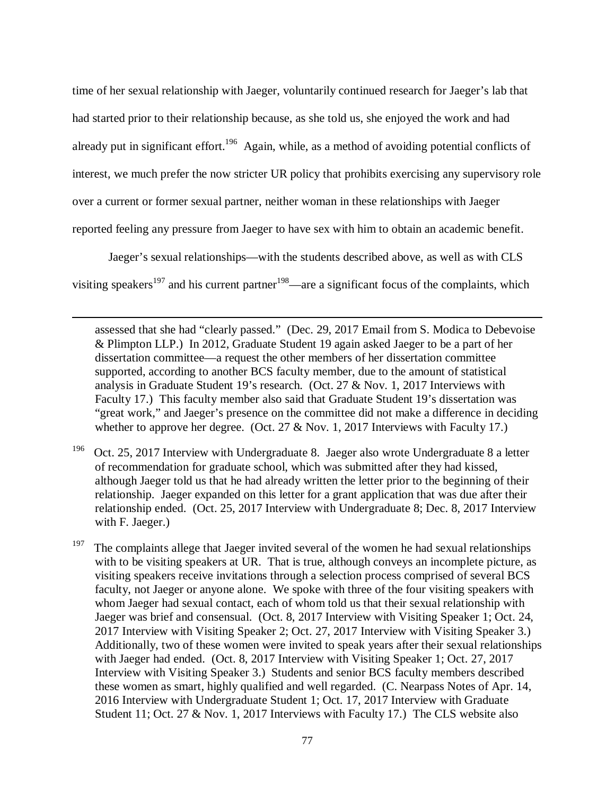time of her sexual relationship with Jaeger, voluntarily continued research for Jaeger's lab that had started prior to their relationship because, as she told us, she enjoyed the work and had already put in significant effort.<sup>196</sup> Again, while, as a method of avoiding potential conflicts of interest, we much prefer the now stricter UR policy that prohibits exercising any supervisory role over a current or former sexual partner, neither woman in these relationships with Jaeger reported feeling any pressure from Jaeger to have sex with him to obtain an academic benefit.

Jaeger's sexual relationships—with the students described above, as well as with CLS

visiting speakers<sup>197</sup> and his current partner<sup>198</sup>—are a significant focus of the complaints, which

l

assessed that she had "clearly passed." (Dec. 29, 2017 Email from S. Modica to Debevoise & Plimpton LLP.) In 2012, Graduate Student 19 again asked Jaeger to be a part of her dissertation committee—a request the other members of her dissertation committee supported, according to another BCS faculty member, due to the amount of statistical analysis in Graduate Student 19's research. (Oct. 27 & Nov. 1, 2017 Interviews with Faculty 17.) This faculty member also said that Graduate Student 19's dissertation was "great work," and Jaeger's presence on the committee did not make a difference in deciding whether to approve her degree. (Oct. 27 & Nov. 1, 2017 Interviews with Faculty 17.)

<sup>196</sup> Oct. 25, 2017 Interview with Undergraduate 8. Jaeger also wrote Undergraduate 8 a letter of recommendation for graduate school, which was submitted after they had kissed, although Jaeger told us that he had already written the letter prior to the beginning of their relationship. Jaeger expanded on this letter for a grant application that was due after their relationship ended. (Oct. 25, 2017 Interview with Undergraduate 8; Dec. 8, 2017 Interview with F. Jaeger.)

<sup>197</sup> The complaints allege that Jaeger invited several of the women he had sexual relationships with to be visiting speakers at UR. That is true, although conveys an incomplete picture, as visiting speakers receive invitations through a selection process comprised of several BCS faculty, not Jaeger or anyone alone. We spoke with three of the four visiting speakers with whom Jaeger had sexual contact, each of whom told us that their sexual relationship with Jaeger was brief and consensual. (Oct. 8, 2017 Interview with Visiting Speaker 1; Oct. 24, 2017 Interview with Visiting Speaker 2; Oct. 27, 2017 Interview with Visiting Speaker 3.) Additionally, two of these women were invited to speak years after their sexual relationships with Jaeger had ended. (Oct. 8, 2017 Interview with Visiting Speaker 1; Oct. 27, 2017 Interview with Visiting Speaker 3.) Students and senior BCS faculty members described these women as smart, highly qualified and well regarded. (C. Nearpass Notes of Apr. 14, 2016 Interview with Undergraduate Student 1; Oct. 17, 2017 Interview with Graduate Student 11; Oct. 27 & Nov. 1, 2017 Interviews with Faculty 17.) The CLS website also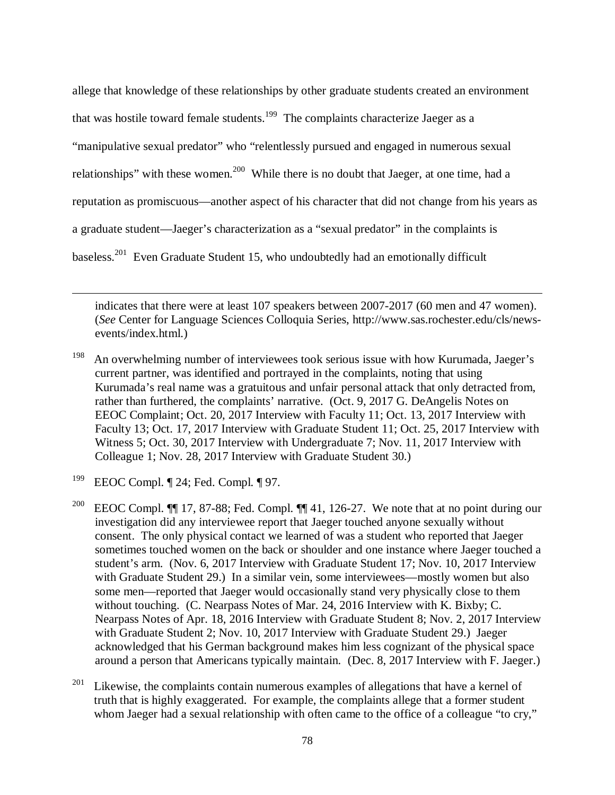allege that knowledge of these relationships by other graduate students created an environment that was hostile toward female students.<sup>199</sup> The complaints characterize Jaeger as a "manipulative sexual predator" who "relentlessly pursued and engaged in numerous sexual relationships" with these women.<sup>200</sup> While there is no doubt that Jaeger, at one time, had a reputation as promiscuous—another aspect of his character that did not change from his years as a graduate student—Jaeger's characterization as a "sexual predator" in the complaints is baseless.<sup>201</sup> Even Graduate Student 15, who undoubtedly had an emotionally difficult

indicates that there were at least 107 speakers between 2007-2017 (60 men and 47 women). (*See* Center for Language Sciences Colloquia Series, http://www.sas.rochester.edu/cls/newsevents/index.html.)

<sup>198</sup> An overwhelming number of interviewees took serious issue with how Kurumada, Jaeger's current partner, was identified and portrayed in the complaints, noting that using Kurumada's real name was a gratuitous and unfair personal attack that only detracted from, rather than furthered, the complaints' narrative. (Oct. 9, 2017 G. DeAngelis Notes on EEOC Complaint; Oct. 20, 2017 Interview with Faculty 11; Oct. 13, 2017 Interview with Faculty 13; Oct. 17, 2017 Interview with Graduate Student 11; Oct. 25, 2017 Interview with Witness 5; Oct. 30, 2017 Interview with Undergraduate 7; Nov. 11, 2017 Interview with Colleague 1; Nov. 28, 2017 Interview with Graduate Student 30.)

<sup>199</sup> EEOC Compl. ¶ 24; Fed. Compl. ¶ 97.

l

<sup>200</sup> EEOC Compl.  $\P\P$  17, 87-88; Fed. Compl.  $\P\P$  41, 126-27. We note that at no point during our investigation did any interviewee report that Jaeger touched anyone sexually without consent. The only physical contact we learned of was a student who reported that Jaeger sometimes touched women on the back or shoulder and one instance where Jaeger touched a student's arm. (Nov. 6, 2017 Interview with Graduate Student 17; Nov. 10, 2017 Interview with Graduate Student 29.) In a similar vein, some interviewees—mostly women but also some men—reported that Jaeger would occasionally stand very physically close to them without touching. (C. Nearpass Notes of Mar. 24, 2016 Interview with K. Bixby; C. Nearpass Notes of Apr. 18, 2016 Interview with Graduate Student 8; Nov. 2, 2017 Interview with Graduate Student 2; Nov. 10, 2017 Interview with Graduate Student 29.) Jaeger acknowledged that his German background makes him less cognizant of the physical space around a person that Americans typically maintain. (Dec. 8, 2017 Interview with F. Jaeger.)

<sup>201</sup> Likewise, the complaints contain numerous examples of allegations that have a kernel of truth that is highly exaggerated. For example, the complaints allege that a former student whom Jaeger had a sexual relationship with often came to the office of a colleague "to cry,"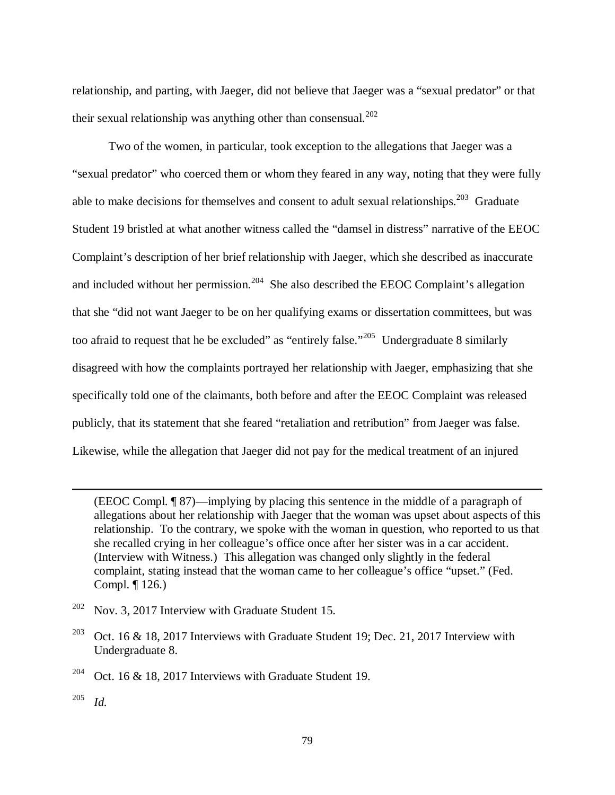relationship, and parting, with Jaeger, did not believe that Jaeger was a "sexual predator" or that their sexual relationship was anything other than consensual.<sup>202</sup>

Two of the women, in particular, took exception to the allegations that Jaeger was a "sexual predator" who coerced them or whom they feared in any way, noting that they were fully able to make decisions for themselves and consent to adult sexual relationships.<sup>203</sup> Graduate Student 19 bristled at what another witness called the "damsel in distress" narrative of the EEOC Complaint's description of her brief relationship with Jaeger, which she described as inaccurate and included without her permission.<sup>204</sup> She also described the EEOC Complaint's allegation that she "did not want Jaeger to be on her qualifying exams or dissertation committees, but was too afraid to request that he be excluded" as "entirely false."<sup>205</sup> Undergraduate 8 similarly disagreed with how the complaints portrayed her relationship with Jaeger, emphasizing that she specifically told one of the claimants, both before and after the EEOC Complaint was released publicly, that its statement that she feared "retaliation and retribution" from Jaeger was false. Likewise, while the allegation that Jaeger did not pay for the medical treatment of an injured

(EEOC Compl. ¶ 87)—implying by placing this sentence in the middle of a paragraph of allegations about her relationship with Jaeger that the woman was upset about aspects of this relationship. To the contrary, we spoke with the woman in question, who reported to us that she recalled crying in her colleague's office once after her sister was in a car accident. (Interview with Witness.) This allegation was changed only slightly in the federal complaint, stating instead that the woman came to her colleague's office "upset." (Fed. Compl. ¶ 126.)

- $202$  Nov. 3, 2017 Interview with Graduate Student 15.
- <sup>203</sup> Oct. 16 & 18, 2017 Interviews with Graduate Student 19; Dec. 21, 2017 Interview with Undergraduate 8.

<sup>204</sup> Oct. 16 & 18, 2017 Interviews with Graduate Student 19.

205 *Id.*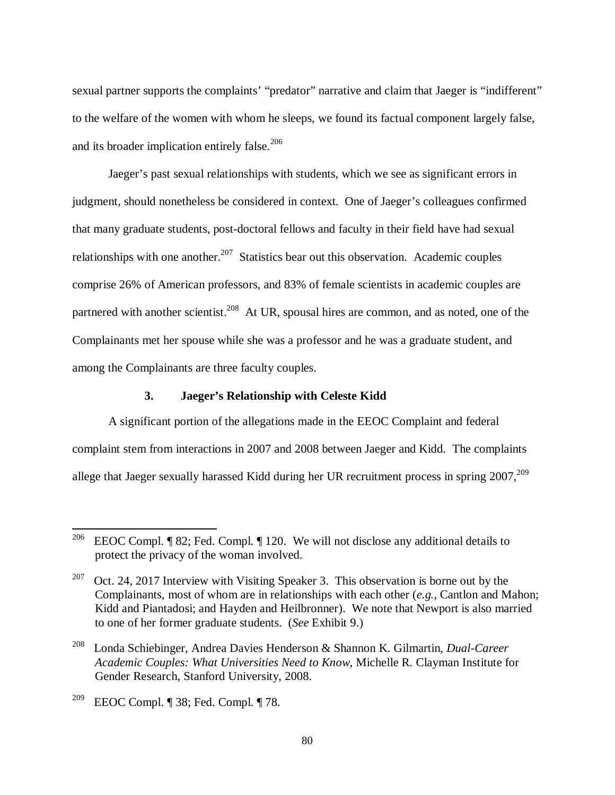sexual partner supports the complaints' "predator" narrative and claim that Jaeger is "indifferent" to the welfare of the women with whom he sleeps, we found its factual component largely false, and its broader implication entirely false. $206$ 

Jaeger's past sexual relationships with students, which we see as significant errors in judgment, should nonetheless be considered in context. One of Jaeger's colleagues confirmed that many graduate students, post-doctoral fellows and faculty in their field have had sexual relationships with one another.<sup>207</sup> Statistics bear out this observation. Academic couples comprise 26% of American professors, and 83% of female scientists in academic couples are partnered with another scientist.<sup>208</sup> At UR, spousal hires are common, and as noted, one of the Complainants met her spouse while she was a professor and he was a graduate student, and among the Complainants are three faculty couples.

### **3. Jaeger's Relationship with Celeste Kidd**

A significant portion of the allegations made in the EEOC Complaint and federal complaint stem from interactions in 2007 and 2008 between Jaeger and Kidd. The complaints allege that Jaeger sexually harassed Kidd during her UR recruitment process in spring  $2007$ <sup>209</sup>

<sup>&</sup>lt;sup>206</sup> EEOC Compl. ¶ 82; Fed. Compl. ¶ 120. We will not disclose any additional details to protect the privacy of the woman involved.

<sup>&</sup>lt;sup>207</sup> Oct. 24, 2017 Interview with Visiting Speaker 3. This observation is borne out by the Complainants, most of whom are in relationships with each other (*e.g.*, Cantlon and Mahon; Kidd and Piantadosi; and Hayden and Heilbronner). We note that Newport is also married to one of her former graduate students. (*See* Exhibit 9.)

<sup>208</sup> Londa Schiebinger, Andrea Davies Henderson & Shannon K. Gilmartin, *Dual-Career Academic Couples: What Universities Need to Know*, Michelle R. Clayman Institute for Gender Research, Stanford University, 2008.

<sup>&</sup>lt;sup>209</sup> EEOC Compl. ¶ 38; Fed. Compl. ¶ 78.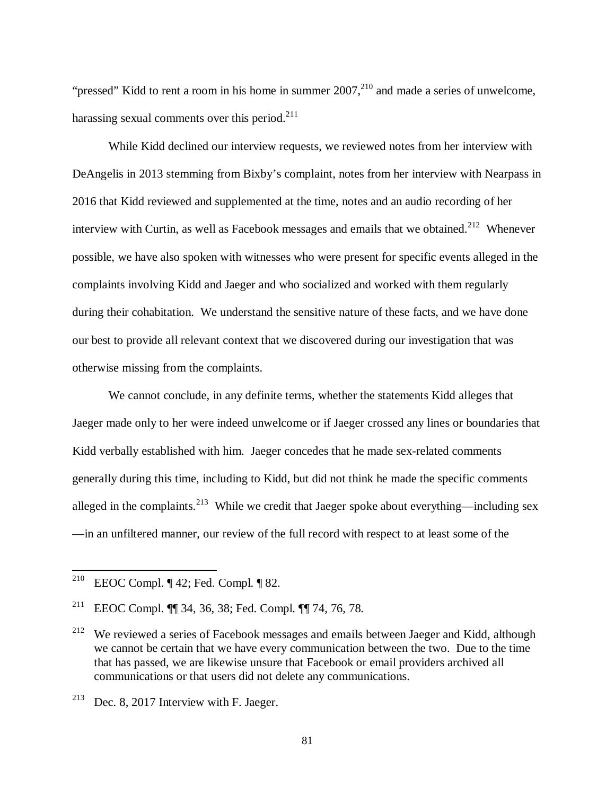"pressed" Kidd to rent a room in his home in summer  $2007$ ,  $^{210}$  and made a series of unwelcome, harassing sexual comments over this period.<sup>211</sup>

While Kidd declined our interview requests, we reviewed notes from her interview with DeAngelis in 2013 stemming from Bixby's complaint, notes from her interview with Nearpass in 2016 that Kidd reviewed and supplemented at the time, notes and an audio recording of her interview with Curtin, as well as Facebook messages and emails that we obtained.<sup>212</sup> Whenever possible, we have also spoken with witnesses who were present for specific events alleged in the complaints involving Kidd and Jaeger and who socialized and worked with them regularly during their cohabitation. We understand the sensitive nature of these facts, and we have done our best to provide all relevant context that we discovered during our investigation that was otherwise missing from the complaints.

We cannot conclude, in any definite terms, whether the statements Kidd alleges that Jaeger made only to her were indeed unwelcome or if Jaeger crossed any lines or boundaries that Kidd verbally established with him. Jaeger concedes that he made sex-related comments generally during this time, including to Kidd, but did not think he made the specific comments alleged in the complaints.<sup>213</sup> While we credit that Jaeger spoke about everything—including sex —in an unfiltered manner, our review of the full record with respect to at least some of the

<sup>&</sup>lt;sup>210</sup> EEOC Compl. ¶ 42; Fed. Compl. ¶ 82.

<sup>211</sup> EEOC Compl. ¶¶ 34, 36, 38; Fed. Compl. ¶¶ 74, 76, 78.

<sup>&</sup>lt;sup>212</sup> We reviewed a series of Facebook messages and emails between Jaeger and Kidd, although we cannot be certain that we have every communication between the two. Due to the time that has passed, we are likewise unsure that Facebook or email providers archived all communications or that users did not delete any communications.

<sup>&</sup>lt;sup>213</sup> Dec. 8, 2017 Interview with F. Jaeger.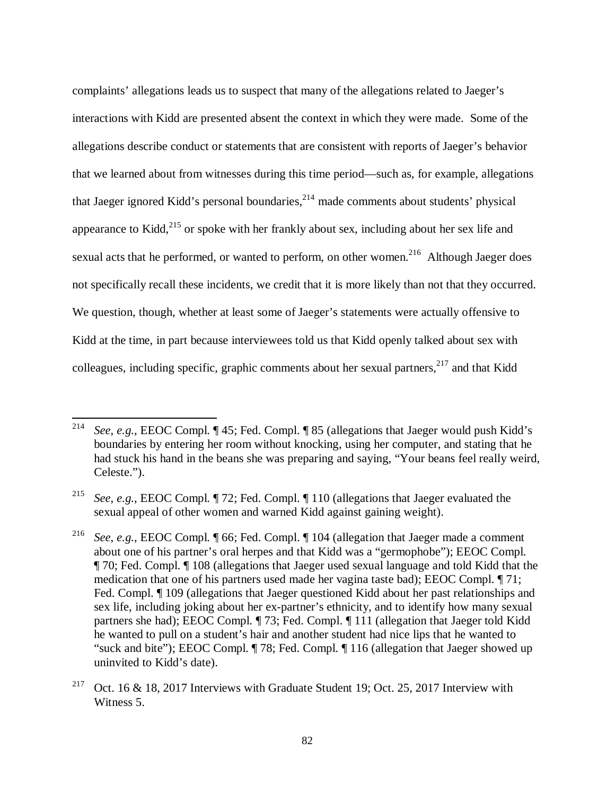complaints' allegations leads us to suspect that many of the allegations related to Jaeger's interactions with Kidd are presented absent the context in which they were made. Some of the allegations describe conduct or statements that are consistent with reports of Jaeger's behavior that we learned about from witnesses during this time period—such as, for example, allegations that Jaeger ignored Kidd's personal boundaries, $2^{14}$  made comments about students' physical appearance to Kidd, $^{215}$  or spoke with her frankly about sex, including about her sex life and sexual acts that he performed, or wanted to perform, on other women.<sup>216</sup> Although Jaeger does not specifically recall these incidents, we credit that it is more likely than not that they occurred. We question, though, whether at least some of Jaeger's statements were actually offensive to Kidd at the time, in part because interviewees told us that Kidd openly talked about sex with colleagues, including specific, graphic comments about her sexual partners,  $217$  and that Kidd

<sup>214</sup> *See*, *e.g.*, EEOC Compl. ¶ 45; Fed. Compl. ¶ 85 (allegations that Jaeger would push Kidd's boundaries by entering her room without knocking, using her computer, and stating that he had stuck his hand in the beans she was preparing and saying, "Your beans feel really weird, Celeste.").

<sup>215</sup> *See*, *e.g.*, EEOC Compl. ¶ 72; Fed. Compl. ¶ 110 (allegations that Jaeger evaluated the sexual appeal of other women and warned Kidd against gaining weight).

<sup>216</sup> *See*, *e.g.*, EEOC Compl. ¶ 66; Fed. Compl. ¶ 104 (allegation that Jaeger made a comment about one of his partner's oral herpes and that Kidd was a "germophobe"); EEOC Compl. ¶ 70; Fed. Compl. ¶ 108 (allegations that Jaeger used sexual language and told Kidd that the medication that one of his partners used made her vagina taste bad); EEOC Compl. ¶ 71; Fed. Compl.  $\P$  109 (allegations that Jaeger questioned Kidd about her past relationships and sex life, including joking about her ex-partner's ethnicity, and to identify how many sexual partners she had); EEOC Compl. ¶ 73; Fed. Compl. ¶ 111 (allegation that Jaeger told Kidd he wanted to pull on a student's hair and another student had nice lips that he wanted to "suck and bite"); EEOC Compl. ¶ 78; Fed. Compl. ¶ 116 (allegation that Jaeger showed up uninvited to Kidd's date).

<sup>&</sup>lt;sup>217</sup> Oct. 16 & 18, 2017 Interviews with Graduate Student 19; Oct. 25, 2017 Interview with Witness 5.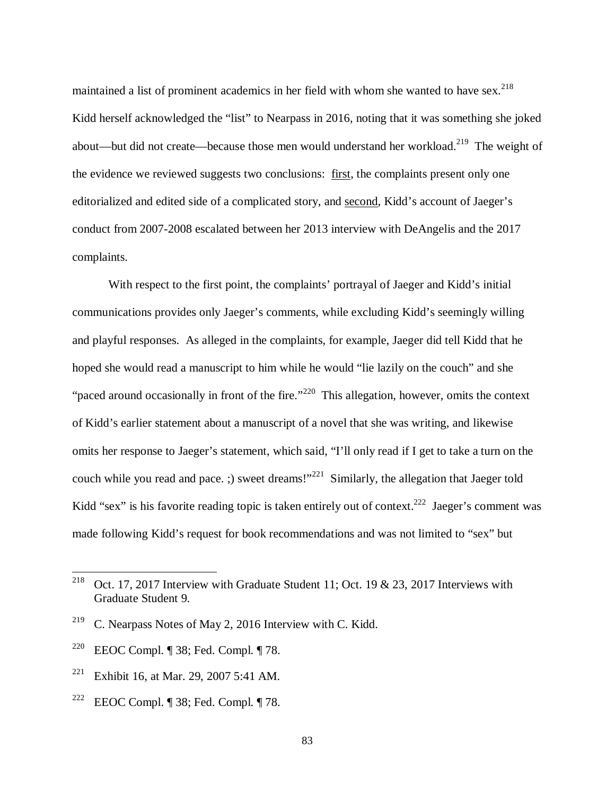maintained a list of prominent academics in her field with whom she wanted to have sex.<sup>218</sup> Kidd herself acknowledged the "list" to Nearpass in 2016, noting that it was something she joked about—but did not create—because those men would understand her workload.<sup>219</sup> The weight of the evidence we reviewed suggests two conclusions: first, the complaints present only one editorialized and edited side of a complicated story, and second, Kidd's account of Jaeger's conduct from 2007-2008 escalated between her 2013 interview with DeAngelis and the 2017 complaints.

With respect to the first point, the complaints' portrayal of Jaeger and Kidd's initial communications provides only Jaeger's comments, while excluding Kidd's seemingly willing and playful responses. As alleged in the complaints, for example, Jaeger did tell Kidd that he hoped she would read a manuscript to him while he would "lie lazily on the couch" and she "paced around occasionally in front of the fire."<sup>220</sup> This allegation, however, omits the context of Kidd's earlier statement about a manuscript of a novel that she was writing, and likewise omits her response to Jaeger's statement, which said, "I'll only read if I get to take a turn on the couch while you read and pace. ;) sweet dreams!"<sup>221</sup> Similarly, the allegation that Jaeger told Kidd "sex" is his favorite reading topic is taken entirely out of context.<sup>222</sup> Jaeger's comment was made following Kidd's request for book recommendations and was not limited to "sex" but

<sup>&</sup>lt;sup>218</sup> Oct. 17, 2017 Interview with Graduate Student 11; Oct. 19 & 23, 2017 Interviews with Graduate Student 9.

<sup>&</sup>lt;sup>219</sup> C. Nearpass Notes of May 2, 2016 Interview with C. Kidd.

<sup>&</sup>lt;sup>220</sup> EEOC Compl. ¶ 38; Fed. Compl. ¶ 78.

<sup>&</sup>lt;sup>221</sup> Exhibit 16, at Mar. 29, 2007 5:41 AM.

<sup>&</sup>lt;sup>222</sup> EEOC Compl. ¶ 38; Fed. Compl. ¶ 78.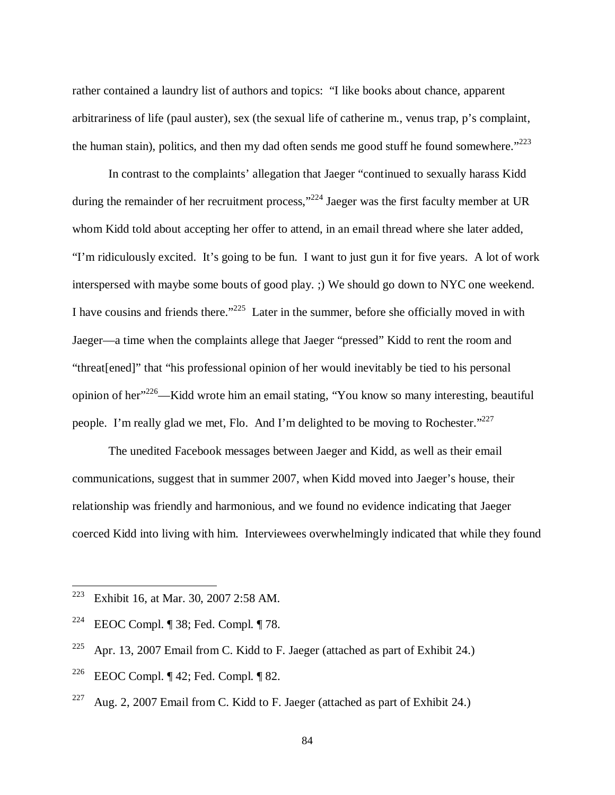rather contained a laundry list of authors and topics: "I like books about chance, apparent arbitrariness of life (paul auster), sex (the sexual life of catherine m., venus trap, p's complaint, the human stain), politics, and then my dad often sends me good stuff he found somewhere." $223$ 

In contrast to the complaints' allegation that Jaeger "continued to sexually harass Kidd during the remainder of her recruitment process,"<sup>224</sup> Jaeger was the first faculty member at UR whom Kidd told about accepting her offer to attend, in an email thread where she later added, "I'm ridiculously excited. It's going to be fun. I want to just gun it for five years. A lot of work interspersed with maybe some bouts of good play. ;) We should go down to NYC one weekend. I have cousins and friends there."<sup>225</sup> Later in the summer, before she officially moved in with Jaeger—a time when the complaints allege that Jaeger "pressed" Kidd to rent the room and "threat[ened]" that "his professional opinion of her would inevitably be tied to his personal opinion of her<sup>"226</sup>—Kidd wrote him an email stating, "You know so many interesting, beautiful people. I'm really glad we met, Flo. And I'm delighted to be moving to Rochester."<sup>227</sup>

The unedited Facebook messages between Jaeger and Kidd, as well as their email communications, suggest that in summer 2007, when Kidd moved into Jaeger's house, their relationship was friendly and harmonious, and we found no evidence indicating that Jaeger coerced Kidd into living with him. Interviewees overwhelmingly indicated that while they found

<sup>223</sup> Exhibit 16, at Mar. 30, 2007 2:58 AM.

<sup>&</sup>lt;sup>224</sup> EEOC Compl. ¶ 38; Fed. Compl. ¶ 78.

<sup>&</sup>lt;sup>225</sup> Apr. 13, 2007 Email from C. Kidd to F. Jaeger (attached as part of Exhibit 24.)

<sup>&</sup>lt;sup>226</sup> EEOC Compl. ¶ 42; Fed. Compl. ¶ 82.

<sup>&</sup>lt;sup>227</sup> Aug. 2, 2007 Email from C. Kidd to F. Jaeger (attached as part of Exhibit 24.)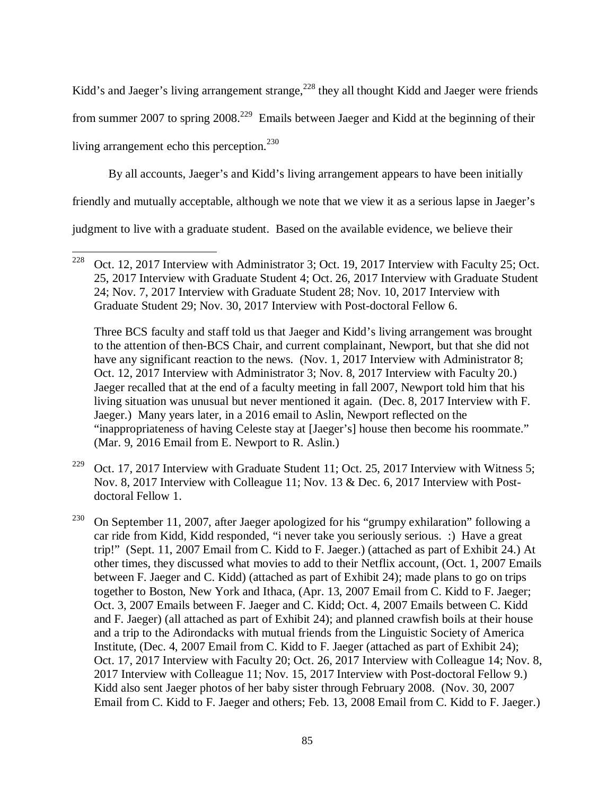Kidd's and Jaeger's living arrangement strange, $^{228}$  they all thought Kidd and Jaeger were friends from summer 2007 to spring  $2008<sup>.229</sup>$  Emails between Jaeger and Kidd at the beginning of their living arrangement echo this perception. $^{230}$ 

By all accounts, Jaeger's and Kidd's living arrangement appears to have been initially

friendly and mutually acceptable, although we note that we view it as a serious lapse in Jaeger's

judgment to live with a graduate student. Based on the available evidence, we believe their

l

 Three BCS faculty and staff told us that Jaeger and Kidd's living arrangement was brought to the attention of then-BCS Chair, and current complainant, Newport, but that she did not have any significant reaction to the news. (Nov. 1, 2017 Interview with Administrator 8; Oct. 12, 2017 Interview with Administrator 3; Nov. 8, 2017 Interview with Faculty 20.) Jaeger recalled that at the end of a faculty meeting in fall 2007, Newport told him that his living situation was unusual but never mentioned it again. (Dec. 8, 2017 Interview with F. Jaeger.) Many years later, in a 2016 email to Aslin, Newport reflected on the "inappropriateness of having Celeste stay at [Jaeger's] house then become his roommate." (Mar. 9, 2016 Email from E. Newport to R. Aslin.)

<sup>229</sup> Oct. 17, 2017 Interview with Graduate Student 11; Oct. 25, 2017 Interview with Witness 5; Nov. 8, 2017 Interview with Colleague 11; Nov. 13 & Dec. 6, 2017 Interview with Postdoctoral Fellow 1.

<sup>230</sup> On September 11, 2007, after Jaeger apologized for his "grumpy exhilaration" following a car ride from Kidd, Kidd responded, "i never take you seriously serious. :) Have a great trip!" (Sept. 11, 2007 Email from C. Kidd to F. Jaeger.) (attached as part of Exhibit 24.) At other times, they discussed what movies to add to their Netflix account, (Oct. 1, 2007 Emails between F. Jaeger and C. Kidd) (attached as part of Exhibit 24); made plans to go on trips together to Boston, New York and Ithaca, (Apr. 13, 2007 Email from C. Kidd to F. Jaeger; Oct. 3, 2007 Emails between F. Jaeger and C. Kidd; Oct. 4, 2007 Emails between C. Kidd and F. Jaeger) (all attached as part of Exhibit 24); and planned crawfish boils at their house and a trip to the Adirondacks with mutual friends from the Linguistic Society of America Institute, (Dec. 4, 2007 Email from C. Kidd to F. Jaeger (attached as part of Exhibit 24); Oct. 17, 2017 Interview with Faculty 20; Oct. 26, 2017 Interview with Colleague 14; Nov. 8, 2017 Interview with Colleague 11; Nov. 15, 2017 Interview with Post-doctoral Fellow 9.) Kidd also sent Jaeger photos of her baby sister through February 2008. (Nov. 30, 2007 Email from C. Kidd to F. Jaeger and others; Feb. 13, 2008 Email from C. Kidd to F. Jaeger.)

<sup>&</sup>lt;sup>228</sup> Oct. 12, 2017 Interview with Administrator 3; Oct. 19, 2017 Interview with Faculty 25; Oct. 25, 2017 Interview with Graduate Student 4; Oct. 26, 2017 Interview with Graduate Student 24; Nov. 7, 2017 Interview with Graduate Student 28; Nov. 10, 2017 Interview with Graduate Student 29; Nov. 30, 2017 Interview with Post-doctoral Fellow 6.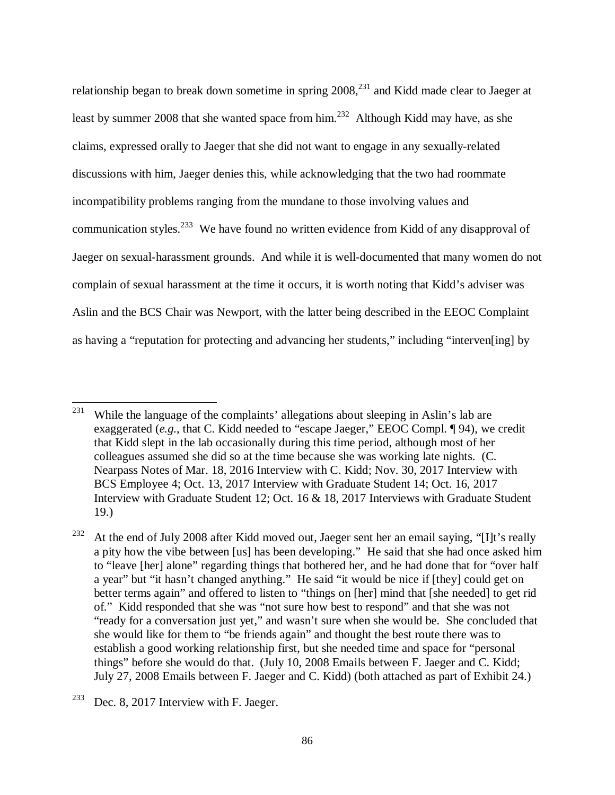relationship began to break down sometime in spring 2008,<sup>231</sup> and Kidd made clear to Jaeger at least by summer 2008 that she wanted space from  $\lim^{232}$  Although Kidd may have, as she claims, expressed orally to Jaeger that she did not want to engage in any sexually-related discussions with him, Jaeger denies this, while acknowledging that the two had roommate incompatibility problems ranging from the mundane to those involving values and communication styles.<sup>233</sup> We have found no written evidence from Kidd of any disapproval of Jaeger on sexual-harassment grounds. And while it is well-documented that many women do not complain of sexual harassment at the time it occurs, it is worth noting that Kidd's adviser was Aslin and the BCS Chair was Newport, with the latter being described in the EEOC Complaint as having a "reputation for protecting and advancing her students," including "interven[ing] by

<sup>&</sup>lt;sup>231</sup> While the language of the complaints' allegations about sleeping in Aslin's lab are exaggerated (*e.g.*, that C. Kidd needed to "escape Jaeger," EEOC Compl. ¶ 94), we credit that Kidd slept in the lab occasionally during this time period, although most of her colleagues assumed she did so at the time because she was working late nights. (C. Nearpass Notes of Mar. 18, 2016 Interview with C. Kidd; Nov. 30, 2017 Interview with BCS Employee 4; Oct. 13, 2017 Interview with Graduate Student 14; Oct. 16, 2017 Interview with Graduate Student 12; Oct. 16 & 18, 2017 Interviews with Graduate Student 19.)

<sup>&</sup>lt;sup>232</sup> At the end of July 2008 after Kidd moved out, Jaeger sent her an email saying, "[I]t's really a pity how the vibe between [us] has been developing." He said that she had once asked him to "leave [her] alone" regarding things that bothered her, and he had done that for "over half a year" but "it hasn't changed anything." He said "it would be nice if [they] could get on better terms again" and offered to listen to "things on [her] mind that [she needed] to get rid of." Kidd responded that she was "not sure how best to respond" and that she was not "ready for a conversation just yet," and wasn't sure when she would be. She concluded that she would like for them to "be friends again" and thought the best route there was to establish a good working relationship first, but she needed time and space for "personal things" before she would do that. (July 10, 2008 Emails between F. Jaeger and C. Kidd; July 27, 2008 Emails between F. Jaeger and C. Kidd) (both attached as part of Exhibit 24.)

<sup>&</sup>lt;sup>233</sup> Dec. 8, 2017 Interview with F. Jaeger.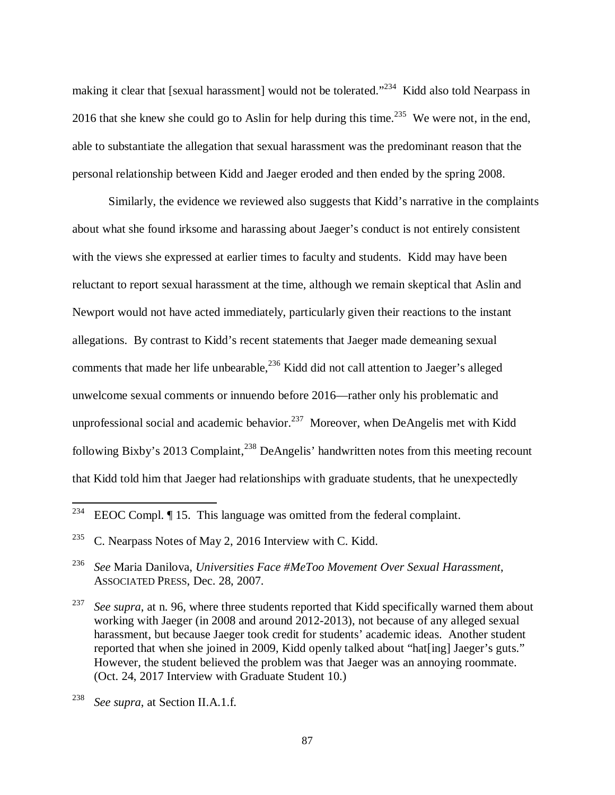making it clear that [sexual harassment] would not be tolerated."<sup>234</sup> Kidd also told Nearpass in 2016 that she knew she could go to Aslin for help during this time.<sup>235</sup> We were not, in the end, able to substantiate the allegation that sexual harassment was the predominant reason that the personal relationship between Kidd and Jaeger eroded and then ended by the spring 2008.

Similarly, the evidence we reviewed also suggests that Kidd's narrative in the complaints about what she found irksome and harassing about Jaeger's conduct is not entirely consistent with the views she expressed at earlier times to faculty and students. Kidd may have been reluctant to report sexual harassment at the time, although we remain skeptical that Aslin and Newport would not have acted immediately, particularly given their reactions to the instant allegations. By contrast to Kidd's recent statements that Jaeger made demeaning sexual comments that made her life unbearable,<sup>236</sup> Kidd did not call attention to Jaeger's alleged unwelcome sexual comments or innuendo before 2016—rather only his problematic and unprofessional social and academic behavior.<sup>237</sup> Moreover, when DeAngelis met with Kidd following Bixby's 2013 Complaint,<sup>238</sup> DeAngelis' handwritten notes from this meeting recount that Kidd told him that Jaeger had relationships with graduate students, that he unexpectedly

<sup>&</sup>lt;sup>234</sup> EEOC Compl.  $\P$  15. This language was omitted from the federal complaint.

<sup>&</sup>lt;sup>235</sup> C. Nearpass Notes of May 2, 2016 Interview with C. Kidd.

<sup>236</sup> *See* Maria Danilova, *Universities Face #MeToo Movement Over Sexual Harassment*, ASSOCIATED PRESS, Dec. 28, 2007.

<sup>237</sup> *See supra*, at n. 96, where three students reported that Kidd specifically warned them about working with Jaeger (in 2008 and around 2012-2013), not because of any alleged sexual harassment, but because Jaeger took credit for students' academic ideas. Another student reported that when she joined in 2009, Kidd openly talked about "hat[ing] Jaeger's guts." However, the student believed the problem was that Jaeger was an annoying roommate. (Oct. 24, 2017 Interview with Graduate Student 10.)

<sup>238</sup> *See supra*, at Section II.A.1.f.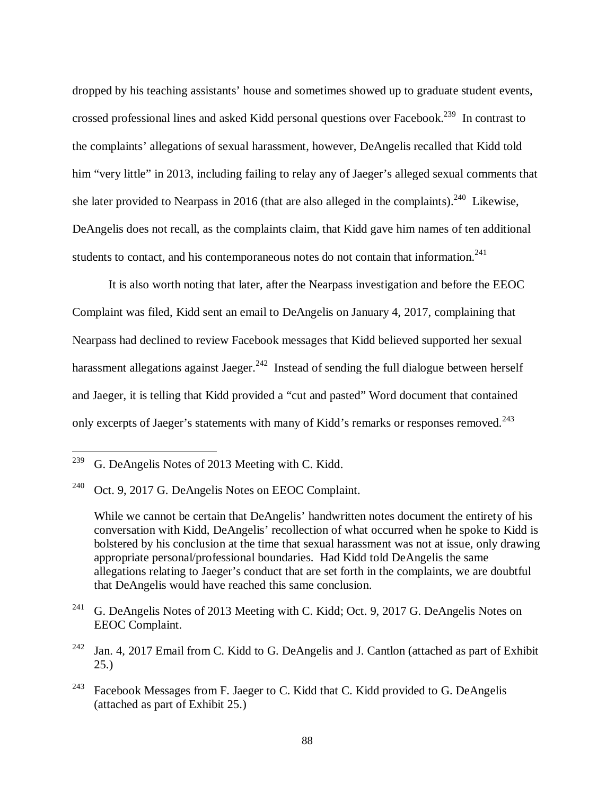dropped by his teaching assistants' house and sometimes showed up to graduate student events, crossed professional lines and asked Kidd personal questions over Facebook.<sup>239</sup> In contrast to the complaints' allegations of sexual harassment, however, DeAngelis recalled that Kidd told him "very little" in 2013, including failing to relay any of Jaeger's alleged sexual comments that she later provided to Nearpass in 2016 (that are also alleged in the complaints).<sup>240</sup> Likewise, DeAngelis does not recall, as the complaints claim, that Kidd gave him names of ten additional students to contact, and his contemporaneous notes do not contain that information. $^{241}$ 

It is also worth noting that later, after the Nearpass investigation and before the EEOC Complaint was filed, Kidd sent an email to DeAngelis on January 4, 2017, complaining that Nearpass had declined to review Facebook messages that Kidd believed supported her sexual harassment allegations against Jaeger.<sup>242</sup> Instead of sending the full dialogue between herself and Jaeger, it is telling that Kidd provided a "cut and pasted" Word document that contained only excerpts of Jaeger's statements with many of Kidd's remarks or responses removed.<sup>243</sup>

- <sup>241</sup> G. DeAngelis Notes of 2013 Meeting with C. Kidd; Oct. 9, 2017 G. DeAngelis Notes on EEOC Complaint.
- <sup>242</sup> Jan. 4, 2017 Email from C. Kidd to G. DeAngelis and J. Cantlon (attached as part of Exhibit 25.)
- $243$  Facebook Messages from F. Jaeger to C. Kidd that C. Kidd provided to G. DeAngelis (attached as part of Exhibit 25.)

<sup>&</sup>lt;sup>239</sup> G. DeAngelis Notes of 2013 Meeting with C. Kidd.

<sup>240</sup> Oct. 9, 2017 G. DeAngelis Notes on EEOC Complaint.

While we cannot be certain that DeAngelis' handwritten notes document the entirety of his conversation with Kidd, DeAngelis' recollection of what occurred when he spoke to Kidd is bolstered by his conclusion at the time that sexual harassment was not at issue, only drawing appropriate personal/professional boundaries. Had Kidd told DeAngelis the same allegations relating to Jaeger's conduct that are set forth in the complaints, we are doubtful that DeAngelis would have reached this same conclusion.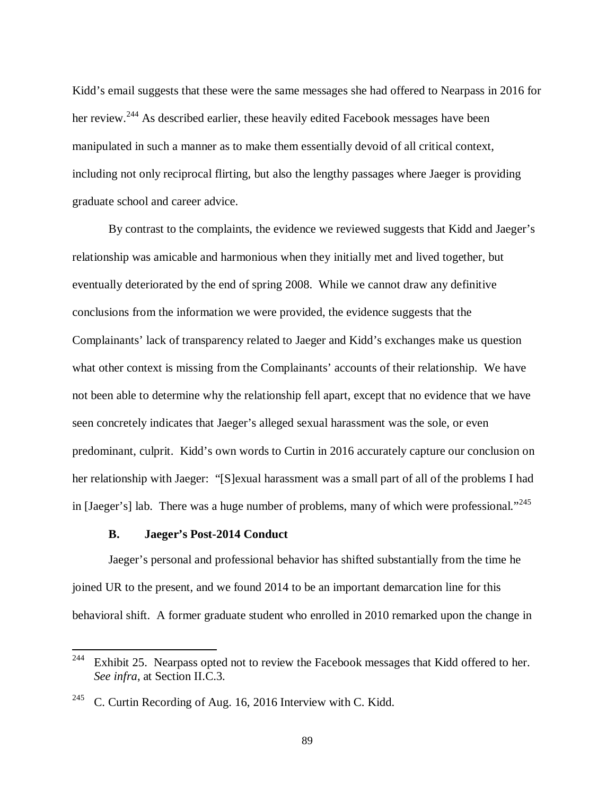Kidd's email suggests that these were the same messages she had offered to Nearpass in 2016 for her review.<sup>244</sup> As described earlier, these heavily edited Facebook messages have been manipulated in such a manner as to make them essentially devoid of all critical context, including not only reciprocal flirting, but also the lengthy passages where Jaeger is providing graduate school and career advice.

By contrast to the complaints, the evidence we reviewed suggests that Kidd and Jaeger's relationship was amicable and harmonious when they initially met and lived together, but eventually deteriorated by the end of spring 2008. While we cannot draw any definitive conclusions from the information we were provided, the evidence suggests that the Complainants' lack of transparency related to Jaeger and Kidd's exchanges make us question what other context is missing from the Complainants' accounts of their relationship. We have not been able to determine why the relationship fell apart, except that no evidence that we have seen concretely indicates that Jaeger's alleged sexual harassment was the sole, or even predominant, culprit. Kidd's own words to Curtin in 2016 accurately capture our conclusion on her relationship with Jaeger: "[S]exual harassment was a small part of all of the problems I had in [Jaeger's] lab. There was a huge number of problems, many of which were professional."<sup>245</sup>

## **B. Jaeger's Post-2014 Conduct**

 $\overline{a}$ 

Jaeger's personal and professional behavior has shifted substantially from the time he joined UR to the present, and we found 2014 to be an important demarcation line for this behavioral shift. A former graduate student who enrolled in 2010 remarked upon the change in

<sup>&</sup>lt;sup>244</sup> Exhibit 25. Nearpass opted not to review the Facebook messages that Kidd offered to her. *See infra*, at Section II.C.3.

<sup>&</sup>lt;sup>245</sup> C. Curtin Recording of Aug. 16, 2016 Interview with C. Kidd.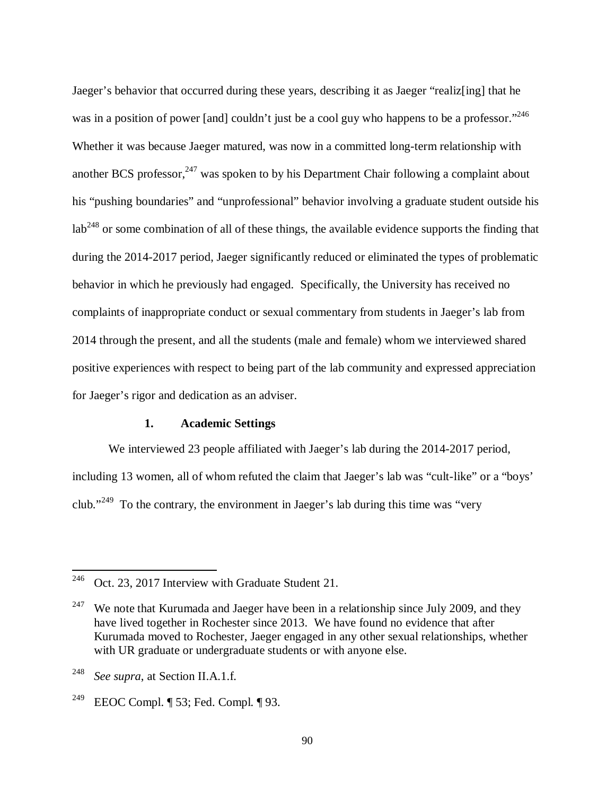Jaeger's behavior that occurred during these years, describing it as Jaeger "realiz[ing] that he was in a position of power [and] couldn't just be a cool guy who happens to be a professor."<sup>246</sup> Whether it was because Jaeger matured, was now in a committed long-term relationship with another BCS professor,  $247$  was spoken to by his Department Chair following a complaint about his "pushing boundaries" and "unprofessional" behavior involving a graduate student outside his  $\text{lab}^{248}$  or some combination of all of these things, the available evidence supports the finding that during the 2014-2017 period, Jaeger significantly reduced or eliminated the types of problematic behavior in which he previously had engaged. Specifically, the University has received no complaints of inappropriate conduct or sexual commentary from students in Jaeger's lab from 2014 through the present, and all the students (male and female) whom we interviewed shared positive experiences with respect to being part of the lab community and expressed appreciation for Jaeger's rigor and dedication as an adviser.

## **1. Academic Settings**

We interviewed 23 people affiliated with Jaeger's lab during the 2014-2017 period, including 13 women, all of whom refuted the claim that Jaeger's lab was "cult-like" or a "boys' club."<sup>249</sup> To the contrary, the environment in Jaeger's lab during this time was "very

<sup>246</sup> Oct. 23, 2017 Interview with Graduate Student 21.

<sup>&</sup>lt;sup>247</sup> We note that Kurumada and Jaeger have been in a relationship since July 2009, and they have lived together in Rochester since 2013. We have found no evidence that after Kurumada moved to Rochester, Jaeger engaged in any other sexual relationships, whether with UR graduate or undergraduate students or with anyone else.

<sup>248</sup> *See supra*, at Section II.A.1.f.

<sup>&</sup>lt;sup>249</sup> EEOC Compl. ¶ 53; Fed. Compl. ¶ 93.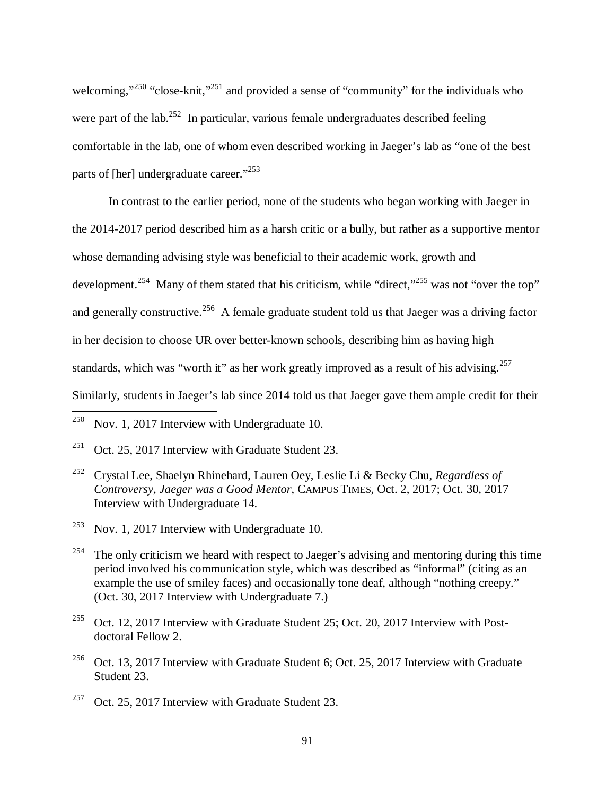welcoming,"<sup>250</sup> "close-knit,"<sup>251</sup> and provided a sense of "community" for the individuals who were part of the lab.<sup>252</sup> In particular, various female undergraduates described feeling comfortable in the lab, one of whom even described working in Jaeger's lab as "one of the best parts of [her] undergraduate career."<sup>253</sup>

In contrast to the earlier period, none of the students who began working with Jaeger in the 2014-2017 period described him as a harsh critic or a bully, but rather as a supportive mentor whose demanding advising style was beneficial to their academic work, growth and development.<sup>254</sup> Many of them stated that his criticism, while "direct,"<sup>255</sup> was not "over the top" and generally constructive.<sup>256</sup> A female graduate student told us that Jaeger was a driving factor in her decision to choose UR over better-known schools, describing him as having high standards, which was "worth it" as her work greatly improved as a result of his advising.<sup>257</sup> Similarly, students in Jaeger's lab since 2014 told us that Jaeger gave them ample credit for their l

- <sup>252</sup> Crystal Lee, Shaelyn Rhinehard, Lauren Oey, Leslie Li & Becky Chu, *Regardless of Controversy, Jaeger was a Good Mentor*, CAMPUS TIMES, Oct. 2, 2017; Oct. 30, 2017 Interview with Undergraduate 14.
- $253$  Nov. 1, 2017 Interview with Undergraduate 10.
- <sup>254</sup> The only criticism we heard with respect to Jaeger's advising and mentoring during this time period involved his communication style, which was described as "informal" (citing as an example the use of smiley faces) and occasionally tone deaf, although "nothing creepy." (Oct. 30, 2017 Interview with Undergraduate 7.)
- <sup>255</sup> Oct. 12, 2017 Interview with Graduate Student 25; Oct. 20, 2017 Interview with Postdoctoral Fellow 2.
- <sup>256</sup> Oct. 13, 2017 Interview with Graduate Student 6; Oct. 25, 2017 Interview with Graduate Student 23.
- <sup>257</sup> Oct. 25, 2017 Interview with Graduate Student 23.

<sup>&</sup>lt;sup>250</sup> Nov. 1, 2017 Interview with Undergraduate 10.

<sup>&</sup>lt;sup>251</sup> Oct. 25, 2017 Interview with Graduate Student 23.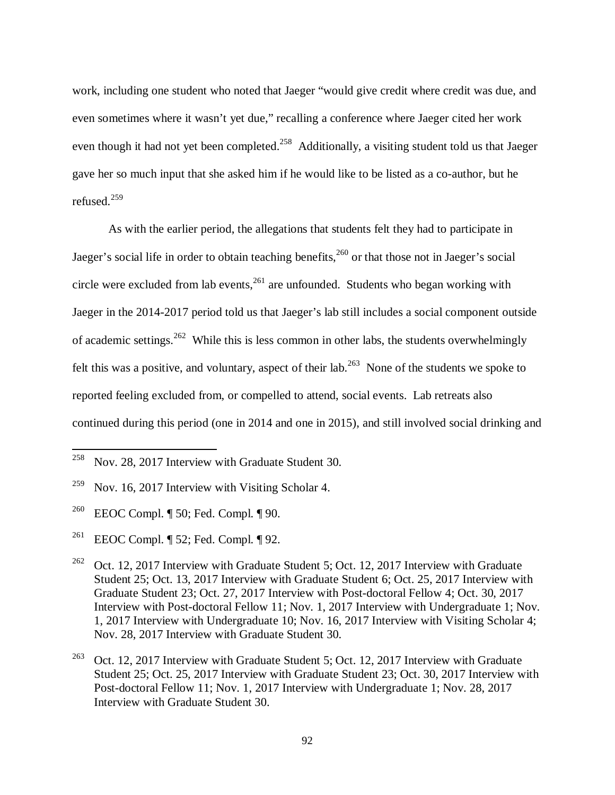work, including one student who noted that Jaeger "would give credit where credit was due, and even sometimes where it wasn't yet due," recalling a conference where Jaeger cited her work even though it had not yet been completed.<sup>258</sup> Additionally, a visiting student told us that Jaeger gave her so much input that she asked him if he would like to be listed as a co-author, but he refused.<sup>259</sup>

As with the earlier period, the allegations that students felt they had to participate in Jaeger's social life in order to obtain teaching benefits,<sup>260</sup> or that those not in Jaeger's social circle were excluded from lab events,  $261$  are unfounded. Students who began working with Jaeger in the 2014-2017 period told us that Jaeger's lab still includes a social component outside of academic settings.<sup>262</sup> While this is less common in other labs, the students overwhelmingly felt this was a positive, and voluntary, aspect of their lab.<sup>263</sup> None of the students we spoke to reported feeling excluded from, or compelled to attend, social events. Lab retreats also continued during this period (one in 2014 and one in 2015), and still involved social drinking and

<sup>260</sup> EEOC Compl. ¶ 50; Fed. Compl. ¶ 90.

l

<sup>261</sup> EEOC Compl. ¶ 52; Fed. Compl. ¶ 92.

<sup>&</sup>lt;sup>258</sup> Nov. 28, 2017 Interview with Graduate Student 30.

<sup>&</sup>lt;sup>259</sup> Nov. 16, 2017 Interview with Visiting Scholar 4.

<sup>&</sup>lt;sup>262</sup> Oct. 12, 2017 Interview with Graduate Student 5; Oct. 12, 2017 Interview with Graduate Student 25; Oct. 13, 2017 Interview with Graduate Student 6; Oct. 25, 2017 Interview with Graduate Student 23; Oct. 27, 2017 Interview with Post-doctoral Fellow 4; Oct. 30, 2017 Interview with Post-doctoral Fellow 11; Nov. 1, 2017 Interview with Undergraduate 1; Nov. 1, 2017 Interview with Undergraduate 10; Nov. 16, 2017 Interview with Visiting Scholar 4; Nov. 28, 2017 Interview with Graduate Student 30.

<sup>&</sup>lt;sup>263</sup> Oct. 12, 2017 Interview with Graduate Student 5; Oct. 12, 2017 Interview with Graduate Student 25; Oct. 25, 2017 Interview with Graduate Student 23; Oct. 30, 2017 Interview with Post-doctoral Fellow 11; Nov. 1, 2017 Interview with Undergraduate 1; Nov. 28, 2017 Interview with Graduate Student 30.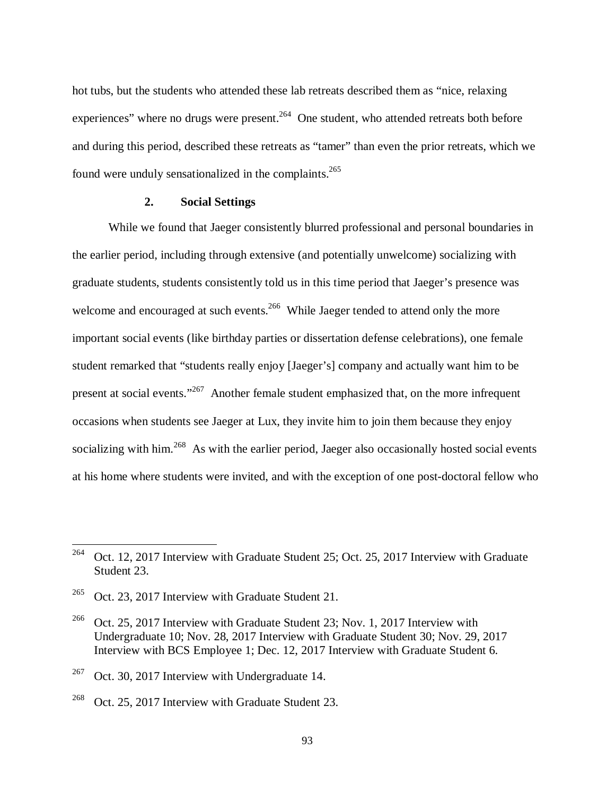hot tubs, but the students who attended these lab retreats described them as "nice, relaxing experiences" where no drugs were present.<sup>264</sup> One student, who attended retreats both before and during this period, described these retreats as "tamer" than even the prior retreats, which we found were unduly sensationalized in the complaints.<sup>265</sup>

## **2. Social Settings**

While we found that Jaeger consistently blurred professional and personal boundaries in the earlier period, including through extensive (and potentially unwelcome) socializing with graduate students, students consistently told us in this time period that Jaeger's presence was welcome and encouraged at such events.<sup>266</sup> While Jaeger tended to attend only the more important social events (like birthday parties or dissertation defense celebrations), one female student remarked that "students really enjoy [Jaeger's] company and actually want him to be present at social events."<sup>267</sup> Another female student emphasized that, on the more infrequent occasions when students see Jaeger at Lux, they invite him to join them because they enjoy socializing with him.<sup>268</sup> As with the earlier period, Jaeger also occasionally hosted social events at his home where students were invited, and with the exception of one post-doctoral fellow who

<sup>&</sup>lt;sup>264</sup> Oct. 12, 2017 Interview with Graduate Student 25; Oct. 25, 2017 Interview with Graduate Student 23.

<sup>&</sup>lt;sup>265</sup> Oct. 23, 2017 Interview with Graduate Student 21.

<sup>&</sup>lt;sup>266</sup> Oct. 25, 2017 Interview with Graduate Student 23; Nov. 1, 2017 Interview with Undergraduate 10; Nov. 28, 2017 Interview with Graduate Student 30; Nov. 29, 2017 Interview with BCS Employee 1; Dec. 12, 2017 Interview with Graduate Student 6.

<sup>&</sup>lt;sup>267</sup> Oct. 30, 2017 Interview with Undergraduate 14.

<sup>&</sup>lt;sup>268</sup> Oct. 25, 2017 Interview with Graduate Student 23.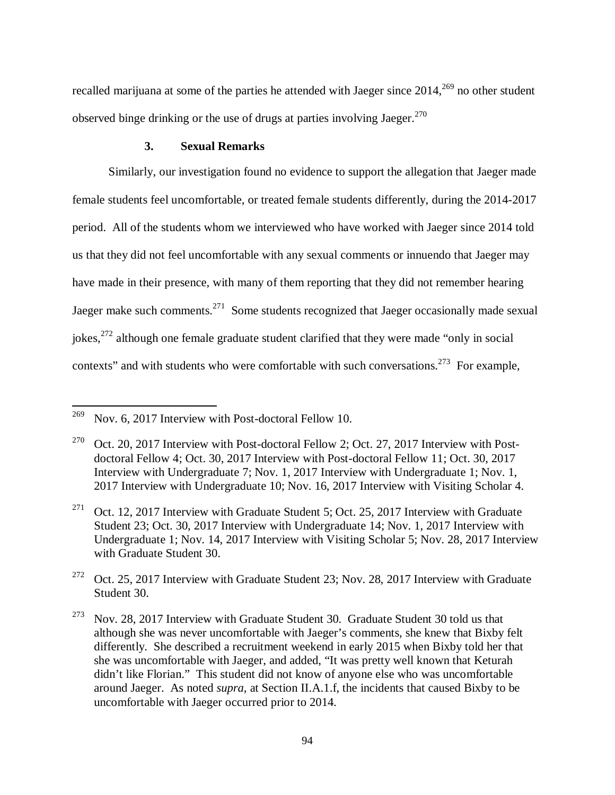recalled marijuana at some of the parties he attended with Jaeger since 2014,<sup>269</sup> no other student observed binge drinking or the use of drugs at parties involving Jaeger. $^{270}$ 

#### **3. Sexual Remarks**

Similarly, our investigation found no evidence to support the allegation that Jaeger made female students feel uncomfortable, or treated female students differently, during the 2014-2017 period. All of the students whom we interviewed who have worked with Jaeger since 2014 told us that they did not feel uncomfortable with any sexual comments or innuendo that Jaeger may have made in their presence, with many of them reporting that they did not remember hearing Jaeger make such comments.<sup>271</sup> Some students recognized that Jaeger occasionally made sexual jokes,  $272$  although one female graduate student clarified that they were made "only in social" contexts" and with students who were comfortable with such conversations.<sup>273</sup> For example,

<sup>&</sup>lt;sup>269</sup> Nov. 6, 2017 Interview with Post-doctoral Fellow 10.

<sup>&</sup>lt;sup>270</sup> Oct. 20, 2017 Interview with Post-doctoral Fellow 2; Oct. 27, 2017 Interview with Postdoctoral Fellow 4; Oct. 30, 2017 Interview with Post-doctoral Fellow 11; Oct. 30, 2017 Interview with Undergraduate 7; Nov. 1, 2017 Interview with Undergraduate 1; Nov. 1, 2017 Interview with Undergraduate 10; Nov. 16, 2017 Interview with Visiting Scholar 4.

<sup>&</sup>lt;sup>271</sup> Oct. 12, 2017 Interview with Graduate Student 5; Oct. 25, 2017 Interview with Graduate Student 23; Oct. 30, 2017 Interview with Undergraduate 14; Nov. 1, 2017 Interview with Undergraduate 1; Nov. 14, 2017 Interview with Visiting Scholar 5; Nov. 28, 2017 Interview with Graduate Student 30.

<sup>&</sup>lt;sup>272</sup> Oct. 25, 2017 Interview with Graduate Student 23; Nov. 28, 2017 Interview with Graduate Student 30.

 $273$  Nov. 28, 2017 Interview with Graduate Student 30. Graduate Student 30 told us that although she was never uncomfortable with Jaeger's comments, she knew that Bixby felt differently. She described a recruitment weekend in early 2015 when Bixby told her that she was uncomfortable with Jaeger, and added, "It was pretty well known that Keturah didn't like Florian." This student did not know of anyone else who was uncomfortable around Jaeger. As noted *supra*, at Section II.A.1.f, the incidents that caused Bixby to be uncomfortable with Jaeger occurred prior to 2014.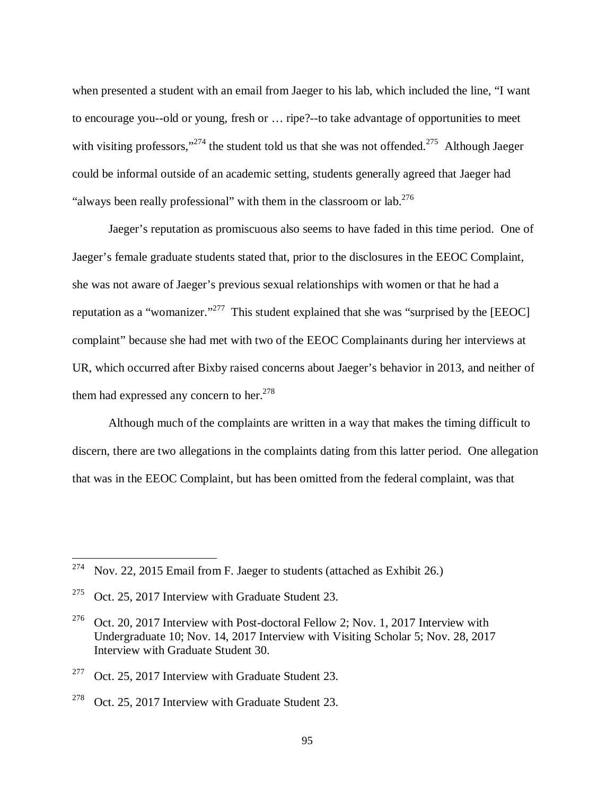when presented a student with an email from Jaeger to his lab, which included the line, "I want to encourage you--old or young, fresh or … ripe?--to take advantage of opportunities to meet with visiting professors,"<sup>274</sup> the student told us that she was not offended.<sup>275</sup> Although Jaeger could be informal outside of an academic setting, students generally agreed that Jaeger had "always been really professional" with them in the classroom or lab.  $276$ 

Jaeger's reputation as promiscuous also seems to have faded in this time period. One of Jaeger's female graduate students stated that, prior to the disclosures in the EEOC Complaint, she was not aware of Jaeger's previous sexual relationships with women or that he had a reputation as a "womanizer."<sup>277</sup> This student explained that she was "surprised by the [EEOC] complaint" because she had met with two of the EEOC Complainants during her interviews at UR, which occurred after Bixby raised concerns about Jaeger's behavior in 2013, and neither of them had expressed any concern to her. $278$ 

Although much of the complaints are written in a way that makes the timing difficult to discern, there are two allegations in the complaints dating from this latter period. One allegation that was in the EEOC Complaint, but has been omitted from the federal complaint, was that

<sup>&</sup>lt;sup>274</sup> Nov. 22, 2015 Email from F. Jaeger to students (attached as Exhibit 26.)

<sup>&</sup>lt;sup>275</sup> Oct. 25, 2017 Interview with Graduate Student 23.

<sup>&</sup>lt;sup>276</sup> Oct. 20, 2017 Interview with Post-doctoral Fellow 2; Nov. 1, 2017 Interview with Undergraduate 10; Nov. 14, 2017 Interview with Visiting Scholar 5; Nov. 28, 2017 Interview with Graduate Student 30.

<sup>&</sup>lt;sup>277</sup> Oct. 25, 2017 Interview with Graduate Student 23.

<sup>&</sup>lt;sup>278</sup> Oct. 25, 2017 Interview with Graduate Student 23.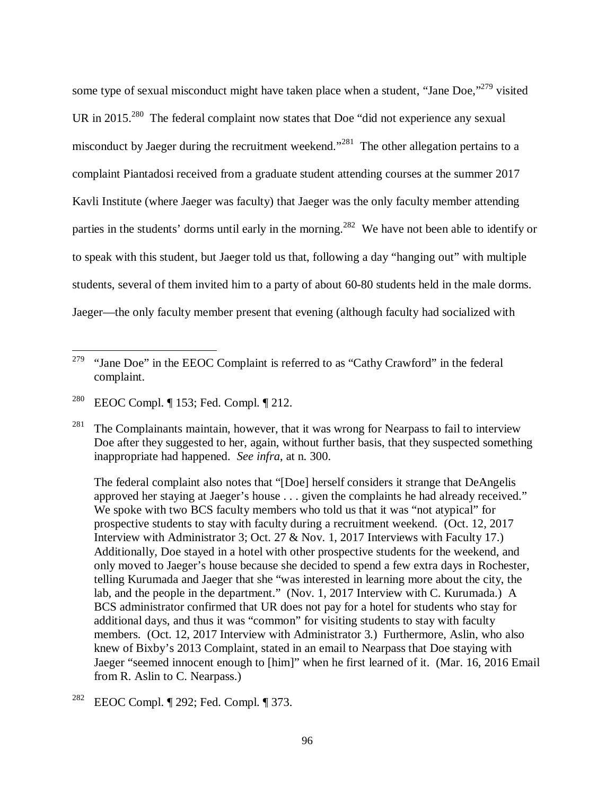some type of sexual misconduct might have taken place when a student, "Jane Doe,"<sup>279</sup> visited UR in 2015.<sup>280</sup> The federal complaint now states that Doe "did not experience any sexual misconduct by Jaeger during the recruitment weekend."<sup>281</sup> The other allegation pertains to a complaint Piantadosi received from a graduate student attending courses at the summer 2017 Kavli Institute (where Jaeger was faculty) that Jaeger was the only faculty member attending parties in the students' dorms until early in the morning.<sup>282</sup> We have not been able to identify or to speak with this student, but Jaeger told us that, following a day "hanging out" with multiple students, several of them invited him to a party of about 60-80 students held in the male dorms. Jaeger—the only faculty member present that evening (although faculty had socialized with

 $\overline{a}$ 

 The federal complaint also notes that "[Doe] herself considers it strange that DeAngelis approved her staying at Jaeger's house . . . given the complaints he had already received." We spoke with two BCS faculty members who told us that it was "not atypical" for prospective students to stay with faculty during a recruitment weekend. (Oct. 12, 2017 Interview with Administrator 3; Oct. 27 & Nov. 1, 2017 Interviews with Faculty 17.) Additionally, Doe stayed in a hotel with other prospective students for the weekend, and only moved to Jaeger's house because she decided to spend a few extra days in Rochester, telling Kurumada and Jaeger that she "was interested in learning more about the city, the lab, and the people in the department." (Nov. 1, 2017 Interview with C. Kurumada.) A BCS administrator confirmed that UR does not pay for a hotel for students who stay for additional days, and thus it was "common" for visiting students to stay with faculty members. (Oct. 12, 2017 Interview with Administrator 3.) Furthermore, Aslin, who also knew of Bixby's 2013 Complaint, stated in an email to Nearpass that Doe staying with Jaeger "seemed innocent enough to [him]" when he first learned of it. (Mar. 16, 2016 Email from R. Aslin to C. Nearpass.)

<sup>&</sup>lt;sup>279</sup> "Jane Doe" in the EEOC Complaint is referred to as "Cathy Crawford" in the federal complaint.

<sup>280</sup> EEOC Compl. ¶ 153; Fed. Compl. ¶ 212.

<sup>&</sup>lt;sup>281</sup> The Complainants maintain, however, that it was wrong for Nearpass to fail to interview Doe after they suggested to her, again, without further basis, that they suspected something inappropriate had happened. *See infra*, at n. 300.

<sup>282</sup> EEOC Compl. ¶ 292; Fed. Compl. ¶ 373.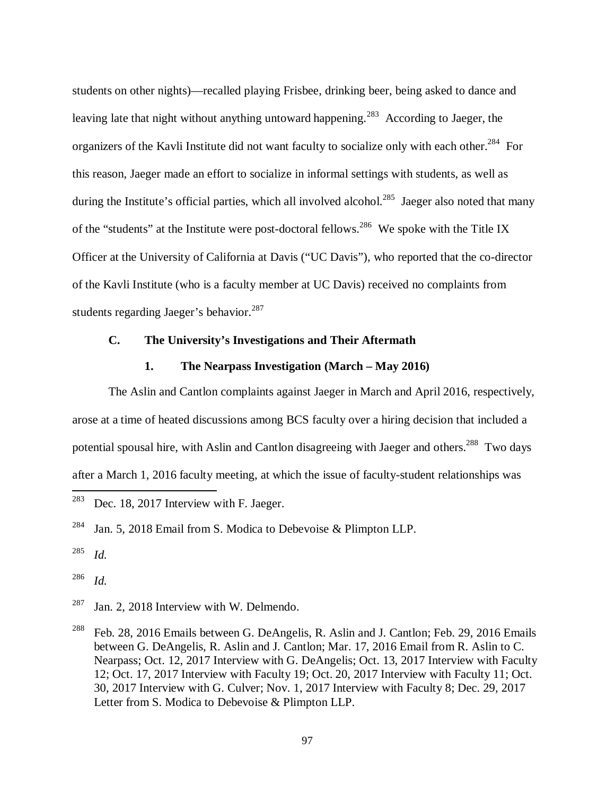students on other nights)—recalled playing Frisbee, drinking beer, being asked to dance and leaving late that night without anything untoward happening.<sup>283</sup> According to Jaeger, the organizers of the Kavli Institute did not want faculty to socialize only with each other.<sup>284</sup> For this reason, Jaeger made an effort to socialize in informal settings with students, as well as during the Institute's official parties, which all involved alcohol.<sup>285</sup> Jaeger also noted that many of the "students" at the Institute were post-doctoral fellows.<sup>286</sup> We spoke with the Title IX Officer at the University of California at Davis ("UC Davis"), who reported that the co-director of the Kavli Institute (who is a faculty member at UC Davis) received no complaints from students regarding Jaeger's behavior.<sup>287</sup>

# **C. The University's Investigations and Their Aftermath**

#### **1. The Nearpass Investigation (March – May 2016)**

 The Aslin and Cantlon complaints against Jaeger in March and April 2016, respectively, arose at a time of heated discussions among BCS faculty over a hiring decision that included a potential spousal hire, with Aslin and Cantlon disagreeing with Jaeger and others.<sup>288</sup> Two days after a March 1, 2016 faculty meeting, at which the issue of faculty-student relationships was l

286 *Id.*

 $287$  Jan. 2, 2018 Interview with W. Delmendo.

<sup>288</sup> Feb. 28, 2016 Emails between G. DeAngelis, R. Aslin and J. Cantlon; Feb. 29, 2016 Emails between G. DeAngelis, R. Aslin and J. Cantlon; Mar. 17, 2016 Email from R. Aslin to C. Nearpass; Oct. 12, 2017 Interview with G. DeAngelis; Oct. 13, 2017 Interview with Faculty 12; Oct. 17, 2017 Interview with Faculty 19; Oct. 20, 2017 Interview with Faculty 11; Oct. 30, 2017 Interview with G. Culver; Nov. 1, 2017 Interview with Faculty 8; Dec. 29, 2017 Letter from S. Modica to Debevoise & Plimpton LLP.

 $283$  Dec. 18, 2017 Interview with F. Jaeger.

<sup>&</sup>lt;sup>284</sup> Jan. 5, 2018 Email from S. Modica to Debevoise & Plimpton LLP.

<sup>285</sup> *Id.*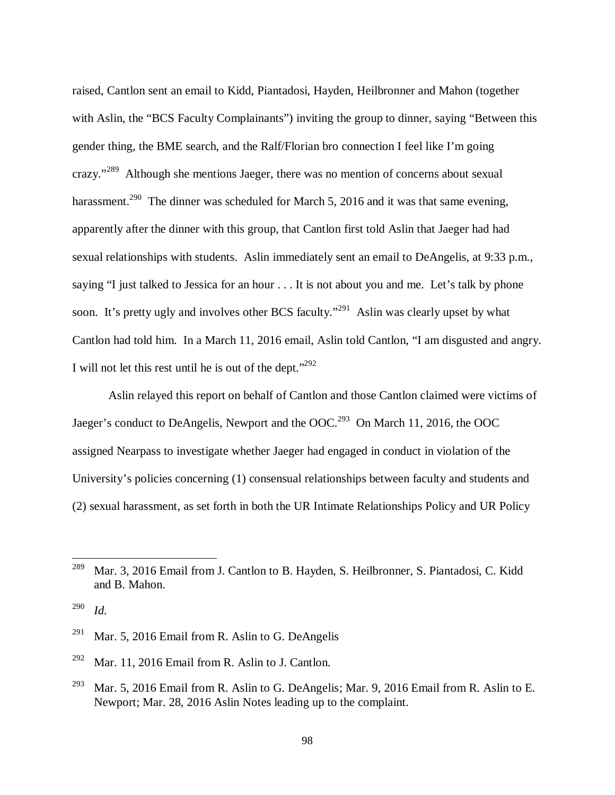raised, Cantlon sent an email to Kidd, Piantadosi, Hayden, Heilbronner and Mahon (together with Aslin, the "BCS Faculty Complainants") inviting the group to dinner, saying "Between this gender thing, the BME search, and the Ralf/Florian bro connection I feel like I'm going crazy."<sup>289</sup> Although she mentions Jaeger, there was no mention of concerns about sexual harassment.<sup>290</sup> The dinner was scheduled for March 5, 2016 and it was that same evening, apparently after the dinner with this group, that Cantlon first told Aslin that Jaeger had had sexual relationships with students. Aslin immediately sent an email to DeAngelis, at 9:33 p.m., saying "I just talked to Jessica for an hour . . . It is not about you and me. Let's talk by phone soon. It's pretty ugly and involves other BCS faculty."<sup>291</sup> Aslin was clearly upset by what Cantlon had told him. In a March 11, 2016 email, Aslin told Cantlon, "I am disgusted and angry. I will not let this rest until he is out of the dept." $292$ 

 Aslin relayed this report on behalf of Cantlon and those Cantlon claimed were victims of Jaeger's conduct to DeAngelis, Newport and the OOC.<sup>293</sup> On March 11, 2016, the OOC assigned Nearpass to investigate whether Jaeger had engaged in conduct in violation of the University's policies concerning (1) consensual relationships between faculty and students and (2) sexual harassment, as set forth in both the UR Intimate Relationships Policy and UR Policy

<sup>&</sup>lt;sup>289</sup> Mar. 3, 2016 Email from J. Cantlon to B. Hayden, S. Heilbronner, S. Piantadosi, C. Kidd and B. Mahon.

<sup>290</sup> *Id.*

<sup>&</sup>lt;sup>291</sup> Mar. 5, 2016 Email from R. Aslin to G. DeAngelis

<sup>&</sup>lt;sup>292</sup> Mar. 11, 2016 Email from R. Aslin to J. Cantlon.

<sup>&</sup>lt;sup>293</sup> Mar. 5, 2016 Email from R. Aslin to G. DeAngelis; Mar. 9, 2016 Email from R. Aslin to E. Newport; Mar. 28, 2016 Aslin Notes leading up to the complaint.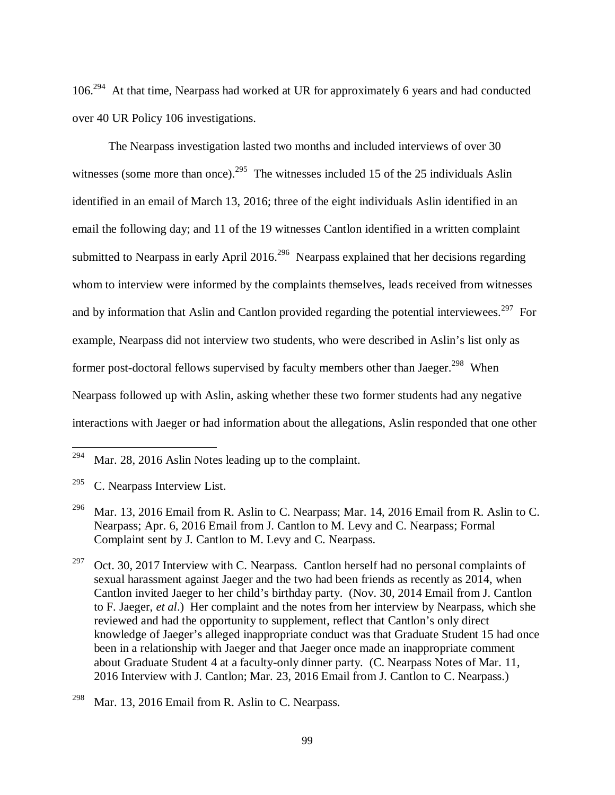106.<sup>294</sup> At that time, Nearpass had worked at UR for approximately 6 years and had conducted over 40 UR Policy 106 investigations.

 The Nearpass investigation lasted two months and included interviews of over 30 witnesses (some more than once).<sup>295</sup> The witnesses included 15 of the 25 individuals Aslin identified in an email of March 13, 2016; three of the eight individuals Aslin identified in an email the following day; and 11 of the 19 witnesses Cantlon identified in a written complaint submitted to Nearpass in early April 2016.<sup>296</sup> Nearpass explained that her decisions regarding whom to interview were informed by the complaints themselves, leads received from witnesses and by information that Aslin and Cantlon provided regarding the potential interviewees.<sup>297</sup> For example, Nearpass did not interview two students, who were described in Aslin's list only as former post-doctoral fellows supervised by faculty members other than Jaeger.<sup>298</sup> When Nearpass followed up with Aslin, asking whether these two former students had any negative interactions with Jaeger or had information about the allegations, Aslin responded that one other

l

<sup>297</sup> Oct. 30, 2017 Interview with C. Nearpass. Cantlon herself had no personal complaints of sexual harassment against Jaeger and the two had been friends as recently as 2014, when Cantlon invited Jaeger to her child's birthday party. (Nov. 30, 2014 Email from J. Cantlon to F. Jaeger, *et al*.) Her complaint and the notes from her interview by Nearpass, which she reviewed and had the opportunity to supplement, reflect that Cantlon's only direct knowledge of Jaeger's alleged inappropriate conduct was that Graduate Student 15 had once been in a relationship with Jaeger and that Jaeger once made an inappropriate comment about Graduate Student 4 at a faculty-only dinner party. (C. Nearpass Notes of Mar. 11, 2016 Interview with J. Cantlon; Mar. 23, 2016 Email from J. Cantlon to C. Nearpass.)

 $294$  Mar. 28, 2016 Aslin Notes leading up to the complaint.

 $295$  C. Nearpass Interview List.

<sup>&</sup>lt;sup>296</sup> Mar. 13, 2016 Email from R. Aslin to C. Nearpass; Mar. 14, 2016 Email from R. Aslin to C. Nearpass; Apr. 6, 2016 Email from J. Cantlon to M. Levy and C. Nearpass; Formal Complaint sent by J. Cantlon to M. Levy and C. Nearpass.

<sup>&</sup>lt;sup>298</sup> Mar. 13, 2016 Email from R. Aslin to C. Nearpass.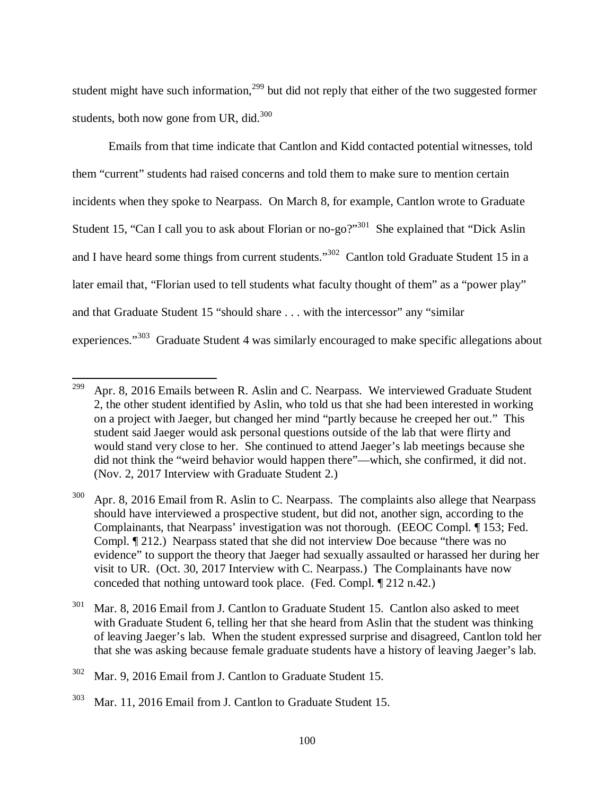student might have such information,  $299$  but did not reply that either of the two suggested former students, both now gone from UR, did. $300$ 

 Emails from that time indicate that Cantlon and Kidd contacted potential witnesses, told them "current" students had raised concerns and told them to make sure to mention certain incidents when they spoke to Nearpass. On March 8, for example, Cantlon wrote to Graduate Student 15, "Can I call you to ask about Florian or no-go?"<sup>301</sup> She explained that "Dick Aslin" and I have heard some things from current students."<sup>302</sup> Cantlon told Graduate Student 15 in a later email that, "Florian used to tell students what faculty thought of them" as a "power play" and that Graduate Student 15 "should share . . . with the intercessor" any "similar experiences."<sup>303</sup> Graduate Student 4 was similarly encouraged to make specific allegations about

<sup>&</sup>lt;sup>299</sup> Apr. 8, 2016 Emails between R. Aslin and C. Nearpass. We interviewed Graduate Student 2, the other student identified by Aslin, who told us that she had been interested in working on a project with Jaeger, but changed her mind "partly because he creeped her out." This student said Jaeger would ask personal questions outside of the lab that were flirty and would stand very close to her. She continued to attend Jaeger's lab meetings because she did not think the "weird behavior would happen there"—which, she confirmed, it did not. (Nov. 2, 2017 Interview with Graduate Student 2.)

Apr. 8, 2016 Email from R. Aslin to C. Nearpass. The complaints also allege that Nearpass should have interviewed a prospective student, but did not, another sign, according to the Complainants, that Nearpass' investigation was not thorough. (EEOC Compl. ¶ 153; Fed. Compl. ¶ 212.) Nearpass stated that she did not interview Doe because "there was no evidence" to support the theory that Jaeger had sexually assaulted or harassed her during her visit to UR. (Oct. 30, 2017 Interview with C. Nearpass.) The Complainants have now conceded that nothing untoward took place. (Fed. Compl. ¶ 212 n.42.)

 $301$  Mar. 8, 2016 Email from J. Cantlon to Graduate Student 15. Cantlon also asked to meet with Graduate Student 6, telling her that she heard from Aslin that the student was thinking of leaving Jaeger's lab. When the student expressed surprise and disagreed, Cantlon told her that she was asking because female graduate students have a history of leaving Jaeger's lab.

<sup>302</sup> Mar. 9, 2016 Email from J. Cantlon to Graduate Student 15.

 $303$  Mar. 11, 2016 Email from J. Cantlon to Graduate Student 15.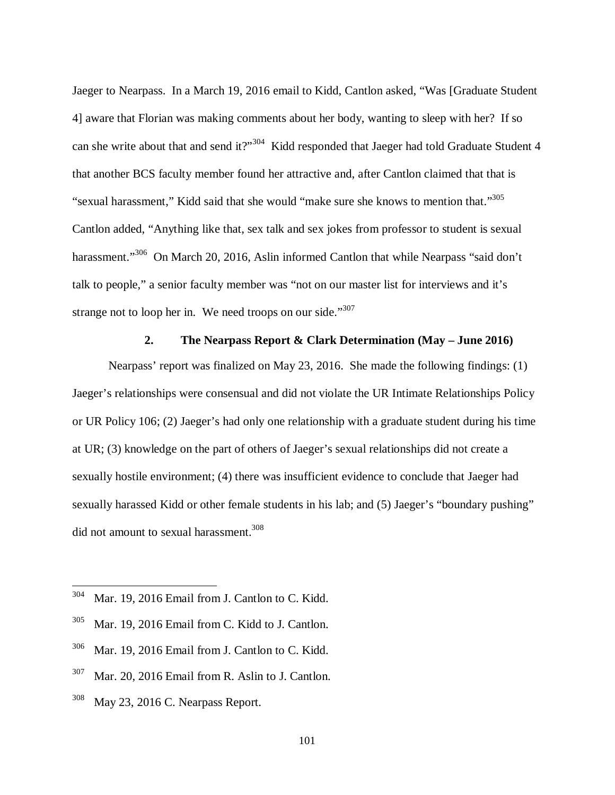Jaeger to Nearpass. In a March 19, 2016 email to Kidd, Cantlon asked, "Was [Graduate Student 4] aware that Florian was making comments about her body, wanting to sleep with her? If so can she write about that and send it?"<sup>304</sup> Kidd responded that Jaeger had told Graduate Student 4 that another BCS faculty member found her attractive and, after Cantlon claimed that that is "sexual harassment," Kidd said that she would "make sure she knows to mention that."<sup>305</sup> Cantlon added, "Anything like that, sex talk and sex jokes from professor to student is sexual harassment."<sup>306</sup> On March 20, 2016, Aslin informed Cantlon that while Nearpass "said don't talk to people," a senior faculty member was "not on our master list for interviews and it's strange not to loop her in. We need troops on our side." $307$ 

#### **2. The Nearpass Report & Clark Determination (May – June 2016)**

 Nearpass' report was finalized on May 23, 2016. She made the following findings: (1) Jaeger's relationships were consensual and did not violate the UR Intimate Relationships Policy or UR Policy 106; (2) Jaeger's had only one relationship with a graduate student during his time at UR; (3) knowledge on the part of others of Jaeger's sexual relationships did not create a sexually hostile environment; (4) there was insufficient evidence to conclude that Jaeger had sexually harassed Kidd or other female students in his lab; and (5) Jaeger's "boundary pushing" did not amount to sexual harassment.<sup>308</sup>

- <sup>306</sup> Mar. 19, 2016 Email from J. Cantlon to C. Kidd.
- $307$  Mar. 20, 2016 Email from R. Aslin to J. Cantlon.
- $308$  May 23, 2016 C. Nearpass Report.

 $304$  Mar. 19, 2016 Email from J. Cantlon to C. Kidd.

 $305$  Mar. 19, 2016 Email from C. Kidd to J. Cantlon.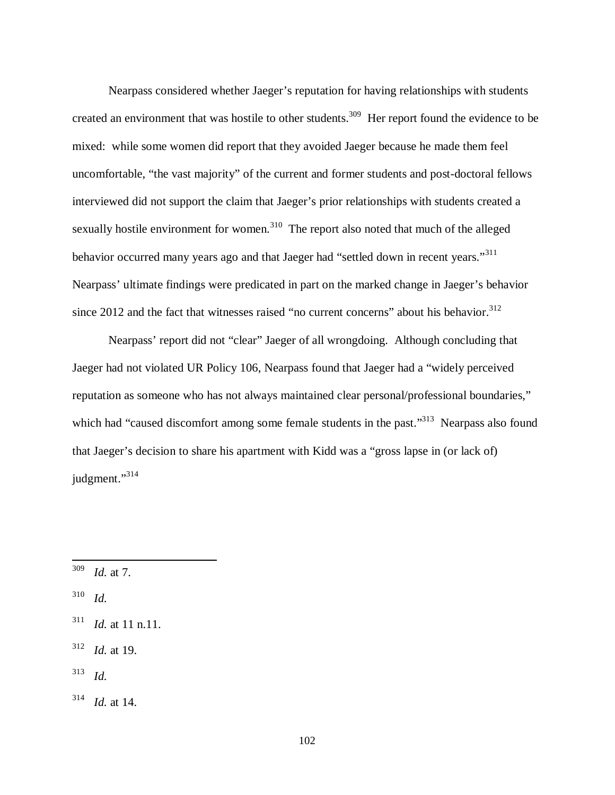Nearpass considered whether Jaeger's reputation for having relationships with students created an environment that was hostile to other students.<sup>309</sup> Her report found the evidence to be mixed: while some women did report that they avoided Jaeger because he made them feel uncomfortable, "the vast majority" of the current and former students and post-doctoral fellows interviewed did not support the claim that Jaeger's prior relationships with students created a sexually hostile environment for women.<sup>310</sup> The report also noted that much of the alleged behavior occurred many years ago and that Jaeger had "settled down in recent years."<sup>311</sup> Nearpass' ultimate findings were predicated in part on the marked change in Jaeger's behavior since 2012 and the fact that witnesses raised "no current concerns" about his behavior. $312$ 

 Nearpass' report did not "clear" Jaeger of all wrongdoing. Although concluding that Jaeger had not violated UR Policy 106, Nearpass found that Jaeger had a "widely perceived reputation as someone who has not always maintained clear personal/professional boundaries," which had "caused discomfort among some female students in the past."<sup>313</sup> Nearpass also found that Jaeger's decision to share his apartment with Kidd was a "gross lapse in (or lack of) judgment."<sup>314</sup>

<sup>309</sup> *Id.* at 7.

<sup>310</sup> *Id.*

<sup>311</sup> *Id.* at 11 n.11.

<sup>312</sup> *Id.* at 19.

<sup>313</sup> *Id.*

 $314$  *Id.* at 14.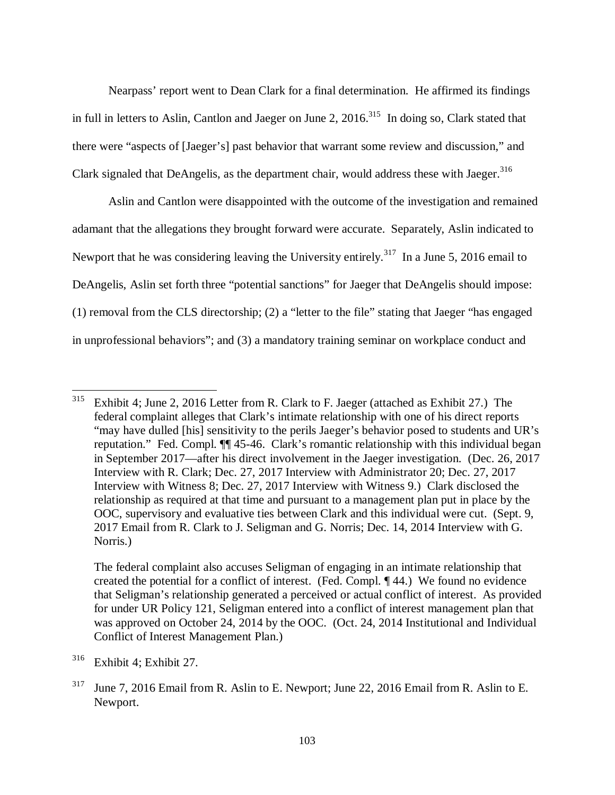Nearpass' report went to Dean Clark for a final determination. He affirmed its findings in full in letters to Aslin, Cantlon and Jaeger on June 2,  $2016$ <sup>315</sup> In doing so, Clark stated that there were "aspects of [Jaeger's] past behavior that warrant some review and discussion," and Clark signaled that DeAngelis, as the department chair, would address these with Jaeger.<sup>316</sup>

 Aslin and Cantlon were disappointed with the outcome of the investigation and remained adamant that the allegations they brought forward were accurate. Separately, Aslin indicated to Newport that he was considering leaving the University entirely.<sup>317</sup> In a June 5, 2016 email to DeAngelis, Aslin set forth three "potential sanctions" for Jaeger that DeAngelis should impose: (1) removal from the CLS directorship; (2) a "letter to the file" stating that Jaeger "has engaged in unprofessional behaviors"; and (3) a mandatory training seminar on workplace conduct and

 The federal complaint also accuses Seligman of engaging in an intimate relationship that created the potential for a conflict of interest. (Fed. Compl. ¶ 44.) We found no evidence that Seligman's relationship generated a perceived or actual conflict of interest. As provided for under UR Policy 121, Seligman entered into a conflict of interest management plan that was approved on October 24, 2014 by the OOC. (Oct. 24, 2014 Institutional and Individual Conflict of Interest Management Plan.)

<sup>&</sup>lt;sup>315</sup> Exhibit 4; June 2, 2016 Letter from R. Clark to F. Jaeger (attached as Exhibit 27.) The federal complaint alleges that Clark's intimate relationship with one of his direct reports "may have dulled [his] sensitivity to the perils Jaeger's behavior posed to students and UR's reputation." Fed. Compl. ¶¶ 45-46. Clark's romantic relationship with this individual began in September 2017—after his direct involvement in the Jaeger investigation. (Dec. 26, 2017 Interview with R. Clark; Dec. 27, 2017 Interview with Administrator 20; Dec. 27, 2017 Interview with Witness 8; Dec. 27, 2017 Interview with Witness 9.) Clark disclosed the relationship as required at that time and pursuant to a management plan put in place by the OOC, supervisory and evaluative ties between Clark and this individual were cut. (Sept. 9, 2017 Email from R. Clark to J. Seligman and G. Norris; Dec. 14, 2014 Interview with G. Norris.)

<sup>316</sup> Exhibit 4; Exhibit 27.

<sup>&</sup>lt;sup>317</sup> June 7, 2016 Email from R. Aslin to E. Newport; June 22, 2016 Email from R. Aslin to E. Newport.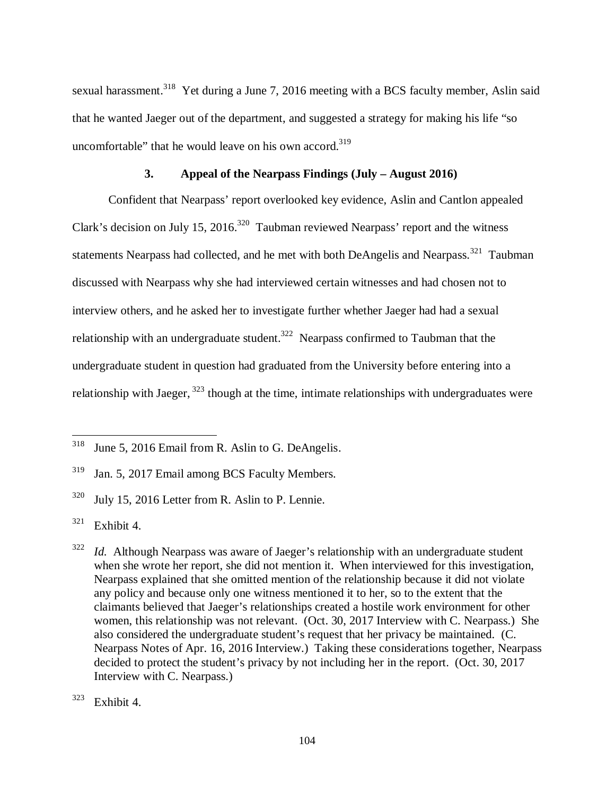sexual harassment.<sup>318</sup> Yet during a June 7, 2016 meeting with a BCS faculty member, Aslin said that he wanted Jaeger out of the department, and suggested a strategy for making his life "so uncomfortable" that he would leave on his own accord. $319$ 

#### **3. Appeal of the Nearpass Findings (July – August 2016)**

 Confident that Nearpass' report overlooked key evidence, Aslin and Cantlon appealed Clark's decision on July 15, 2016.<sup>320</sup> Taubman reviewed Nearpass' report and the witness statements Nearpass had collected, and he met with both DeAngelis and Nearpass.<sup>321</sup> Taubman discussed with Nearpass why she had interviewed certain witnesses and had chosen not to interview others, and he asked her to investigate further whether Jaeger had had a sexual relationship with an undergraduate student.<sup>322</sup> Nearpass confirmed to Taubman that the undergraduate student in question had graduated from the University before entering into a relationship with Jaeger,  $323$  though at the time, intimate relationships with undergraduates were

<sup>&</sup>lt;sup>318</sup> June 5, 2016 Email from R. Aslin to G. DeAngelis.

<sup>319</sup> Jan. 5, 2017 Email among BCS Faculty Members.

<sup>&</sup>lt;sup>320</sup> July 15, 2016 Letter from R. Aslin to P. Lennie.

 $321$  Exhibit 4.

<sup>322</sup> *Id.* Although Nearpass was aware of Jaeger's relationship with an undergraduate student when she wrote her report, she did not mention it. When interviewed for this investigation, Nearpass explained that she omitted mention of the relationship because it did not violate any policy and because only one witness mentioned it to her, so to the extent that the claimants believed that Jaeger's relationships created a hostile work environment for other women, this relationship was not relevant. (Oct. 30, 2017 Interview with C. Nearpass.) She also considered the undergraduate student's request that her privacy be maintained. (C. Nearpass Notes of Apr. 16, 2016 Interview.) Taking these considerations together, Nearpass decided to protect the student's privacy by not including her in the report. (Oct. 30, 2017 Interview with C. Nearpass.)

 $323$  Exhibit 4.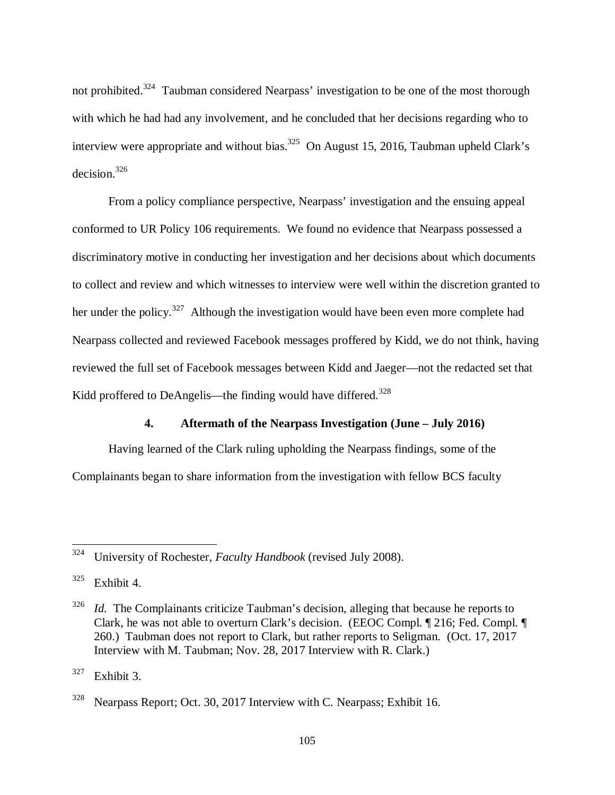not prohibited.<sup>324</sup> Taubman considered Nearpass' investigation to be one of the most thorough with which he had had any involvement, and he concluded that her decisions regarding who to interview were appropriate and without bias.<sup>325</sup> On August 15, 2016, Taubman upheld Clark's decision.<sup>326</sup>

 From a policy compliance perspective, Nearpass' investigation and the ensuing appeal conformed to UR Policy 106 requirements. We found no evidence that Nearpass possessed a discriminatory motive in conducting her investigation and her decisions about which documents to collect and review and which witnesses to interview were well within the discretion granted to her under the policy.<sup>327</sup> Although the investigation would have been even more complete had Nearpass collected and reviewed Facebook messages proffered by Kidd, we do not think, having reviewed the full set of Facebook messages between Kidd and Jaeger—not the redacted set that Kidd proffered to DeAngelis—the finding would have differed.<sup>328</sup>

#### **4. Aftermath of the Nearpass Investigation (June – July 2016)**

Having learned of the Clark ruling upholding the Nearpass findings, some of the Complainants began to share information from the investigation with fellow BCS faculty

<sup>324</sup> University of Rochester, *Faculty Handbook* (revised July 2008).

 $325$  Exhibit 4.

<sup>326</sup> *Id.* The Complainants criticize Taubman's decision, alleging that because he reports to Clark, he was not able to overturn Clark's decision. (EEOC Compl. ¶ 216; Fed. Compl. ¶ 260.) Taubman does not report to Clark, but rather reports to Seligman. (Oct. 17, 2017 Interview with M. Taubman; Nov. 28, 2017 Interview with R. Clark.)

 $327$  Exhibit 3.

<sup>&</sup>lt;sup>328</sup> Nearpass Report; Oct. 30, 2017 Interview with C. Nearpass; Exhibit 16.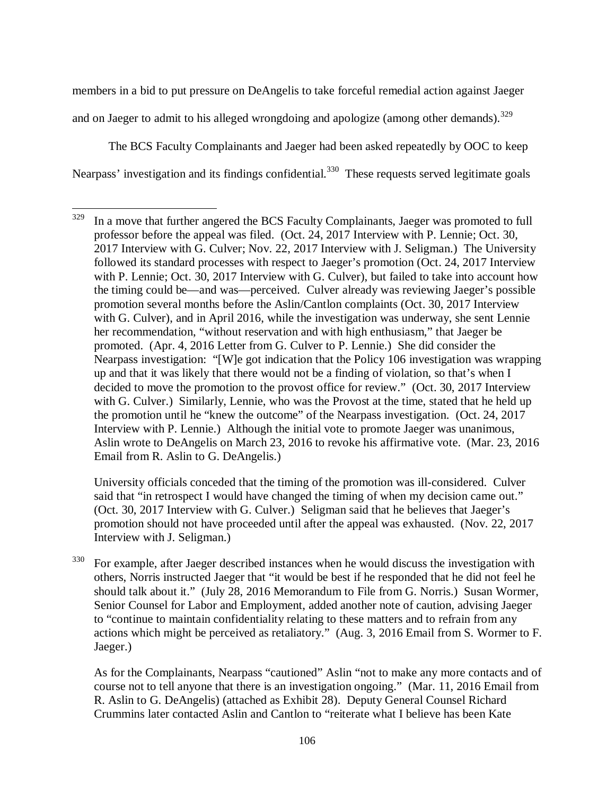members in a bid to put pressure on DeAngelis to take forceful remedial action against Jaeger and on Jaeger to admit to his alleged wrongdoing and apologize (among other demands).  $^{329}$ 

The BCS Faculty Complainants and Jaeger had been asked repeatedly by OOC to keep Nearpass' investigation and its findings confidential.<sup>330</sup> These requests served legitimate goals

l

 University officials conceded that the timing of the promotion was ill-considered. Culver said that "in retrospect I would have changed the timing of when my decision came out." (Oct. 30, 2017 Interview with G. Culver.) Seligman said that he believes that Jaeger's promotion should not have proceeded until after the appeal was exhausted. (Nov. 22, 2017 Interview with J. Seligman.)

 $330$  For example, after Jaeger described instances when he would discuss the investigation with others, Norris instructed Jaeger that "it would be best if he responded that he did not feel he should talk about it." (July 28, 2016 Memorandum to File from G. Norris.) Susan Wormer, Senior Counsel for Labor and Employment, added another note of caution, advising Jaeger to "continue to maintain confidentiality relating to these matters and to refrain from any actions which might be perceived as retaliatory." (Aug. 3, 2016 Email from S. Wormer to F. Jaeger.)

 As for the Complainants, Nearpass "cautioned" Aslin "not to make any more contacts and of course not to tell anyone that there is an investigation ongoing." (Mar. 11, 2016 Email from R. Aslin to G. DeAngelis) (attached as Exhibit 28). Deputy General Counsel Richard Crummins later contacted Aslin and Cantlon to "reiterate what I believe has been Kate

 $329$  In a move that further angered the BCS Faculty Complainants, Jaeger was promoted to full professor before the appeal was filed. (Oct. 24, 2017 Interview with P. Lennie; Oct. 30, 2017 Interview with G. Culver; Nov. 22, 2017 Interview with J. Seligman.) The University followed its standard processes with respect to Jaeger's promotion (Oct. 24, 2017 Interview with P. Lennie; Oct. 30, 2017 Interview with G. Culver), but failed to take into account how the timing could be—and was—perceived. Culver already was reviewing Jaeger's possible promotion several months before the Aslin/Cantlon complaints (Oct. 30, 2017 Interview with G. Culver), and in April 2016, while the investigation was underway, she sent Lennie her recommendation, "without reservation and with high enthusiasm," that Jaeger be promoted. (Apr. 4, 2016 Letter from G. Culver to P. Lennie.) She did consider the Nearpass investigation: "[W]e got indication that the Policy 106 investigation was wrapping up and that it was likely that there would not be a finding of violation, so that's when I decided to move the promotion to the provost office for review." (Oct. 30, 2017 Interview with G. Culver.) Similarly, Lennie, who was the Provost at the time, stated that he held up the promotion until he "knew the outcome" of the Nearpass investigation. (Oct. 24, 2017 Interview with P. Lennie.) Although the initial vote to promote Jaeger was unanimous, Aslin wrote to DeAngelis on March 23, 2016 to revoke his affirmative vote. (Mar. 23, 2016 Email from R. Aslin to G. DeAngelis.)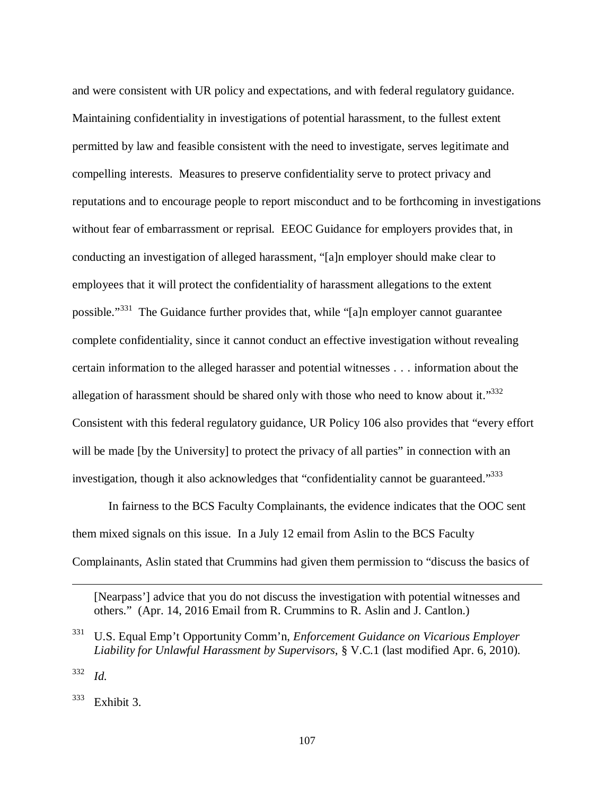and were consistent with UR policy and expectations, and with federal regulatory guidance. Maintaining confidentiality in investigations of potential harassment, to the fullest extent permitted by law and feasible consistent with the need to investigate, serves legitimate and compelling interests. Measures to preserve confidentiality serve to protect privacy and reputations and to encourage people to report misconduct and to be forthcoming in investigations without fear of embarrassment or reprisal. EEOC Guidance for employers provides that, in conducting an investigation of alleged harassment, "[a]n employer should make clear to employees that it will protect the confidentiality of harassment allegations to the extent possible."<sup>331</sup> The Guidance further provides that, while "[a]n employer cannot guarantee complete confidentiality, since it cannot conduct an effective investigation without revealing certain information to the alleged harasser and potential witnesses . . . information about the allegation of harassment should be shared only with those who need to know about it." $332$ Consistent with this federal regulatory guidance, UR Policy 106 also provides that "every effort will be made [by the University] to protect the privacy of all parties" in connection with an investigation, though it also acknowledges that "confidentiality cannot be guaranteed."<sup>333</sup>

In fairness to the BCS Faculty Complainants, the evidence indicates that the OOC sent them mixed signals on this issue. In a July 12 email from Aslin to the BCS Faculty Complainants, Aslin stated that Crummins had given them permission to "discuss the basics of

[Nearpass'] advice that you do not discuss the investigation with potential witnesses and others." (Apr. 14, 2016 Email from R. Crummins to R. Aslin and J. Cantlon.)

332 *Id.*

 $\overline{a}$ 

 $333$  Exhibit 3.

<sup>331</sup> U.S. Equal Emp't Opportunity Comm'n, *Enforcement Guidance on Vicarious Employer Liability for Unlawful Harassment by Supervisors*, § V.C.1 (last modified Apr. 6, 2010).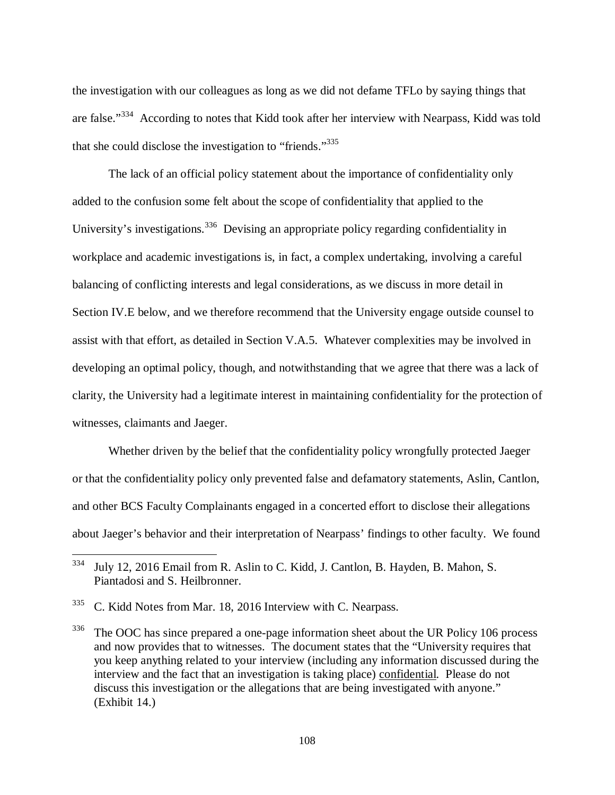the investigation with our colleagues as long as we did not defame TFLo by saying things that are false."<sup>334</sup> According to notes that Kidd took after her interview with Nearpass, Kidd was told that she could disclose the investigation to "friends."<sup>335</sup>

The lack of an official policy statement about the importance of confidentiality only added to the confusion some felt about the scope of confidentiality that applied to the University's investigations.<sup>336</sup> Devising an appropriate policy regarding confidentiality in workplace and academic investigations is, in fact, a complex undertaking, involving a careful balancing of conflicting interests and legal considerations, as we discuss in more detail in Section IV.E below, and we therefore recommend that the University engage outside counsel to assist with that effort, as detailed in Section V.A.5. Whatever complexities may be involved in developing an optimal policy, though, and notwithstanding that we agree that there was a lack of clarity, the University had a legitimate interest in maintaining confidentiality for the protection of witnesses, claimants and Jaeger.

Whether driven by the belief that the confidentiality policy wrongfully protected Jaeger or that the confidentiality policy only prevented false and defamatory statements, Aslin, Cantlon, and other BCS Faculty Complainants engaged in a concerted effort to disclose their allegations about Jaeger's behavior and their interpretation of Nearpass' findings to other faculty. We found

<sup>334</sup> July 12, 2016 Email from R. Aslin to C. Kidd, J. Cantlon, B. Hayden, B. Mahon, S. Piantadosi and S. Heilbronner.

<sup>&</sup>lt;sup>335</sup> C. Kidd Notes from Mar. 18, 2016 Interview with C. Nearpass.

<sup>&</sup>lt;sup>336</sup> The OOC has since prepared a one-page information sheet about the UR Policy 106 process and now provides that to witnesses. The document states that the "University requires that you keep anything related to your interview (including any information discussed during the interview and the fact that an investigation is taking place) confidential. Please do not discuss this investigation or the allegations that are being investigated with anyone." (Exhibit 14.)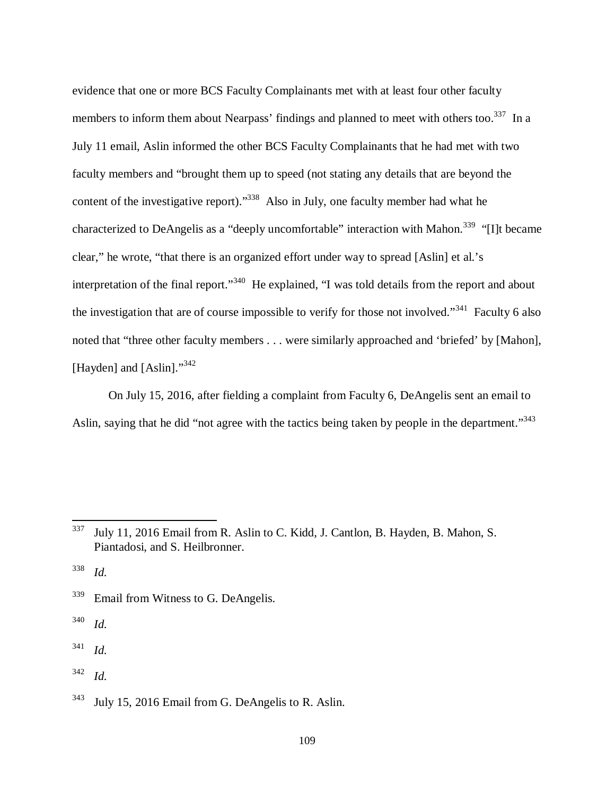evidence that one or more BCS Faculty Complainants met with at least four other faculty members to inform them about Nearpass' findings and planned to meet with others too.<sup>337</sup> In a July 11 email, Aslin informed the other BCS Faculty Complainants that he had met with two faculty members and "brought them up to speed (not stating any details that are beyond the content of the investigative report)."<sup>338</sup> Also in July, one faculty member had what he characterized to DeAngelis as a "deeply uncomfortable" interaction with Mahon.<sup>339</sup> "[I]t became clear," he wrote, "that there is an organized effort under way to spread [Aslin] et al.'s interpretation of the final report."<sup>340</sup> He explained, "I was told details from the report and about the investigation that are of course impossible to verify for those not involved."<sup>341</sup> Faculty 6 also noted that "three other faculty members . . . were similarly approached and 'briefed' by [Mahon], [Hayden] and [Aslin]."<sup>342</sup>

On July 15, 2016, after fielding a complaint from Faculty 6, DeAngelis sent an email to Aslin, saying that he did "not agree with the tactics being taken by people in the department."<sup>343</sup>

<sup>338</sup> *Id.*

l

<sup>339</sup> Email from Witness to G. DeAngelis.

340 *Id.*

341 *Id.*

<sup>337</sup> July 11, 2016 Email from R. Aslin to C. Kidd, J. Cantlon, B. Hayden, B. Mahon, S. Piantadosi, and S. Heilbronner.

<sup>&</sup>lt;sup>343</sup> July 15, 2016 Email from G. DeAngelis to R. Aslin.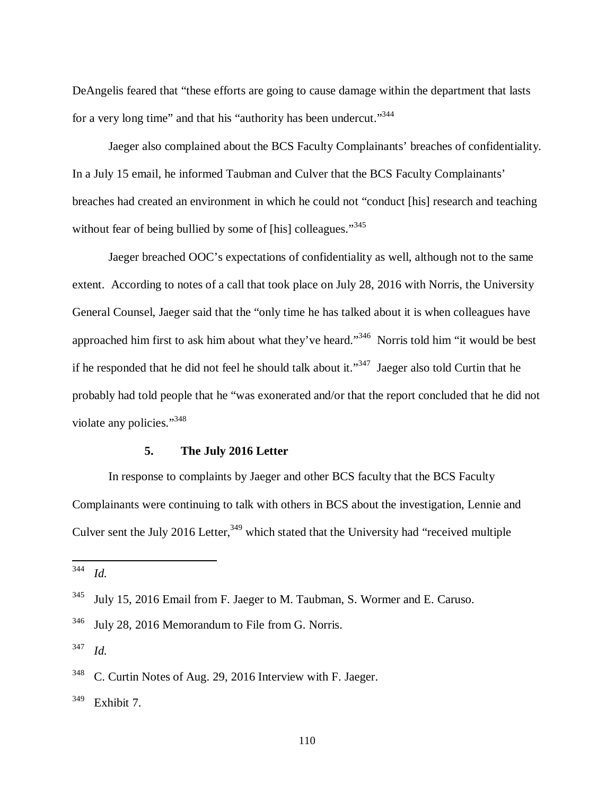DeAngelis feared that "these efforts are going to cause damage within the department that lasts for a very long time" and that his "authority has been undercut."<sup>344</sup>

Jaeger also complained about the BCS Faculty Complainants' breaches of confidentiality. In a July 15 email, he informed Taubman and Culver that the BCS Faculty Complainants' breaches had created an environment in which he could not "conduct [his] research and teaching without fear of being bullied by some of [his] colleagues."<sup>345</sup>

Jaeger breached OOC's expectations of confidentiality as well, although not to the same extent. According to notes of a call that took place on July 28, 2016 with Norris, the University General Counsel, Jaeger said that the "only time he has talked about it is when colleagues have approached him first to ask him about what they've heard."<sup>346</sup> Norris told him "it would be best if he responded that he did not feel he should talk about it."<sup>347</sup> Jaeger also told Curtin that he probably had told people that he "was exonerated and/or that the report concluded that he did not violate any policies."<sup>348</sup>

#### **5. The July 2016 Letter**

In response to complaints by Jaeger and other BCS faculty that the BCS Faculty Complainants were continuing to talk with others in BCS about the investigation, Lennie and Culver sent the July 2016 Letter,  $349$  which stated that the University had "received multiple"

 $\overline{a}$ 

<sup>344</sup> *Id.*

<sup>&</sup>lt;sup>345</sup> July 15, 2016 Email from F. Jaeger to M. Taubman, S. Wormer and E. Caruso.

<sup>346</sup> July 28, 2016 Memorandum to File from G. Norris.

<sup>348</sup> C. Curtin Notes of Aug. 29, 2016 Interview with F. Jaeger.

 $349$  Exhibit 7.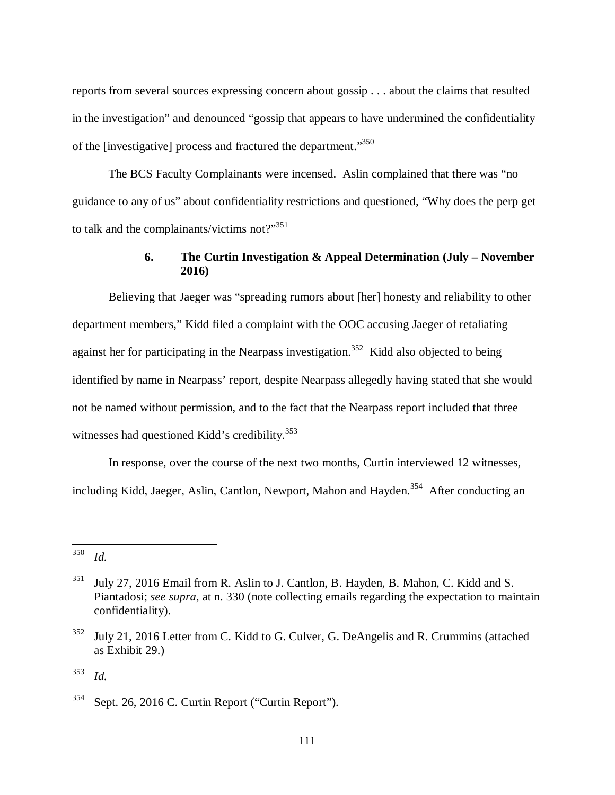reports from several sources expressing concern about gossip . . . about the claims that resulted in the investigation" and denounced "gossip that appears to have undermined the confidentiality of the [investigative] process and fractured the department."<sup>350</sup>

The BCS Faculty Complainants were incensed. Aslin complained that there was "no guidance to any of us" about confidentiality restrictions and questioned, "Why does the perp get to talk and the complainants/victims not?"<sup>351</sup>

### **6. The Curtin Investigation & Appeal Determination (July – November 2016)**

 Believing that Jaeger was "spreading rumors about [her] honesty and reliability to other department members," Kidd filed a complaint with the OOC accusing Jaeger of retaliating against her for participating in the Nearpass investigation.<sup>352</sup> Kidd also objected to being identified by name in Nearpass' report, despite Nearpass allegedly having stated that she would not be named without permission, and to the fact that the Nearpass report included that three witnesses had questioned Kidd's credibility.<sup>353</sup>

 In response, over the course of the next two months, Curtin interviewed 12 witnesses, including Kidd, Jaeger, Aslin, Cantlon, Newport, Mahon and Hayden.<sup>354</sup> After conducting an

l

<sup>350</sup> *Id.*

<sup>351</sup> July 27, 2016 Email from R. Aslin to J. Cantlon, B. Hayden, B. Mahon, C. Kidd and S. Piantadosi; *see supra*, at n. 330 (note collecting emails regarding the expectation to maintain confidentiality).

 $352$  July 21, 2016 Letter from C. Kidd to G. Culver, G. DeAngelis and R. Crummins (attached as Exhibit 29.)

 $354$  Sept. 26, 2016 C. Curtin Report ("Curtin Report").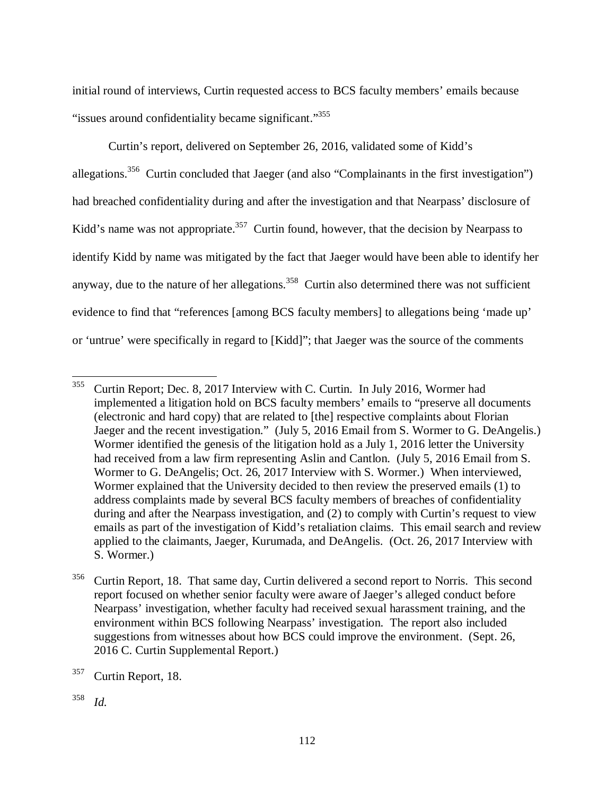initial round of interviews, Curtin requested access to BCS faculty members' emails because "issues around confidentiality became significant."<sup>355</sup>

 Curtin's report, delivered on September 26, 2016, validated some of Kidd's allegations.<sup>356</sup> Curtin concluded that Jaeger (and also "Complainants in the first investigation") had breached confidentiality during and after the investigation and that Nearpass' disclosure of Kidd's name was not appropriate.<sup>357</sup> Curtin found, however, that the decision by Nearpass to identify Kidd by name was mitigated by the fact that Jaeger would have been able to identify her anyway, due to the nature of her allegations.<sup>358</sup> Curtin also determined there was not sufficient evidence to find that "references [among BCS faculty members] to allegations being 'made up' or 'untrue' were specifically in regard to [Kidd]"; that Jaeger was the source of the comments

<sup>355</sup> Curtin Report; Dec. 8, 2017 Interview with C. Curtin. In July 2016, Wormer had implemented a litigation hold on BCS faculty members' emails to "preserve all documents (electronic and hard copy) that are related to [the] respective complaints about Florian Jaeger and the recent investigation." (July 5, 2016 Email from S. Wormer to G. DeAngelis.) Wormer identified the genesis of the litigation hold as a July 1, 2016 letter the University had received from a law firm representing Aslin and Cantlon. (July 5, 2016 Email from S. Wormer to G. DeAngelis; Oct. 26, 2017 Interview with S. Wormer.) When interviewed, Wormer explained that the University decided to then review the preserved emails (1) to address complaints made by several BCS faculty members of breaches of confidentiality during and after the Nearpass investigation, and (2) to comply with Curtin's request to view emails as part of the investigation of Kidd's retaliation claims. This email search and review applied to the claimants, Jaeger, Kurumada, and DeAngelis. (Oct. 26, 2017 Interview with S. Wormer.)

 $356$  Curtin Report, 18. That same day, Curtin delivered a second report to Norris. This second report focused on whether senior faculty were aware of Jaeger's alleged conduct before Nearpass' investigation, whether faculty had received sexual harassment training, and the environment within BCS following Nearpass' investigation. The report also included suggestions from witnesses about how BCS could improve the environment. (Sept. 26, 2016 C. Curtin Supplemental Report.)

<sup>&</sup>lt;sup>357</sup> Curtin Report, 18.

<sup>358</sup> *Id.*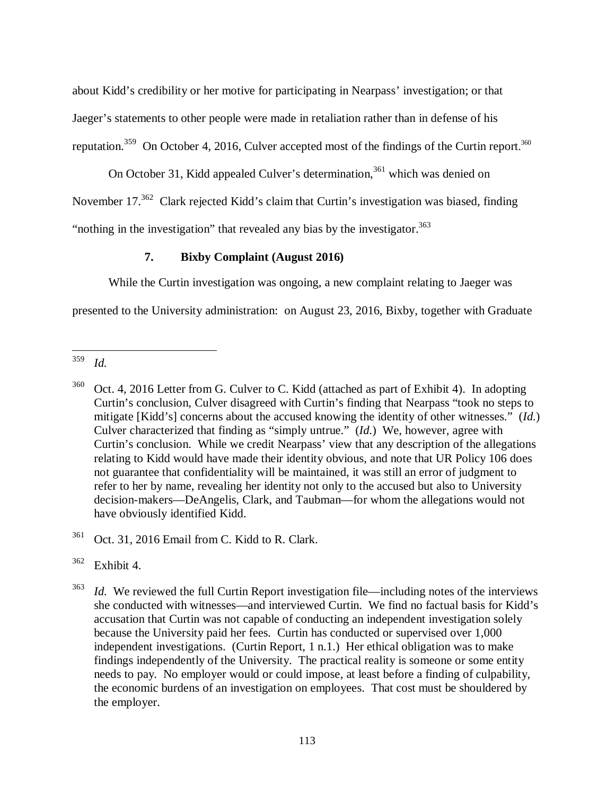about Kidd's credibility or her motive for participating in Nearpass' investigation; or that Jaeger's statements to other people were made in retaliation rather than in defense of his reputation.<sup>359</sup> On October 4, 2016, Culver accepted most of the findings of the Curtin report.<sup>360</sup>

On October 31, Kidd appealed Culver's determination,<sup>361</sup> which was denied on November 17.<sup>362</sup> Clark rejected Kidd's claim that Curtin's investigation was biased, finding "nothing in the investigation" that revealed any bias by the investigator.<sup>363</sup>

# **7. Bixby Complaint (August 2016)**

While the Curtin investigation was ongoing, a new complaint relating to Jaeger was

presented to the University administration: on August 23, 2016, Bixby, together with Graduate

<sup>359</sup> *Id.*

<sup>&</sup>lt;sup>360</sup> Oct. 4, 2016 Letter from G. Culver to C. Kidd (attached as part of Exhibit 4). In adopting Curtin's conclusion, Culver disagreed with Curtin's finding that Nearpass "took no steps to mitigate [Kidd's] concerns about the accused knowing the identity of other witnesses." (*Id.*) Culver characterized that finding as "simply untrue." (*Id.*) We, however, agree with Curtin's conclusion. While we credit Nearpass' view that any description of the allegations relating to Kidd would have made their identity obvious, and note that UR Policy 106 does not guarantee that confidentiality will be maintained, it was still an error of judgment to refer to her by name, revealing her identity not only to the accused but also to University decision-makers—DeAngelis, Clark, and Taubman—for whom the allegations would not have obviously identified Kidd.

<sup>&</sup>lt;sup>361</sup> Oct. 31, 2016 Email from C. Kidd to R. Clark.

 $362$  Exhibit 4.

<sup>&</sup>lt;sup>363</sup> *Id.* We reviewed the full Curtin Report investigation file—including notes of the interviews she conducted with witnesses—and interviewed Curtin. We find no factual basis for Kidd's accusation that Curtin was not capable of conducting an independent investigation solely because the University paid her fees. Curtin has conducted or supervised over 1,000 independent investigations. (Curtin Report, 1 n.1.) Her ethical obligation was to make findings independently of the University. The practical reality is someone or some entity needs to pay. No employer would or could impose, at least before a finding of culpability, the economic burdens of an investigation on employees. That cost must be shouldered by the employer.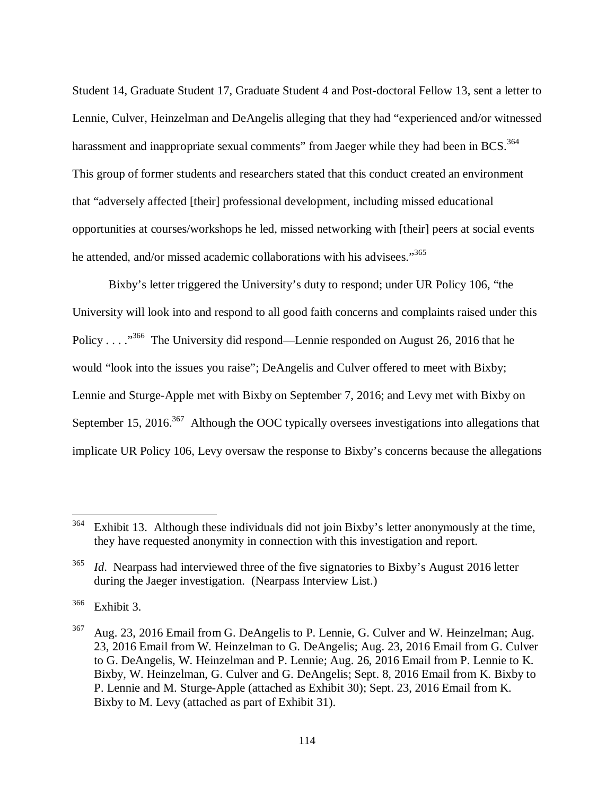Student 14, Graduate Student 17, Graduate Student 4 and Post-doctoral Fellow 13, sent a letter to Lennie, Culver, Heinzelman and DeAngelis alleging that they had "experienced and/or witnessed harassment and inappropriate sexual comments" from Jaeger while they had been in BCS.  $^{364}$ This group of former students and researchers stated that this conduct created an environment that "adversely affected [their] professional development, including missed educational opportunities at courses/workshops he led, missed networking with [their] peers at social events he attended, and/or missed academic collaborations with his advisees."<sup>365</sup>

Bixby's letter triggered the University's duty to respond; under UR Policy 106, "the University will look into and respond to all good faith concerns and complaints raised under this Policy . . . .<sup>366</sup> The University did respond—Lennie responded on August 26, 2016 that he would "look into the issues you raise"; DeAngelis and Culver offered to meet with Bixby; Lennie and Sturge-Apple met with Bixby on September 7, 2016; and Levy met with Bixby on September 15, 2016.<sup>367</sup> Although the OOC typically oversees investigations into allegations that implicate UR Policy 106, Levy oversaw the response to Bixby's concerns because the allegations

 $364$  Exhibit 13. Although these individuals did not join Bixby's letter anonymously at the time, they have requested anonymity in connection with this investigation and report.

<sup>&</sup>lt;sup>365</sup> *Id.* Nearpass had interviewed three of the five signatories to Bixby's August 2016 letter during the Jaeger investigation. (Nearpass Interview List.)

 $366$  Exhibit 3.

<sup>367</sup> Aug. 23, 2016 Email from G. DeAngelis to P. Lennie, G. Culver and W. Heinzelman; Aug. 23, 2016 Email from W. Heinzelman to G. DeAngelis; Aug. 23, 2016 Email from G. Culver to G. DeAngelis, W. Heinzelman and P. Lennie; Aug. 26, 2016 Email from P. Lennie to K. Bixby, W. Heinzelman, G. Culver and G. DeAngelis; Sept. 8, 2016 Email from K. Bixby to P. Lennie and M. Sturge-Apple (attached as Exhibit 30); Sept. 23, 2016 Email from K. Bixby to M. Levy (attached as part of Exhibit 31).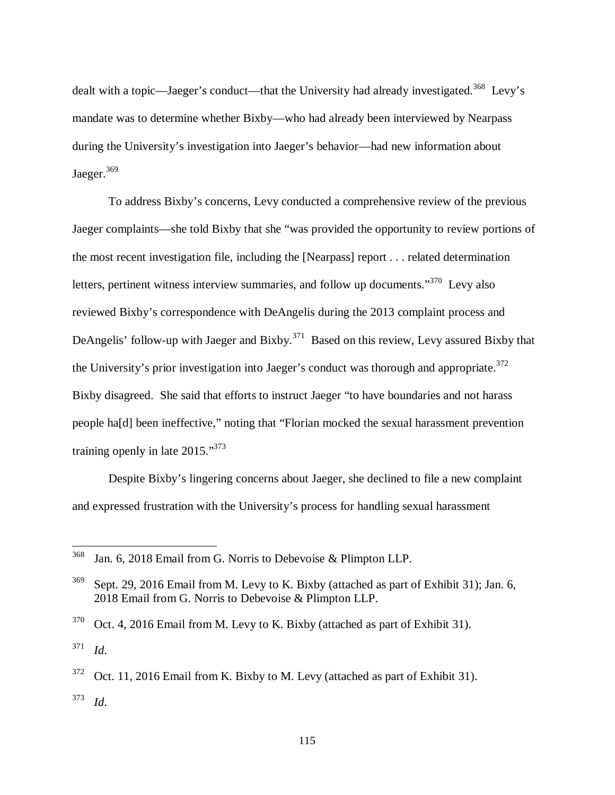dealt with a topic—Jaeger's conduct—that the University had already investigated.<sup>368</sup> Levy's mandate was to determine whether Bixby—who had already been interviewed by Nearpass during the University's investigation into Jaeger's behavior—had new information about Jaeger.<sup>369</sup>

To address Bixby's concerns, Levy conducted a comprehensive review of the previous Jaeger complaints—she told Bixby that she "was provided the opportunity to review portions of the most recent investigation file, including the [Nearpass] report . . . related determination letters, pertinent witness interview summaries, and follow up documents."<sup>370</sup> Levy also reviewed Bixby's correspondence with DeAngelis during the 2013 complaint process and DeAngelis' follow-up with Jaeger and Bixby.<sup>371</sup> Based on this review, Levy assured Bixby that the University's prior investigation into Jaeger's conduct was thorough and appropriate. $372$ Bixby disagreed. She said that efforts to instruct Jaeger "to have boundaries and not harass people ha[d] been ineffective," noting that "Florian mocked the sexual harassment prevention training openly in late 2015."<sup>373</sup>

Despite Bixby's lingering concerns about Jaeger, she declined to file a new complaint and expressed frustration with the University's process for handling sexual harassment

<sup>368</sup> Jan. 6, 2018 Email from G. Norris to Debevoise & Plimpton LLP.

<sup>&</sup>lt;sup>369</sup> Sept. 29, 2016 Email from M. Levy to K. Bixby (attached as part of Exhibit 31); Jan. 6, 2018 Email from G. Norris to Debevoise & Plimpton LLP.

 $370$  Oct. 4, 2016 Email from M. Levy to K. Bixby (attached as part of Exhibit 31).

<sup>371</sup> *Id*.

 $372$  Oct. 11, 2016 Email from K. Bixby to M. Levy (attached as part of Exhibit 31). <sup>373</sup> *Id*.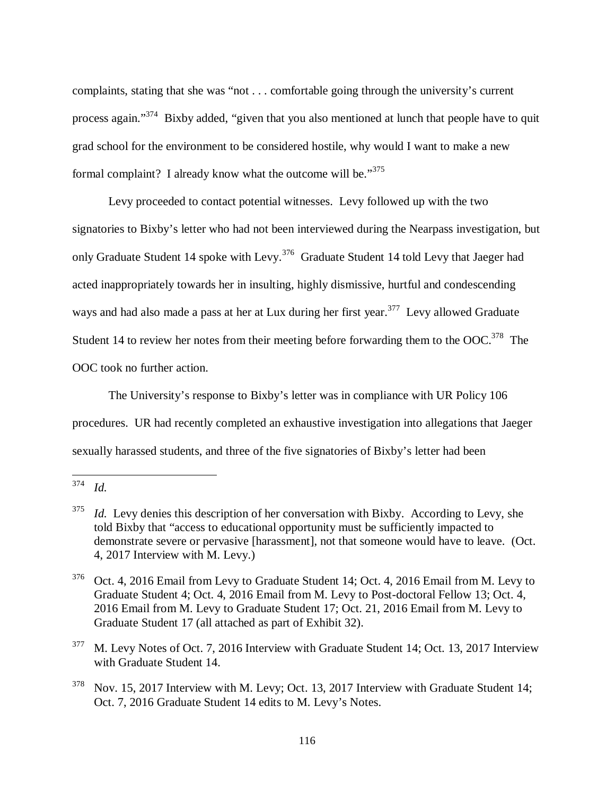complaints, stating that she was "not . . . comfortable going through the university's current process again."<sup>374</sup> Bixby added, "given that you also mentioned at lunch that people have to quit grad school for the environment to be considered hostile, why would I want to make a new formal complaint? I already know what the outcome will be."<sup>375</sup>

Levy proceeded to contact potential witnesses. Levy followed up with the two signatories to Bixby's letter who had not been interviewed during the Nearpass investigation, but only Graduate Student 14 spoke with Levy.<sup>376</sup> Graduate Student 14 told Levy that Jaeger had acted inappropriately towards her in insulting, highly dismissive, hurtful and condescending ways and had also made a pass at her at Lux during her first year.<sup>377</sup> Levy allowed Graduate Student 14 to review her notes from their meeting before forwarding them to the OOC.<sup>378</sup> The OOC took no further action.

The University's response to Bixby's letter was in compliance with UR Policy 106 procedures. UR had recently completed an exhaustive investigation into allegations that Jaeger sexually harassed students, and three of the five signatories of Bixby's letter had been

 $\overline{a}$ 

<sup>377</sup> M. Levy Notes of Oct. 7, 2016 Interview with Graduate Student 14; Oct. 13, 2017 Interview with Graduate Student 14.

<sup>374</sup> *Id.*

<sup>375</sup> *Id.* Levy denies this description of her conversation with Bixby. According to Levy, she told Bixby that "access to educational opportunity must be sufficiently impacted to demonstrate severe or pervasive [harassment], not that someone would have to leave. (Oct. 4, 2017 Interview with M. Levy.)

<sup>376</sup> Oct. 4, 2016 Email from Levy to Graduate Student 14; Oct. 4, 2016 Email from M. Levy to Graduate Student 4; Oct. 4, 2016 Email from M. Levy to Post-doctoral Fellow 13; Oct. 4, 2016 Email from M. Levy to Graduate Student 17; Oct. 21, 2016 Email from M. Levy to Graduate Student 17 (all attached as part of Exhibit 32).

<sup>&</sup>lt;sup>378</sup> Nov. 15, 2017 Interview with M. Levy; Oct. 13, 2017 Interview with Graduate Student 14; Oct. 7, 2016 Graduate Student 14 edits to M. Levy's Notes.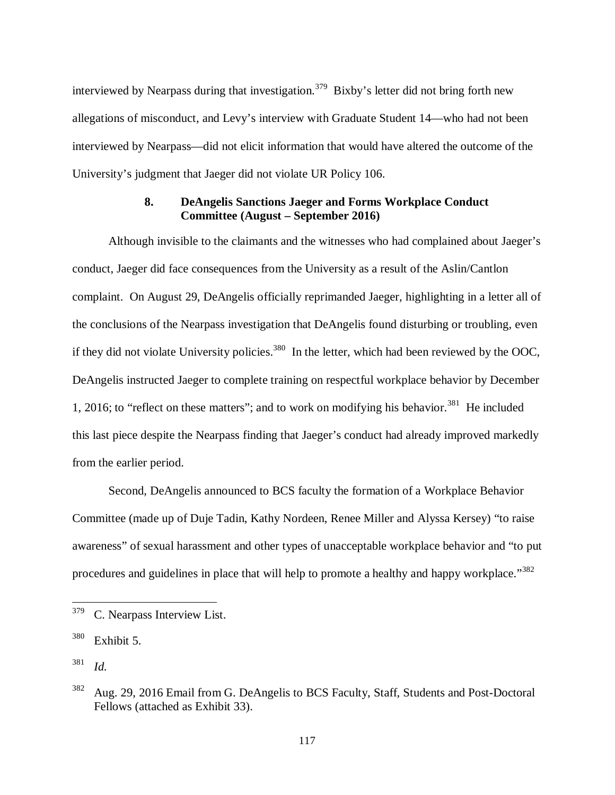interviewed by Nearpass during that investigation.<sup>379</sup> Bixby's letter did not bring forth new allegations of misconduct, and Levy's interview with Graduate Student 14—who had not been interviewed by Nearpass—did not elicit information that would have altered the outcome of the University's judgment that Jaeger did not violate UR Policy 106.

### **8. DeAngelis Sanctions Jaeger and Forms Workplace Conduct Committee (August – September 2016)**

Although invisible to the claimants and the witnesses who had complained about Jaeger's conduct, Jaeger did face consequences from the University as a result of the Aslin/Cantlon complaint. On August 29, DeAngelis officially reprimanded Jaeger, highlighting in a letter all of the conclusions of the Nearpass investigation that DeAngelis found disturbing or troubling, even if they did not violate University policies.<sup>380</sup> In the letter, which had been reviewed by the OOC, DeAngelis instructed Jaeger to complete training on respectful workplace behavior by December 1, 2016; to "reflect on these matters"; and to work on modifying his behavior.<sup>381</sup> He included this last piece despite the Nearpass finding that Jaeger's conduct had already improved markedly from the earlier period.

Second, DeAngelis announced to BCS faculty the formation of a Workplace Behavior Committee (made up of Duje Tadin, Kathy Nordeen, Renee Miller and Alyssa Kersey) "to raise awareness" of sexual harassment and other types of unacceptable workplace behavior and "to put procedures and guidelines in place that will help to promote a healthy and happy workplace."<sup>382</sup>

<sup>379</sup> C. Nearpass Interview List.

<sup>380</sup> Exhibit 5.

<sup>381</sup> *Id.*

<sup>382</sup> Aug. 29, 2016 Email from G. DeAngelis to BCS Faculty, Staff, Students and Post-Doctoral Fellows (attached as Exhibit 33).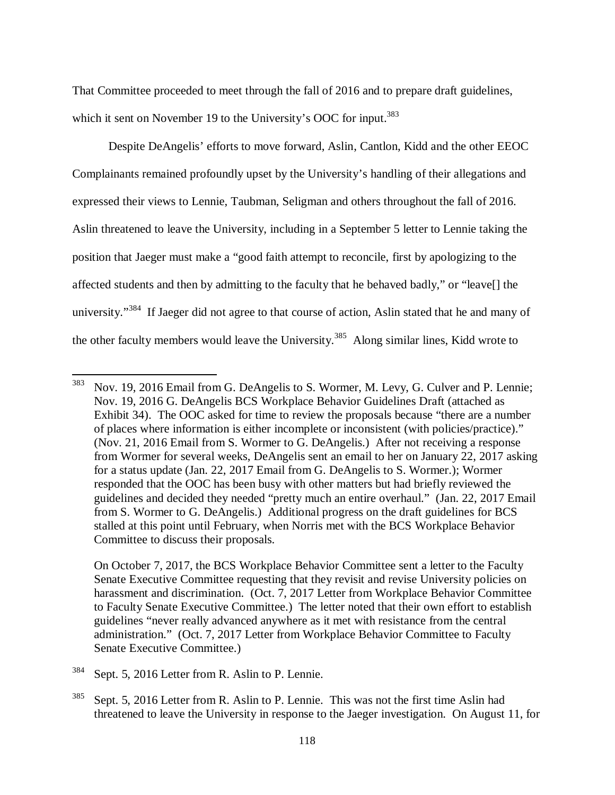That Committee proceeded to meet through the fall of 2016 and to prepare draft guidelines, which it sent on November 19 to the University's OOC for input.<sup>383</sup>

Despite DeAngelis' efforts to move forward, Aslin, Cantlon, Kidd and the other EEOC Complainants remained profoundly upset by the University's handling of their allegations and expressed their views to Lennie, Taubman, Seligman and others throughout the fall of 2016. Aslin threatened to leave the University, including in a September 5 letter to Lennie taking the position that Jaeger must make a "good faith attempt to reconcile, first by apologizing to the affected students and then by admitting to the faculty that he behaved badly," or "leave[] the university."<sup>384</sup> If Jaeger did not agree to that course of action, Aslin stated that he and many of the other faculty members would leave the University.<sup>385</sup> Along similar lines, Kidd wrote to

 On October 7, 2017, the BCS Workplace Behavior Committee sent a letter to the Faculty Senate Executive Committee requesting that they revisit and revise University policies on harassment and discrimination. (Oct. 7, 2017 Letter from Workplace Behavior Committee to Faculty Senate Executive Committee.) The letter noted that their own effort to establish guidelines "never really advanced anywhere as it met with resistance from the central administration." (Oct. 7, 2017 Letter from Workplace Behavior Committee to Faculty Senate Executive Committee.)

<sup>&</sup>lt;sup>383</sup> Nov. 19, 2016 Email from G. DeAngelis to S. Wormer, M. Levy, G. Culver and P. Lennie; Nov. 19, 2016 G. DeAngelis BCS Workplace Behavior Guidelines Draft (attached as Exhibit 34). The OOC asked for time to review the proposals because "there are a number of places where information is either incomplete or inconsistent (with policies/practice)." (Nov. 21, 2016 Email from S. Wormer to G. DeAngelis.) After not receiving a response from Wormer for several weeks, DeAngelis sent an email to her on January 22, 2017 asking for a status update (Jan. 22, 2017 Email from G. DeAngelis to S. Wormer.); Wormer responded that the OOC has been busy with other matters but had briefly reviewed the guidelines and decided they needed "pretty much an entire overhaul." (Jan. 22, 2017 Email from S. Wormer to G. DeAngelis.) Additional progress on the draft guidelines for BCS stalled at this point until February, when Norris met with the BCS Workplace Behavior Committee to discuss their proposals.

<sup>384</sup> Sept. 5, 2016 Letter from R. Aslin to P. Lennie.

<sup>&</sup>lt;sup>385</sup> Sept. 5, 2016 Letter from R. Aslin to P. Lennie. This was not the first time Aslin had threatened to leave the University in response to the Jaeger investigation. On August 11, for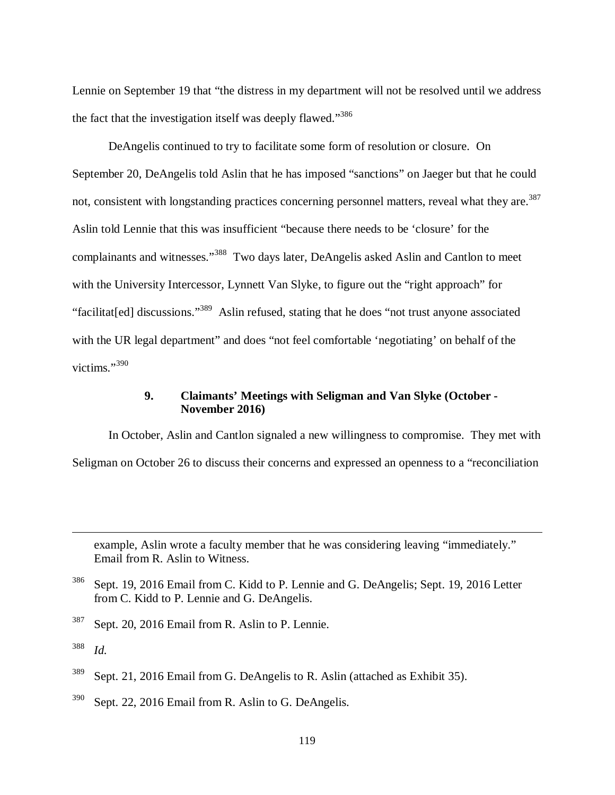Lennie on September 19 that "the distress in my department will not be resolved until we address the fact that the investigation itself was deeply flawed."<sup>386</sup>

DeAngelis continued to try to facilitate some form of resolution or closure. On September 20, DeAngelis told Aslin that he has imposed "sanctions" on Jaeger but that he could not, consistent with longstanding practices concerning personnel matters, reveal what they are.<sup>387</sup> Aslin told Lennie that this was insufficient "because there needs to be 'closure' for the complainants and witnesses."<sup>388</sup> Two days later, DeAngelis asked Aslin and Cantlon to meet with the University Intercessor, Lynnett Van Slyke, to figure out the "right approach" for "facilitat[ed] discussions."<sup>389</sup> Aslin refused, stating that he does "not trust anyone associated with the UR legal department" and does "not feel comfortable 'negotiating' on behalf of the victims."<sup>390</sup>

#### **9. Claimants' Meetings with Seligman and Van Slyke (October - November 2016)**

In October, Aslin and Cantlon signaled a new willingness to compromise. They met with Seligman on October 26 to discuss their concerns and expressed an openness to a "reconciliation

example, Aslin wrote a faculty member that he was considering leaving "immediately." Email from R. Aslin to Witness.

<sup>387</sup> Sept. 20, 2016 Email from R. Aslin to P. Lennie.

<sup>&</sup>lt;sup>386</sup> Sept. 19, 2016 Email from C. Kidd to P. Lennie and G. DeAngelis; Sept. 19, 2016 Letter from C. Kidd to P. Lennie and G. DeAngelis.

<sup>388</sup> *Id.*

<sup>&</sup>lt;sup>389</sup> Sept. 21, 2016 Email from G. DeAngelis to R. Aslin (attached as Exhibit 35).

 $390$  Sept. 22, 2016 Email from R. Aslin to G. DeAngelis.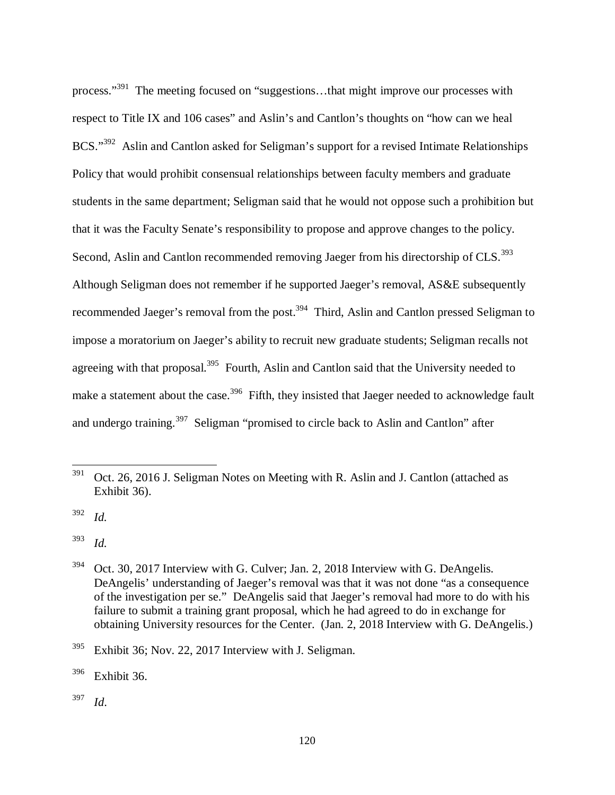process."<sup>391</sup> The meeting focused on "suggestions...that might improve our processes with respect to Title IX and 106 cases" and Aslin's and Cantlon's thoughts on "how can we heal BCS."<sup>392</sup> Aslin and Cantlon asked for Seligman's support for a revised Intimate Relationships Policy that would prohibit consensual relationships between faculty members and graduate students in the same department; Seligman said that he would not oppose such a prohibition but that it was the Faculty Senate's responsibility to propose and approve changes to the policy. Second, Aslin and Cantlon recommended removing Jaeger from his directorship of CLS.<sup>393</sup> Although Seligman does not remember if he supported Jaeger's removal, AS&E subsequently recommended Jaeger's removal from the post.<sup>394</sup> Third, Aslin and Cantlon pressed Seligman to impose a moratorium on Jaeger's ability to recruit new graduate students; Seligman recalls not agreeing with that proposal.<sup>395</sup> Fourth, Aslin and Cantlon said that the University needed to make a statement about the case.<sup>396</sup> Fifth, they insisted that Jaeger needed to acknowledge fault and undergo training.<sup>397</sup> Seligman "promised to circle back to Aslin and Cantlon" after

<sup>392</sup> *Id.*

 $\overline{a}$ 

<sup>393</sup> *Id.*

<sup>395</sup> Exhibit 36; Nov. 22, 2017 Interview with J. Seligman.

<sup>396</sup> Exhibit 36.

 $391$  Oct. 26, 2016 J. Seligman Notes on Meeting with R. Aslin and J. Cantlon (attached as Exhibit 36).

<sup>&</sup>lt;sup>394</sup> Oct. 30, 2017 Interview with G. Culver; Jan. 2, 2018 Interview with G. DeAngelis. DeAngelis' understanding of Jaeger's removal was that it was not done "as a consequence of the investigation per se." DeAngelis said that Jaeger's removal had more to do with his failure to submit a training grant proposal, which he had agreed to do in exchange for obtaining University resources for the Center. (Jan. 2, 2018 Interview with G. DeAngelis.)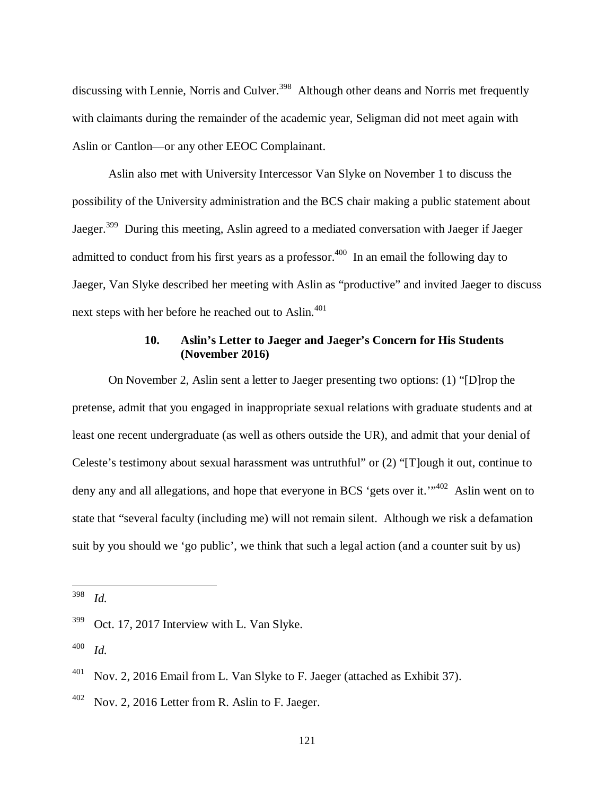discussing with Lennie, Norris and Culver.<sup>398</sup> Although other deans and Norris met frequently with claimants during the remainder of the academic year, Seligman did not meet again with Aslin or Cantlon—or any other EEOC Complainant.

Aslin also met with University Intercessor Van Slyke on November 1 to discuss the possibility of the University administration and the BCS chair making a public statement about Jaeger.<sup>399</sup> During this meeting, Aslin agreed to a mediated conversation with Jaeger if Jaeger admitted to conduct from his first years as a professor.<sup>400</sup> In an email the following day to Jaeger, Van Slyke described her meeting with Aslin as "productive" and invited Jaeger to discuss next steps with her before he reached out to Aslin.<sup>401</sup>

# **10. Aslin's Letter to Jaeger and Jaeger's Concern for His Students (November 2016)**

On November 2, Aslin sent a letter to Jaeger presenting two options: (1) "[D]rop the pretense, admit that you engaged in inappropriate sexual relations with graduate students and at least one recent undergraduate (as well as others outside the UR), and admit that your denial of Celeste's testimony about sexual harassment was untruthful" or (2) "[T]ough it out, continue to deny any and all allegations, and hope that everyone in BCS 'gets over it.'"<sup>402</sup> Aslin went on to state that "several faculty (including me) will not remain silent. Although we risk a defamation suit by you should we 'go public', we think that such a legal action (and a counter suit by us)

<sup>398</sup> *Id.*

l

<sup>&</sup>lt;sup>399</sup> Oct. 17, 2017 Interview with L. Van Slyke.

 $^{401}$  Nov. 2, 2016 Email from L. Van Slyke to F. Jaeger (attached as Exhibit 37).

 $^{402}$  Nov. 2, 2016 Letter from R. Aslin to F. Jaeger.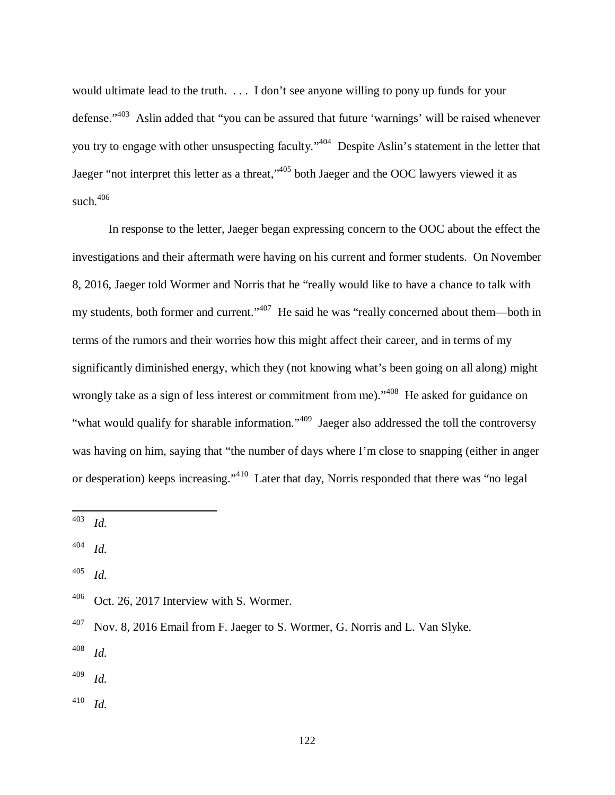would ultimate lead to the truth. . . . I don't see anyone willing to pony up funds for your defense."<sup>403</sup> Aslin added that "you can be assured that future 'warnings' will be raised whenever you try to engage with other unsuspecting faculty."<sup>404</sup> Despite Aslin's statement in the letter that Jaeger "not interpret this letter as a threat,"<sup>405</sup> both Jaeger and the OOC lawyers viewed it as such. $406$ 

In response to the letter, Jaeger began expressing concern to the OOC about the effect the investigations and their aftermath were having on his current and former students. On November 8, 2016, Jaeger told Wormer and Norris that he "really would like to have a chance to talk with my students, both former and current."<sup>407</sup> He said he was "really concerned about them—both in terms of the rumors and their worries how this might affect their career, and in terms of my significantly diminished energy, which they (not knowing what's been going on all along) might wrongly take as a sign of less interest or commitment from me)."<sup>408</sup> He asked for guidance on "what would qualify for sharable information."<sup>409</sup> Jaeger also addressed the toll the controversy was having on him, saying that "the number of days where I'm close to snapping (either in anger or desperation) keeps increasing."<sup>410</sup> Later that day, Norris responded that there was "no legal

l

- <sup>408</sup> *Id.*
- <sup>409</sup> *Id.*
- <sup>410</sup> *Id.*

<sup>403</sup> *Id.*

<sup>404</sup> *Id.*

 $406$  Oct. 26, 2017 Interview with S. Wormer.

 $^{407}$  Nov. 8, 2016 Email from F. Jaeger to S. Wormer, G. Norris and L. Van Slyke.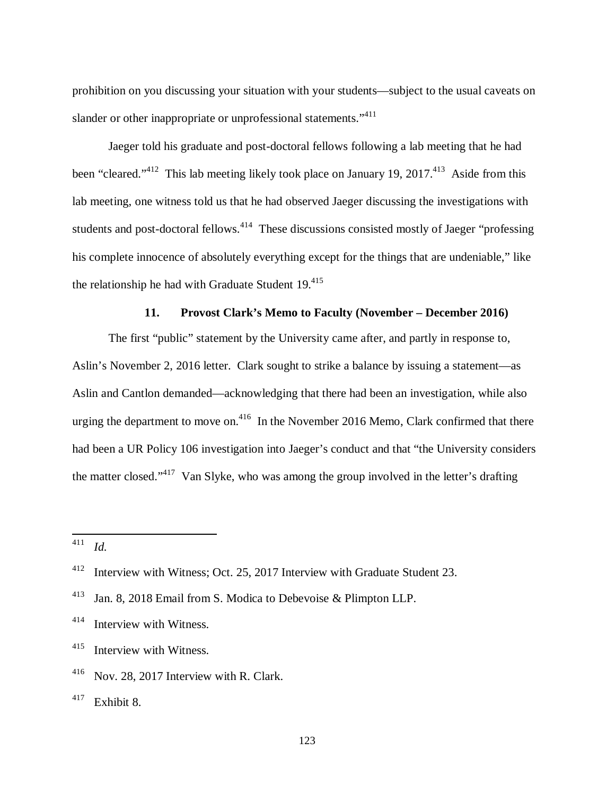prohibition on you discussing your situation with your students—subject to the usual caveats on slander or other inappropriate or unprofessional statements."<sup>411</sup>

Jaeger told his graduate and post-doctoral fellows following a lab meeting that he had been "cleared."<sup>412</sup> This lab meeting likely took place on January 19, 2017.<sup>413</sup> Aside from this lab meeting, one witness told us that he had observed Jaeger discussing the investigations with students and post-doctoral fellows.<sup>414</sup> These discussions consisted mostly of Jaeger "professing" his complete innocence of absolutely everything except for the things that are undeniable," like the relationship he had with Graduate Student  $19.415$ 

#### **11. Provost Clark's Memo to Faculty (November – December 2016)**

The first "public" statement by the University came after, and partly in response to, Aslin's November 2, 2016 letter. Clark sought to strike a balance by issuing a statement—as Aslin and Cantlon demanded—acknowledging that there had been an investigation, while also urging the department to move on.<sup>416</sup> In the November 2016 Memo, Clark confirmed that there had been a UR Policy 106 investigation into Jaeger's conduct and that "the University considers the matter closed."<sup>417</sup> Van Slyke, who was among the group involved in the letter's drafting

<sup>411</sup> *Id.*

<sup>&</sup>lt;sup>412</sup> Interview with Witness; Oct. 25, 2017 Interview with Graduate Student 23.

<sup>413</sup> Jan. 8, 2018 Email from S. Modica to Debevoise & Plimpton LLP.

<sup>414</sup> Interview with Witness.

<sup>415</sup> Interview with Witness.

<sup>&</sup>lt;sup>416</sup> Nov. 28, 2017 Interview with R. Clark.

 $417$  Exhibit 8.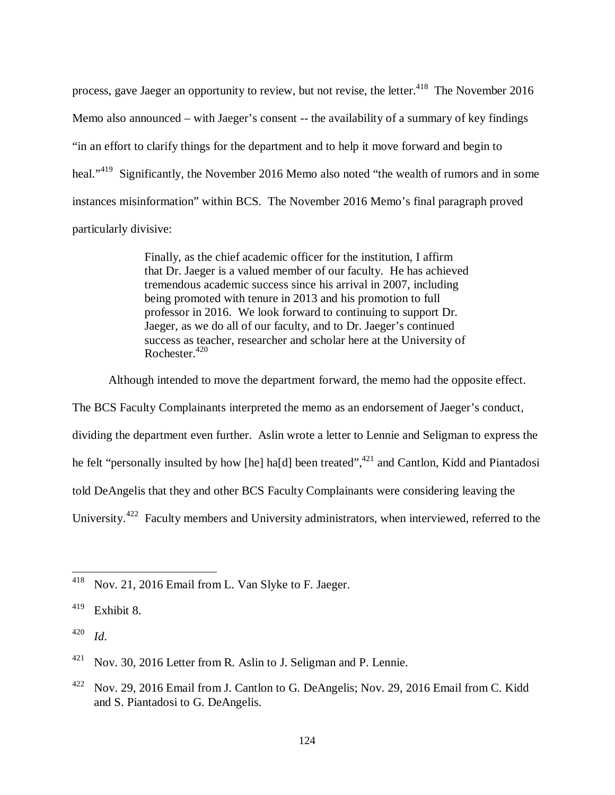process, gave Jaeger an opportunity to review, but not revise, the letter.<sup>418</sup> The November 2016 Memo also announced – with Jaeger's consent -- the availability of a summary of key findings "in an effort to clarify things for the department and to help it move forward and begin to heal."<sup>419</sup> Significantly, the November 2016 Memo also noted "the wealth of rumors and in some instances misinformation" within BCS. The November 2016 Memo's final paragraph proved particularly divisive:

> Finally, as the chief academic officer for the institution, I affirm that Dr. Jaeger is a valued member of our faculty. He has achieved tremendous academic success since his arrival in 2007, including being promoted with tenure in 2013 and his promotion to full professor in 2016. We look forward to continuing to support Dr. Jaeger, as we do all of our faculty, and to Dr. Jaeger's continued success as teacher, researcher and scholar here at the University of Rochester.<sup>420</sup>

Although intended to move the department forward, the memo had the opposite effect.

The BCS Faculty Complainants interpreted the memo as an endorsement of Jaeger's conduct, dividing the department even further. Aslin wrote a letter to Lennie and Seligman to express the he felt "personally insulted by how [he] ha[d] been treated",  $421$  and Cantlon, Kidd and Piantadosi told DeAngelis that they and other BCS Faculty Complainants were considering leaving the University.<sup>422</sup> Faculty members and University administrators, when interviewed, referred to the

<sup>418</sup> Nov. 21, 2016 Email from L. Van Slyke to F. Jaeger.

<sup>419</sup> Exhibit 8.

<sup>420</sup> *Id*.

 $421$  Nov. 30, 2016 Letter from R. Aslin to J. Seligman and P. Lennie.

<sup>&</sup>lt;sup>422</sup> Nov. 29, 2016 Email from J. Cantlon to G. DeAngelis; Nov. 29, 2016 Email from C. Kidd and S. Piantadosi to G. DeAngelis.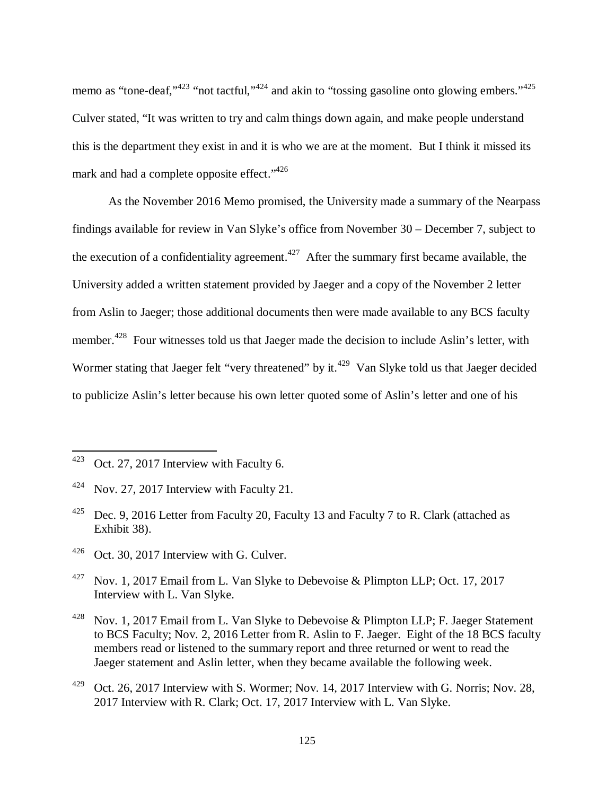memo as "tone-deaf," $423$ " not tactful," $424$  and akin to "tossing gasoline onto glowing embers." $425$ Culver stated, "It was written to try and calm things down again, and make people understand this is the department they exist in and it is who we are at the moment. But I think it missed its mark and had a complete opposite effect."<sup>426</sup>

As the November 2016 Memo promised, the University made a summary of the Nearpass findings available for review in Van Slyke's office from November 30 – December 7, subject to the execution of a confidentiality agreement.<sup> $427$ </sup> After the summary first became available, the University added a written statement provided by Jaeger and a copy of the November 2 letter from Aslin to Jaeger; those additional documents then were made available to any BCS faculty member.<sup>428</sup> Four witnesses told us that Jaeger made the decision to include Aslin's letter, with Wormer stating that Jaeger felt "very threatened" by it.<sup>429</sup> Van Slyke told us that Jaeger decided to publicize Aslin's letter because his own letter quoted some of Aslin's letter and one of his

 $423$  Oct. 27, 2017 Interview with Faculty 6.

<sup>424</sup> Nov. 27, 2017 Interview with Faculty 21.

<sup>&</sup>lt;sup>425</sup> Dec. 9, 2016 Letter from Faculty 20, Faculty 13 and Faculty 7 to R. Clark (attached as Exhibit 38).

<sup>426</sup> Oct. 30, 2017 Interview with G. Culver.

<sup>&</sup>lt;sup>427</sup> Nov. 1, 2017 Email from L. Van Slyke to Debevoise & Plimpton LLP; Oct. 17, 2017 Interview with L. Van Slyke.

<sup>&</sup>lt;sup>428</sup> Nov. 1, 2017 Email from L. Van Slyke to Debevoise & Plimpton LLP; F. Jaeger Statement to BCS Faculty; Nov. 2, 2016 Letter from R. Aslin to F. Jaeger. Eight of the 18 BCS faculty members read or listened to the summary report and three returned or went to read the Jaeger statement and Aslin letter, when they became available the following week.

 $^{429}$  Oct. 26, 2017 Interview with S. Wormer; Nov. 14, 2017 Interview with G. Norris; Nov. 28, 2017 Interview with R. Clark; Oct. 17, 2017 Interview with L. Van Slyke.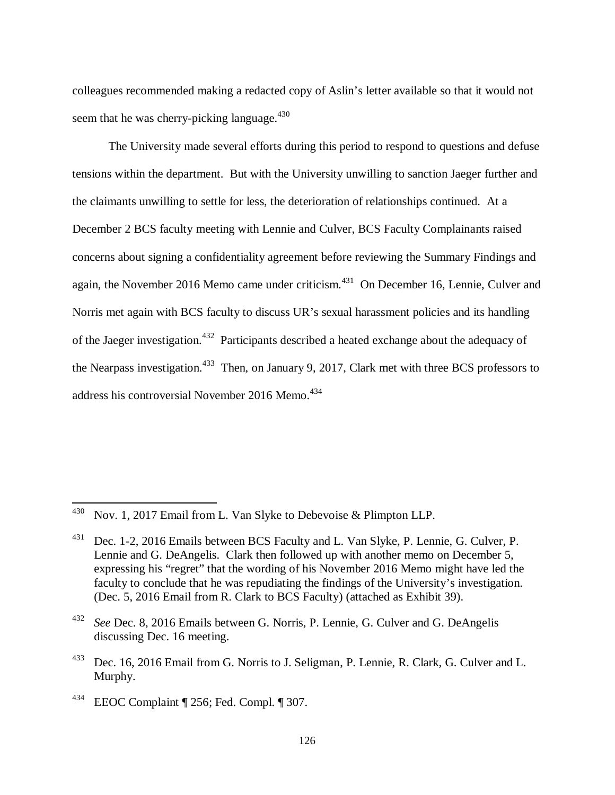colleagues recommended making a redacted copy of Aslin's letter available so that it would not seem that he was cherry-picking language. $430$ 

The University made several efforts during this period to respond to questions and defuse tensions within the department. But with the University unwilling to sanction Jaeger further and the claimants unwilling to settle for less, the deterioration of relationships continued. At a December 2 BCS faculty meeting with Lennie and Culver, BCS Faculty Complainants raised concerns about signing a confidentiality agreement before reviewing the Summary Findings and again, the November 2016 Memo came under criticism.<sup>431</sup> On December 16, Lennie, Culver and Norris met again with BCS faculty to discuss UR's sexual harassment policies and its handling of the Jaeger investigation.<sup>432</sup> Participants described a heated exchange about the adequacy of the Nearpass investigation.<sup>433</sup> Then, on January 9, 2017, Clark met with three BCS professors to address his controversial November 2016 Memo.<sup>434</sup>

<sup>&</sup>lt;sup>430</sup> Nov. 1, 2017 Email from L. Van Slyke to Debevoise & Plimpton LLP.

<sup>&</sup>lt;sup>431</sup> Dec. 1-2, 2016 Emails between BCS Faculty and L. Van Slyke, P. Lennie, G. Culver, P. Lennie and G. DeAngelis. Clark then followed up with another memo on December 5, expressing his "regret" that the wording of his November 2016 Memo might have led the faculty to conclude that he was repudiating the findings of the University's investigation. (Dec. 5, 2016 Email from R. Clark to BCS Faculty) (attached as Exhibit 39).

<sup>432</sup> *See* Dec. 8, 2016 Emails between G. Norris, P. Lennie, G. Culver and G. DeAngelis discussing Dec. 16 meeting.

<sup>&</sup>lt;sup>433</sup> Dec. 16, 2016 Email from G. Norris to J. Seligman, P. Lennie, R. Clark, G. Culver and L. Murphy.

<sup>434</sup> EEOC Complaint ¶ 256; Fed. Compl. ¶ 307.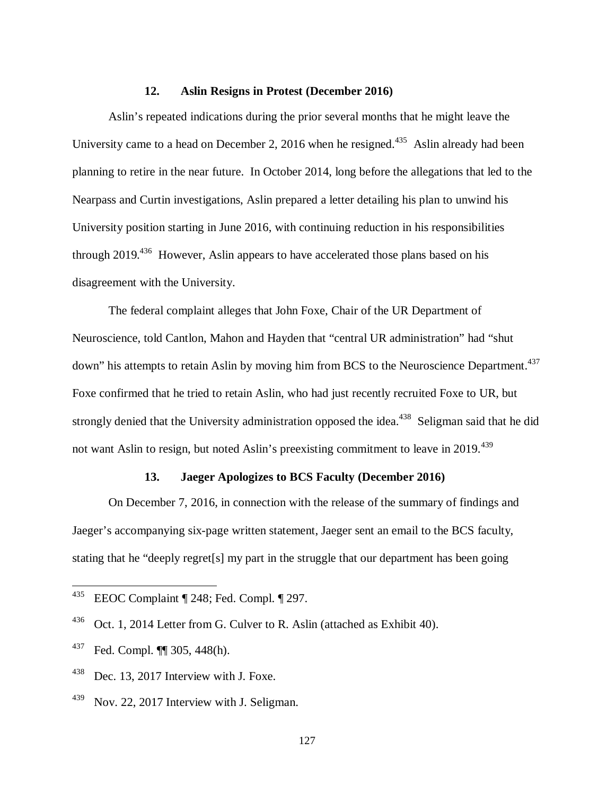#### **12. Aslin Resigns in Protest (December 2016)**

Aslin's repeated indications during the prior several months that he might leave the University came to a head on December 2, 2016 when he resigned.<sup>435</sup> Aslin already had been planning to retire in the near future. In October 2014, long before the allegations that led to the Nearpass and Curtin investigations, Aslin prepared a letter detailing his plan to unwind his University position starting in June 2016, with continuing reduction in his responsibilities through 2019.<sup>436</sup> However, Aslin appears to have accelerated those plans based on his disagreement with the University.

The federal complaint alleges that John Foxe, Chair of the UR Department of Neuroscience, told Cantlon, Mahon and Hayden that "central UR administration" had "shut down" his attempts to retain Aslin by moving him from BCS to the Neuroscience Department.<sup>437</sup> Foxe confirmed that he tried to retain Aslin, who had just recently recruited Foxe to UR, but strongly denied that the University administration opposed the idea.<sup>438</sup> Seligman said that he did not want Aslin to resign, but noted Aslin's preexisting commitment to leave in 2019.<sup>439</sup>

### **13. Jaeger Apologizes to BCS Faculty (December 2016)**

On December 7, 2016, in connection with the release of the summary of findings and Jaeger's accompanying six-page written statement, Jaeger sent an email to the BCS faculty, stating that he "deeply regret[s] my part in the struggle that our department has been going

<sup>435</sup> EEOC Complaint ¶ 248; Fed. Compl. ¶ 297.

 $436$  Oct. 1, 2014 Letter from G. Culver to R. Aslin (attached as Exhibit 40).

<sup>437</sup> Fed. Compl. ¶¶ 305, 448(h).

 $438$  Dec. 13, 2017 Interview with J. Foxe.

<sup>&</sup>lt;sup>439</sup> Nov. 22, 2017 Interview with J. Seligman.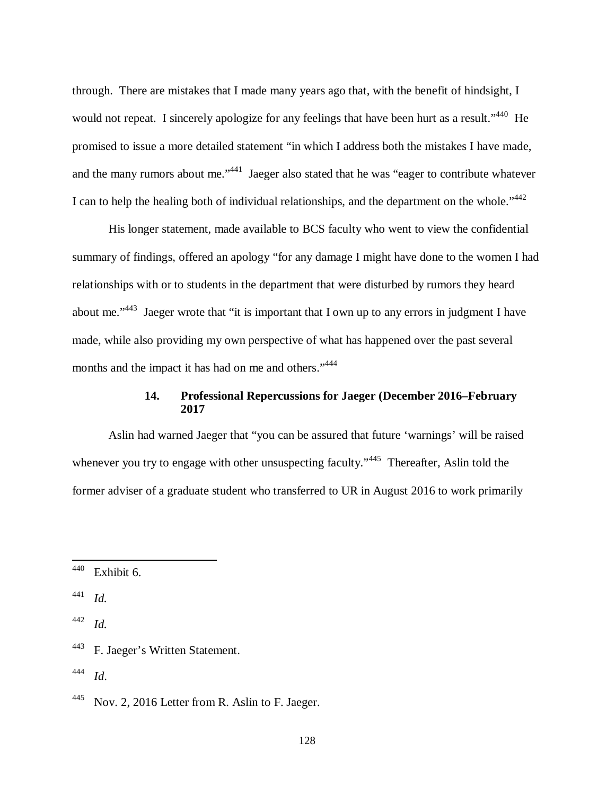through. There are mistakes that I made many years ago that, with the benefit of hindsight, I would not repeat. I sincerely apologize for any feelings that have been hurt as a result."<sup>440</sup> He promised to issue a more detailed statement "in which I address both the mistakes I have made, and the many rumors about me."<sup>441</sup> Jaeger also stated that he was "eager to contribute whatever I can to help the healing both of individual relationships, and the department on the whole." $442$ 

His longer statement, made available to BCS faculty who went to view the confidential summary of findings, offered an apology "for any damage I might have done to the women I had relationships with or to students in the department that were disturbed by rumors they heard about me."<sup>443</sup> Jaeger wrote that "it is important that I own up to any errors in judgment I have made, while also providing my own perspective of what has happened over the past several months and the impact it has had on me and others."<sup>444</sup>

# **14. Professional Repercussions for Jaeger (December 2016–February 2017**

Aslin had warned Jaeger that "you can be assured that future 'warnings' will be raised whenever you try to engage with other unsuspecting faculty."<sup>445</sup> Thereafter, Aslin told the former adviser of a graduate student who transferred to UR in August 2016 to work primarily

 $440$  Exhibit 6.

<sup>441</sup> *Id.*

<sup>442</sup> *Id.*

<sup>443</sup> F. Jaeger's Written Statement.

<sup>444</sup> *Id*.

 $^{445}$  Nov. 2, 2016 Letter from R. Aslin to F. Jaeger.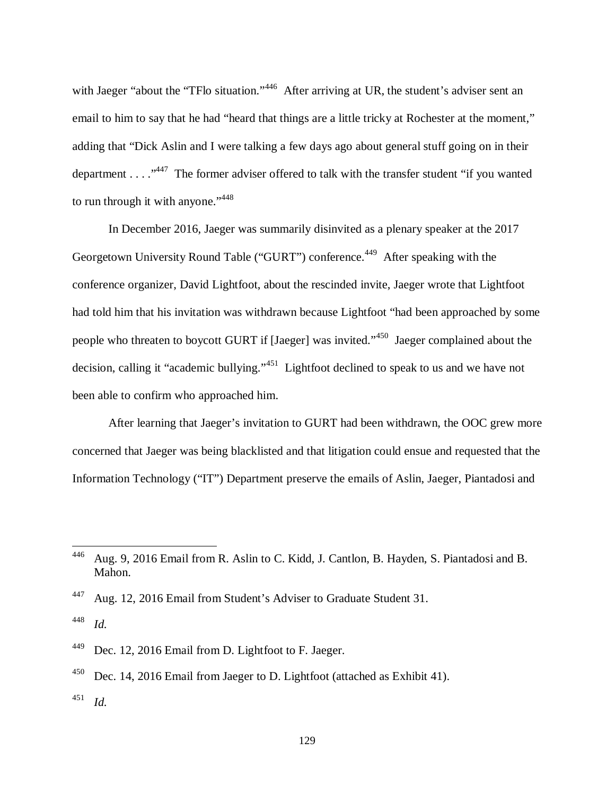with Jaeger "about the "TFlo situation."<sup>446</sup> After arriving at UR, the student's adviser sent an email to him to say that he had "heard that things are a little tricky at Rochester at the moment," adding that "Dick Aslin and I were talking a few days ago about general stuff going on in their department . . . .  $\cdot^{447}$  The former adviser offered to talk with the transfer student "if you wanted" to run through it with anyone."<sup>448</sup>

In December 2016, Jaeger was summarily disinvited as a plenary speaker at the 2017 Georgetown University Round Table ("GURT") conference.<sup>449</sup> After speaking with the conference organizer, David Lightfoot, about the rescinded invite, Jaeger wrote that Lightfoot had told him that his invitation was withdrawn because Lightfoot "had been approached by some people who threaten to boycott GURT if [Jaeger] was invited."<sup>450</sup> Jaeger complained about the decision, calling it "academic bullying."<sup>451</sup> Lightfoot declined to speak to us and we have not been able to confirm who approached him.

After learning that Jaeger's invitation to GURT had been withdrawn, the OOC grew more concerned that Jaeger was being blacklisted and that litigation could ensue and requested that the Information Technology ("IT") Department preserve the emails of Aslin, Jaeger, Piantadosi and

<sup>446</sup> Aug. 9, 2016 Email from R. Aslin to C. Kidd, J. Cantlon, B. Hayden, S. Piantadosi and B. Mahon.

<sup>447</sup> Aug. 12, 2016 Email from Student's Adviser to Graduate Student 31.

<sup>448</sup> *Id.*

<sup>449</sup> Dec. 12, 2016 Email from D. Lightfoot to F. Jaeger.

 $^{450}$  Dec. 14, 2016 Email from Jaeger to D. Lightfoot (attached as Exhibit 41).

<sup>451</sup> *Id.*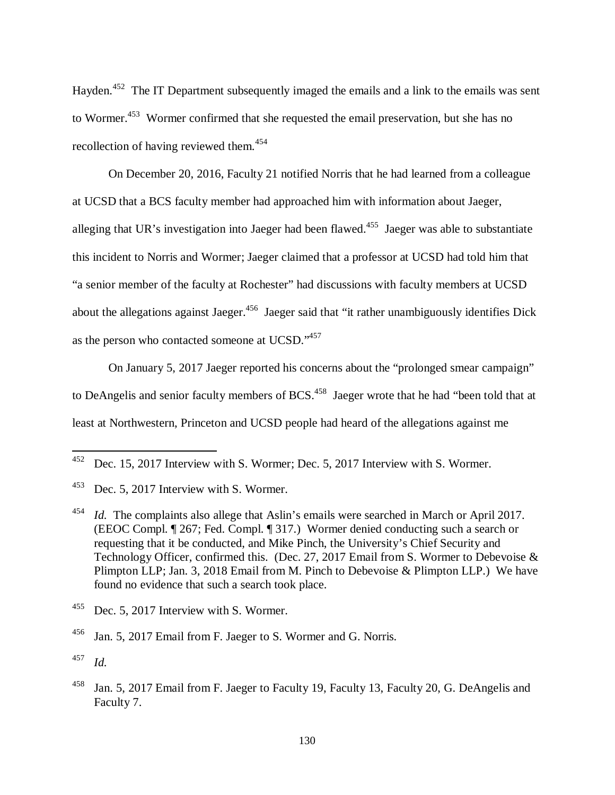Hayden.<sup>452</sup> The IT Department subsequently imaged the emails and a link to the emails was sent to Wormer.<sup>453</sup> Wormer confirmed that she requested the email preservation, but she has no recollection of having reviewed them.<sup>454</sup>

On December 20, 2016, Faculty 21 notified Norris that he had learned from a colleague at UCSD that a BCS faculty member had approached him with information about Jaeger, alleging that UR's investigation into Jaeger had been flawed.<sup>455</sup> Jaeger was able to substantiate this incident to Norris and Wormer; Jaeger claimed that a professor at UCSD had told him that "a senior member of the faculty at Rochester" had discussions with faculty members at UCSD about the allegations against Jaeger.<sup>456</sup> Jaeger said that "it rather unambiguously identifies Dick" as the person who contacted someone at UCSD."<sup>457</sup>

On January 5, 2017 Jaeger reported his concerns about the "prolonged smear campaign" to DeAngelis and senior faculty members of BCS.<sup>458</sup> Jaeger wrote that he had "been told that at least at Northwestern, Princeton and UCSD people had heard of the allegations against me

<sup>452</sup> Dec. 15, 2017 Interview with S. Wormer; Dec. 5, 2017 Interview with S. Wormer.

<sup>453</sup> Dec. 5, 2017 Interview with S. Wormer.

<sup>&</sup>lt;sup>454</sup> *Id.* The complaints also allege that Aslin's emails were searched in March or April 2017. (EEOC Compl. ¶ 267; Fed. Compl. ¶ 317.) Wormer denied conducting such a search or requesting that it be conducted, and Mike Pinch, the University's Chief Security and Technology Officer, confirmed this. (Dec. 27, 2017 Email from S. Wormer to Debevoise  $\&$ Plimpton LLP; Jan. 3, 2018 Email from M. Pinch to Debevoise & Plimpton LLP.) We have found no evidence that such a search took place.

<sup>&</sup>lt;sup>455</sup> Dec. 5, 2017 Interview with S. Wormer.

<sup>456</sup> Jan. 5, 2017 Email from F. Jaeger to S. Wormer and G. Norris.

<sup>457</sup> *Id.*

<sup>&</sup>lt;sup>458</sup> Jan. 5, 2017 Email from F. Jaeger to Faculty 19, Faculty 13, Faculty 20, G. DeAngelis and Faculty 7.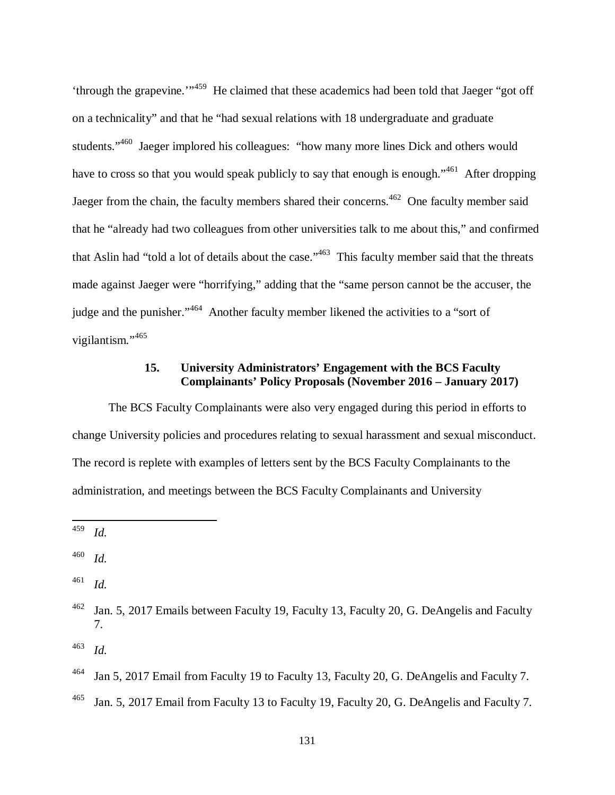'through the grapevine.'"<sup>459</sup> He claimed that these academics had been told that Jaeger "got off on a technicality" and that he "had sexual relations with 18 undergraduate and graduate students."<sup>460</sup> Jaeger implored his colleagues: "how many more lines Dick and others would have to cross so that you would speak publicly to say that enough is enough."<sup>461</sup> After dropping Jaeger from the chain, the faculty members shared their concerns.<sup>462</sup> One faculty member said that he "already had two colleagues from other universities talk to me about this," and confirmed that Aslin had "told a lot of details about the case."<sup>463</sup> This faculty member said that the threats made against Jaeger were "horrifying," adding that the "same person cannot be the accuser, the judge and the punisher."<sup>464</sup> Another faculty member likened the activities to a "sort of vigilantism."<sup>465</sup>

## **15. University Administrators' Engagement with the BCS Faculty Complainants' Policy Proposals (November 2016 – January 2017)**

The BCS Faculty Complainants were also very engaged during this period in efforts to change University policies and procedures relating to sexual harassment and sexual misconduct. The record is replete with examples of letters sent by the BCS Faculty Complainants to the administration, and meetings between the BCS Faculty Complainants and University

l

<sup>461</sup> *Id.*

<sup>459</sup> *Id.*

<sup>460</sup> *Id.*

<sup>&</sup>lt;sup>462</sup> Jan. 5, 2017 Emails between Faculty 19, Faculty 13, Faculty 20, G. DeAngelis and Faculty 7.

<sup>&</sup>lt;sup>464</sup> Jan 5, 2017 Email from Faculty 19 to Faculty 13, Faculty 20, G. DeAngelis and Faculty 7.

<sup>&</sup>lt;sup>465</sup> Jan. 5, 2017 Email from Faculty 13 to Faculty 19, Faculty 20, G. DeAngelis and Faculty 7.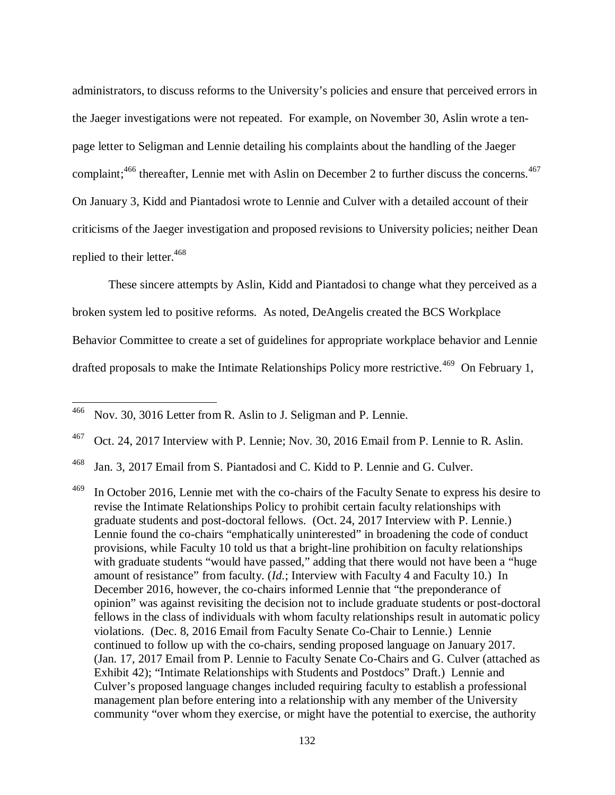administrators, to discuss reforms to the University's policies and ensure that perceived errors in the Jaeger investigations were not repeated. For example, on November 30, Aslin wrote a tenpage letter to Seligman and Lennie detailing his complaints about the handling of the Jaeger complaint;<sup>466</sup> thereafter, Lennie met with Aslin on December 2 to further discuss the concerns.<sup>467</sup> On January 3, Kidd and Piantadosi wrote to Lennie and Culver with a detailed account of their criticisms of the Jaeger investigation and proposed revisions to University policies; neither Dean replied to their letter.<sup>468</sup>

These sincere attempts by Aslin, Kidd and Piantadosi to change what they perceived as a broken system led to positive reforms. As noted, DeAngelis created the BCS Workplace Behavior Committee to create a set of guidelines for appropriate workplace behavior and Lennie drafted proposals to make the Intimate Relationships Policy more restrictive.<sup>469</sup> On February 1,

<sup>466</sup> Nov. 30, 3016 Letter from R. Aslin to J. Seligman and P. Lennie.

<sup>467</sup> Oct. 24, 2017 Interview with P. Lennie; Nov. 30, 2016 Email from P. Lennie to R. Aslin.

<sup>468</sup> Jan. 3, 2017 Email from S. Piantadosi and C. Kidd to P. Lennie and G. Culver.

<sup>&</sup>lt;sup>469</sup> In October 2016, Lennie met with the co-chairs of the Faculty Senate to express his desire to revise the Intimate Relationships Policy to prohibit certain faculty relationships with graduate students and post-doctoral fellows. (Oct. 24, 2017 Interview with P. Lennie.) Lennie found the co-chairs "emphatically uninterested" in broadening the code of conduct provisions, while Faculty 10 told us that a bright-line prohibition on faculty relationships with graduate students "would have passed," adding that there would not have been a "huge amount of resistance" from faculty. (*Id.*; Interview with Faculty 4 and Faculty 10.) In December 2016, however, the co-chairs informed Lennie that "the preponderance of opinion" was against revisiting the decision not to include graduate students or post-doctoral fellows in the class of individuals with whom faculty relationships result in automatic policy violations. (Dec. 8, 2016 Email from Faculty Senate Co-Chair to Lennie.) Lennie continued to follow up with the co-chairs, sending proposed language on January 2017. (Jan. 17, 2017 Email from P. Lennie to Faculty Senate Co-Chairs and G. Culver (attached as Exhibit 42); "Intimate Relationships with Students and Postdocs" Draft.) Lennie and Culver's proposed language changes included requiring faculty to establish a professional management plan before entering into a relationship with any member of the University community "over whom they exercise, or might have the potential to exercise, the authority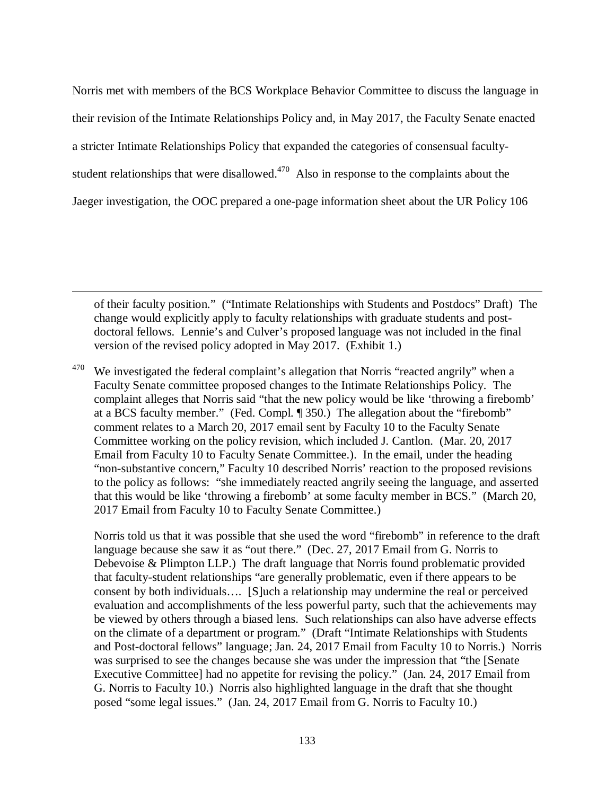Norris met with members of the BCS Workplace Behavior Committee to discuss the language in their revision of the Intimate Relationships Policy and, in May 2017, the Faculty Senate enacted a stricter Intimate Relationships Policy that expanded the categories of consensual facultystudent relationships that were disallowed. $470$  Also in response to the complaints about the Jaeger investigation, the OOC prepared a one-page information sheet about the UR Policy 106

of their faculty position." ("Intimate Relationships with Students and Postdocs" Draft) The change would explicitly apply to faculty relationships with graduate students and postdoctoral fellows. Lennie's and Culver's proposed language was not included in the final version of the revised policy adopted in May 2017. (Exhibit 1.)

l

 $470$  We investigated the federal complaint's allegation that Norris "reacted angrily" when a Faculty Senate committee proposed changes to the Intimate Relationships Policy. The complaint alleges that Norris said "that the new policy would be like 'throwing a firebomb' at a BCS faculty member." (Fed. Compl. ¶ 350.) The allegation about the "firebomb" comment relates to a March 20, 2017 email sent by Faculty 10 to the Faculty Senate Committee working on the policy revision, which included J. Cantlon. (Mar. 20, 2017 Email from Faculty 10 to Faculty Senate Committee.). In the email, under the heading "non-substantive concern," Faculty 10 described Norris' reaction to the proposed revisions to the policy as follows: "she immediately reacted angrily seeing the language, and asserted that this would be like 'throwing a firebomb' at some faculty member in BCS." (March 20, 2017 Email from Faculty 10 to Faculty Senate Committee.)

 Norris told us that it was possible that she used the word "firebomb" in reference to the draft language because she saw it as "out there." (Dec. 27, 2017 Email from G. Norris to Debevoise & Plimpton LLP.) The draft language that Norris found problematic provided that faculty-student relationships "are generally problematic, even if there appears to be consent by both individuals…. [S]uch a relationship may undermine the real or perceived evaluation and accomplishments of the less powerful party, such that the achievements may be viewed by others through a biased lens. Such relationships can also have adverse effects on the climate of a department or program." (Draft "Intimate Relationships with Students and Post-doctoral fellows" language; Jan. 24, 2017 Email from Faculty 10 to Norris.) Norris was surprised to see the changes because she was under the impression that "the [Senate Executive Committee] had no appetite for revising the policy." (Jan. 24, 2017 Email from G. Norris to Faculty 10.) Norris also highlighted language in the draft that she thought posed "some legal issues." (Jan. 24, 2017 Email from G. Norris to Faculty 10.)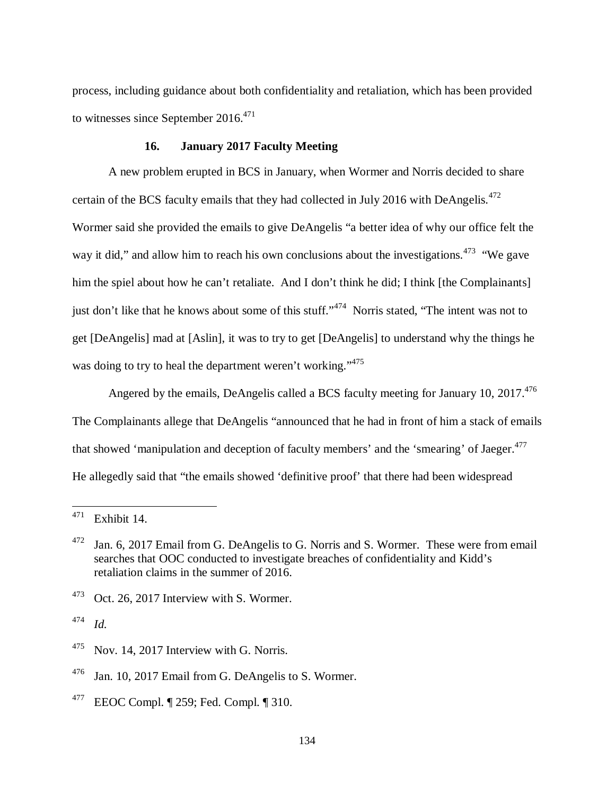process, including guidance about both confidentiality and retaliation, which has been provided to witnesses since September  $2016^{471}$ 

### **16. January 2017 Faculty Meeting**

A new problem erupted in BCS in January, when Wormer and Norris decided to share certain of the BCS faculty emails that they had collected in July 2016 with DeAngelis.<sup>472</sup> Wormer said she provided the emails to give DeAngelis "a better idea of why our office felt the way it did," and allow him to reach his own conclusions about the investigations.<sup>473</sup> "We gave him the spiel about how he can't retaliate. And I don't think he did; I think [the Complainants] just don't like that he knows about some of this stuff."<sup>474</sup> Norris stated, "The intent was not to get [DeAngelis] mad at [Aslin], it was to try to get [DeAngelis] to understand why the things he was doing to try to heal the department weren't working."<sup>475</sup>

Angered by the emails, DeAngelis called a BCS faculty meeting for January 10,  $2017^{476}$ The Complainants allege that DeAngelis "announced that he had in front of him a stack of emails that showed 'manipulation and deception of faculty members' and the 'smearing' of Jaeger.<sup>477</sup> He allegedly said that "the emails showed 'definitive proof' that there had been widespread

 $473$  Oct. 26, 2017 Interview with S. Wormer.

<sup>474</sup> *Id.*

 $471$  Exhibit 14.

 $472$  Jan. 6, 2017 Email from G. DeAngelis to G. Norris and S. Wormer. These were from email searches that OOC conducted to investigate breaches of confidentiality and Kidd's retaliation claims in the summer of 2016.

 $475$  Nov. 14, 2017 Interview with G. Norris.

<sup>&</sup>lt;sup>476</sup> Jan. 10, 2017 Email from G. DeAngelis to S. Wormer.

 $^{477}$  EEOC Compl.  $\P$  259; Fed. Compl.  $\P$  310.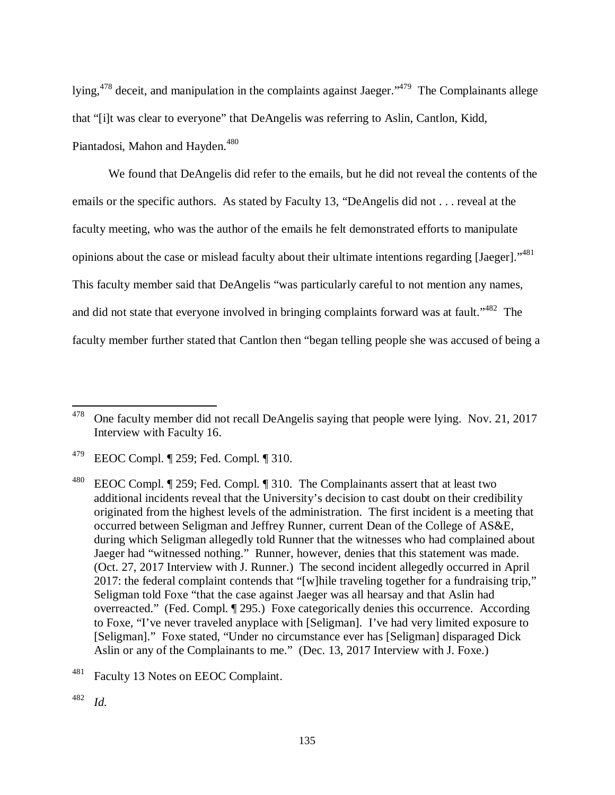lying,<sup>478</sup> deceit, and manipulation in the complaints against Jaeger."<sup>479</sup> The Complainants allege that "[i]t was clear to everyone" that DeAngelis was referring to Aslin, Cantlon, Kidd, Piantadosi, Mahon and Hayden.<sup>480</sup>

We found that DeAngelis did refer to the emails, but he did not reveal the contents of the emails or the specific authors. As stated by Faculty 13, "DeAngelis did not . . . reveal at the faculty meeting, who was the author of the emails he felt demonstrated efforts to manipulate opinions about the case or mislead faculty about their ultimate intentions regarding [Jaeger]."<sup>481</sup> This faculty member said that DeAngelis "was particularly careful to not mention any names, and did not state that everyone involved in bringing complaints forward was at fault."<sup>482</sup> The faculty member further stated that Cantlon then "began telling people she was accused of being a

 $478$  One faculty member did not recall DeAngelis saying that people were lying. Nov. 21, 2017 Interview with Faculty 16.

<sup>&</sup>lt;sup>479</sup> EEOC Compl.  $\P$  259; Fed. Compl.  $\P$  310.

<sup>&</sup>lt;sup>480</sup> EEOC Compl. ¶ 259; Fed. Compl. ¶ 310. The Complainants assert that at least two additional incidents reveal that the University's decision to cast doubt on their credibility originated from the highest levels of the administration. The first incident is a meeting that occurred between Seligman and Jeffrey Runner, current Dean of the College of AS&E, during which Seligman allegedly told Runner that the witnesses who had complained about Jaeger had "witnessed nothing." Runner, however, denies that this statement was made. (Oct. 27, 2017 Interview with J. Runner.) The second incident allegedly occurred in April 2017: the federal complaint contends that "[w]hile traveling together for a fundraising trip," Seligman told Foxe "that the case against Jaeger was all hearsay and that Aslin had overreacted." (Fed. Compl. ¶ 295.) Foxe categorically denies this occurrence. According to Foxe, "I've never traveled anyplace with [Seligman]. I've had very limited exposure to [Seligman]." Foxe stated, "Under no circumstance ever has [Seligman] disparaged Dick Aslin or any of the Complainants to me." (Dec. 13, 2017 Interview with J. Foxe.)

<sup>&</sup>lt;sup>481</sup> Faculty 13 Notes on EEOC Complaint.

<sup>482</sup> *Id.*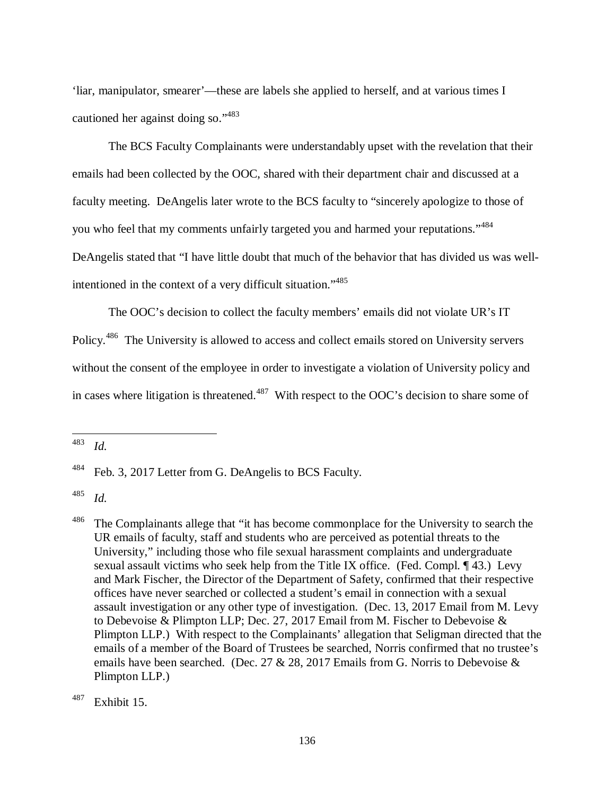'liar, manipulator, smearer'—these are labels she applied to herself, and at various times I cautioned her against doing so."<sup>483</sup>

The BCS Faculty Complainants were understandably upset with the revelation that their emails had been collected by the OOC, shared with their department chair and discussed at a faculty meeting. DeAngelis later wrote to the BCS faculty to "sincerely apologize to those of you who feel that my comments unfairly targeted you and harmed your reputations."<sup>484</sup> DeAngelis stated that "I have little doubt that much of the behavior that has divided us was wellintentioned in the context of a very difficult situation."<sup>485</sup>

The OOC's decision to collect the faculty members' emails did not violate UR's IT Policy.<sup>486</sup> The University is allowed to access and collect emails stored on University servers without the consent of the employee in order to investigate a violation of University policy and in cases where litigation is threatened.<sup>487</sup> With respect to the OOC's decision to share some of

<sup>483</sup> *Id.*

<sup>&</sup>lt;sup>484</sup> Feb. 3, 2017 Letter from G. DeAngelis to BCS Faculty.

<sup>485</sup> *Id.*

<sup>&</sup>lt;sup>486</sup> The Complainants allege that "it has become commonplace for the University to search the UR emails of faculty, staff and students who are perceived as potential threats to the University," including those who file sexual harassment complaints and undergraduate sexual assault victims who seek help from the Title IX office. (Fed. Compl. ¶ 43.) Levy and Mark Fischer, the Director of the Department of Safety, confirmed that their respective offices have never searched or collected a student's email in connection with a sexual assault investigation or any other type of investigation. (Dec. 13, 2017 Email from M. Levy to Debevoise & Plimpton LLP; Dec. 27, 2017 Email from M. Fischer to Debevoise & Plimpton LLP.) With respect to the Complainants' allegation that Seligman directed that the emails of a member of the Board of Trustees be searched, Norris confirmed that no trustee's emails have been searched. (Dec. 27 & 28, 2017 Emails from G. Norris to Debevoise  $\&$ Plimpton LLP.)

 $487$  Exhibit 15.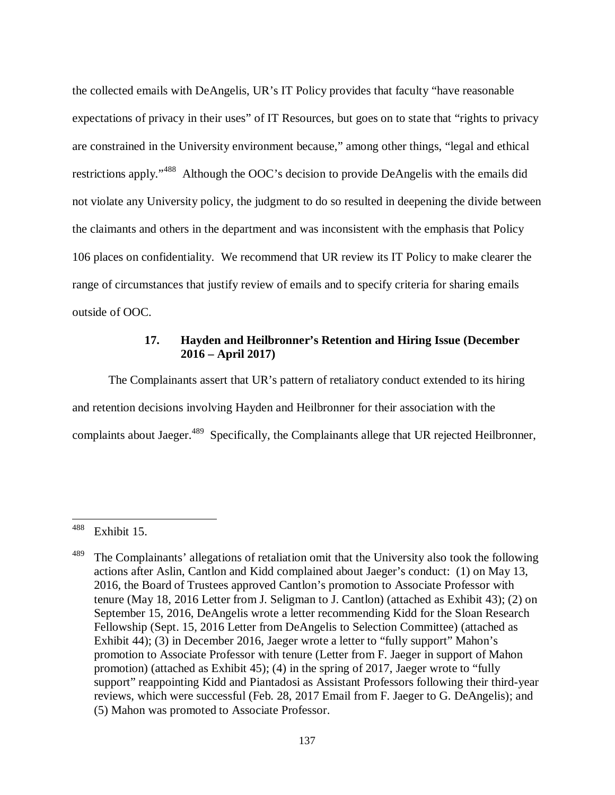the collected emails with DeAngelis, UR's IT Policy provides that faculty "have reasonable expectations of privacy in their uses" of IT Resources, but goes on to state that "rights to privacy are constrained in the University environment because," among other things, "legal and ethical restrictions apply."<sup>488</sup> Although the OOC's decision to provide DeAngelis with the emails did not violate any University policy, the judgment to do so resulted in deepening the divide between the claimants and others in the department and was inconsistent with the emphasis that Policy 106 places on confidentiality. We recommend that UR review its IT Policy to make clearer the range of circumstances that justify review of emails and to specify criteria for sharing emails outside of OOC.

### **17. Hayden and Heilbronner's Retention and Hiring Issue (December 2016 – April 2017)**

The Complainants assert that UR's pattern of retaliatory conduct extended to its hiring and retention decisions involving Hayden and Heilbronner for their association with the complaints about Jaeger.<sup>489</sup> Specifically, the Complainants allege that UR rejected Heilbronner,

<sup>488</sup> Exhibit 15.

 $489$  The Complainants' allegations of retaliation omit that the University also took the following actions after Aslin, Cantlon and Kidd complained about Jaeger's conduct: (1) on May 13, 2016, the Board of Trustees approved Cantlon's promotion to Associate Professor with tenure (May 18, 2016 Letter from J. Seligman to J. Cantlon) (attached as Exhibit 43); (2) on September 15, 2016, DeAngelis wrote a letter recommending Kidd for the Sloan Research Fellowship (Sept. 15, 2016 Letter from DeAngelis to Selection Committee) (attached as Exhibit 44); (3) in December 2016, Jaeger wrote a letter to "fully support" Mahon's promotion to Associate Professor with tenure (Letter from F. Jaeger in support of Mahon promotion) (attached as Exhibit 45); (4) in the spring of 2017, Jaeger wrote to "fully support" reappointing Kidd and Piantadosi as Assistant Professors following their third-year reviews, which were successful (Feb. 28, 2017 Email from F. Jaeger to G. DeAngelis); and (5) Mahon was promoted to Associate Professor.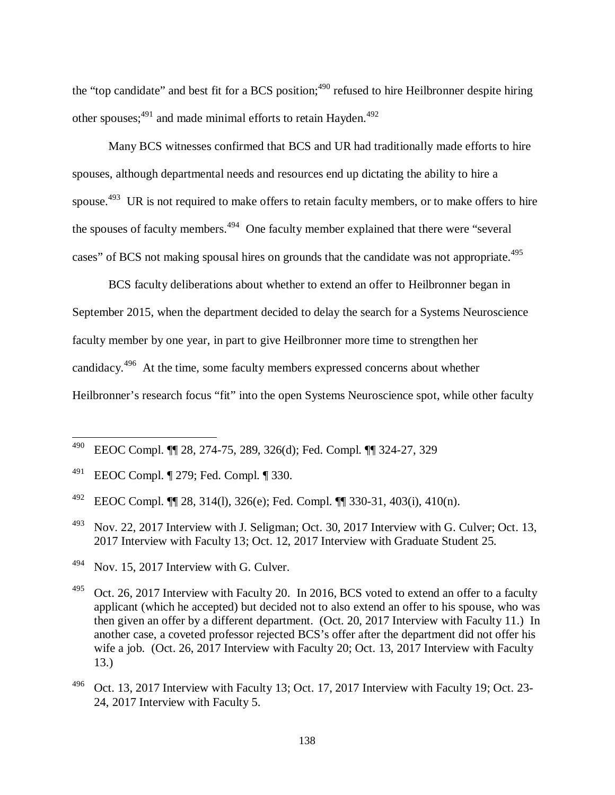the "top candidate" and best fit for a BCS position;<sup>490</sup> refused to hire Heilbronner despite hiring other spouses;<sup>491</sup> and made minimal efforts to retain Hayden.<sup>492</sup>

Many BCS witnesses confirmed that BCS and UR had traditionally made efforts to hire spouses, although departmental needs and resources end up dictating the ability to hire a spouse.<sup>493</sup> UR is not required to make offers to retain faculty members, or to make offers to hire the spouses of faculty members.<sup>494</sup> One faculty member explained that there were "several" cases" of BCS not making spousal hires on grounds that the candidate was not appropriate.<sup>495</sup>

BCS faculty deliberations about whether to extend an offer to Heilbronner began in September 2015, when the department decided to delay the search for a Systems Neuroscience faculty member by one year, in part to give Heilbronner more time to strengthen her candidacy.<sup>496</sup> At the time, some faculty members expressed concerns about whether Heilbronner's research focus "fit" into the open Systems Neuroscience spot, while other faculty

- $^{493}$  Nov. 22, 2017 Interview with J. Seligman; Oct. 30, 2017 Interview with G. Culver; Oct. 13, 2017 Interview with Faculty 13; Oct. 12, 2017 Interview with Graduate Student 25.
- <sup>494</sup> Nov. 15, 2017 Interview with G. Culver.

<sup>490</sup> EEOC Compl. ¶¶ 28, 274-75, 289, 326(d); Fed. Compl. ¶¶ 324-27, 329

<sup>491</sup> EEOC Compl. ¶ 279; Fed. Compl. ¶ 330.

<sup>&</sup>lt;sup>492</sup> EEOC Compl. **[1]** 28, 314(1), 326(e); Fed. Compl. **[1]** 330-31, 403(i), 410(n).

 $495$  Oct. 26, 2017 Interview with Faculty 20. In 2016, BCS voted to extend an offer to a faculty applicant (which he accepted) but decided not to also extend an offer to his spouse, who was then given an offer by a different department. (Oct. 20, 2017 Interview with Faculty 11.) In another case, a coveted professor rejected BCS's offer after the department did not offer his wife a job. (Oct. 26, 2017 Interview with Faculty 20; Oct. 13, 2017 Interview with Faculty 13.)

 $^{496}$  Oct. 13, 2017 Interview with Faculty 13; Oct. 17, 2017 Interview with Faculty 19; Oct. 23-24, 2017 Interview with Faculty 5.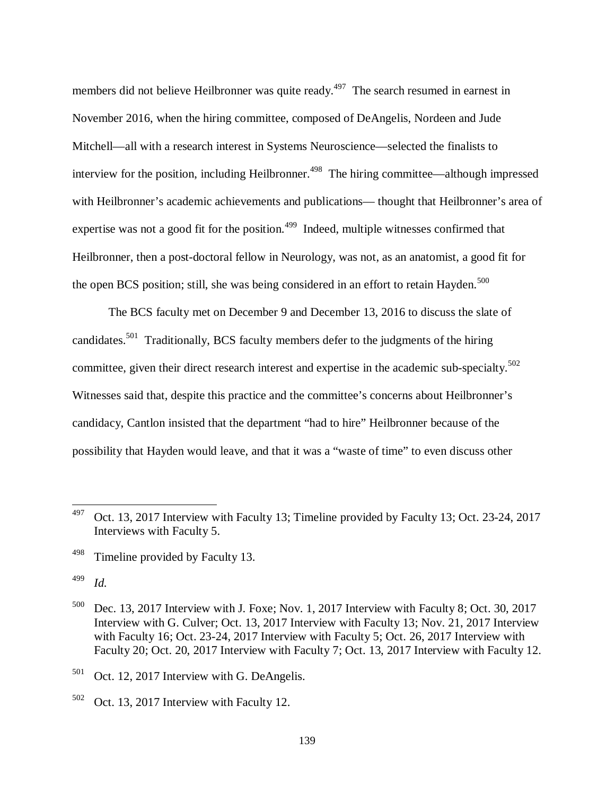members did not believe Heilbronner was quite ready.<sup>497</sup> The search resumed in earnest in November 2016, when the hiring committee, composed of DeAngelis, Nordeen and Jude Mitchell—all with a research interest in Systems Neuroscience—selected the finalists to interview for the position, including Heilbronner.<sup>498</sup> The hiring committee—although impressed with Heilbronner's academic achievements and publications— thought that Heilbronner's area of expertise was not a good fit for the position.<sup> $499$ </sup> Indeed, multiple witnesses confirmed that Heilbronner, then a post-doctoral fellow in Neurology, was not, as an anatomist, a good fit for the open BCS position; still, she was being considered in an effort to retain Hayden. $500$ 

The BCS faculty met on December 9 and December 13, 2016 to discuss the slate of candidates.<sup>501</sup> Traditionally, BCS faculty members defer to the judgments of the hiring committee, given their direct research interest and expertise in the academic sub-specialty.<sup>502</sup> Witnesses said that, despite this practice and the committee's concerns about Heilbronner's candidacy, Cantlon insisted that the department "had to hire" Heilbronner because of the possibility that Hayden would leave, and that it was a "waste of time" to even discuss other

499 *Id.*

 $497$  Oct. 13, 2017 Interview with Faculty 13; Timeline provided by Faculty 13; Oct. 23-24, 2017 Interviews with Faculty 5.

<sup>&</sup>lt;sup>498</sup> Timeline provided by Faculty 13.

 $500$  Dec. 13, 2017 Interview with J. Foxe; Nov. 1, 2017 Interview with Faculty 8; Oct. 30, 2017 Interview with G. Culver; Oct. 13, 2017 Interview with Faculty 13; Nov. 21, 2017 Interview with Faculty 16; Oct. 23-24, 2017 Interview with Faculty 5; Oct. 26, 2017 Interview with Faculty 20; Oct. 20, 2017 Interview with Faculty 7; Oct. 13, 2017 Interview with Faculty 12.

 $501$  Oct. 12, 2017 Interview with G. DeAngelis.

 $502$  Oct. 13, 2017 Interview with Faculty 12.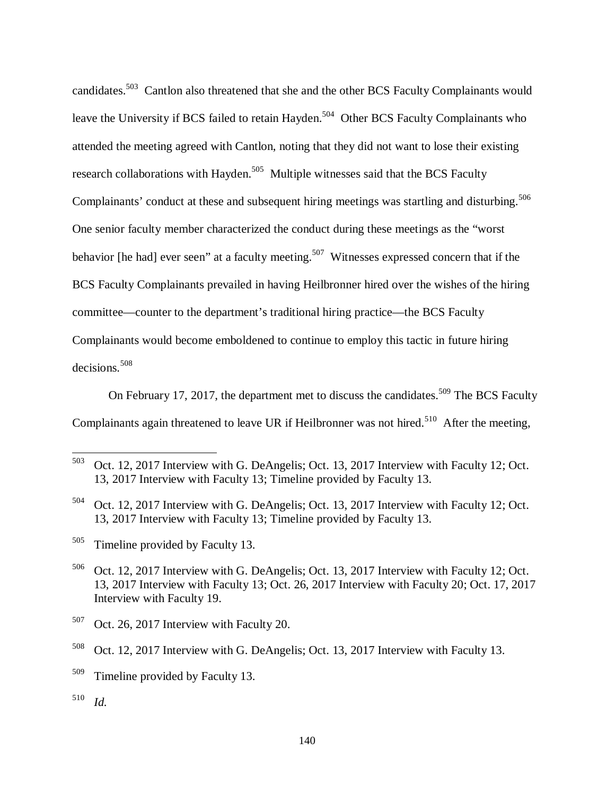candidates.<sup>503</sup> Cantlon also threatened that she and the other BCS Faculty Complainants would leave the University if BCS failed to retain Hayden.<sup>504</sup> Other BCS Faculty Complainants who attended the meeting agreed with Cantlon, noting that they did not want to lose their existing research collaborations with Hayden.<sup>505</sup> Multiple witnesses said that the BCS Faculty Complainants' conduct at these and subsequent hiring meetings was startling and disturbing.<sup>506</sup> One senior faculty member characterized the conduct during these meetings as the "worst behavior [he had] ever seen" at a faculty meeting.<sup>507</sup> Witnesses expressed concern that if the BCS Faculty Complainants prevailed in having Heilbronner hired over the wishes of the hiring committee—counter to the department's traditional hiring practice—the BCS Faculty Complainants would become emboldened to continue to employ this tactic in future hiring decisions.<sup>508</sup>

On February 17, 2017, the department met to discuss the candidates.<sup>509</sup> The BCS Faculty Complainants again threatened to leave UR if Heilbronner was not hired.<sup>510</sup> After the meeting,

<sup>505</sup> Timeline provided by Faculty 13.

<sup>503</sup> Oct. 12, 2017 Interview with G. DeAngelis; Oct. 13, 2017 Interview with Faculty 12; Oct. 13, 2017 Interview with Faculty 13; Timeline provided by Faculty 13.

<sup>504</sup> Oct. 12, 2017 Interview with G. DeAngelis; Oct. 13, 2017 Interview with Faculty 12; Oct. 13, 2017 Interview with Faculty 13; Timeline provided by Faculty 13.

<sup>506</sup> Oct. 12, 2017 Interview with G. DeAngelis; Oct. 13, 2017 Interview with Faculty 12; Oct. 13, 2017 Interview with Faculty 13; Oct. 26, 2017 Interview with Faculty 20; Oct. 17, 2017 Interview with Faculty 19.

 $507$  Oct. 26, 2017 Interview with Faculty 20.

<sup>508</sup> Oct. 12, 2017 Interview with G. DeAngelis; Oct. 13, 2017 Interview with Faculty 13.

<sup>&</sup>lt;sup>509</sup> Timeline provided by Faculty 13.

<sup>510</sup> *Id.*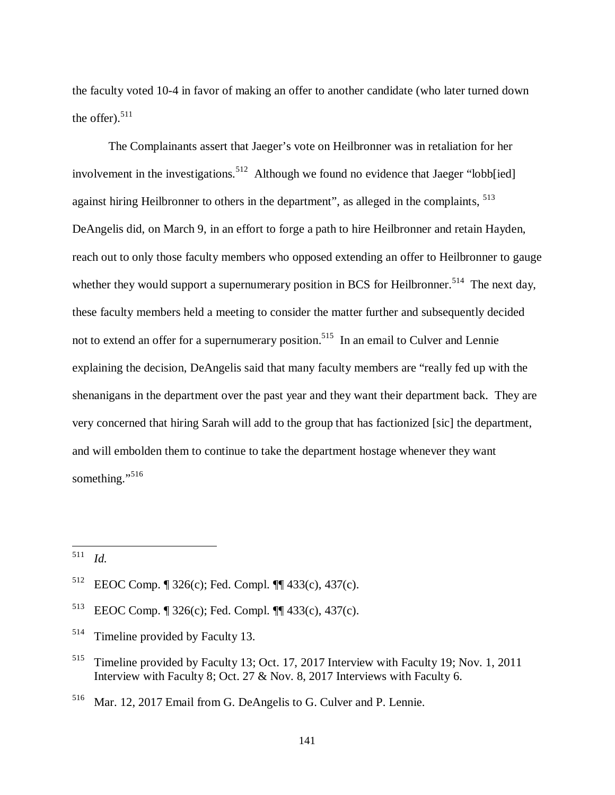the faculty voted 10-4 in favor of making an offer to another candidate (who later turned down the offer). $511$ 

The Complainants assert that Jaeger's vote on Heilbronner was in retaliation for her involvement in the investigations.<sup>512</sup> Although we found no evidence that Jaeger "lobb[ied] against hiring Heilbronner to others in the department", as alleged in the complaints, <sup>513</sup> DeAngelis did, on March 9, in an effort to forge a path to hire Heilbronner and retain Hayden, reach out to only those faculty members who opposed extending an offer to Heilbronner to gauge whether they would support a supernumerary position in BCS for Heilbronner.<sup>514</sup> The next day, these faculty members held a meeting to consider the matter further and subsequently decided not to extend an offer for a supernumerary position.<sup>515</sup> In an email to Culver and Lennie explaining the decision, DeAngelis said that many faculty members are "really fed up with the shenanigans in the department over the past year and they want their department back. They are very concerned that hiring Sarah will add to the group that has factionized [sic] the department, and will embolden them to continue to take the department hostage whenever they want something."<sup>516</sup>

<sup>511</sup> *Id.*

<sup>512</sup> EEOC Comp. ¶ 326(c); Fed. Compl. ¶¶ 433(c), 437(c).

<sup>513</sup> EEOC Comp. ¶ 326(c); Fed. Compl. ¶¶ 433(c), 437(c).

<sup>&</sup>lt;sup>514</sup> Timeline provided by Faculty 13.

<sup>&</sup>lt;sup>515</sup> Timeline provided by Faculty 13; Oct. 17, 2017 Interview with Faculty 19; Nov. 1, 2011 Interview with Faculty 8; Oct. 27 & Nov. 8, 2017 Interviews with Faculty 6.

<sup>516</sup> Mar. 12, 2017 Email from G. DeAngelis to G. Culver and P. Lennie.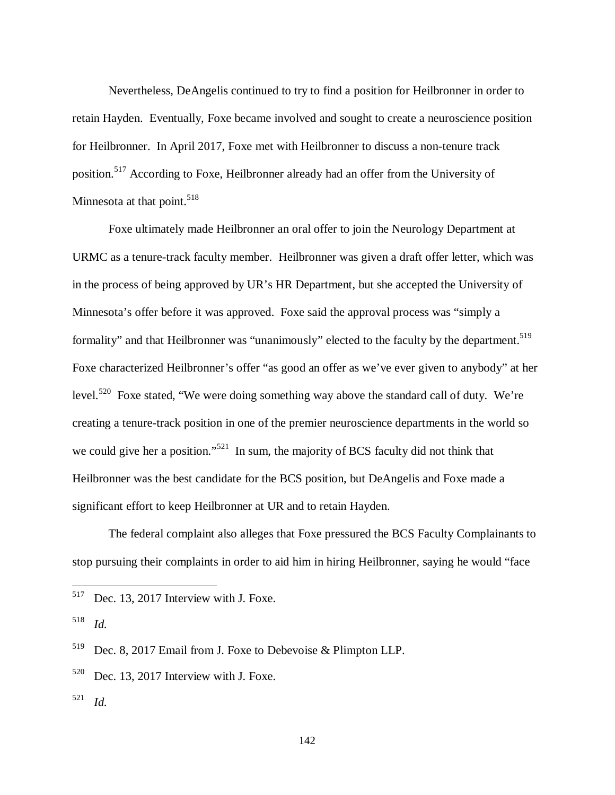Nevertheless, DeAngelis continued to try to find a position for Heilbronner in order to retain Hayden. Eventually, Foxe became involved and sought to create a neuroscience position for Heilbronner. In April 2017, Foxe met with Heilbronner to discuss a non-tenure track position.<sup>517</sup> According to Foxe, Heilbronner already had an offer from the University of Minnesota at that point.<sup>518</sup>

Foxe ultimately made Heilbronner an oral offer to join the Neurology Department at URMC as a tenure-track faculty member. Heilbronner was given a draft offer letter, which was in the process of being approved by UR's HR Department, but she accepted the University of Minnesota's offer before it was approved. Foxe said the approval process was "simply a formality" and that Heilbronner was "unanimously" elected to the faculty by the department.<sup>519</sup> Foxe characterized Heilbronner's offer "as good an offer as we've ever given to anybody" at her level.<sup>520</sup> Foxe stated, "We were doing something way above the standard call of duty. We're creating a tenure-track position in one of the premier neuroscience departments in the world so we could give her a position."<sup>521</sup> In sum, the majority of BCS faculty did not think that Heilbronner was the best candidate for the BCS position, but DeAngelis and Foxe made a significant effort to keep Heilbronner at UR and to retain Hayden.

The federal complaint also alleges that Foxe pressured the BCS Faculty Complainants to stop pursuing their complaints in order to aid him in hiring Heilbronner, saying he would "face

 $517$  Dec. 13, 2017 Interview with J. Foxe.

<sup>518</sup> *Id.*

<sup>519</sup> Dec. 8, 2017 Email from J. Foxe to Debevoise & Plimpton LLP.

 $520$  Dec. 13, 2017 Interview with J. Foxe.

<sup>521</sup> *Id.*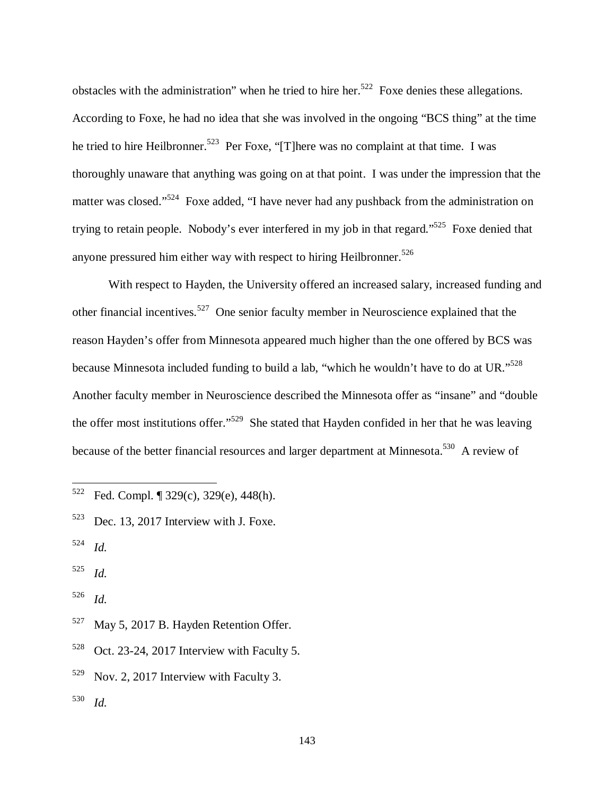obstacles with the administration" when he tried to hire her.<sup>522</sup> Foxe denies these allegations. According to Foxe, he had no idea that she was involved in the ongoing "BCS thing" at the time he tried to hire Heilbronner.<sup>523</sup> Per Foxe, "[T]here was no complaint at that time. I was thoroughly unaware that anything was going on at that point. I was under the impression that the matter was closed."<sup>524</sup> Foxe added, "I have never had any pushback from the administration on trying to retain people. Nobody's ever interfered in my job in that regard."<sup>525</sup> Foxe denied that anyone pressured him either way with respect to hiring Heilbronner.<sup>526</sup>

With respect to Hayden, the University offered an increased salary, increased funding and other financial incentives.<sup>527</sup> One senior faculty member in Neuroscience explained that the reason Hayden's offer from Minnesota appeared much higher than the one offered by BCS was because Minnesota included funding to build a lab, "which he wouldn't have to do at UR."<sup>528</sup> Another faculty member in Neuroscience described the Minnesota offer as "insane" and "double the offer most institutions offer."<sup>529</sup> She stated that Hayden confided in her that he was leaving because of the better financial resources and larger department at Minnesota.<sup>530</sup> A review of

 $\overline{a}$ 

<sup>525</sup> *Id.*

<sup>526</sup> *Id.*

- <sup>527</sup> May 5, 2017 B. Hayden Retention Offer.
- $528$  Oct. 23-24, 2017 Interview with Faculty 5.
- $529$  Nov. 2, 2017 Interview with Faculty 3.
- <sup>530</sup> *Id.*

 $522$  Fed. Compl. ¶ 329(c), 329(e), 448(h).

 $523$  Dec. 13, 2017 Interview with J. Foxe.

<sup>524</sup> *Id.*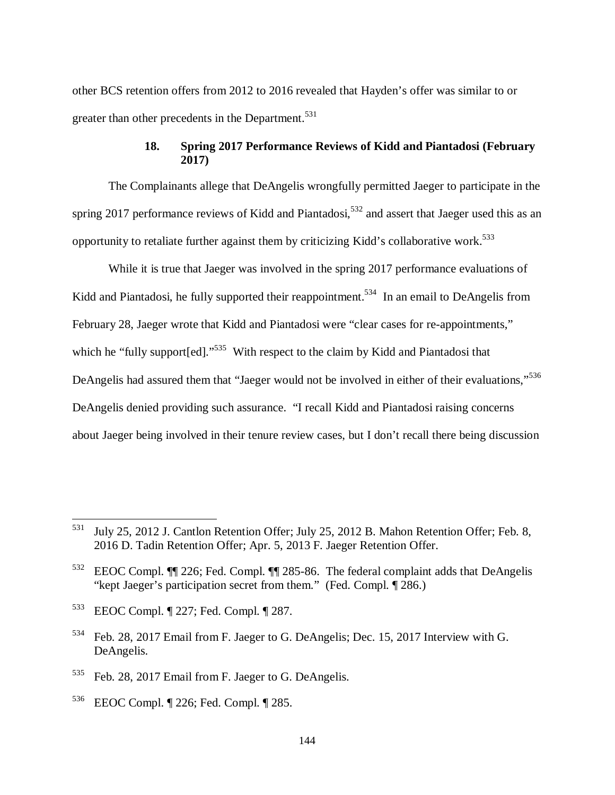other BCS retention offers from 2012 to 2016 revealed that Hayden's offer was similar to or greater than other precedents in the Department.<sup>531</sup>

# **18. Spring 2017 Performance Reviews of Kidd and Piantadosi (February 2017)**

The Complainants allege that DeAngelis wrongfully permitted Jaeger to participate in the spring 2017 performance reviews of Kidd and Piantadosi,  $532$  and assert that Jaeger used this as an opportunity to retaliate further against them by criticizing Kidd's collaborative work.<sup>533</sup>

While it is true that Jaeger was involved in the spring 2017 performance evaluations of Kidd and Piantadosi, he fully supported their reappointment.<sup>534</sup> In an email to DeAngelis from February 28, Jaeger wrote that Kidd and Piantadosi were "clear cases for re-appointments," which he "fully support [ed]."<sup>535</sup> With respect to the claim by Kidd and Piantadosi that DeAngelis had assured them that "Jaeger would not be involved in either of their evaluations."<sup>536</sup> DeAngelis denied providing such assurance. "I recall Kidd and Piantadosi raising concerns about Jaeger being involved in their tenure review cases, but I don't recall there being discussion

<sup>531</sup> July 25, 2012 J. Cantlon Retention Offer; July 25, 2012 B. Mahon Retention Offer; Feb. 8, 2016 D. Tadin Retention Offer; Apr. 5, 2013 F. Jaeger Retention Offer.

<sup>532</sup> EEOC Compl. ¶¶ 226; Fed. Compl. ¶¶ 285-86. The federal complaint adds that DeAngelis "kept Jaeger's participation secret from them." (Fed. Compl. ¶ 286.)

<sup>533</sup> EEOC Compl. ¶ 227; Fed. Compl. ¶ 287.

<sup>534</sup> Feb. 28, 2017 Email from F. Jaeger to G. DeAngelis; Dec. 15, 2017 Interview with G. DeAngelis.

<sup>535</sup> Feb. 28, 2017 Email from F. Jaeger to G. DeAngelis.

<sup>536</sup> EEOC Compl. ¶ 226; Fed. Compl. ¶ 285.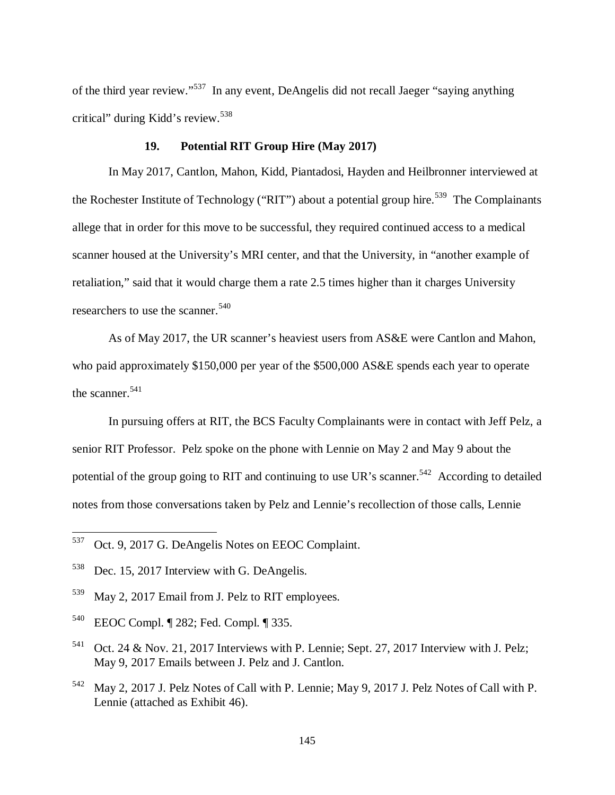of the third year review."<sup>537</sup> In any event, DeAngelis did not recall Jaeger "saying anything critical" during Kidd's review.<sup>538</sup>

### **19. Potential RIT Group Hire (May 2017)**

In May 2017, Cantlon, Mahon, Kidd, Piantadosi, Hayden and Heilbronner interviewed at the Rochester Institute of Technology ("RIT") about a potential group hire.<sup>539</sup> The Complainants allege that in order for this move to be successful, they required continued access to a medical scanner housed at the University's MRI center, and that the University, in "another example of retaliation," said that it would charge them a rate 2.5 times higher than it charges University researchers to use the scanner.<sup>540</sup>

As of May 2017, the UR scanner's heaviest users from AS&E were Cantlon and Mahon, who paid approximately \$150,000 per year of the \$500,000 AS&E spends each year to operate the scanner.  $541$ 

In pursuing offers at RIT, the BCS Faculty Complainants were in contact with Jeff Pelz, a senior RIT Professor. Pelz spoke on the phone with Lennie on May 2 and May 9 about the potential of the group going to RIT and continuing to use UR's scanner.<sup>542</sup> According to detailed notes from those conversations taken by Pelz and Lennie's recollection of those calls, Lennie

<sup>537</sup> Oct. 9, 2017 G. DeAngelis Notes on EEOC Complaint.

<sup>538</sup> Dec. 15, 2017 Interview with G. DeAngelis.

<sup>539</sup> May 2, 2017 Email from J. Pelz to RIT employees.

<sup>540</sup> EEOC Compl. ¶ 282; Fed. Compl. ¶ 335.

 $541$  Oct. 24 & Nov. 21, 2017 Interviews with P. Lennie; Sept. 27, 2017 Interview with J. Pelz; May 9, 2017 Emails between J. Pelz and J. Cantlon.

<sup>542</sup> May 2, 2017 J. Pelz Notes of Call with P. Lennie; May 9, 2017 J. Pelz Notes of Call with P. Lennie (attached as Exhibit 46).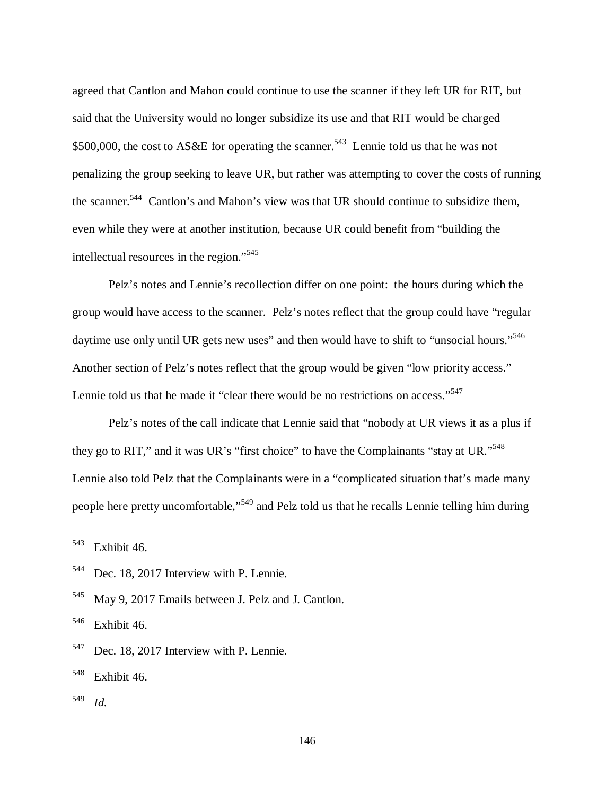agreed that Cantlon and Mahon could continue to use the scanner if they left UR for RIT, but said that the University would no longer subsidize its use and that RIT would be charged \$500,000, the cost to AS&E for operating the scanner.<sup>543</sup> Lennie told us that he was not penalizing the group seeking to leave UR, but rather was attempting to cover the costs of running the scanner.<sup>544</sup> Cantlon's and Mahon's view was that UR should continue to subsidize them, even while they were at another institution, because UR could benefit from "building the intellectual resources in the region."<sup>545</sup>

Pelz's notes and Lennie's recollection differ on one point: the hours during which the group would have access to the scanner. Pelz's notes reflect that the group could have "regular daytime use only until UR gets new uses" and then would have to shift to "unsocial hours."<sup>546</sup> Another section of Pelz's notes reflect that the group would be given "low priority access." Lennie told us that he made it "clear there would be no restrictions on access."<sup>547</sup>

Pelz's notes of the call indicate that Lennie said that "nobody at UR views it as a plus if they go to RIT," and it was UR's "first choice" to have the Complainants "stay at UR."<sup>548</sup> Lennie also told Pelz that the Complainants were in a "complicated situation that's made many people here pretty uncomfortable,"<sup>549</sup> and Pelz told us that he recalls Lennie telling him during

 $543$  Exhibit 46.

<sup>544</sup> Dec. 18, 2017 Interview with P. Lennie.

<sup>545</sup> May 9, 2017 Emails between J. Pelz and J. Cantlon.

<sup>546</sup> Exhibit 46.

<sup>&</sup>lt;sup>547</sup> Dec. 18, 2017 Interview with P. Lennie.

 $548$  Exhibit 46.

<sup>549</sup> *Id.*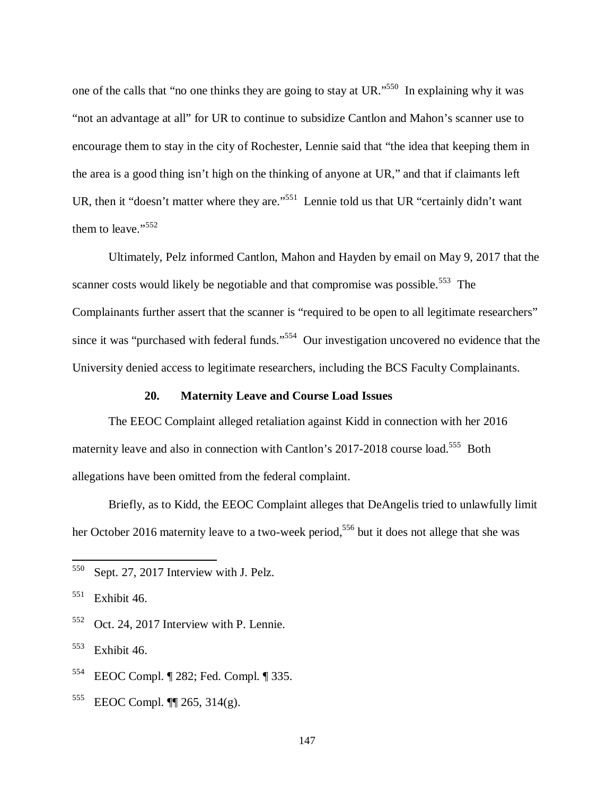one of the calls that "no one thinks they are going to stay at UR."<sup>550</sup> In explaining why it was "not an advantage at all" for UR to continue to subsidize Cantlon and Mahon's scanner use to encourage them to stay in the city of Rochester, Lennie said that "the idea that keeping them in the area is a good thing isn't high on the thinking of anyone at UR," and that if claimants left UR, then it "doesn't matter where they are."<sup>551</sup> Lennie told us that UR "certainly didn't want them to leave."<sup>552</sup>

Ultimately, Pelz informed Cantlon, Mahon and Hayden by email on May 9, 2017 that the scanner costs would likely be negotiable and that compromise was possible.<sup>553</sup> The Complainants further assert that the scanner is "required to be open to all legitimate researchers" since it was "purchased with federal funds."<sup>554</sup> Our investigation uncovered no evidence that the University denied access to legitimate researchers, including the BCS Faculty Complainants.

#### **20. Maternity Leave and Course Load Issues**

The EEOC Complaint alleged retaliation against Kidd in connection with her 2016 maternity leave and also in connection with Cantlon's 2017-2018 course load.<sup>555</sup> Both allegations have been omitted from the federal complaint.

Briefly, as to Kidd, the EEOC Complaint alleges that DeAngelis tried to unlawfully limit her October 2016 maternity leave to a two-week period,<sup>556</sup> but it does not allege that she was

 $\overline{a}$ 

<sup>552</sup> Oct. 24, 2017 Interview with P. Lennie.

<sup>553</sup> Exhibit 46.

<sup>555</sup> EEOC Compl. ¶¶ 265, 314(g).

<sup>550</sup> Sept. 27, 2017 Interview with J. Pelz.

 $551$  Exhibit 46.

<sup>554</sup> EEOC Compl. ¶ 282; Fed. Compl. ¶ 335.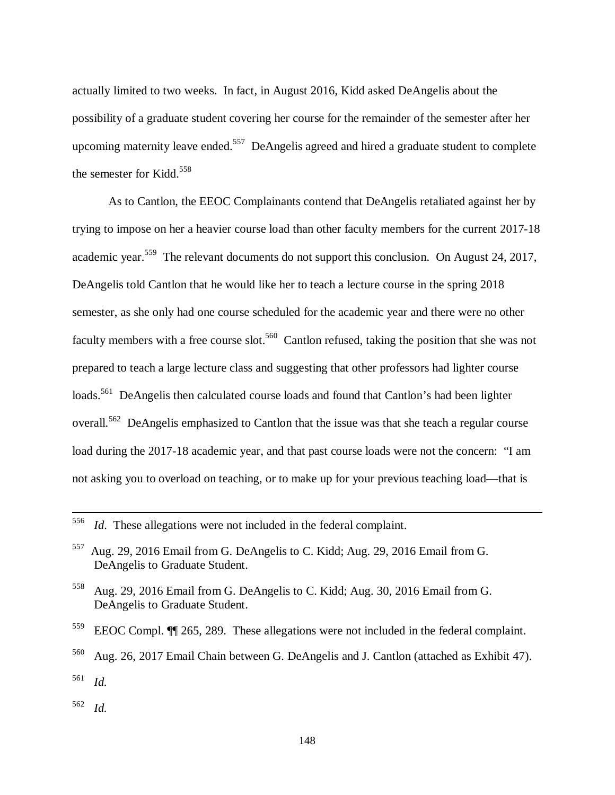actually limited to two weeks. In fact, in August 2016, Kidd asked DeAngelis about the possibility of a graduate student covering her course for the remainder of the semester after her upcoming maternity leave ended.<sup>557</sup> DeAngelis agreed and hired a graduate student to complete the semester for Kidd.<sup>558</sup>

As to Cantlon, the EEOC Complainants contend that DeAngelis retaliated against her by trying to impose on her a heavier course load than other faculty members for the current 2017-18 academic year.<sup>559</sup> The relevant documents do not support this conclusion. On August 24, 2017, DeAngelis told Cantlon that he would like her to teach a lecture course in the spring 2018 semester, as she only had one course scheduled for the academic year and there were no other faculty members with a free course slot.<sup>560</sup> Cantlon refused, taking the position that she was not prepared to teach a large lecture class and suggesting that other professors had lighter course loads.<sup>561</sup> DeAngelis then calculated course loads and found that Cantlon's had been lighter overall.<sup>562</sup> DeAngelis emphasized to Cantlon that the issue was that she teach a regular course load during the 2017-18 academic year, and that past course loads were not the concern: "I am not asking you to overload on teaching, or to make up for your previous teaching load—that is

<sup>556</sup> *Id*. These allegations were not included in the federal complaint.

<sup>557</sup> Aug. 29, 2016 Email from G. DeAngelis to C. Kidd; Aug. 29, 2016 Email from G. DeAngelis to Graduate Student.

<sup>558</sup> Aug. 29, 2016 Email from G. DeAngelis to C. Kidd; Aug. 30, 2016 Email from G. DeAngelis to Graduate Student.

<sup>559</sup> EEOC Compl. ¶¶ 265, 289. These allegations were not included in the federal complaint.

<sup>560</sup> Aug. 26, 2017 Email Chain between G. DeAngelis and J. Cantlon (attached as Exhibit 47). <sup>561</sup> *Id.*

<sup>562</sup> *Id.*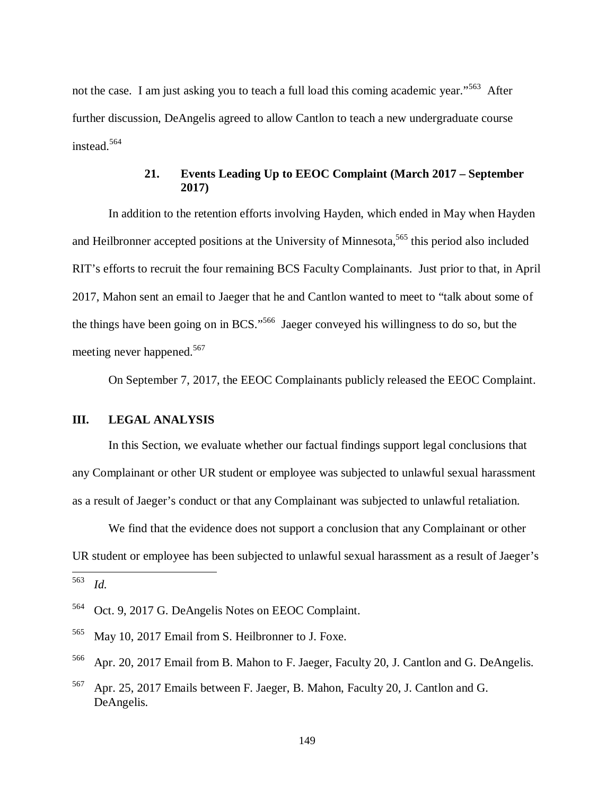not the case. I am just asking you to teach a full load this coming academic year."<sup>563</sup> After further discussion, DeAngelis agreed to allow Cantlon to teach a new undergraduate course instead.<sup>564</sup>

## **21. Events Leading Up to EEOC Complaint (March 2017 – September 2017)**

In addition to the retention efforts involving Hayden, which ended in May when Hayden and Heilbronner accepted positions at the University of Minnesota,<sup>565</sup> this period also included RIT's efforts to recruit the four remaining BCS Faculty Complainants. Just prior to that, in April 2017, Mahon sent an email to Jaeger that he and Cantlon wanted to meet to "talk about some of the things have been going on in BCS."<sup>566</sup> Jaeger conveyed his willingness to do so, but the meeting never happened.<sup>567</sup>

On September 7, 2017, the EEOC Complainants publicly released the EEOC Complaint.

## **III. LEGAL ANALYSIS**

In this Section, we evaluate whether our factual findings support legal conclusions that any Complainant or other UR student or employee was subjected to unlawful sexual harassment as a result of Jaeger's conduct or that any Complainant was subjected to unlawful retaliation.

We find that the evidence does not support a conclusion that any Complainant or other UR student or employee has been subjected to unlawful sexual harassment as a result of Jaeger's

<sup>563</sup> *Id.*

<sup>564</sup> Oct. 9, 2017 G. DeAngelis Notes on EEOC Complaint.

<sup>565</sup> May 10, 2017 Email from S. Heilbronner to J. Foxe.

<sup>566</sup> Apr. 20, 2017 Email from B. Mahon to F. Jaeger, Faculty 20, J. Cantlon and G. DeAngelis.

<sup>567</sup> Apr. 25, 2017 Emails between F. Jaeger, B. Mahon, Faculty 20, J. Cantlon and G. DeAngelis.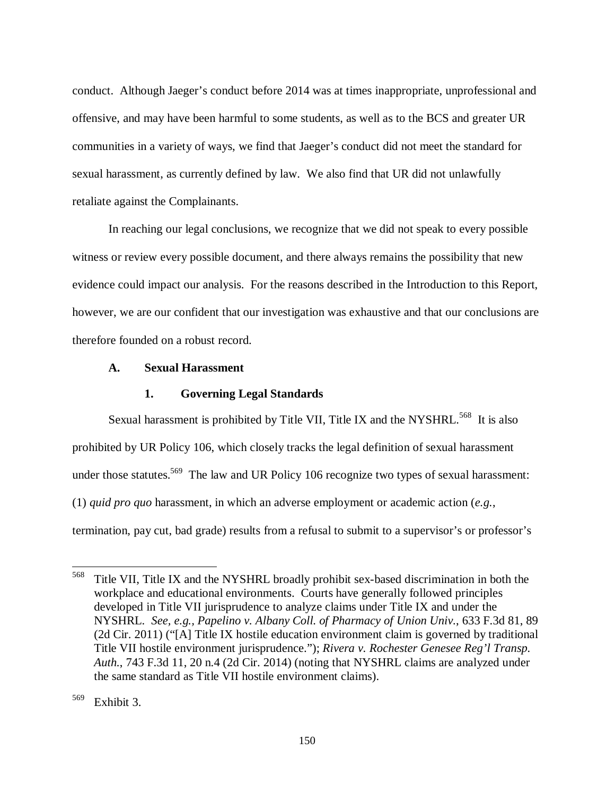conduct. Although Jaeger's conduct before 2014 was at times inappropriate, unprofessional and offensive, and may have been harmful to some students, as well as to the BCS and greater UR communities in a variety of ways, we find that Jaeger's conduct did not meet the standard for sexual harassment, as currently defined by law. We also find that UR did not unlawfully retaliate against the Complainants.

In reaching our legal conclusions, we recognize that we did not speak to every possible witness or review every possible document, and there always remains the possibility that new evidence could impact our analysis. For the reasons described in the Introduction to this Report, however, we are our confident that our investigation was exhaustive and that our conclusions are therefore founded on a robust record.

### **A. Sexual Harassment**

#### **1. Governing Legal Standards**

Sexual harassment is prohibited by Title VII, Title IX and the NYSHRL.<sup>568</sup> It is also prohibited by UR Policy 106, which closely tracks the legal definition of sexual harassment under those statutes.<sup>569</sup> The law and UR Policy 106 recognize two types of sexual harassment: (1) *quid pro quo* harassment, in which an adverse employment or academic action (*e.g.*, termination, pay cut, bad grade) results from a refusal to submit to a supervisor's or professor's

<sup>568</sup> Title VII, Title IX and the NYSHRL broadly prohibit sex-based discrimination in both the workplace and educational environments. Courts have generally followed principles developed in Title VII jurisprudence to analyze claims under Title IX and under the NYSHRL. *See, e.g., Papelino v. Albany Coll. of Pharmacy of Union Univ.*, 633 F.3d 81, 89 (2d Cir. 2011) ("[A] Title IX hostile education environment claim is governed by traditional Title VII hostile environment jurisprudence."); *Rivera v. Rochester Genesee Reg'l Transp. Auth.*, 743 F.3d 11, 20 n.4 (2d Cir. 2014) (noting that NYSHRL claims are analyzed under the same standard as Title VII hostile environment claims).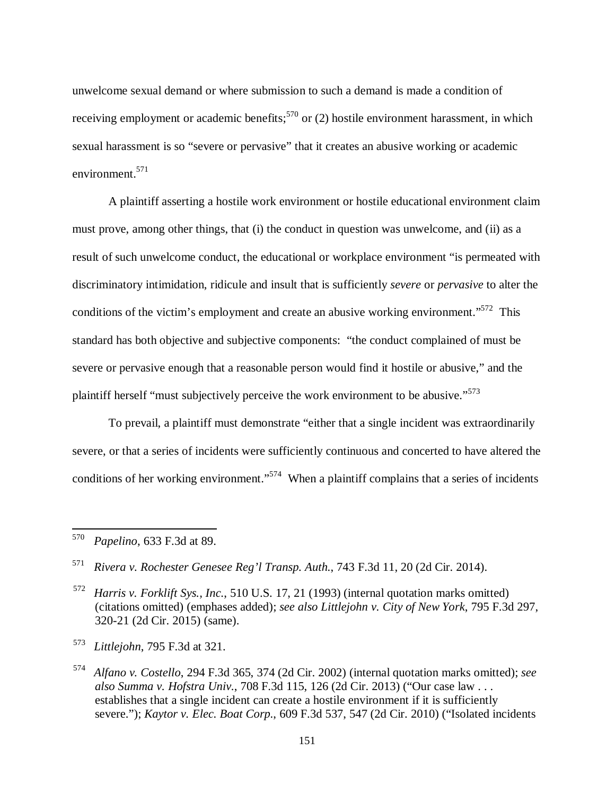unwelcome sexual demand or where submission to such a demand is made a condition of receiving employment or academic benefits;<sup>570</sup> or (2) hostile environment harassment, in which sexual harassment is so "severe or pervasive" that it creates an abusive working or academic environment.<sup>571</sup>

A plaintiff asserting a hostile work environment or hostile educational environment claim must prove, among other things, that (i) the conduct in question was unwelcome, and (ii) as a result of such unwelcome conduct, the educational or workplace environment "is permeated with discriminatory intimidation, ridicule and insult that is sufficiently *severe* or *pervasive* to alter the conditions of the victim's employment and create an abusive working environment."<sup>572</sup> This standard has both objective and subjective components: "the conduct complained of must be severe or pervasive enough that a reasonable person would find it hostile or abusive," and the plaintiff herself "must subjectively perceive the work environment to be abusive."<sup>573</sup>

 To prevail, a plaintiff must demonstrate "either that a single incident was extraordinarily severe, or that a series of incidents were sufficiently continuous and concerted to have altered the conditions of her working environment."<sup>574</sup> When a plaintiff complains that a series of incidents

<sup>570</sup> *Papelino*, 633 F.3d at 89.

<sup>571</sup> *Rivera v. Rochester Genesee Reg'l Transp. Auth.*, 743 F.3d 11, 20 (2d Cir. 2014).

<sup>572</sup> *Harris v. Forklift Sys., Inc.*, 510 U.S. 17, 21 (1993) (internal quotation marks omitted) (citations omitted) (emphases added); *see also Littlejohn v. City of New York*, 795 F.3d 297, 320-21 (2d Cir. 2015) (same).

<sup>573</sup> *Littlejohn*, 795 F.3d at 321.

<sup>574</sup> *Alfano v. Costello*, 294 F.3d 365, 374 (2d Cir. 2002) (internal quotation marks omitted); *see also Summa v. Hofstra Univ.*, 708 F.3d 115, 126 (2d Cir. 2013) ("Our case law . . . establishes that a single incident can create a hostile environment if it is sufficiently severe."); *Kaytor v. Elec. Boat Corp.*, 609 F.3d 537, 547 (2d Cir. 2010) ("Isolated incidents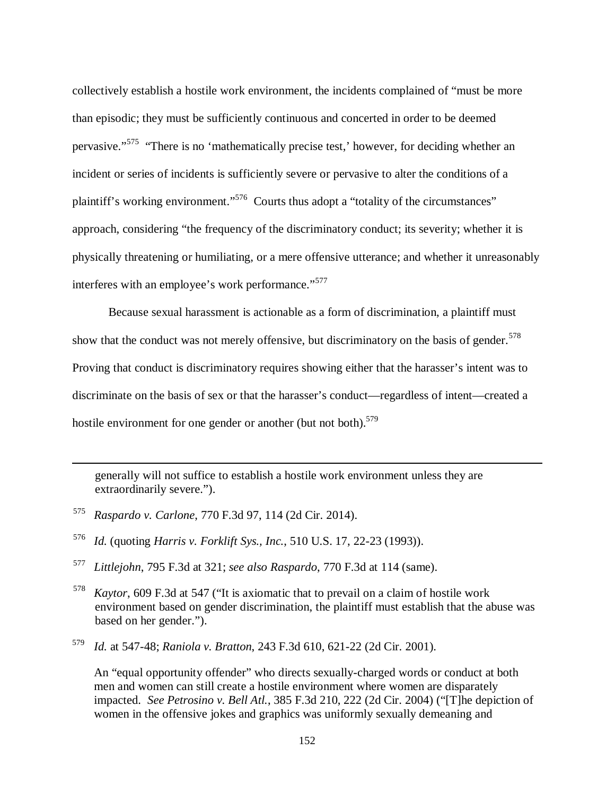collectively establish a hostile work environment, the incidents complained of "must be more than episodic; they must be sufficiently continuous and concerted in order to be deemed pervasive."<sup>575</sup> "There is no 'mathematically precise test,' however, for deciding whether an incident or series of incidents is sufficiently severe or pervasive to alter the conditions of a plaintiff's working environment."<sup>576</sup> Courts thus adopt a "totality of the circumstances" approach, considering "the frequency of the discriminatory conduct; its severity; whether it is physically threatening or humiliating, or a mere offensive utterance; and whether it unreasonably interferes with an employee's work performance."<sup>577</sup>

Because sexual harassment is actionable as a form of discrimination, a plaintiff must show that the conduct was not merely offensive, but discriminatory on the basis of gender.<sup>578</sup> Proving that conduct is discriminatory requires showing either that the harasser's intent was to discriminate on the basis of sex or that the harasser's conduct—regardless of intent—created a hostile environment for one gender or another (but not both).<sup>579</sup>

generally will not suffice to establish a hostile work environment unless they are extraordinarily severe.").

575 *Raspardo v. Carlone*, 770 F.3d 97, 114 (2d Cir. 2014).

 $\overline{a}$ 

- 576 *Id.* (quoting *Harris v. Forklift Sys., Inc.*, 510 U.S. 17, 22-23 (1993)).
- 577 *Littlejohn*, 795 F.3d at 321; *see also Raspardo*, 770 F.3d at 114 (same).
- <sup>578</sup> *Kaytor*, 609 F.3d at 547 ("It is axiomatic that to prevail on a claim of hostile work environment based on gender discrimination, the plaintiff must establish that the abuse was based on her gender.").
- <sup>579</sup> *Id.* at 547-48; *Raniola v. Bratton*, 243 F.3d 610, 621-22 (2d Cir. 2001).

 An "equal opportunity offender" who directs sexually-charged words or conduct at both men and women can still create a hostile environment where women are disparately impacted. *See Petrosino v. Bell Atl.*, 385 F.3d 210, 222 (2d Cir. 2004) ("[T]he depiction of women in the offensive jokes and graphics was uniformly sexually demeaning and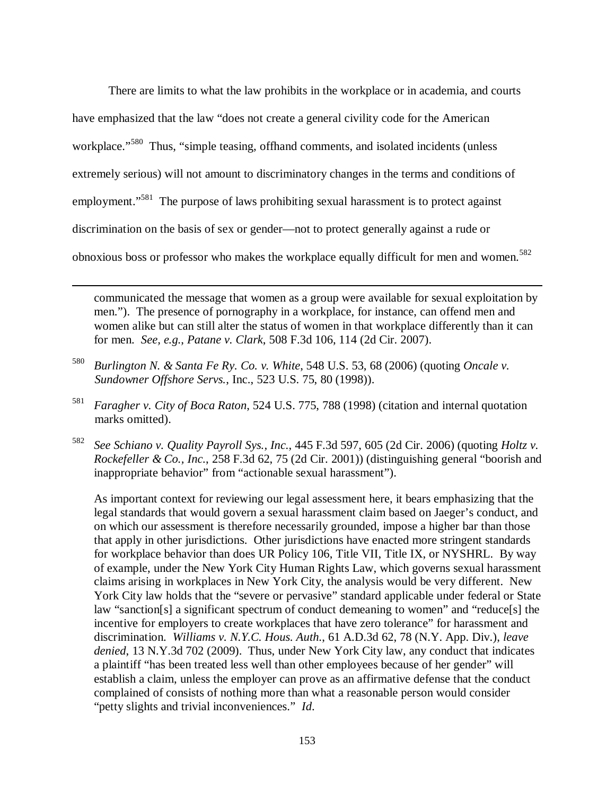There are limits to what the law prohibits in the workplace or in academia, and courts have emphasized that the law "does not create a general civility code for the American workplace."<sup>580</sup> Thus, "simple teasing, offhand comments, and isolated incidents (unless extremely serious) will not amount to discriminatory changes in the terms and conditions of employment."<sup>581</sup> The purpose of laws prohibiting sexual harassment is to protect against discrimination on the basis of sex or gender—not to protect generally against a rude or obnoxious boss or professor who makes the workplace equally difficult for men and women.<sup>582</sup>

communicated the message that women as a group were available for sexual exploitation by men."). The presence of pornography in a workplace, for instance, can offend men and women alike but can still alter the status of women in that workplace differently than it can for men. *See, e.g.*, *Patane v. Clark*, 508 F.3d 106, 114 (2d Cir. 2007).

580 *Burlington N. & Santa Fe Ry. Co. v. White*, 548 U.S. 53, 68 (2006) (quoting *Oncale v. Sundowner Offshore Servs.*, Inc., 523 U.S. 75, 80 (1998)).

l

- 581 *Faragher v. City of Boca Raton*, 524 U.S. 775, 788 (1998) (citation and internal quotation marks omitted).
- 582 *See Schiano v. Quality Payroll Sys., Inc.*, 445 F.3d 597, 605 (2d Cir. 2006) (quoting *Holtz v. Rockefeller & Co., Inc.*, 258 F.3d 62, 75 (2d Cir. 2001)) (distinguishing general "boorish and inappropriate behavior" from "actionable sexual harassment").

 As important context for reviewing our legal assessment here, it bears emphasizing that the legal standards that would govern a sexual harassment claim based on Jaeger's conduct, and on which our assessment is therefore necessarily grounded, impose a higher bar than those that apply in other jurisdictions. Other jurisdictions have enacted more stringent standards for workplace behavior than does UR Policy 106, Title VII, Title IX, or NYSHRL. By way of example, under the New York City Human Rights Law, which governs sexual harassment claims arising in workplaces in New York City, the analysis would be very different. New York City law holds that the "severe or pervasive" standard applicable under federal or State law "sanction[s] a significant spectrum of conduct demeaning to women" and "reduce[s] the incentive for employers to create workplaces that have zero tolerance" for harassment and discrimination. *Williams v. N.Y.C. Hous. Auth.*, 61 A.D.3d 62, 78 (N.Y. App. Div.), *leave denied*, 13 N.Y.3d 702 (2009). Thus, under New York City law, any conduct that indicates a plaintiff "has been treated less well than other employees because of her gender" will establish a claim, unless the employer can prove as an affirmative defense that the conduct complained of consists of nothing more than what a reasonable person would consider "petty slights and trivial inconveniences." *Id*.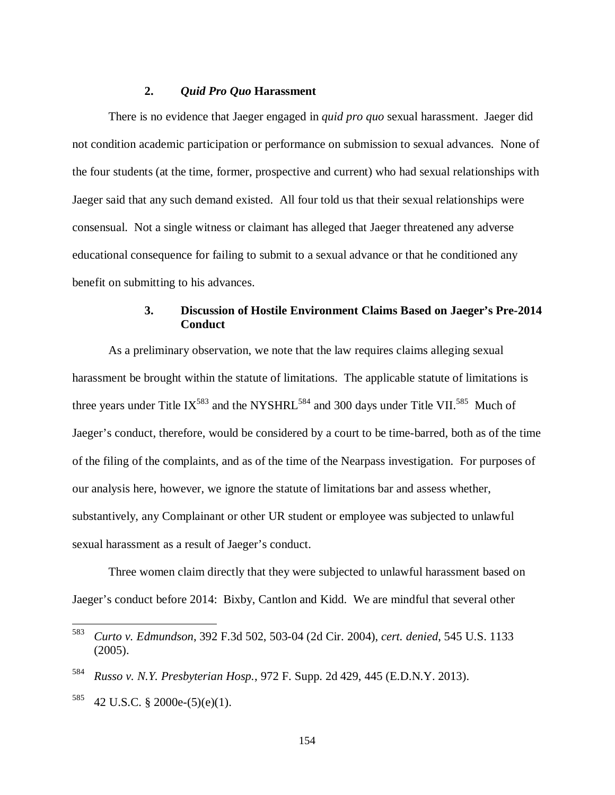### **2.** *Quid Pro Quo* **Harassment**

There is no evidence that Jaeger engaged in *quid pro quo* sexual harassment. Jaeger did not condition academic participation or performance on submission to sexual advances. None of the four students (at the time, former, prospective and current) who had sexual relationships with Jaeger said that any such demand existed. All four told us that their sexual relationships were consensual. Not a single witness or claimant has alleged that Jaeger threatened any adverse educational consequence for failing to submit to a sexual advance or that he conditioned any benefit on submitting to his advances.

## **3. Discussion of Hostile Environment Claims Based on Jaeger's Pre-2014 Conduct**

 As a preliminary observation, we note that the law requires claims alleging sexual harassment be brought within the statute of limitations. The applicable statute of limitations is three years under Title IX<sup>583</sup> and the NYSHRL<sup>584</sup> and 300 days under Title VII.<sup>585</sup> Much of Jaeger's conduct, therefore, would be considered by a court to be time-barred, both as of the time of the filing of the complaints, and as of the time of the Nearpass investigation. For purposes of our analysis here, however, we ignore the statute of limitations bar and assess whether, substantively, any Complainant or other UR student or employee was subjected to unlawful sexual harassment as a result of Jaeger's conduct.

Three women claim directly that they were subjected to unlawful harassment based on Jaeger's conduct before 2014: Bixby, Cantlon and Kidd. We are mindful that several other

<sup>583</sup> *Curto v. Edmundson*, 392 F.3d 502, 503-04 (2d Cir. 2004), *cert. denied*, 545 U.S. 1133 (2005).

<sup>584</sup> *Russo v. N.Y. Presbyterian Hosp.*, 972 F. Supp. 2d 429, 445 (E.D.N.Y. 2013).

 $585$  42 U.S.C. § 2000e-(5)(e)(1).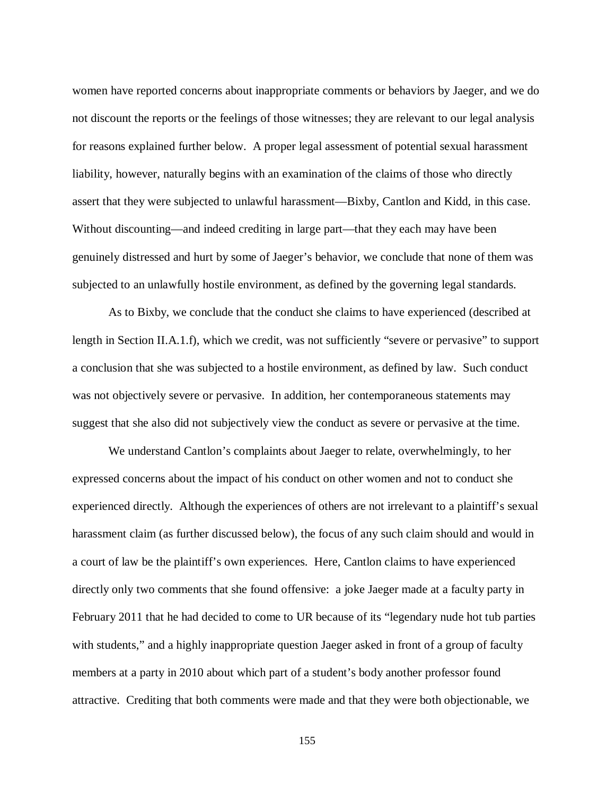women have reported concerns about inappropriate comments or behaviors by Jaeger, and we do not discount the reports or the feelings of those witnesses; they are relevant to our legal analysis for reasons explained further below. A proper legal assessment of potential sexual harassment liability, however, naturally begins with an examination of the claims of those who directly assert that they were subjected to unlawful harassment—Bixby, Cantlon and Kidd, in this case. Without discounting—and indeed crediting in large part—that they each may have been genuinely distressed and hurt by some of Jaeger's behavior, we conclude that none of them was subjected to an unlawfully hostile environment, as defined by the governing legal standards.

As to Bixby, we conclude that the conduct she claims to have experienced (described at length in Section II.A.1.f), which we credit, was not sufficiently "severe or pervasive" to support a conclusion that she was subjected to a hostile environment, as defined by law. Such conduct was not objectively severe or pervasive. In addition, her contemporaneous statements may suggest that she also did not subjectively view the conduct as severe or pervasive at the time.

We understand Cantlon's complaints about Jaeger to relate, overwhelmingly, to her expressed concerns about the impact of his conduct on other women and not to conduct she experienced directly. Although the experiences of others are not irrelevant to a plaintiff's sexual harassment claim (as further discussed below), the focus of any such claim should and would in a court of law be the plaintiff's own experiences. Here, Cantlon claims to have experienced directly only two comments that she found offensive: a joke Jaeger made at a faculty party in February 2011 that he had decided to come to UR because of its "legendary nude hot tub parties with students," and a highly inappropriate question Jaeger asked in front of a group of faculty members at a party in 2010 about which part of a student's body another professor found attractive. Crediting that both comments were made and that they were both objectionable, we

155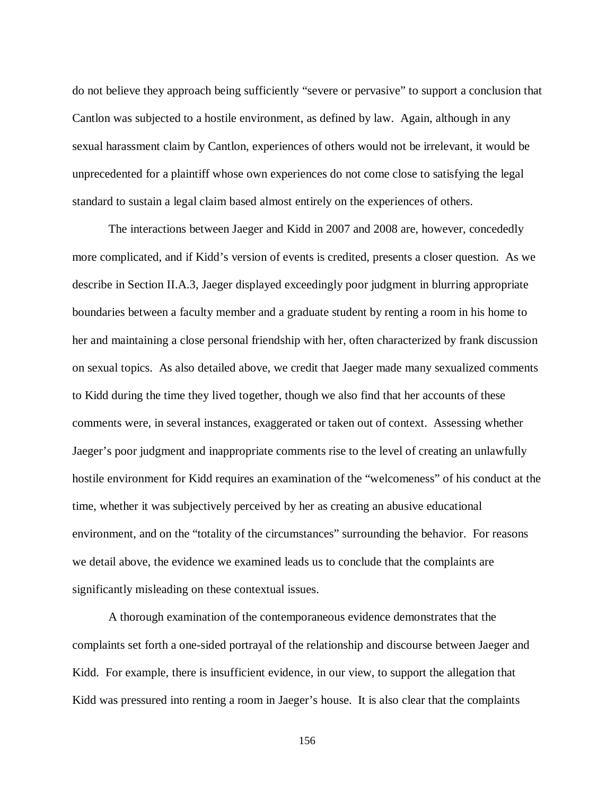do not believe they approach being sufficiently "severe or pervasive" to support a conclusion that Cantlon was subjected to a hostile environment, as defined by law. Again, although in any sexual harassment claim by Cantlon, experiences of others would not be irrelevant, it would be unprecedented for a plaintiff whose own experiences do not come close to satisfying the legal standard to sustain a legal claim based almost entirely on the experiences of others.

The interactions between Jaeger and Kidd in 2007 and 2008 are, however, concededly more complicated, and if Kidd's version of events is credited, presents a closer question. As we describe in Section II.A.3, Jaeger displayed exceedingly poor judgment in blurring appropriate boundaries between a faculty member and a graduate student by renting a room in his home to her and maintaining a close personal friendship with her, often characterized by frank discussion on sexual topics. As also detailed above, we credit that Jaeger made many sexualized comments to Kidd during the time they lived together, though we also find that her accounts of these comments were, in several instances, exaggerated or taken out of context. Assessing whether Jaeger's poor judgment and inappropriate comments rise to the level of creating an unlawfully hostile environment for Kidd requires an examination of the "welcomeness" of his conduct at the time, whether it was subjectively perceived by her as creating an abusive educational environment, and on the "totality of the circumstances" surrounding the behavior. For reasons we detail above, the evidence we examined leads us to conclude that the complaints are significantly misleading on these contextual issues.

A thorough examination of the contemporaneous evidence demonstrates that the complaints set forth a one-sided portrayal of the relationship and discourse between Jaeger and Kidd. For example, there is insufficient evidence, in our view, to support the allegation that Kidd was pressured into renting a room in Jaeger's house. It is also clear that the complaints

156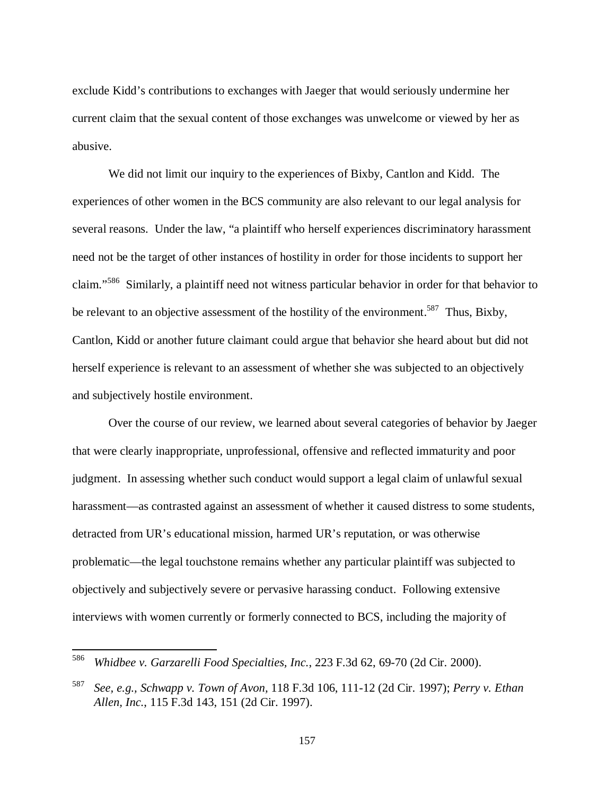exclude Kidd's contributions to exchanges with Jaeger that would seriously undermine her current claim that the sexual content of those exchanges was unwelcome or viewed by her as abusive.

We did not limit our inquiry to the experiences of Bixby, Cantlon and Kidd. The experiences of other women in the BCS community are also relevant to our legal analysis for several reasons. Under the law, "a plaintiff who herself experiences discriminatory harassment need not be the target of other instances of hostility in order for those incidents to support her claim."<sup>586</sup> Similarly, a plaintiff need not witness particular behavior in order for that behavior to be relevant to an objective assessment of the hostility of the environment.<sup>587</sup> Thus, Bixby, Cantlon, Kidd or another future claimant could argue that behavior she heard about but did not herself experience is relevant to an assessment of whether she was subjected to an objectively and subjectively hostile environment.

Over the course of our review, we learned about several categories of behavior by Jaeger that were clearly inappropriate, unprofessional, offensive and reflected immaturity and poor judgment. In assessing whether such conduct would support a legal claim of unlawful sexual harassment—as contrasted against an assessment of whether it caused distress to some students, detracted from UR's educational mission, harmed UR's reputation, or was otherwise problematic—the legal touchstone remains whether any particular plaintiff was subjected to objectively and subjectively severe or pervasive harassing conduct. Following extensive interviews with women currently or formerly connected to BCS, including the majority of

<sup>586</sup> *Whidbee v. Garzarelli Food Specialties, Inc.*, 223 F.3d 62, 69-70 (2d Cir. 2000).

<sup>587</sup> *See, e.g., Schwapp v. Town of Avon,* 118 F.3d 106, 111-12 (2d Cir. 1997); *Perry v. Ethan Allen, Inc.*, 115 F.3d 143, 151 (2d Cir. 1997).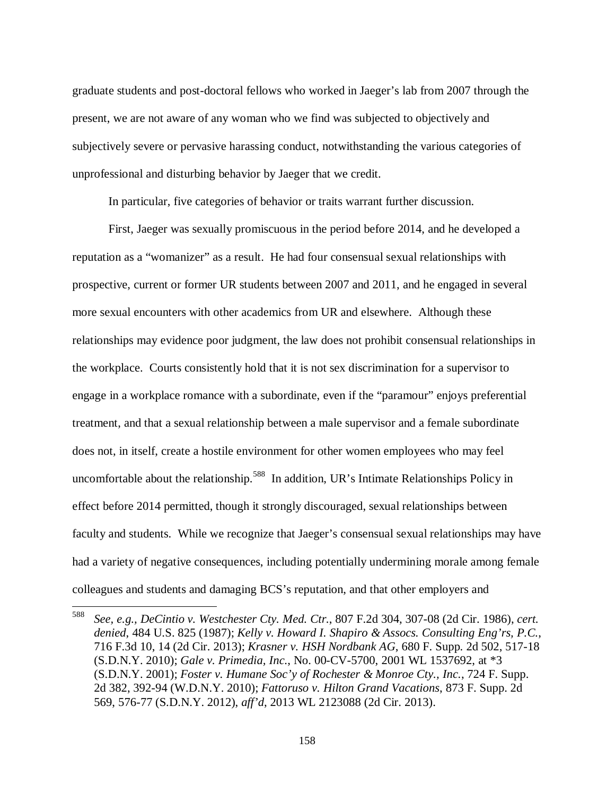graduate students and post-doctoral fellows who worked in Jaeger's lab from 2007 through the present, we are not aware of any woman who we find was subjected to objectively and subjectively severe or pervasive harassing conduct, notwithstanding the various categories of unprofessional and disturbing behavior by Jaeger that we credit.

In particular, five categories of behavior or traits warrant further discussion.

First, Jaeger was sexually promiscuous in the period before 2014, and he developed a reputation as a "womanizer" as a result. He had four consensual sexual relationships with prospective, current or former UR students between 2007 and 2011, and he engaged in several more sexual encounters with other academics from UR and elsewhere. Although these relationships may evidence poor judgment, the law does not prohibit consensual relationships in the workplace. Courts consistently hold that it is not sex discrimination for a supervisor to engage in a workplace romance with a subordinate, even if the "paramour" enjoys preferential treatment, and that a sexual relationship between a male supervisor and a female subordinate does not, in itself, create a hostile environment for other women employees who may feel uncomfortable about the relationship.<sup>588</sup> In addition, UR's Intimate Relationships Policy in effect before 2014 permitted, though it strongly discouraged, sexual relationships between faculty and students. While we recognize that Jaeger's consensual sexual relationships may have had a variety of negative consequences, including potentially undermining morale among female colleagues and students and damaging BCS's reputation, and that other employers and

<sup>588</sup> *See, e.g., DeCintio v. Westchester Cty. Med. Ctr.*, 807 F.2d 304, 307-08 (2d Cir. 1986), *cert. denied*, 484 U.S. 825 (1987); *Kelly v. Howard I. Shapiro & Assocs. Consulting Eng'rs, P.C.*, 716 F.3d 10, 14 (2d Cir. 2013); *Krasner v. HSH Nordbank AG*, 680 F. Supp. 2d 502, 517-18 (S.D.N.Y. 2010); *Gale v. Primedia, Inc.*, No. 00-CV-5700, 2001 WL 1537692, at \*3 (S.D.N.Y. 2001); *Foster v. Humane Soc'y of Rochester & Monroe Cty., Inc.*, 724 F. Supp. 2d 382, 392-94 (W.D.N.Y. 2010); *Fattoruso v. Hilton Grand Vacations*, 873 F. Supp. 2d 569, 576-77 (S.D.N.Y. 2012), *aff'd*, 2013 WL 2123088 (2d Cir. 2013).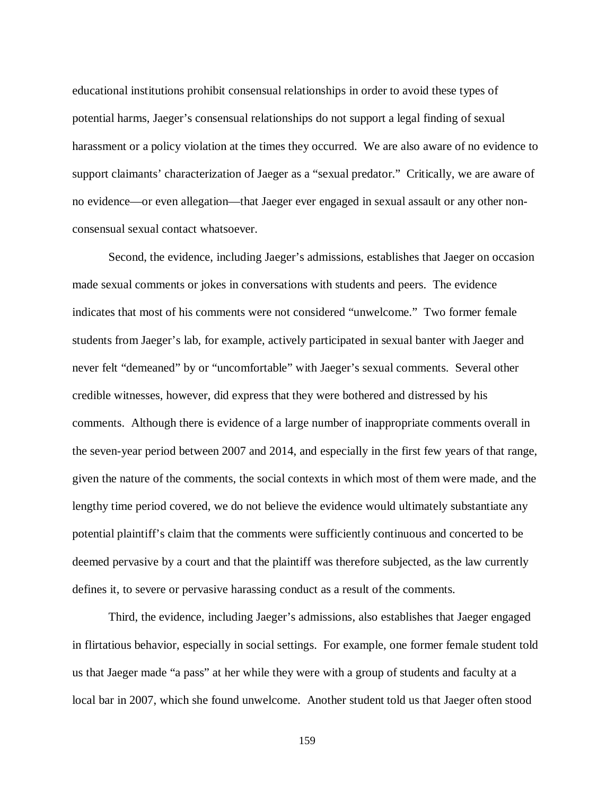educational institutions prohibit consensual relationships in order to avoid these types of potential harms, Jaeger's consensual relationships do not support a legal finding of sexual harassment or a policy violation at the times they occurred. We are also aware of no evidence to support claimants' characterization of Jaeger as a "sexual predator." Critically, we are aware of no evidence—or even allegation—that Jaeger ever engaged in sexual assault or any other nonconsensual sexual contact whatsoever.

Second, the evidence, including Jaeger's admissions, establishes that Jaeger on occasion made sexual comments or jokes in conversations with students and peers. The evidence indicates that most of his comments were not considered "unwelcome." Two former female students from Jaeger's lab, for example, actively participated in sexual banter with Jaeger and never felt "demeaned" by or "uncomfortable" with Jaeger's sexual comments. Several other credible witnesses, however, did express that they were bothered and distressed by his comments. Although there is evidence of a large number of inappropriate comments overall in the seven-year period between 2007 and 2014, and especially in the first few years of that range, given the nature of the comments, the social contexts in which most of them were made, and the lengthy time period covered, we do not believe the evidence would ultimately substantiate any potential plaintiff's claim that the comments were sufficiently continuous and concerted to be deemed pervasive by a court and that the plaintiff was therefore subjected, as the law currently defines it, to severe or pervasive harassing conduct as a result of the comments.

Third, the evidence, including Jaeger's admissions, also establishes that Jaeger engaged in flirtatious behavior, especially in social settings. For example, one former female student told us that Jaeger made "a pass" at her while they were with a group of students and faculty at a local bar in 2007, which she found unwelcome. Another student told us that Jaeger often stood

159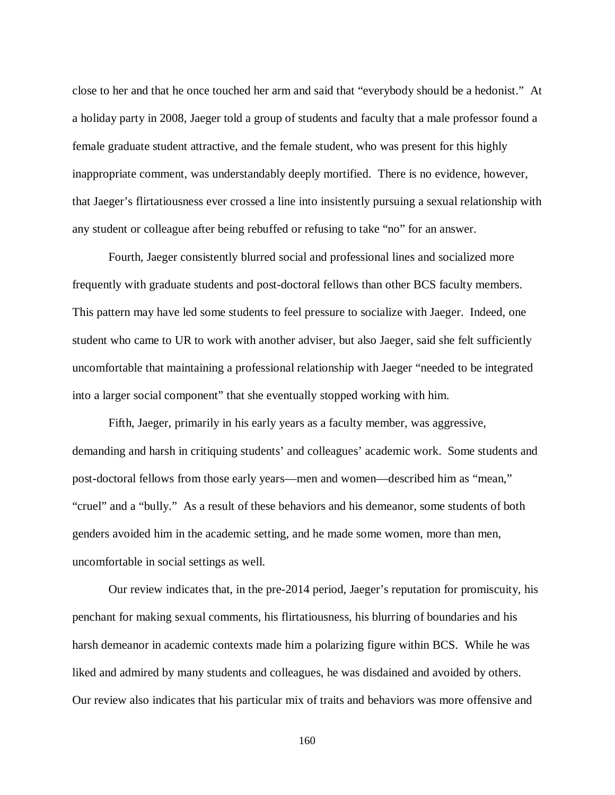close to her and that he once touched her arm and said that "everybody should be a hedonist." At a holiday party in 2008, Jaeger told a group of students and faculty that a male professor found a female graduate student attractive, and the female student, who was present for this highly inappropriate comment, was understandably deeply mortified. There is no evidence, however, that Jaeger's flirtatiousness ever crossed a line into insistently pursuing a sexual relationship with any student or colleague after being rebuffed or refusing to take "no" for an answer.

Fourth, Jaeger consistently blurred social and professional lines and socialized more frequently with graduate students and post-doctoral fellows than other BCS faculty members. This pattern may have led some students to feel pressure to socialize with Jaeger. Indeed, one student who came to UR to work with another adviser, but also Jaeger, said she felt sufficiently uncomfortable that maintaining a professional relationship with Jaeger "needed to be integrated into a larger social component" that she eventually stopped working with him.

 Fifth, Jaeger, primarily in his early years as a faculty member, was aggressive, demanding and harsh in critiquing students' and colleagues' academic work. Some students and post-doctoral fellows from those early years—men and women—described him as "mean," "cruel" and a "bully." As a result of these behaviors and his demeanor, some students of both genders avoided him in the academic setting, and he made some women, more than men, uncomfortable in social settings as well.

 Our review indicates that, in the pre-2014 period, Jaeger's reputation for promiscuity, his penchant for making sexual comments, his flirtatiousness, his blurring of boundaries and his harsh demeanor in academic contexts made him a polarizing figure within BCS. While he was liked and admired by many students and colleagues, he was disdained and avoided by others. Our review also indicates that his particular mix of traits and behaviors was more offensive and

160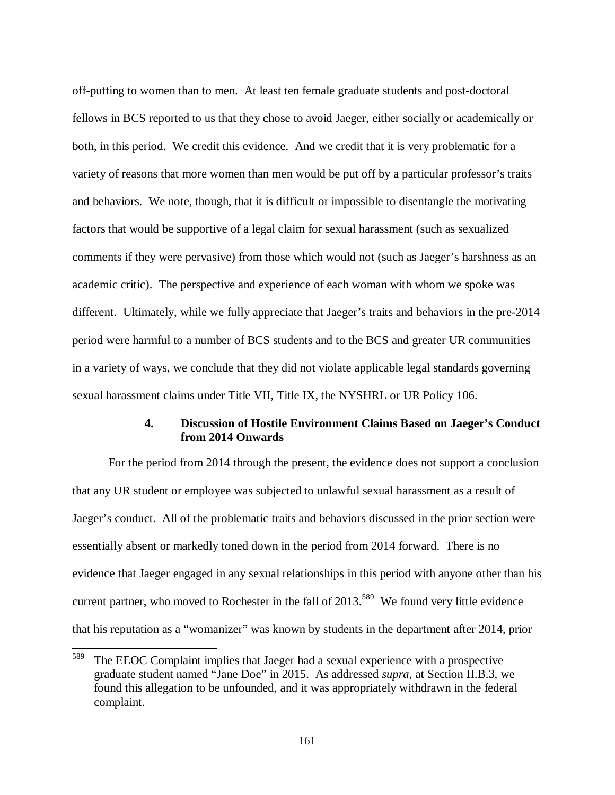off-putting to women than to men. At least ten female graduate students and post-doctoral fellows in BCS reported to us that they chose to avoid Jaeger, either socially or academically or both, in this period. We credit this evidence. And we credit that it is very problematic for a variety of reasons that more women than men would be put off by a particular professor's traits and behaviors. We note, though, that it is difficult or impossible to disentangle the motivating factors that would be supportive of a legal claim for sexual harassment (such as sexualized comments if they were pervasive) from those which would not (such as Jaeger's harshness as an academic critic). The perspective and experience of each woman with whom we spoke was different. Ultimately, while we fully appreciate that Jaeger's traits and behaviors in the pre-2014 period were harmful to a number of BCS students and to the BCS and greater UR communities in a variety of ways, we conclude that they did not violate applicable legal standards governing sexual harassment claims under Title VII, Title IX, the NYSHRL or UR Policy 106.

#### **4. Discussion of Hostile Environment Claims Based on Jaeger's Conduct from 2014 Onwards**

For the period from 2014 through the present, the evidence does not support a conclusion that any UR student or employee was subjected to unlawful sexual harassment as a result of Jaeger's conduct. All of the problematic traits and behaviors discussed in the prior section were essentially absent or markedly toned down in the period from 2014 forward. There is no evidence that Jaeger engaged in any sexual relationships in this period with anyone other than his current partner, who moved to Rochester in the fall of  $2013$ <sup>589</sup> We found very little evidence that his reputation as a "womanizer" was known by students in the department after 2014, prior

<sup>589</sup> The EEOC Complaint implies that Jaeger had a sexual experience with a prospective graduate student named "Jane Doe" in 2015. As addressed *supra*, at Section II.B.3, we found this allegation to be unfounded, and it was appropriately withdrawn in the federal complaint.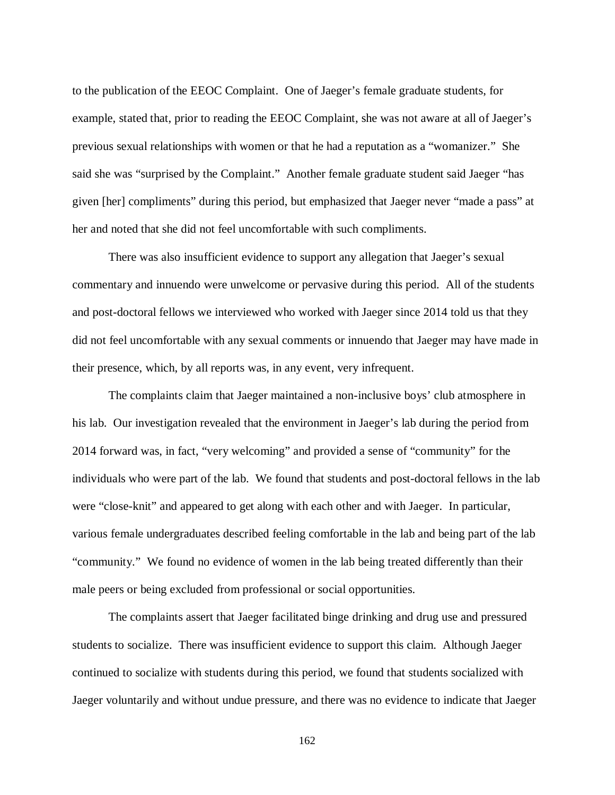to the publication of the EEOC Complaint. One of Jaeger's female graduate students, for example, stated that, prior to reading the EEOC Complaint, she was not aware at all of Jaeger's previous sexual relationships with women or that he had a reputation as a "womanizer." She said she was "surprised by the Complaint." Another female graduate student said Jaeger "has given [her] compliments" during this period, but emphasized that Jaeger never "made a pass" at her and noted that she did not feel uncomfortable with such compliments.

 There was also insufficient evidence to support any allegation that Jaeger's sexual commentary and innuendo were unwelcome or pervasive during this period. All of the students and post-doctoral fellows we interviewed who worked with Jaeger since 2014 told us that they did not feel uncomfortable with any sexual comments or innuendo that Jaeger may have made in their presence, which, by all reports was, in any event, very infrequent.

 The complaints claim that Jaeger maintained a non-inclusive boys' club atmosphere in his lab. Our investigation revealed that the environment in Jaeger's lab during the period from 2014 forward was, in fact, "very welcoming" and provided a sense of "community" for the individuals who were part of the lab. We found that students and post-doctoral fellows in the lab were "close-knit" and appeared to get along with each other and with Jaeger. In particular, various female undergraduates described feeling comfortable in the lab and being part of the lab "community." We found no evidence of women in the lab being treated differently than their male peers or being excluded from professional or social opportunities.

The complaints assert that Jaeger facilitated binge drinking and drug use and pressured students to socialize. There was insufficient evidence to support this claim. Although Jaeger continued to socialize with students during this period, we found that students socialized with Jaeger voluntarily and without undue pressure, and there was no evidence to indicate that Jaeger

162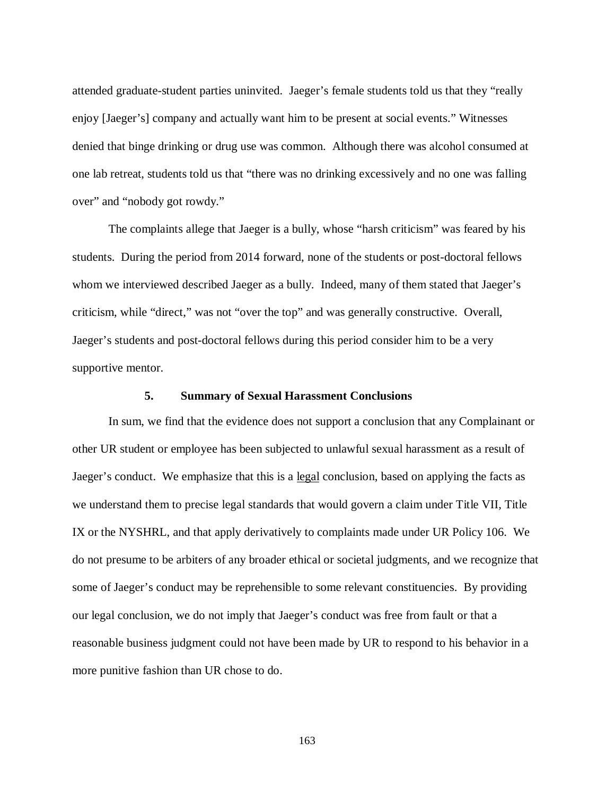attended graduate-student parties uninvited. Jaeger's female students told us that they "really enjoy [Jaeger's] company and actually want him to be present at social events." Witnesses denied that binge drinking or drug use was common. Although there was alcohol consumed at one lab retreat, students told us that "there was no drinking excessively and no one was falling over" and "nobody got rowdy."

The complaints allege that Jaeger is a bully, whose "harsh criticism" was feared by his students. During the period from 2014 forward, none of the students or post-doctoral fellows whom we interviewed described Jaeger as a bully. Indeed, many of them stated that Jaeger's criticism, while "direct," was not "over the top" and was generally constructive. Overall, Jaeger's students and post-doctoral fellows during this period consider him to be a very supportive mentor.

#### **5. Summary of Sexual Harassment Conclusions**

In sum, we find that the evidence does not support a conclusion that any Complainant or other UR student or employee has been subjected to unlawful sexual harassment as a result of Jaeger's conduct. We emphasize that this is a legal conclusion, based on applying the facts as we understand them to precise legal standards that would govern a claim under Title VII, Title IX or the NYSHRL, and that apply derivatively to complaints made under UR Policy 106. We do not presume to be arbiters of any broader ethical or societal judgments, and we recognize that some of Jaeger's conduct may be reprehensible to some relevant constituencies. By providing our legal conclusion, we do not imply that Jaeger's conduct was free from fault or that a reasonable business judgment could not have been made by UR to respond to his behavior in a more punitive fashion than UR chose to do.

163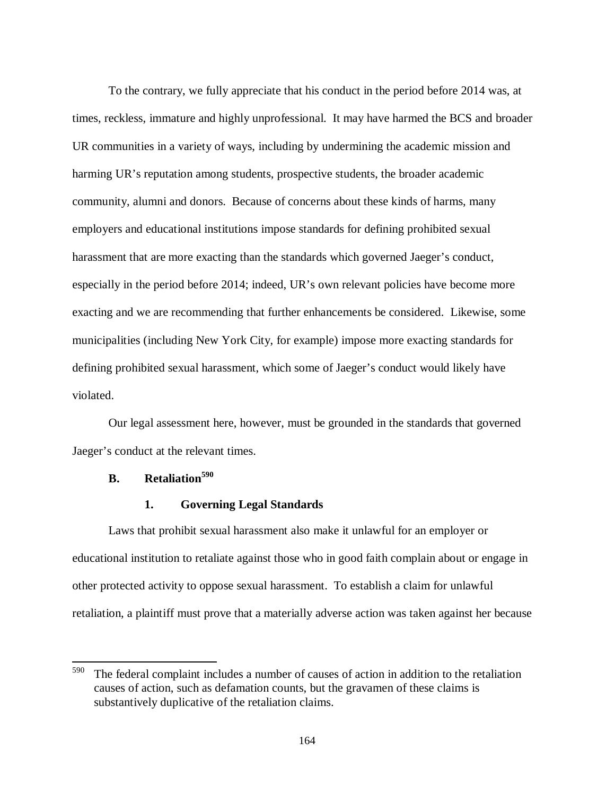To the contrary, we fully appreciate that his conduct in the period before 2014 was, at times, reckless, immature and highly unprofessional. It may have harmed the BCS and broader UR communities in a variety of ways, including by undermining the academic mission and harming UR's reputation among students, prospective students, the broader academic community, alumni and donors. Because of concerns about these kinds of harms, many employers and educational institutions impose standards for defining prohibited sexual harassment that are more exacting than the standards which governed Jaeger's conduct, especially in the period before 2014; indeed, UR's own relevant policies have become more exacting and we are recommending that further enhancements be considered. Likewise, some municipalities (including New York City, for example) impose more exacting standards for defining prohibited sexual harassment, which some of Jaeger's conduct would likely have violated.

Our legal assessment here, however, must be grounded in the standards that governed Jaeger's conduct at the relevant times.

# **B. Retaliation<sup>590</sup>**

 $\overline{a}$ 

#### **1. Governing Legal Standards**

Laws that prohibit sexual harassment also make it unlawful for an employer or educational institution to retaliate against those who in good faith complain about or engage in other protected activity to oppose sexual harassment. To establish a claim for unlawful retaliation, a plaintiff must prove that a materially adverse action was taken against her because

 $590$  The federal complaint includes a number of causes of action in addition to the retaliation causes of action, such as defamation counts, but the gravamen of these claims is substantively duplicative of the retaliation claims.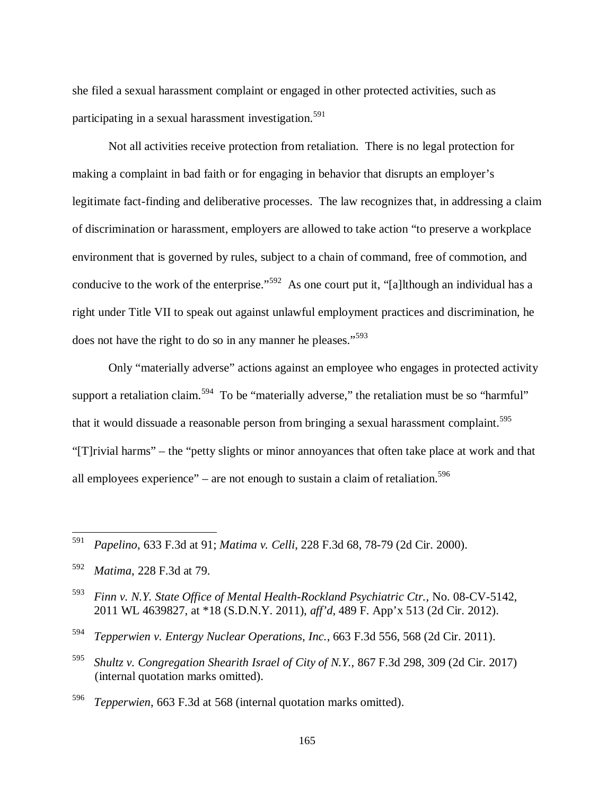she filed a sexual harassment complaint or engaged in other protected activities, such as participating in a sexual harassment investigation.<sup>591</sup>

Not all activities receive protection from retaliation. There is no legal protection for making a complaint in bad faith or for engaging in behavior that disrupts an employer's legitimate fact-finding and deliberative processes. The law recognizes that, in addressing a claim of discrimination or harassment, employers are allowed to take action "to preserve a workplace environment that is governed by rules, subject to a chain of command, free of commotion, and conducive to the work of the enterprise."<sup>592</sup> As one court put it, "[a]lthough an individual has a right under Title VII to speak out against unlawful employment practices and discrimination, he does not have the right to do so in any manner he pleases."<sup>593</sup>

Only "materially adverse" actions against an employee who engages in protected activity support a retaliation claim.<sup>594</sup> To be "materially adverse," the retaliation must be so "harmful" that it would dissuade a reasonable person from bringing a sexual harassment complaint.<sup>595</sup> "[T]rivial harms" – the "petty slights or minor annoyances that often take place at work and that all employees experience" – are not enough to sustain a claim of retaliation.<sup>596</sup>

<sup>591</sup> *Papelino*, 633 F.3d at 91; *Matima v. Celli*, 228 F.3d 68, 78-79 (2d Cir. 2000).

<sup>592</sup> *Matima*, 228 F.3d at 79.

<sup>593</sup> *Finn v. N.Y. State Office of Mental Health-Rockland Psychiatric Ctr.*, No. 08-CV-5142, 2011 WL 4639827, at \*18 (S.D.N.Y. 2011), *aff'd*, 489 F. App'x 513 (2d Cir. 2012).

<sup>594</sup> *Tepperwien v. Entergy Nuclear Operations, Inc.*, 663 F.3d 556, 568 (2d Cir. 2011).

<sup>595</sup> *Shultz v. Congregation Shearith Israel of City of N.Y.*, 867 F.3d 298, 309 (2d Cir. 2017) (internal quotation marks omitted).

<sup>596</sup> *Tepperwien*, 663 F.3d at 568 (internal quotation marks omitted).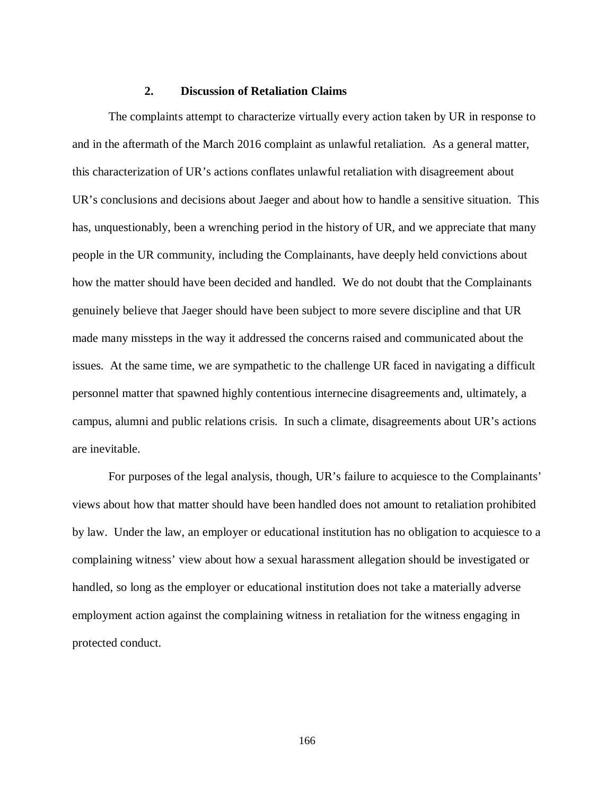### **2. Discussion of Retaliation Claims**

The complaints attempt to characterize virtually every action taken by UR in response to and in the aftermath of the March 2016 complaint as unlawful retaliation. As a general matter, this characterization of UR's actions conflates unlawful retaliation with disagreement about UR's conclusions and decisions about Jaeger and about how to handle a sensitive situation. This has, unquestionably, been a wrenching period in the history of UR, and we appreciate that many people in the UR community, including the Complainants, have deeply held convictions about how the matter should have been decided and handled. We do not doubt that the Complainants genuinely believe that Jaeger should have been subject to more severe discipline and that UR made many missteps in the way it addressed the concerns raised and communicated about the issues. At the same time, we are sympathetic to the challenge UR faced in navigating a difficult personnel matter that spawned highly contentious internecine disagreements and, ultimately, a campus, alumni and public relations crisis. In such a climate, disagreements about UR's actions are inevitable.

For purposes of the legal analysis, though, UR's failure to acquiesce to the Complainants' views about how that matter should have been handled does not amount to retaliation prohibited by law. Under the law, an employer or educational institution has no obligation to acquiesce to a complaining witness' view about how a sexual harassment allegation should be investigated or handled, so long as the employer or educational institution does not take a materially adverse employment action against the complaining witness in retaliation for the witness engaging in protected conduct.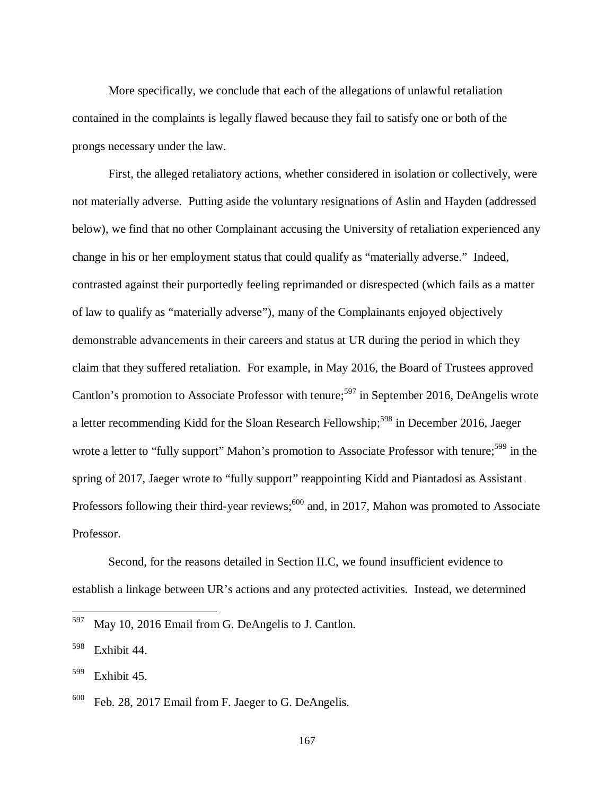More specifically, we conclude that each of the allegations of unlawful retaliation contained in the complaints is legally flawed because they fail to satisfy one or both of the prongs necessary under the law.

First, the alleged retaliatory actions, whether considered in isolation or collectively, were not materially adverse. Putting aside the voluntary resignations of Aslin and Hayden (addressed below), we find that no other Complainant accusing the University of retaliation experienced any change in his or her employment status that could qualify as "materially adverse." Indeed, contrasted against their purportedly feeling reprimanded or disrespected (which fails as a matter of law to qualify as "materially adverse"), many of the Complainants enjoyed objectively demonstrable advancements in their careers and status at UR during the period in which they claim that they suffered retaliation. For example, in May 2016, the Board of Trustees approved Cantlon's promotion to Associate Professor with tenure;<sup>597</sup> in September 2016, DeAngelis wrote a letter recommending Kidd for the Sloan Research Fellowship;<sup>598</sup> in December 2016, Jaeger wrote a letter to "fully support" Mahon's promotion to Associate Professor with tenure;<sup>599</sup> in the spring of 2017, Jaeger wrote to "fully support" reappointing Kidd and Piantadosi as Assistant Professors following their third-year reviews; $600$  and, in 2017, Mahon was promoted to Associate Professor.

Second, for the reasons detailed in Section II.C, we found insufficient evidence to establish a linkage between UR's actions and any protected activities. Instead, we determined

l

167

<sup>597</sup> May 10, 2016 Email from G. DeAngelis to J. Cantlon.

<sup>598</sup> Exhibit 44.

 $599$  Exhibit 45.

 $600$  Feb. 28, 2017 Email from F. Jaeger to G. DeAngelis.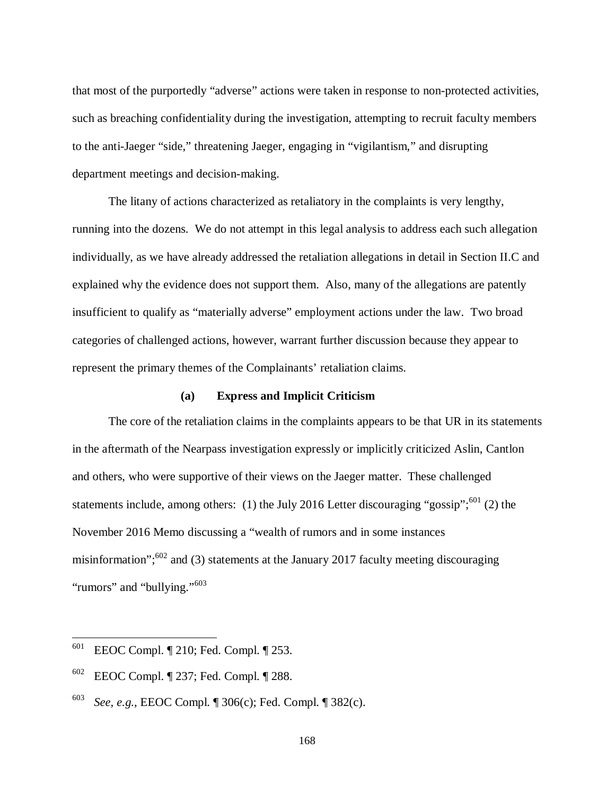that most of the purportedly "adverse" actions were taken in response to non-protected activities, such as breaching confidentiality during the investigation, attempting to recruit faculty members to the anti-Jaeger "side," threatening Jaeger, engaging in "vigilantism," and disrupting department meetings and decision-making.

The litany of actions characterized as retaliatory in the complaints is very lengthy, running into the dozens. We do not attempt in this legal analysis to address each such allegation individually, as we have already addressed the retaliation allegations in detail in Section II.C and explained why the evidence does not support them. Also, many of the allegations are patently insufficient to qualify as "materially adverse" employment actions under the law. Two broad categories of challenged actions, however, warrant further discussion because they appear to represent the primary themes of the Complainants' retaliation claims.

#### **(a) Express and Implicit Criticism**

The core of the retaliation claims in the complaints appears to be that UR in its statements in the aftermath of the Nearpass investigation expressly or implicitly criticized Aslin, Cantlon and others, who were supportive of their views on the Jaeger matter. These challenged statements include, among others: (1) the July 2016 Letter discouraging "gossip";<sup>601</sup> (2) the November 2016 Memo discussing a "wealth of rumors and in some instances misinformation"; $602$  and (3) statements at the January 2017 faculty meeting discouraging "rumors" and "bullying."<sup>603</sup>

<sup>601</sup> EEOC Compl. ¶ 210; Fed. Compl. ¶ 253.

<sup>602</sup> EEOC Compl. ¶ 237; Fed. Compl. ¶ 288.

<sup>603</sup> *See, e.g.*, EEOC Compl. ¶ 306(c); Fed. Compl. ¶ 382(c).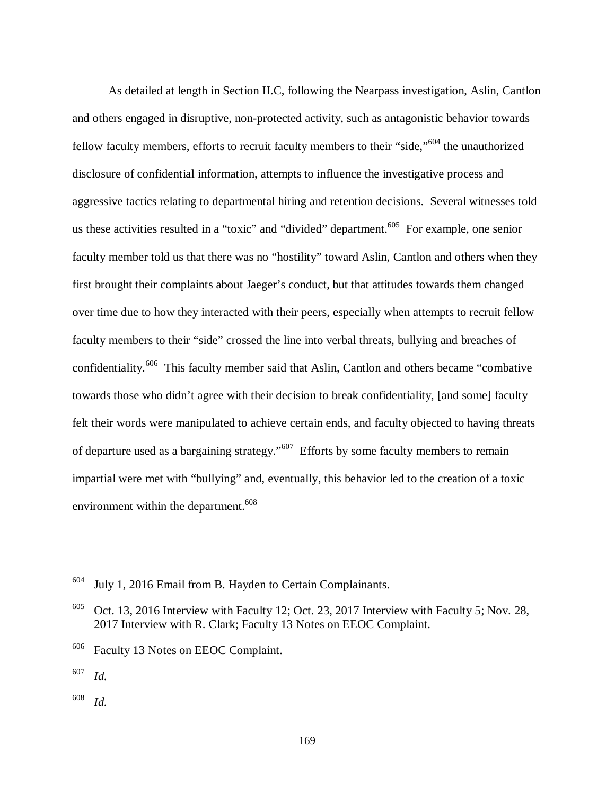As detailed at length in Section II.C, following the Nearpass investigation, Aslin, Cantlon and others engaged in disruptive, non-protected activity, such as antagonistic behavior towards fellow faculty members, efforts to recruit faculty members to their "side,"<sup>604</sup> the unauthorized disclosure of confidential information, attempts to influence the investigative process and aggressive tactics relating to departmental hiring and retention decisions. Several witnesses told us these activities resulted in a "toxic" and "divided" department.<sup>605</sup> For example, one senior faculty member told us that there was no "hostility" toward Aslin, Cantlon and others when they first brought their complaints about Jaeger's conduct, but that attitudes towards them changed over time due to how they interacted with their peers, especially when attempts to recruit fellow faculty members to their "side" crossed the line into verbal threats, bullying and breaches of confidentiality.<sup>606</sup> This faculty member said that Aslin, Cantlon and others became "combative towards those who didn't agree with their decision to break confidentiality, [and some] faculty felt their words were manipulated to achieve certain ends, and faculty objected to having threats of departure used as a bargaining strategy."<sup>607</sup> Efforts by some faculty members to remain impartial were met with "bullying" and, eventually, this behavior led to the creation of a toxic environment within the department.<sup>608</sup>

<sup>604</sup> July 1, 2016 Email from B. Hayden to Certain Complainants.

 $605$  Oct. 13, 2016 Interview with Faculty 12; Oct. 23, 2017 Interview with Faculty 5; Nov. 28, 2017 Interview with R. Clark; Faculty 13 Notes on EEOC Complaint.

<sup>606</sup> Faculty 13 Notes on EEOC Complaint.

<sup>607</sup> *Id.*

<sup>608</sup> *Id.*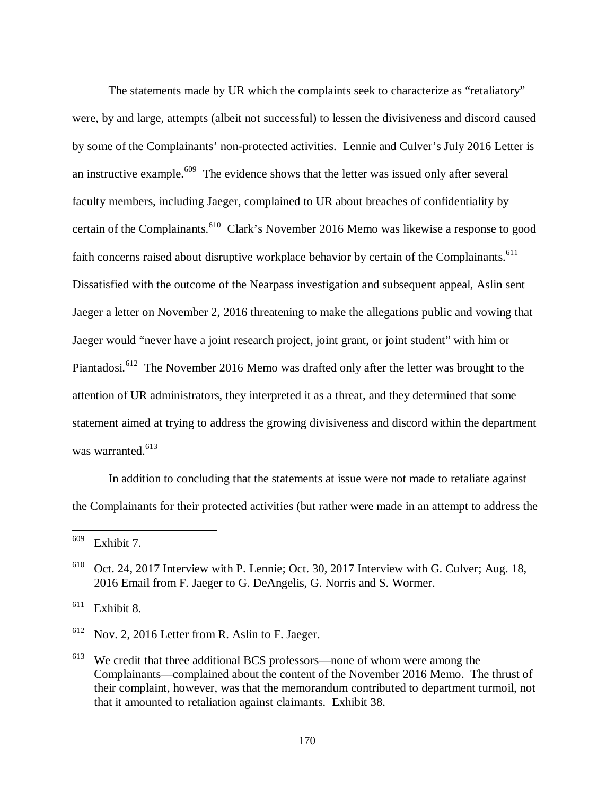The statements made by UR which the complaints seek to characterize as "retaliatory" were, by and large, attempts (albeit not successful) to lessen the divisiveness and discord caused by some of the Complainants' non-protected activities. Lennie and Culver's July 2016 Letter is an instructive example.<sup>609</sup> The evidence shows that the letter was issued only after several faculty members, including Jaeger, complained to UR about breaches of confidentiality by certain of the Complainants.<sup>610</sup> Clark's November 2016 Memo was likewise a response to good faith concerns raised about disruptive workplace behavior by certain of the Complainants.<sup>611</sup> Dissatisfied with the outcome of the Nearpass investigation and subsequent appeal, Aslin sent Jaeger a letter on November 2, 2016 threatening to make the allegations public and vowing that Jaeger would "never have a joint research project, joint grant, or joint student" with him or Piantadosi.<sup>612</sup> The November 2016 Memo was drafted only after the letter was brought to the attention of UR administrators, they interpreted it as a threat, and they determined that some statement aimed at trying to address the growing divisiveness and discord within the department was warranted.<sup>613</sup>

In addition to concluding that the statements at issue were not made to retaliate against the Complainants for their protected activities (but rather were made in an attempt to address the

 $\overline{a}$ 

 $611$  Exhibit 8.

<sup>612</sup> Nov. 2, 2016 Letter from R. Aslin to F. Jaeger.

 $609$  Exhibit 7.

 $610$  Oct. 24, 2017 Interview with P. Lennie; Oct. 30, 2017 Interview with G. Culver; Aug. 18, 2016 Email from F. Jaeger to G. DeAngelis, G. Norris and S. Wormer.

<sup>&</sup>lt;sup>613</sup> We credit that three additional BCS professors—none of whom were among the Complainants—complained about the content of the November 2016 Memo. The thrust of their complaint, however, was that the memorandum contributed to department turmoil, not that it amounted to retaliation against claimants. Exhibit 38.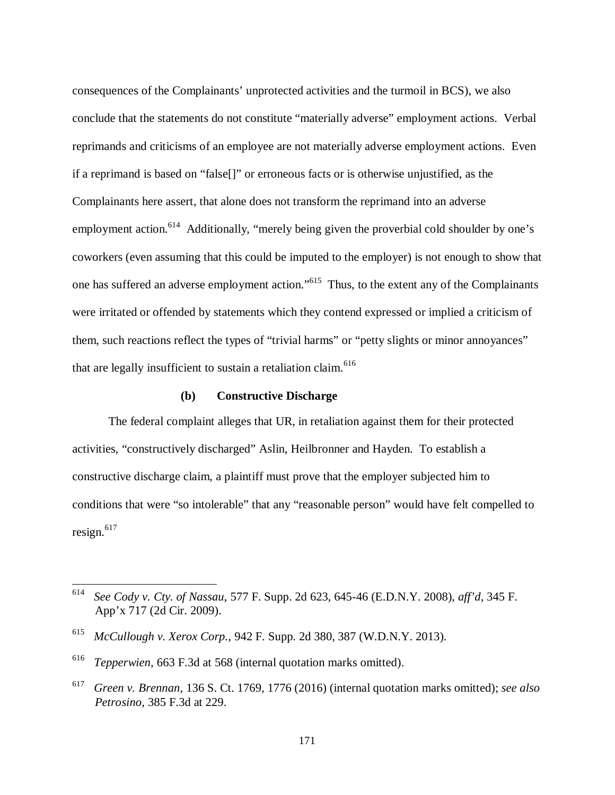consequences of the Complainants' unprotected activities and the turmoil in BCS), we also conclude that the statements do not constitute "materially adverse" employment actions. Verbal reprimands and criticisms of an employee are not materially adverse employment actions. Even if a reprimand is based on "false[]" or erroneous facts or is otherwise unjustified, as the Complainants here assert, that alone does not transform the reprimand into an adverse employment action.<sup>614</sup> Additionally, "merely being given the proverbial cold shoulder by one's coworkers (even assuming that this could be imputed to the employer) is not enough to show that one has suffered an adverse employment action."<sup>615</sup> Thus, to the extent any of the Complainants were irritated or offended by statements which they contend expressed or implied a criticism of them, such reactions reflect the types of "trivial harms" or "petty slights or minor annoyances" that are legally insufficient to sustain a retaliation claim.  $616$ 

#### **(b) Constructive Discharge**

The federal complaint alleges that UR, in retaliation against them for their protected activities, "constructively discharged" Aslin, Heilbronner and Hayden. To establish a constructive discharge claim, a plaintiff must prove that the employer subjected him to conditions that were "so intolerable" that any "reasonable person" would have felt compelled to resign.<sup>617</sup>

<sup>614</sup> *See Cody v. Cty. of Nassau*, 577 F. Supp. 2d 623, 645-46 (E.D.N.Y. 2008), *aff'd*, 345 F. App'x 717 (2d Cir. 2009).

<sup>615</sup> *McCullough v. Xerox Corp.*, 942 F. Supp. 2d 380, 387 (W.D.N.Y. 2013).

<sup>616</sup> *Tepperwien*, 663 F.3d at 568 (internal quotation marks omitted).

<sup>617</sup> *Green v. Brennan*, 136 S. Ct. 1769, 1776 (2016) (internal quotation marks omitted); *see also Petrosino*, 385 F.3d at 229.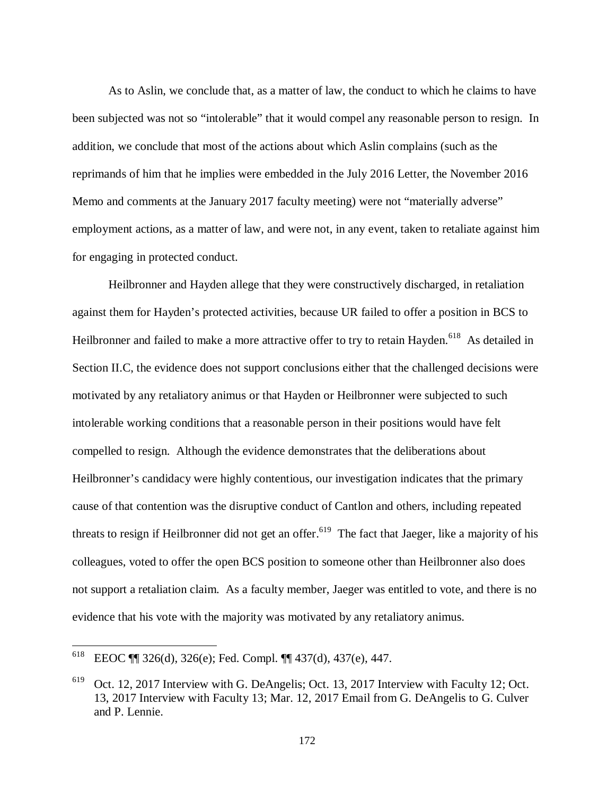As to Aslin, we conclude that, as a matter of law, the conduct to which he claims to have been subjected was not so "intolerable" that it would compel any reasonable person to resign. In addition, we conclude that most of the actions about which Aslin complains (such as the reprimands of him that he implies were embedded in the July 2016 Letter, the November 2016 Memo and comments at the January 2017 faculty meeting) were not "materially adverse" employment actions, as a matter of law, and were not, in any event, taken to retaliate against him for engaging in protected conduct.

Heilbronner and Hayden allege that they were constructively discharged, in retaliation against them for Hayden's protected activities, because UR failed to offer a position in BCS to Heilbronner and failed to make a more attractive offer to try to retain Hayden.<sup>618</sup> As detailed in Section II.C, the evidence does not support conclusions either that the challenged decisions were motivated by any retaliatory animus or that Hayden or Heilbronner were subjected to such intolerable working conditions that a reasonable person in their positions would have felt compelled to resign. Although the evidence demonstrates that the deliberations about Heilbronner's candidacy were highly contentious, our investigation indicates that the primary cause of that contention was the disruptive conduct of Cantlon and others, including repeated threats to resign if Heilbronner did not get an offer.<sup>619</sup> The fact that Jaeger, like a majority of his colleagues, voted to offer the open BCS position to someone other than Heilbronner also does not support a retaliation claim. As a faculty member, Jaeger was entitled to vote, and there is no evidence that his vote with the majority was motivated by any retaliatory animus.

 $618$  EEOC ¶ 326(d), 326(e); Fed. Compl. ¶ 437(d), 437(e), 447.

<sup>&</sup>lt;sup>619</sup> Oct. 12, 2017 Interview with G. DeAngelis; Oct. 13, 2017 Interview with Faculty 12; Oct. 13, 2017 Interview with Faculty 13; Mar. 12, 2017 Email from G. DeAngelis to G. Culver and P. Lennie.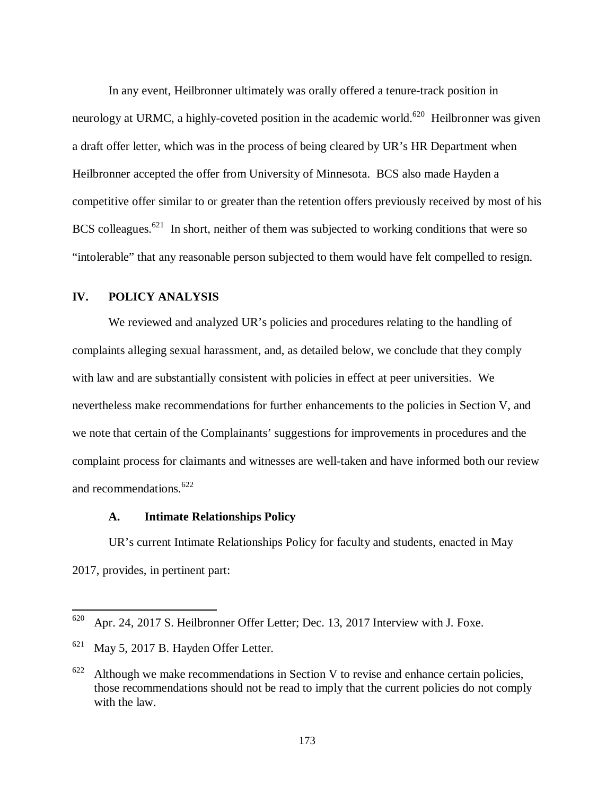In any event, Heilbronner ultimately was orally offered a tenure-track position in neurology at URMC, a highly-coveted position in the academic world.<sup>620</sup> Heilbronner was given a draft offer letter, which was in the process of being cleared by UR's HR Department when Heilbronner accepted the offer from University of Minnesota. BCS also made Hayden a competitive offer similar to or greater than the retention offers previously received by most of his BCS colleagues.<sup>621</sup> In short, neither of them was subjected to working conditions that were so "intolerable" that any reasonable person subjected to them would have felt compelled to resign.

#### **IV. POLICY ANALYSIS**

We reviewed and analyzed UR's policies and procedures relating to the handling of complaints alleging sexual harassment, and, as detailed below, we conclude that they comply with law and are substantially consistent with policies in effect at peer universities. We nevertheless make recommendations for further enhancements to the policies in Section V, and we note that certain of the Complainants' suggestions for improvements in procedures and the complaint process for claimants and witnesses are well-taken and have informed both our review and recommendations.<sup>622</sup>

#### **A. Intimate Relationships Policy**

UR's current Intimate Relationships Policy for faculty and students, enacted in May 2017, provides, in pertinent part:

<sup>620</sup> Apr. 24, 2017 S. Heilbronner Offer Letter; Dec. 13, 2017 Interview with J. Foxe.

 $621$  May 5, 2017 B. Hayden Offer Letter.

 $622$  Although we make recommendations in Section V to revise and enhance certain policies, those recommendations should not be read to imply that the current policies do not comply with the law.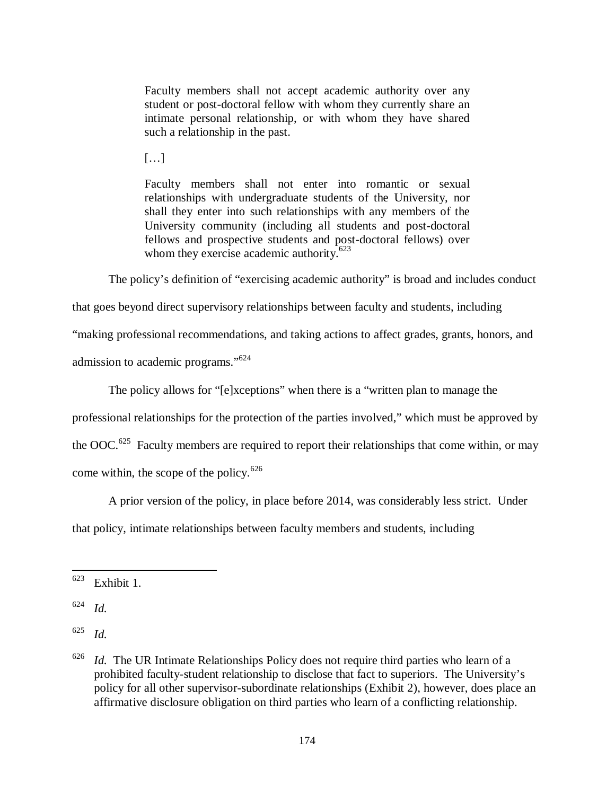Faculty members shall not accept academic authority over any student or post-doctoral fellow with whom they currently share an intimate personal relationship, or with whom they have shared such a relationship in the past.

 $[...]$ 

Faculty members shall not enter into romantic or sexual relationships with undergraduate students of the University, nor shall they enter into such relationships with any members of the University community (including all students and post-doctoral fellows and prospective students and post-doctoral fellows) over whom they exercise academic authority. $623$ 

The policy's definition of "exercising academic authority" is broad and includes conduct

that goes beyond direct supervisory relationships between faculty and students, including

"making professional recommendations, and taking actions to affect grades, grants, honors, and

admission to academic programs."<sup>624</sup>

The policy allows for "[e]xceptions" when there is a "written plan to manage the

professional relationships for the protection of the parties involved," which must be approved by

the  $OOC<sup>.625</sup>$  Faculty members are required to report their relationships that come within, or may come within, the scope of the policy.<sup>626</sup>

A prior version of the policy, in place before 2014, was considerably less strict. Under that policy, intimate relationships between faculty members and students, including

 $623$  Exhibit 1.

<sup>624</sup> *Id.*

<sup>625</sup> *Id.*

<sup>626</sup> *Id.* The UR Intimate Relationships Policy does not require third parties who learn of a prohibited faculty-student relationship to disclose that fact to superiors. The University's policy for all other supervisor-subordinate relationships (Exhibit 2), however, does place an affirmative disclosure obligation on third parties who learn of a conflicting relationship.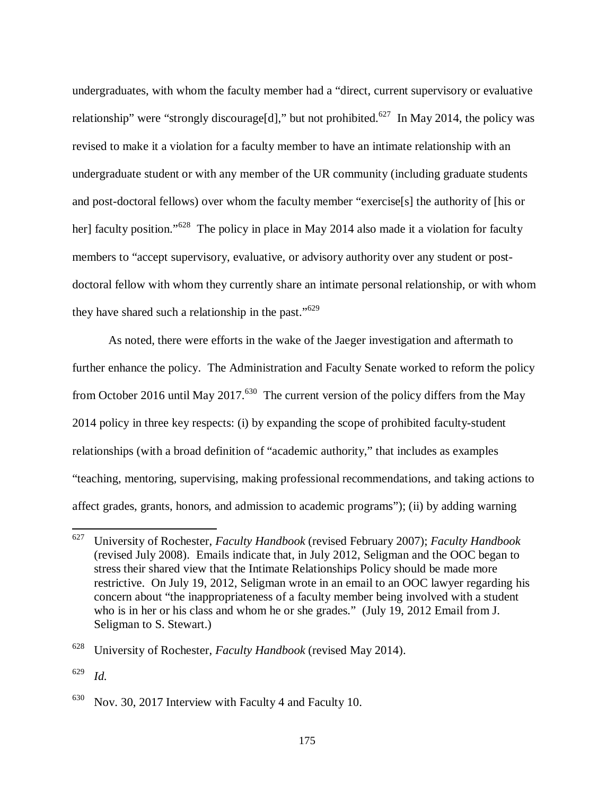undergraduates, with whom the faculty member had a "direct, current supervisory or evaluative relationship" were "strongly discourage[d]," but not prohibited.<sup>627</sup> In May 2014, the policy was revised to make it a violation for a faculty member to have an intimate relationship with an undergraduate student or with any member of the UR community (including graduate students and post-doctoral fellows) over whom the faculty member "exercise[s] the authority of [his or her] faculty position."<sup>628</sup> The policy in place in May 2014 also made it a violation for faculty members to "accept supervisory, evaluative, or advisory authority over any student or postdoctoral fellow with whom they currently share an intimate personal relationship, or with whom they have shared such a relationship in the past."<sup>629</sup>

As noted, there were efforts in the wake of the Jaeger investigation and aftermath to further enhance the policy. The Administration and Faculty Senate worked to reform the policy from October 2016 until May 2017.<sup>630</sup> The current version of the policy differs from the May 2014 policy in three key respects: (i) by expanding the scope of prohibited faculty-student relationships (with a broad definition of "academic authority," that includes as examples "teaching, mentoring, supervising, making professional recommendations, and taking actions to affect grades, grants, honors, and admission to academic programs"); (ii) by adding warning

<sup>627</sup> University of Rochester, *Faculty Handbook* (revised February 2007); *Faculty Handbook* (revised July 2008). Emails indicate that, in July 2012, Seligman and the OOC began to stress their shared view that the Intimate Relationships Policy should be made more restrictive. On July 19, 2012, Seligman wrote in an email to an OOC lawyer regarding his concern about "the inappropriateness of a faculty member being involved with a student who is in her or his class and whom he or she grades." (July 19, 2012 Email from J. Seligman to S. Stewart.)

<sup>628</sup> University of Rochester, *Faculty Handbook* (revised May 2014).

<sup>629</sup> *Id.*

 $630$  Nov. 30, 2017 Interview with Faculty 4 and Faculty 10.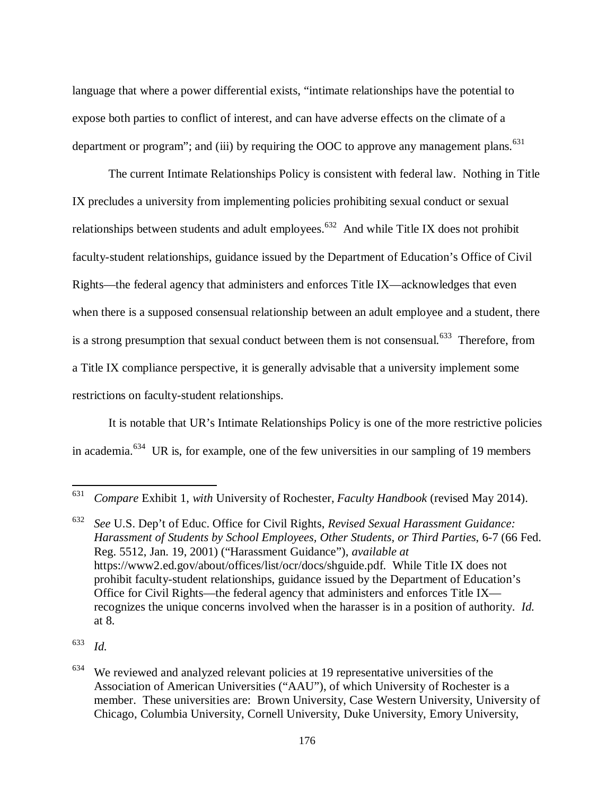language that where a power differential exists, "intimate relationships have the potential to expose both parties to conflict of interest, and can have adverse effects on the climate of a department or program"; and (iii) by requiring the OOC to approve any management plans. $631$ 

The current Intimate Relationships Policy is consistent with federal law. Nothing in Title IX precludes a university from implementing policies prohibiting sexual conduct or sexual relationships between students and adult employees.<sup>632</sup> And while Title IX does not prohibit faculty-student relationships, guidance issued by the Department of Education's Office of Civil Rights—the federal agency that administers and enforces Title IX—acknowledges that even when there is a supposed consensual relationship between an adult employee and a student, there is a strong presumption that sexual conduct between them is not consensual.<sup>633</sup> Therefore, from a Title IX compliance perspective, it is generally advisable that a university implement some restrictions on faculty-student relationships.

It is notable that UR's Intimate Relationships Policy is one of the more restrictive policies in academia.<sup>634</sup> UR is, for example, one of the few universities in our sampling of 19 members

<sup>631</sup> *Compare* Exhibit 1, *with* University of Rochester, *Faculty Handbook* (revised May 2014).

<sup>632</sup> *See* U.S. Dep't of Educ. Office for Civil Rights, *Revised Sexual Harassment Guidance: Harassment of Students by School Employees, Other Students, or Third Parties*, 6-7 (66 Fed. Reg. 5512, Jan. 19, 2001) ("Harassment Guidance"), *available at* https://www2.ed.gov/about/offices/list/ocr/docs/shguide.pdf. While Title IX does not prohibit faculty-student relationships, guidance issued by the Department of Education's Office for Civil Rights—the federal agency that administers and enforces Title IX recognizes the unique concerns involved when the harasser is in a position of authority. *Id.* at 8.

<sup>633</sup> *Id.*

 $634$  We reviewed and analyzed relevant policies at 19 representative universities of the Association of American Universities ("AAU"), of which University of Rochester is a member. These universities are: Brown University, Case Western University, University of Chicago, Columbia University, Cornell University, Duke University, Emory University,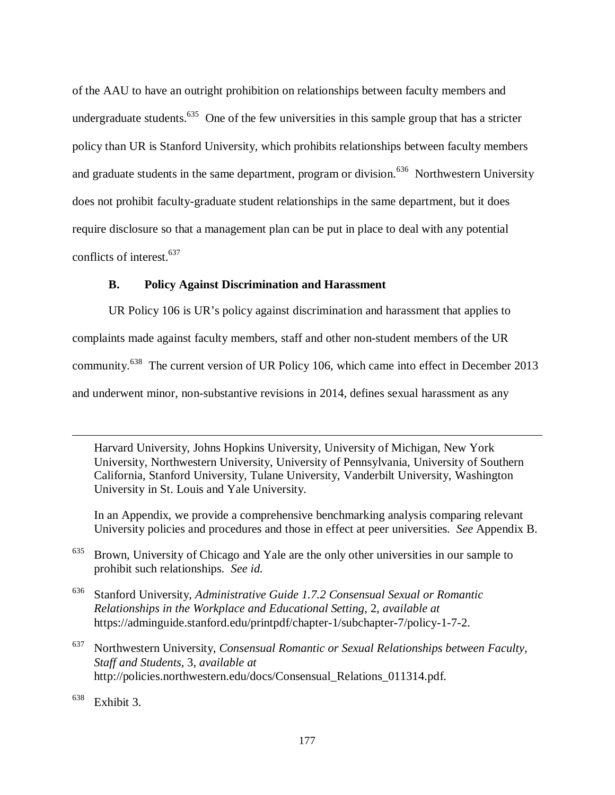of the AAU to have an outright prohibition on relationships between faculty members and undergraduate students.<sup>635</sup> One of the few universities in this sample group that has a stricter policy than UR is Stanford University, which prohibits relationships between faculty members and graduate students in the same department, program or division.<sup>636</sup> Northwestern University does not prohibit faculty-graduate student relationships in the same department, but it does require disclosure so that a management plan can be put in place to deal with any potential conflicts of interest.<sup>637</sup>

# **B. Policy Against Discrimination and Harassment**

UR Policy 106 is UR's policy against discrimination and harassment that applies to complaints made against faculty members, staff and other non-student members of the UR community.<sup>638</sup> The current version of UR Policy 106, which came into effect in December 2013 and underwent minor, non-substantive revisions in 2014, defines sexual harassment as any

Harvard University, Johns Hopkins University, University of Michigan, New York University, Northwestern University, University of Pennsylvania, University of Southern California, Stanford University, Tulane University, Vanderbilt University, Washington University in St. Louis and Yale University.

 In an Appendix, we provide a comprehensive benchmarking analysis comparing relevant University policies and procedures and those in effect at peer universities. *See* Appendix B.

<sup>635</sup> Brown, University of Chicago and Yale are the only other universities in our sample to prohibit such relationships. *See id.*

<sup>636</sup> Stanford University, *Administrative Guide 1.7.2 Consensual Sexual or Romantic Relationships in the Workplace and Educational Setting*, 2, *available at* https://adminguide.stanford.edu/printpdf/chapter-1/subchapter-7/policy-1-7-2.

<sup>637</sup> Northwestern University, *Consensual Romantic or Sexual Relationships between Faculty, Staff and Students*, 3, *available at* http://policies.northwestern.edu/docs/Consensual\_Relations\_011314.pdf.

 $638$  Exhibit 3.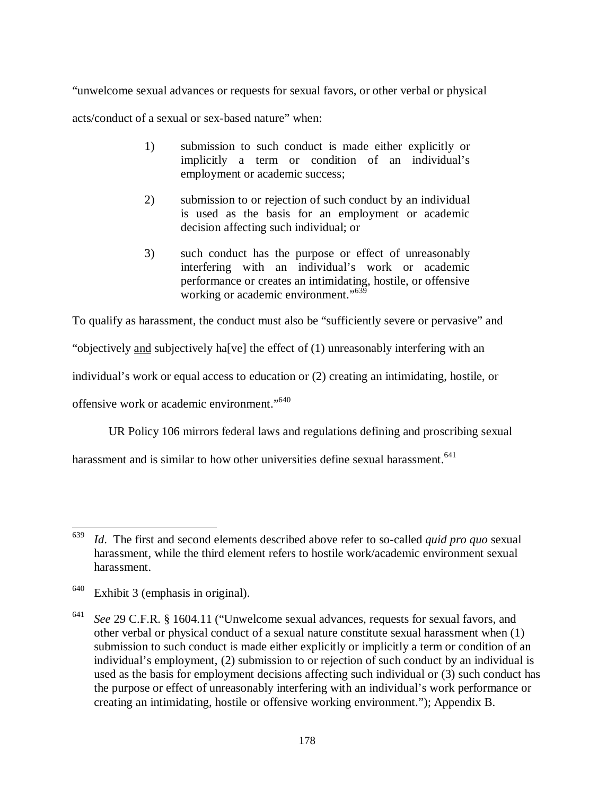"unwelcome sexual advances or requests for sexual favors, or other verbal or physical

acts/conduct of a sexual or sex-based nature" when:

- 1) submission to such conduct is made either explicitly or implicitly a term or condition of an individual's employment or academic success;
- 2) submission to or rejection of such conduct by an individual is used as the basis for an employment or academic decision affecting such individual; or
- 3) such conduct has the purpose or effect of unreasonably interfering with an individual's work or academic performance or creates an intimidating, hostile, or offensive working or academic environment."<sup>639</sup>

To qualify as harassment, the conduct must also be "sufficiently severe or pervasive" and

"objectively and subjectively ha[ve] the effect of (1) unreasonably interfering with an

individual's work or equal access to education or (2) creating an intimidating, hostile, or

offensive work or academic environment."<sup>640</sup>

UR Policy 106 mirrors federal laws and regulations defining and proscribing sexual

harassment and is similar to how other universities define sexual harassment.<sup>641</sup>

<sup>639</sup> *Id*. The first and second elements described above refer to so-called *quid pro quo* sexual harassment, while the third element refers to hostile work/academic environment sexual harassment.

<sup>640</sup> Exhibit 3 (emphasis in original).

<sup>641</sup> *See* 29 C.F.R. § 1604.11 ("Unwelcome sexual advances, requests for sexual favors, and other verbal or physical conduct of a sexual nature constitute sexual harassment when (1) submission to such conduct is made either explicitly or implicitly a term or condition of an individual's employment, (2) submission to or rejection of such conduct by an individual is used as the basis for employment decisions affecting such individual or (3) such conduct has the purpose or effect of unreasonably interfering with an individual's work performance or creating an intimidating, hostile or offensive working environment."); Appendix B.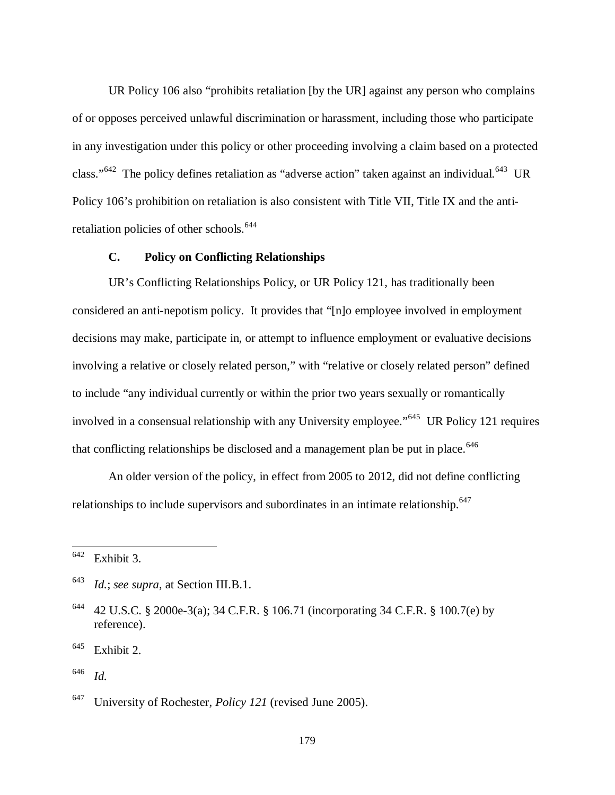UR Policy 106 also "prohibits retaliation [by the UR] against any person who complains of or opposes perceived unlawful discrimination or harassment, including those who participate in any investigation under this policy or other proceeding involving a claim based on a protected class."<sup>642</sup> The policy defines retaliation as "adverse action" taken against an individual.<sup>643</sup> UR Policy 106's prohibition on retaliation is also consistent with Title VII, Title IX and the antiretaliation policies of other schools.<sup>644</sup>

# **C. Policy on Conflicting Relationships**

UR's Conflicting Relationships Policy, or UR Policy 121, has traditionally been considered an anti-nepotism policy. It provides that "[n]o employee involved in employment decisions may make, participate in, or attempt to influence employment or evaluative decisions involving a relative or closely related person," with "relative or closely related person" defined to include "any individual currently or within the prior two years sexually or romantically involved in a consensual relationship with any University employee."<sup>645</sup> UR Policy 121 requires that conflicting relationships be disclosed and a management plan be put in place.  $646$ 

An older version of the policy, in effect from 2005 to 2012, did not define conflicting relationships to include supervisors and subordinates in an intimate relationship.<sup>647</sup>

 $642$  Exhibit 3.

<sup>643</sup> *Id.*; *see supra*, at Section III.B.1.

<sup>644</sup> 42 U.S.C. § 2000e-3(a); 34 C.F.R. § 106.71 (incorporating 34 C.F.R. § 100.7(e) by reference).

 $645$  Exhibit 2.

<sup>646</sup> *Id.*

<sup>647</sup> University of Rochester, *Policy 121* (revised June 2005).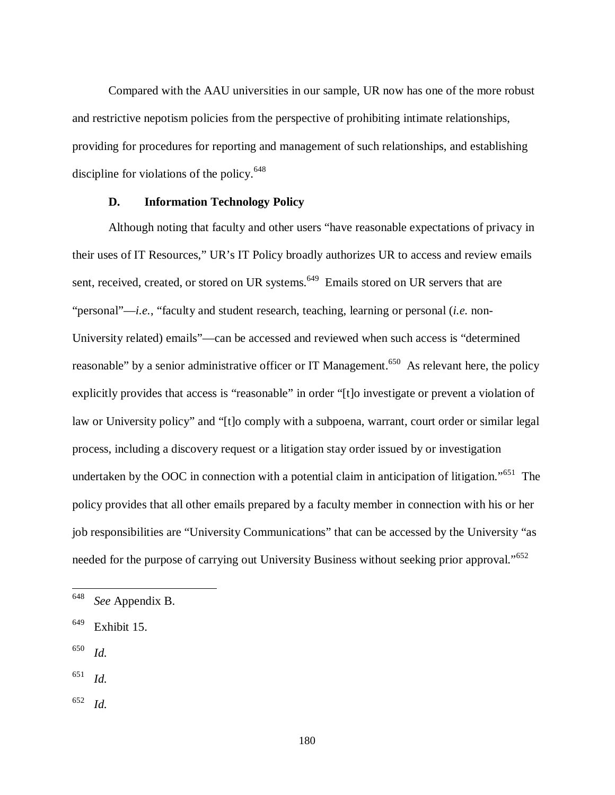Compared with the AAU universities in our sample, UR now has one of the more robust and restrictive nepotism policies from the perspective of prohibiting intimate relationships, providing for procedures for reporting and management of such relationships, and establishing discipline for violations of the policy. $648$ 

### **D. Information Technology Policy**

Although noting that faculty and other users "have reasonable expectations of privacy in their uses of IT Resources," UR's IT Policy broadly authorizes UR to access and review emails sent, received, created, or stored on UR systems.<sup>649</sup> Emails stored on UR servers that are "personal"—*i.e.*, "faculty and student research, teaching, learning or personal (*i.e.* non-University related) emails"—can be accessed and reviewed when such access is "determined reasonable" by a senior administrative officer or IT Management.<sup>650</sup> As relevant here, the policy explicitly provides that access is "reasonable" in order "[t]o investigate or prevent a violation of law or University policy" and "[t]o comply with a subpoena, warrant, court order or similar legal process, including a discovery request or a litigation stay order issued by or investigation undertaken by the OOC in connection with a potential claim in anticipation of litigation."<sup>651</sup> The policy provides that all other emails prepared by a faculty member in connection with his or her job responsibilities are "University Communications" that can be accessed by the University "as needed for the purpose of carrying out University Business without seeking prior approval."<sup>652</sup>

650 *Id.*

l

651 *Id.*

652 *Id.*

<sup>648</sup> *See* Appendix B.

 $649$  Exhibit 15.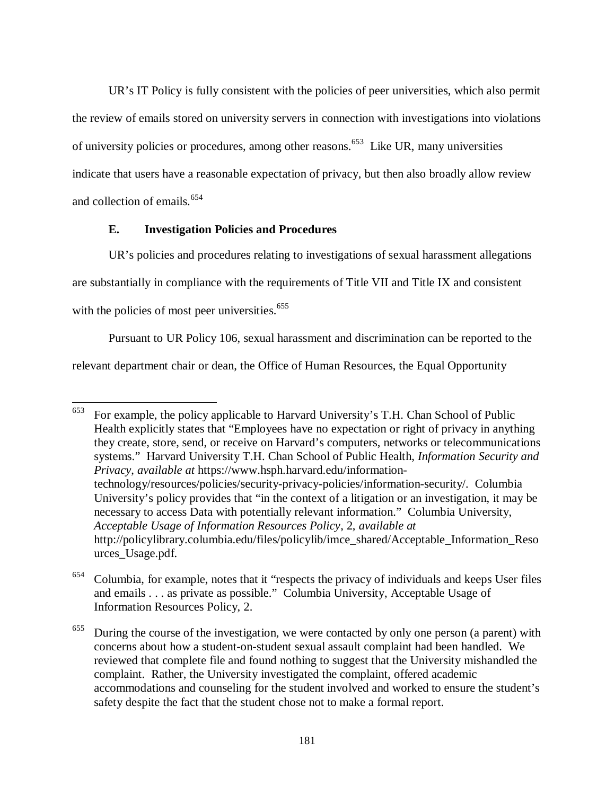UR's IT Policy is fully consistent with the policies of peer universities, which also permit the review of emails stored on university servers in connection with investigations into violations of university policies or procedures, among other reasons.<sup>653</sup> Like UR, many universities indicate that users have a reasonable expectation of privacy, but then also broadly allow review and collection of emails.<sup>654</sup>

# **E. Investigation Policies and Procedures**

l

UR's policies and procedures relating to investigations of sexual harassment allegations are substantially in compliance with the requirements of Title VII and Title IX and consistent with the policies of most peer universities.<sup>655</sup>

Pursuant to UR Policy 106, sexual harassment and discrimination can be reported to the

relevant department chair or dean, the Office of Human Resources, the Equal Opportunity

 $653$  For example, the policy applicable to Harvard University's T.H. Chan School of Public Health explicitly states that "Employees have no expectation or right of privacy in anything they create, store, send, or receive on Harvard's computers, networks or telecommunications systems." Harvard University T.H. Chan School of Public Health, *Information Security and Privacy*, *available at* https://www.hsph.harvard.edu/informationtechnology/resources/policies/security-privacy-policies/information-security/. Columbia University's policy provides that "in the context of a litigation or an investigation, it may be necessary to access Data with potentially relevant information." Columbia University, *Acceptable Usage of Information Resources Policy*, 2, *available at* http://policylibrary.columbia.edu/files/policylib/imce\_shared/Acceptable\_Information\_Reso urces\_Usage.pdf.

<sup>654</sup> Columbia, for example, notes that it "respects the privacy of individuals and keeps User files and emails . . . as private as possible." Columbia University, Acceptable Usage of Information Resources Policy, 2.

 $655$  During the course of the investigation, we were contacted by only one person (a parent) with concerns about how a student-on-student sexual assault complaint had been handled. We reviewed that complete file and found nothing to suggest that the University mishandled the complaint. Rather, the University investigated the complaint, offered academic accommodations and counseling for the student involved and worked to ensure the student's safety despite the fact that the student chose not to make a formal report.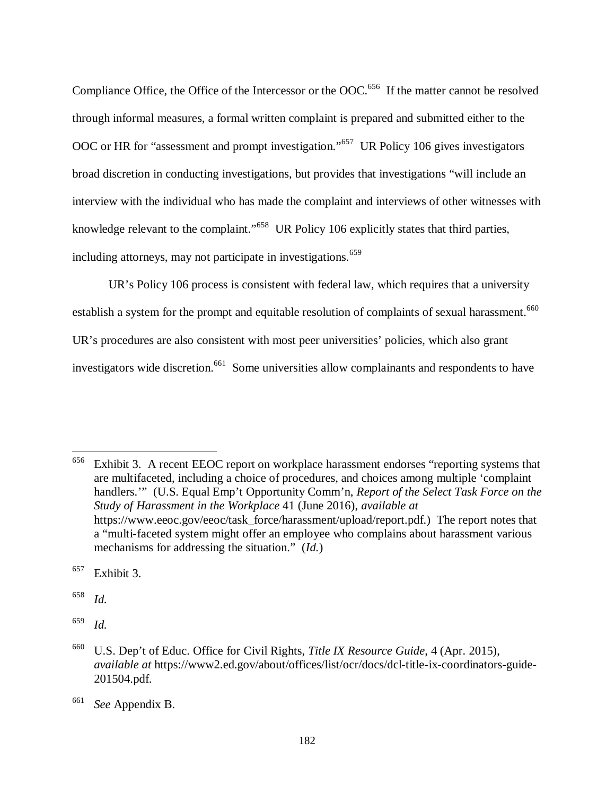Compliance Office, the Office of the Intercessor or the OOC.<sup>656</sup> If the matter cannot be resolved through informal measures, a formal written complaint is prepared and submitted either to the OOC or HR for "assessment and prompt investigation."<sup>657</sup> UR Policy 106 gives investigators broad discretion in conducting investigations, but provides that investigations "will include an interview with the individual who has made the complaint and interviews of other witnesses with knowledge relevant to the complaint."<sup>658</sup> UR Policy 106 explicitly states that third parties, including attorneys, may not participate in investigations.<sup>659</sup>

UR's Policy 106 process is consistent with federal law, which requires that a university establish a system for the prompt and equitable resolution of complaints of sexual harassment.<sup>660</sup> UR's procedures are also consistent with most peer universities' policies, which also grant investigators wide discretion.<sup>661</sup> Some universities allow complainants and respondents to have

 $656$  Exhibit 3. A recent EEOC report on workplace harassment endorses "reporting systems that are multifaceted, including a choice of procedures, and choices among multiple 'complaint handlers.'" (U.S. Equal Emp't Opportunity Comm'n, *Report of the Select Task Force on the Study of Harassment in the Workplace* 41 (June 2016), *available at* https://www.eeoc.gov/eeoc/task\_force/harassment/upload/report.pdf.) The report notes that a "multi-faceted system might offer an employee who complains about harassment various mechanisms for addressing the situation." (*Id.*)

 $657$  Exhibit 3.

658 *Id.*

 $\overline{a}$ 

659 *Id.*

<sup>660</sup> U.S. Dep't of Educ. Office for Civil Rights, *Title IX Resource Guide*, 4 (Apr. 2015), *available at* https://www2.ed.gov/about/offices/list/ocr/docs/dcl-title-ix-coordinators-guide-201504.pdf.

<sup>661</sup> *See* Appendix B.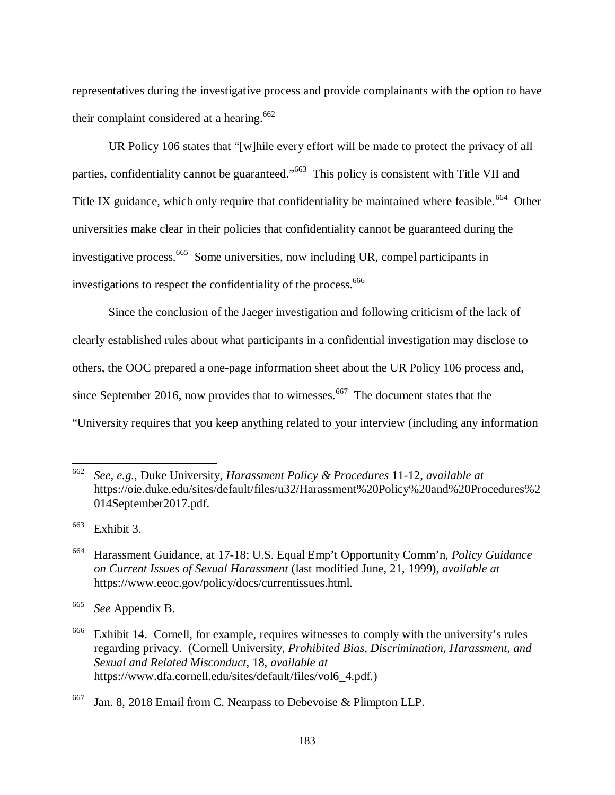representatives during the investigative process and provide complainants with the option to have their complaint considered at a hearing.<sup>662</sup>

UR Policy 106 states that "[w]hile every effort will be made to protect the privacy of all parties, confidentiality cannot be guaranteed."<sup>663</sup> This policy is consistent with Title VII and Title IX guidance, which only require that confidentiality be maintained where feasible.<sup>664</sup> Other universities make clear in their policies that confidentiality cannot be guaranteed during the investigative process.<sup>665</sup> Some universities, now including UR, compel participants in investigations to respect the confidentiality of the process.<sup>666</sup>

Since the conclusion of the Jaeger investigation and following criticism of the lack of clearly established rules about what participants in a confidential investigation may disclose to others, the OOC prepared a one-page information sheet about the UR Policy 106 process and, since September 2016, now provides that to witnesses.<sup>667</sup> The document states that the "University requires that you keep anything related to your interview (including any information

 $663$  Exhibit 3.

<sup>662</sup> *See, e.g.*, Duke University, *Harassment Policy & Procedures* 11-12, *available at* https://oie.duke.edu/sites/default/files/u32/Harassment%20Policy%20and%20Procedures%2 014September2017.pdf.

<sup>664</sup> Harassment Guidance, at 17-18; U.S. Equal Emp't Opportunity Comm'n, *Policy Guidance on Current Issues of Sexual Harassment* (last modified June, 21, 1999), *available at* https://www.eeoc.gov/policy/docs/currentissues.html.

<sup>665</sup> *See* Appendix B.

 $666$  Exhibit 14. Cornell, for example, requires witnesses to comply with the university's rules regarding privacy. (Cornell University, *Prohibited Bias, Discrimination, Harassment, and Sexual and Related Misconduct*, 18, *available at* https://www.dfa.cornell.edu/sites/default/files/vol6\_4.pdf.)

<sup>&</sup>lt;sup>667</sup> Jan. 8, 2018 Email from C. Nearpass to Debevoise & Plimpton LLP.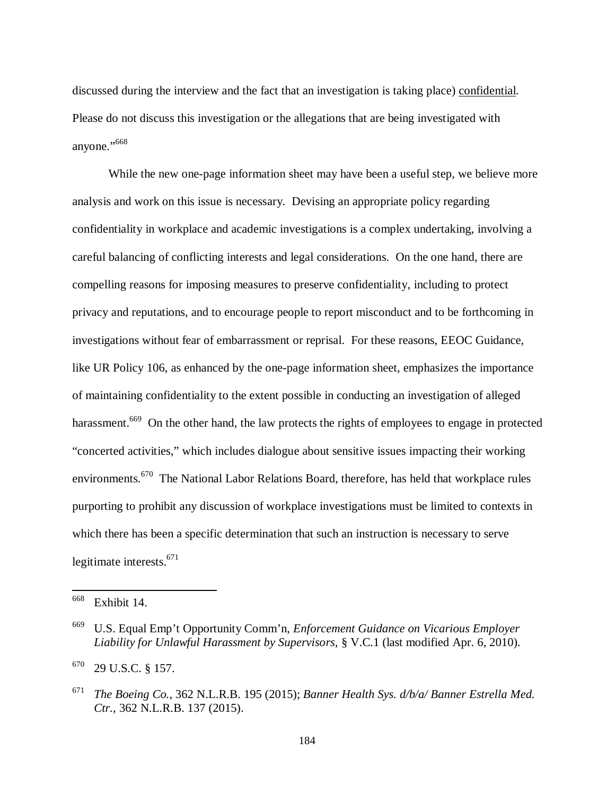discussed during the interview and the fact that an investigation is taking place) confidential. Please do not discuss this investigation or the allegations that are being investigated with anyone."<sup>668</sup>

While the new one-page information sheet may have been a useful step, we believe more analysis and work on this issue is necessary. Devising an appropriate policy regarding confidentiality in workplace and academic investigations is a complex undertaking, involving a careful balancing of conflicting interests and legal considerations. On the one hand, there are compelling reasons for imposing measures to preserve confidentiality, including to protect privacy and reputations, and to encourage people to report misconduct and to be forthcoming in investigations without fear of embarrassment or reprisal. For these reasons, EEOC Guidance, like UR Policy 106, as enhanced by the one-page information sheet, emphasizes the importance of maintaining confidentiality to the extent possible in conducting an investigation of alleged harassment.<sup>669</sup> On the other hand, the law protects the rights of employees to engage in protected "concerted activities," which includes dialogue about sensitive issues impacting their working environments.<sup>670</sup> The National Labor Relations Board, therefore, has held that workplace rules purporting to prohibit any discussion of workplace investigations must be limited to contexts in which there has been a specific determination that such an instruction is necessary to serve legitimate interests.<sup>671</sup>

<sup>668</sup> Exhibit 14.

<sup>669</sup> U.S. Equal Emp't Opportunity Comm'n, *Enforcement Guidance on Vicarious Employer Liability for Unlawful Harassment by Supervisors*, § V.C.1 (last modified Apr. 6, 2010).

<sup>670</sup> 29 U.S.C. § 157.

<sup>671</sup> *The Boeing Co.*, 362 N.L.R.B. 195 (2015); *Banner Health Sys. d/b/a/ Banner Estrella Med. Ctr.*, 362 N.L.R.B. 137 (2015).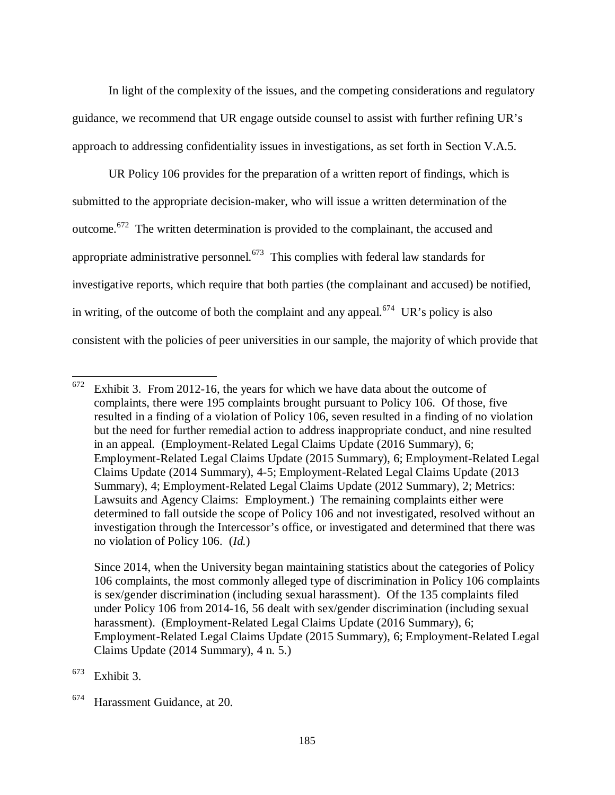In light of the complexity of the issues, and the competing considerations and regulatory guidance, we recommend that UR engage outside counsel to assist with further refining UR's approach to addressing confidentiality issues in investigations, as set forth in Section V.A.5.

UR Policy 106 provides for the preparation of a written report of findings, which is submitted to the appropriate decision-maker, who will issue a written determination of the outcome.<sup>672</sup> The written determination is provided to the complainant, the accused and appropriate administrative personnel.<sup>673</sup> This complies with federal law standards for investigative reports, which require that both parties (the complainant and accused) be notified, in writing, of the outcome of both the complaint and any appeal.<sup>674</sup> UR's policy is also consistent with the policies of peer universities in our sample, the majority of which provide that

 $673$  Exhibit 3.

 $672$  Exhibit 3. From 2012-16, the years for which we have data about the outcome of complaints, there were 195 complaints brought pursuant to Policy 106. Of those, five resulted in a finding of a violation of Policy 106, seven resulted in a finding of no violation but the need for further remedial action to address inappropriate conduct, and nine resulted in an appeal. (Employment-Related Legal Claims Update (2016 Summary), 6; Employment-Related Legal Claims Update (2015 Summary), 6; Employment-Related Legal Claims Update (2014 Summary), 4-5; Employment-Related Legal Claims Update (2013 Summary), 4; Employment-Related Legal Claims Update (2012 Summary), 2; Metrics: Lawsuits and Agency Claims: Employment.) The remaining complaints either were determined to fall outside the scope of Policy 106 and not investigated, resolved without an investigation through the Intercessor's office, or investigated and determined that there was no violation of Policy 106. (*Id.*)

Since 2014, when the University began maintaining statistics about the categories of Policy 106 complaints, the most commonly alleged type of discrimination in Policy 106 complaints is sex/gender discrimination (including sexual harassment). Of the 135 complaints filed under Policy 106 from 2014-16, 56 dealt with sex/gender discrimination (including sexual harassment). (Employment-Related Legal Claims Update (2016 Summary), 6; Employment-Related Legal Claims Update (2015 Summary), 6; Employment-Related Legal Claims Update (2014 Summary), 4 n. 5.)

<sup>674</sup> Harassment Guidance, at 20.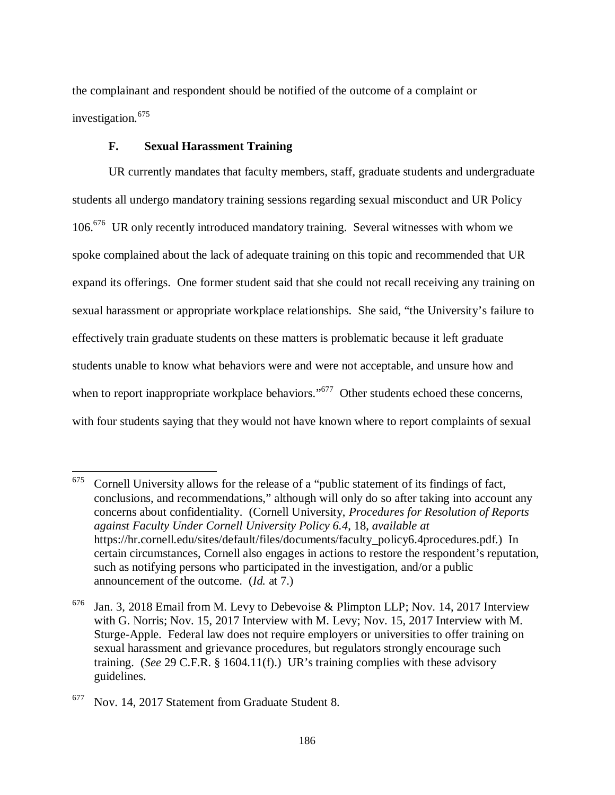the complainant and respondent should be notified of the outcome of a complaint or investigation.<sup>675</sup>

## **F. Sexual Harassment Training**

UR currently mandates that faculty members, staff, graduate students and undergraduate students all undergo mandatory training sessions regarding sexual misconduct and UR Policy 106.<sup>676</sup> UR only recently introduced mandatory training. Several witnesses with whom we spoke complained about the lack of adequate training on this topic and recommended that UR expand its offerings. One former student said that she could not recall receiving any training on sexual harassment or appropriate workplace relationships. She said, "the University's failure to effectively train graduate students on these matters is problematic because it left graduate students unable to know what behaviors were and were not acceptable, and unsure how and when to report inappropriate workplace behaviors."<sup>677</sup> Other students echoed these concerns, with four students saying that they would not have known where to report complaints of sexual

 $675$  Cornell University allows for the release of a "public statement of its findings of fact, conclusions, and recommendations," although will only do so after taking into account any concerns about confidentiality. (Cornell University, *Procedures for Resolution of Reports against Faculty Under Cornell University Policy 6.4*, 18, *available at* https://hr.cornell.edu/sites/default/files/documents/faculty\_policy6.4procedures.pdf.) In certain circumstances, Cornell also engages in actions to restore the respondent's reputation, such as notifying persons who participated in the investigation, and/or a public announcement of the outcome. (*Id.* at 7.)

 $676$  Jan. 3, 2018 Email from M. Levy to Debevoise & Plimpton LLP; Nov. 14, 2017 Interview with G. Norris; Nov. 15, 2017 Interview with M. Levy; Nov. 15, 2017 Interview with M. Sturge-Apple. Federal law does not require employers or universities to offer training on sexual harassment and grievance procedures, but regulators strongly encourage such training. (*See* 29 C.F.R. § 1604.11(f).) UR's training complies with these advisory guidelines.

 $677$  Nov. 14, 2017 Statement from Graduate Student 8.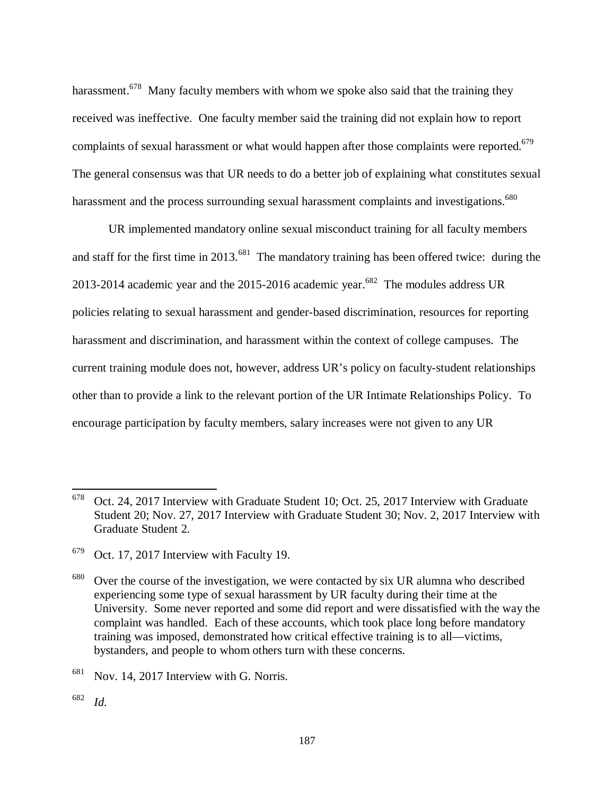harassment.<sup>678</sup> Many faculty members with whom we spoke also said that the training they received was ineffective. One faculty member said the training did not explain how to report complaints of sexual harassment or what would happen after those complaints were reported.<sup>679</sup> The general consensus was that UR needs to do a better job of explaining what constitutes sexual harassment and the process surrounding sexual harassment complaints and investigations.<sup>680</sup>

UR implemented mandatory online sexual misconduct training for all faculty members and staff for the first time in 2013.<sup>681</sup> The mandatory training has been offered twice: during the 2013-2014 academic year and the 2015-2016 academic year.<sup>682</sup> The modules address UR policies relating to sexual harassment and gender-based discrimination, resources for reporting harassment and discrimination, and harassment within the context of college campuses. The current training module does not, however, address UR's policy on faculty-student relationships other than to provide a link to the relevant portion of the UR Intimate Relationships Policy. To encourage participation by faculty members, salary increases were not given to any UR

<sup>678</sup> Oct. 24, 2017 Interview with Graduate Student 10; Oct. 25, 2017 Interview with Graduate Student 20; Nov. 27, 2017 Interview with Graduate Student 30; Nov. 2, 2017 Interview with Graduate Student 2.

<sup>679</sup> Oct. 17, 2017 Interview with Faculty 19.

 $680$  Over the course of the investigation, we were contacted by six UR alumna who described experiencing some type of sexual harassment by UR faculty during their time at the University. Some never reported and some did report and were dissatisfied with the way the complaint was handled. Each of these accounts, which took place long before mandatory training was imposed, demonstrated how critical effective training is to all—victims, bystanders, and people to whom others turn with these concerns.

 $681$  Nov. 14, 2017 Interview with G. Norris.

<sup>682</sup> *Id.*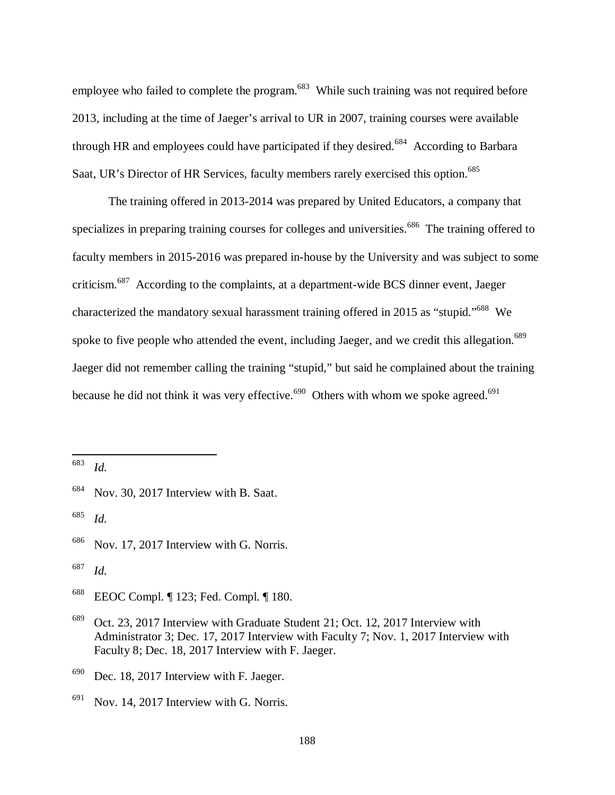employee who failed to complete the program.<sup>683</sup> While such training was not required before 2013, including at the time of Jaeger's arrival to UR in 2007, training courses were available through HR and employees could have participated if they desired.<sup>684</sup> According to Barbara Saat, UR's Director of HR Services, faculty members rarely exercised this option.<sup>685</sup>

The training offered in 2013-2014 was prepared by United Educators, a company that specializes in preparing training courses for colleges and universities.<sup>686</sup> The training offered to faculty members in 2015-2016 was prepared in-house by the University and was subject to some criticism.<sup>687</sup> According to the complaints, at a department-wide BCS dinner event, Jaeger characterized the mandatory sexual harassment training offered in 2015 as "stupid."<sup>688</sup> We spoke to five people who attended the event, including Jaeger, and we credit this allegation.<sup>689</sup> Jaeger did not remember calling the training "stupid," but said he complained about the training because he did not think it was very effective.<sup>690</sup> Others with whom we spoke agreed.<sup>691</sup>

683 *Id.*

l

685 *Id.*

<sup>684</sup> Nov. 30, 2017 Interview with B. Saat.

<sup>&</sup>lt;sup>686</sup> Nov. 17, 2017 Interview with G. Norris.

<sup>687</sup> *Id.*

<sup>688</sup> EEOC Compl. ¶ 123; Fed. Compl. ¶ 180.

<sup>689</sup> Oct. 23, 2017 Interview with Graduate Student 21; Oct. 12, 2017 Interview with Administrator 3; Dec. 17, 2017 Interview with Faculty 7; Nov. 1, 2017 Interview with Faculty 8; Dec. 18, 2017 Interview with F. Jaeger.

 $690$  Dec. 18, 2017 Interview with F. Jaeger.

 $691$  Nov. 14, 2017 Interview with G. Norris.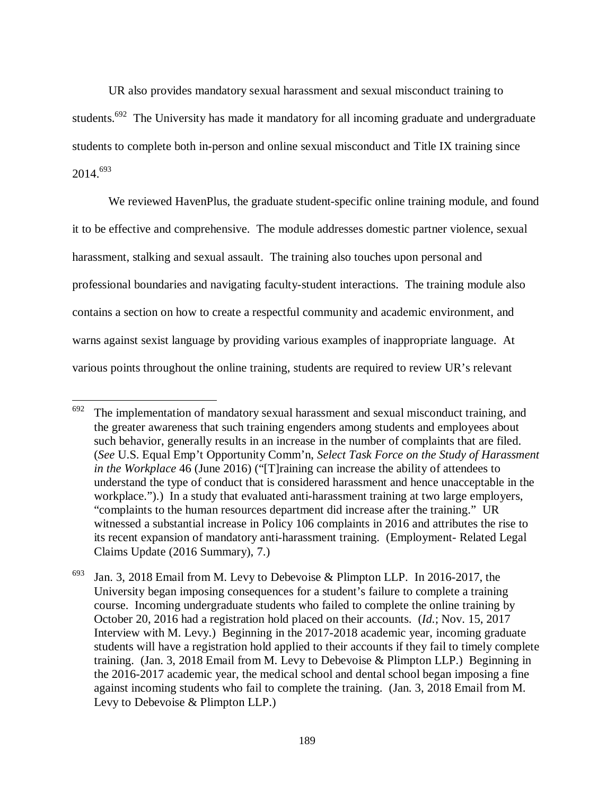UR also provides mandatory sexual harassment and sexual misconduct training to students.<sup>692</sup> The University has made it mandatory for all incoming graduate and undergraduate students to complete both in-person and online sexual misconduct and Title IX training since 2014.<sup>693</sup>

We reviewed HavenPlus, the graduate student-specific online training module, and found it to be effective and comprehensive. The module addresses domestic partner violence, sexual harassment, stalking and sexual assault. The training also touches upon personal and professional boundaries and navigating faculty-student interactions. The training module also contains a section on how to create a respectful community and academic environment, and warns against sexist language by providing various examples of inappropriate language. At various points throughout the online training, students are required to review UR's relevant

 $692$  The implementation of mandatory sexual harassment and sexual misconduct training, and the greater awareness that such training engenders among students and employees about such behavior, generally results in an increase in the number of complaints that are filed. (*See* U.S. Equal Emp't Opportunity Comm'n, *Select Task Force on the Study of Harassment in the Workplace* 46 (June 2016) ("[T]raining can increase the ability of attendees to understand the type of conduct that is considered harassment and hence unacceptable in the workplace.").) In a study that evaluated anti-harassment training at two large employers, "complaints to the human resources department did increase after the training." UR witnessed a substantial increase in Policy 106 complaints in 2016 and attributes the rise to its recent expansion of mandatory anti-harassment training. (Employment- Related Legal Claims Update (2016 Summary), 7.)

<sup>&</sup>lt;sup>693</sup> Jan. 3, 2018 Email from M. Levy to Debevoise & Plimpton LLP. In 2016-2017, the University began imposing consequences for a student's failure to complete a training course. Incoming undergraduate students who failed to complete the online training by October 20, 2016 had a registration hold placed on their accounts. (*Id.*; Nov. 15, 2017 Interview with M. Levy.) Beginning in the 2017-2018 academic year, incoming graduate students will have a registration hold applied to their accounts if they fail to timely complete training. (Jan. 3, 2018 Email from M. Levy to Debevoise & Plimpton LLP.) Beginning in the 2016-2017 academic year, the medical school and dental school began imposing a fine against incoming students who fail to complete the training. (Jan. 3, 2018 Email from M. Levy to Debevoise & Plimpton LLP.)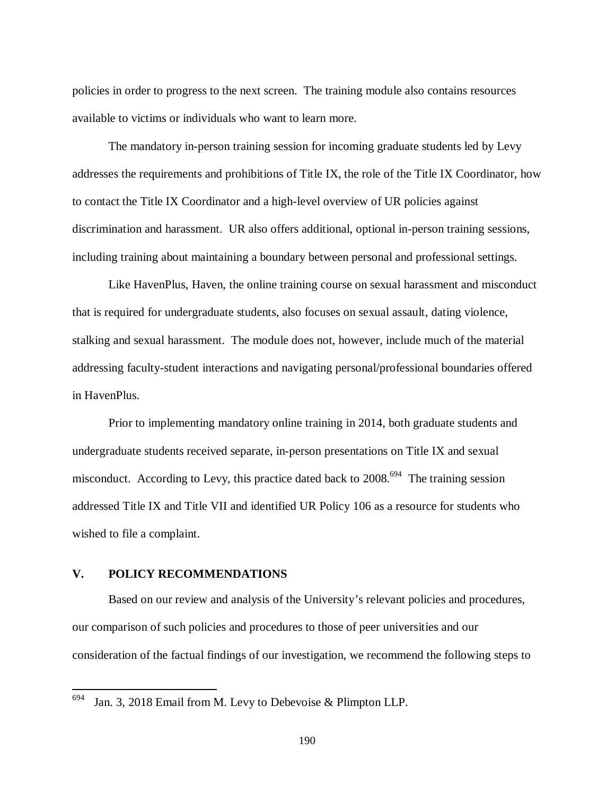policies in order to progress to the next screen. The training module also contains resources available to victims or individuals who want to learn more.

The mandatory in-person training session for incoming graduate students led by Levy addresses the requirements and prohibitions of Title IX, the role of the Title IX Coordinator, how to contact the Title IX Coordinator and a high-level overview of UR policies against discrimination and harassment. UR also offers additional, optional in-person training sessions, including training about maintaining a boundary between personal and professional settings.

Like HavenPlus, Haven, the online training course on sexual harassment and misconduct that is required for undergraduate students, also focuses on sexual assault, dating violence, stalking and sexual harassment. The module does not, however, include much of the material addressing faculty-student interactions and navigating personal/professional boundaries offered in HavenPlus.

Prior to implementing mandatory online training in 2014, both graduate students and undergraduate students received separate, in-person presentations on Title IX and sexual misconduct. According to Levy, this practice dated back to  $2008.694$  The training session addressed Title IX and Title VII and identified UR Policy 106 as a resource for students who wished to file a complaint.

# **V. POLICY RECOMMENDATIONS**

l

Based on our review and analysis of the University's relevant policies and procedures, our comparison of such policies and procedures to those of peer universities and our consideration of the factual findings of our investigation, we recommend the following steps to

 $694$  Jan. 3, 2018 Email from M. Levy to Debevoise & Plimpton LLP.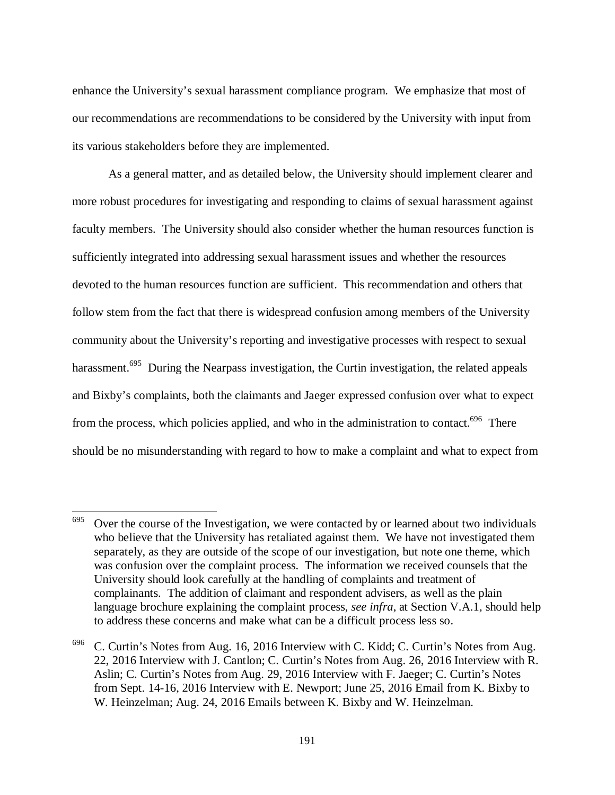enhance the University's sexual harassment compliance program. We emphasize that most of our recommendations are recommendations to be considered by the University with input from its various stakeholders before they are implemented.

As a general matter, and as detailed below, the University should implement clearer and more robust procedures for investigating and responding to claims of sexual harassment against faculty members. The University should also consider whether the human resources function is sufficiently integrated into addressing sexual harassment issues and whether the resources devoted to the human resources function are sufficient. This recommendation and others that follow stem from the fact that there is widespread confusion among members of the University community about the University's reporting and investigative processes with respect to sexual harassment.<sup>695</sup> During the Nearpass investigation, the Curtin investigation, the related appeals and Bixby's complaints, both the claimants and Jaeger expressed confusion over what to expect from the process, which policies applied, and who in the administration to contact.<sup>696</sup> There should be no misunderstanding with regard to how to make a complaint and what to expect from

 $695$  Over the course of the Investigation, we were contacted by or learned about two individuals who believe that the University has retaliated against them. We have not investigated them separately, as they are outside of the scope of our investigation, but note one theme, which was confusion over the complaint process. The information we received counsels that the University should look carefully at the handling of complaints and treatment of complainants. The addition of claimant and respondent advisers, as well as the plain language brochure explaining the complaint process, *see infra*, at Section V.A.1*,* should help to address these concerns and make what can be a difficult process less so.

 $696$  C. Curtin's Notes from Aug. 16, 2016 Interview with C. Kidd; C. Curtin's Notes from Aug. 22, 2016 Interview with J. Cantlon; C. Curtin's Notes from Aug. 26, 2016 Interview with R. Aslin; C. Curtin's Notes from Aug. 29, 2016 Interview with F. Jaeger; C. Curtin's Notes from Sept. 14-16, 2016 Interview with E. Newport; June 25, 2016 Email from K. Bixby to W. Heinzelman; Aug. 24, 2016 Emails between K. Bixby and W. Heinzelman.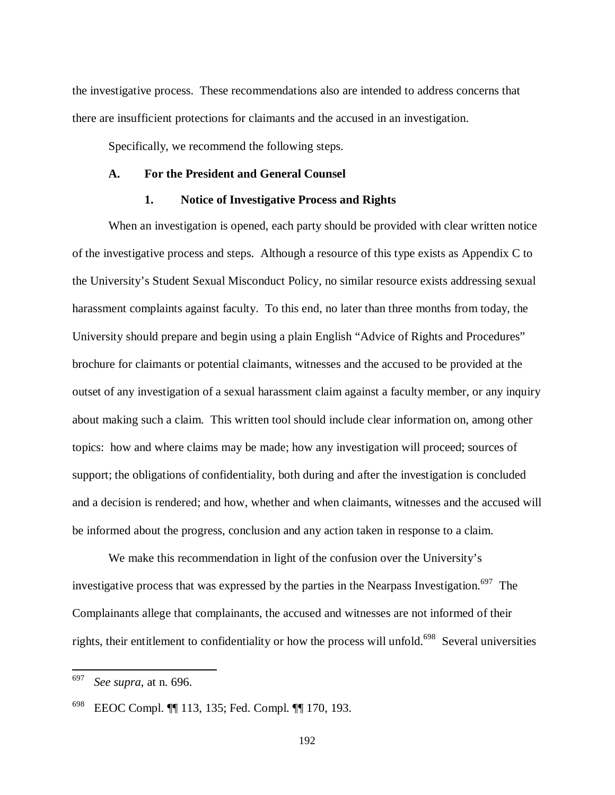the investigative process. These recommendations also are intended to address concerns that there are insufficient protections for claimants and the accused in an investigation.

Specifically, we recommend the following steps.

### **A. For the President and General Counsel**

## **1. Notice of Investigative Process and Rights**

When an investigation is opened, each party should be provided with clear written notice of the investigative process and steps. Although a resource of this type exists as Appendix C to the University's Student Sexual Misconduct Policy, no similar resource exists addressing sexual harassment complaints against faculty. To this end, no later than three months from today, the University should prepare and begin using a plain English "Advice of Rights and Procedures" brochure for claimants or potential claimants, witnesses and the accused to be provided at the outset of any investigation of a sexual harassment claim against a faculty member, or any inquiry about making such a claim. This written tool should include clear information on, among other topics: how and where claims may be made; how any investigation will proceed; sources of support; the obligations of confidentiality, both during and after the investigation is concluded and a decision is rendered; and how, whether and when claimants, witnesses and the accused will be informed about the progress, conclusion and any action taken in response to a claim.

We make this recommendation in light of the confusion over the University's investigative process that was expressed by the parties in the Nearpass Investigation.<sup>697</sup> The Complainants allege that complainants, the accused and witnesses are not informed of their rights, their entitlement to confidentiality or how the process will unfold.<sup>698</sup> Several universities

<sup>697</sup> *See supra*, at n. 696.

<sup>698</sup> EEOC Compl. ¶¶ 113, 135; Fed. Compl. ¶¶ 170, 193.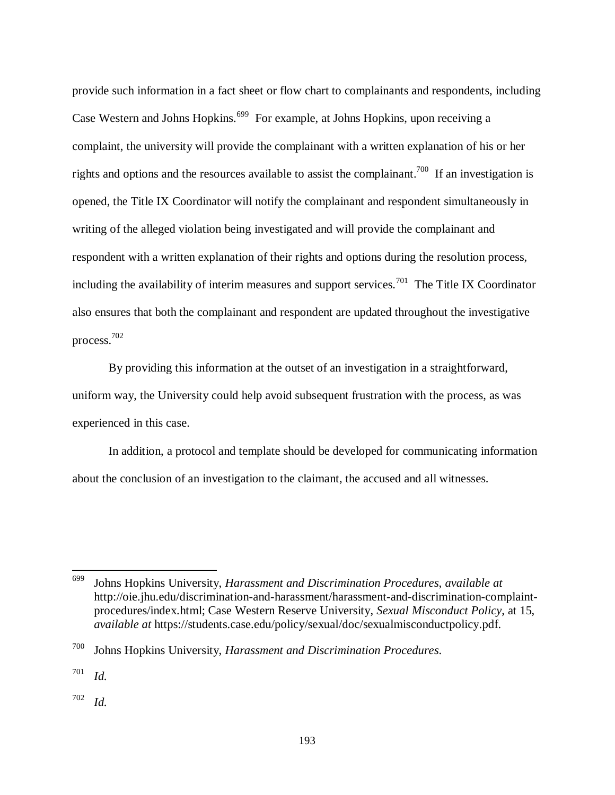provide such information in a fact sheet or flow chart to complainants and respondents, including Case Western and Johns Hopkins.<sup>699</sup> For example, at Johns Hopkins, upon receiving a complaint, the university will provide the complainant with a written explanation of his or her rights and options and the resources available to assist the complainant.<sup>700</sup> If an investigation is opened, the Title IX Coordinator will notify the complainant and respondent simultaneously in writing of the alleged violation being investigated and will provide the complainant and respondent with a written explanation of their rights and options during the resolution process, including the availability of interim measures and support services.<sup>701</sup> The Title IX Coordinator also ensures that both the complainant and respondent are updated throughout the investigative process.<sup>702</sup>

By providing this information at the outset of an investigation in a straightforward, uniform way, the University could help avoid subsequent frustration with the process, as was experienced in this case.

In addition, a protocol and template should be developed for communicating information about the conclusion of an investigation to the claimant, the accused and all witnesses.

<sup>701</sup> *Id.*

l

<sup>702</sup> *Id.*

<sup>699</sup> Johns Hopkins University, *Harassment and Discrimination Procedures*, *available at* http://oie.jhu.edu/discrimination-and-harassment/harassment-and-discrimination-complaintprocedures/index.html; Case Western Reserve University, *Sexual Misconduct Policy*, at 15, *available at* https://students.case.edu/policy/sexual/doc/sexualmisconductpolicy.pdf.

<sup>700</sup> Johns Hopkins University, *Harassment and Discrimination Procedures*.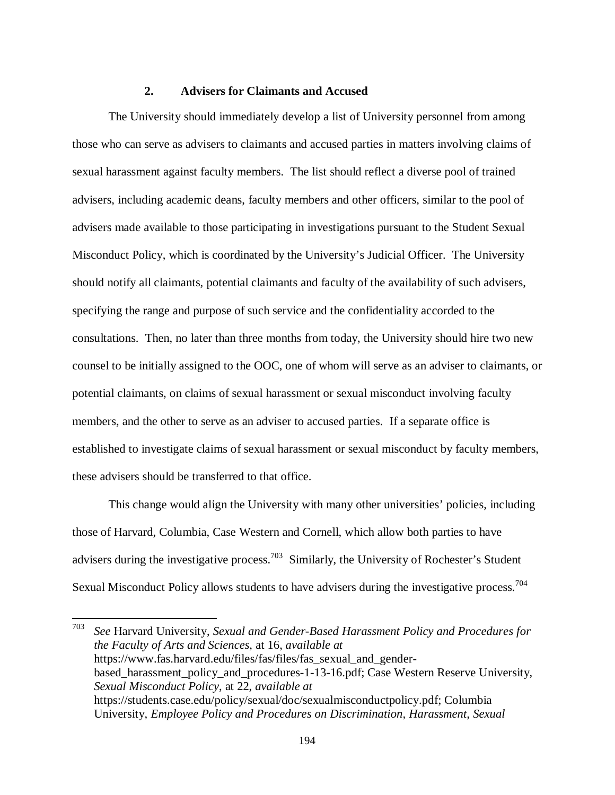## **2. Advisers for Claimants and Accused**

The University should immediately develop a list of University personnel from among those who can serve as advisers to claimants and accused parties in matters involving claims of sexual harassment against faculty members. The list should reflect a diverse pool of trained advisers, including academic deans, faculty members and other officers, similar to the pool of advisers made available to those participating in investigations pursuant to the Student Sexual Misconduct Policy, which is coordinated by the University's Judicial Officer. The University should notify all claimants, potential claimants and faculty of the availability of such advisers, specifying the range and purpose of such service and the confidentiality accorded to the consultations. Then, no later than three months from today, the University should hire two new counsel to be initially assigned to the OOC, one of whom will serve as an adviser to claimants, or potential claimants, on claims of sexual harassment or sexual misconduct involving faculty members, and the other to serve as an adviser to accused parties. If a separate office is established to investigate claims of sexual harassment or sexual misconduct by faculty members, these advisers should be transferred to that office.

This change would align the University with many other universities' policies, including those of Harvard, Columbia, Case Western and Cornell, which allow both parties to have advisers during the investigative process.<sup>703</sup> Similarly, the University of Rochester's Student Sexual Misconduct Policy allows students to have advisers during the investigative process.<sup>704</sup>

703 *See* Harvard University, *Sexual and Gender-Based Harassment Policy and Procedures for the Faculty of Arts and Sciences*, at 16, *available at* https://www.fas.harvard.edu/files/fas/files/fas\_sexual\_and\_genderbased\_harassment\_policy\_and\_procedures-1-13-16.pdf; Case Western Reserve University, *Sexual Misconduct Policy*, at 22, *available at* https://students.case.edu/policy/sexual/doc/sexualmisconductpolicy.pdf; Columbia University, *Employee Policy and Procedures on Discrimination, Harassment, Sexual*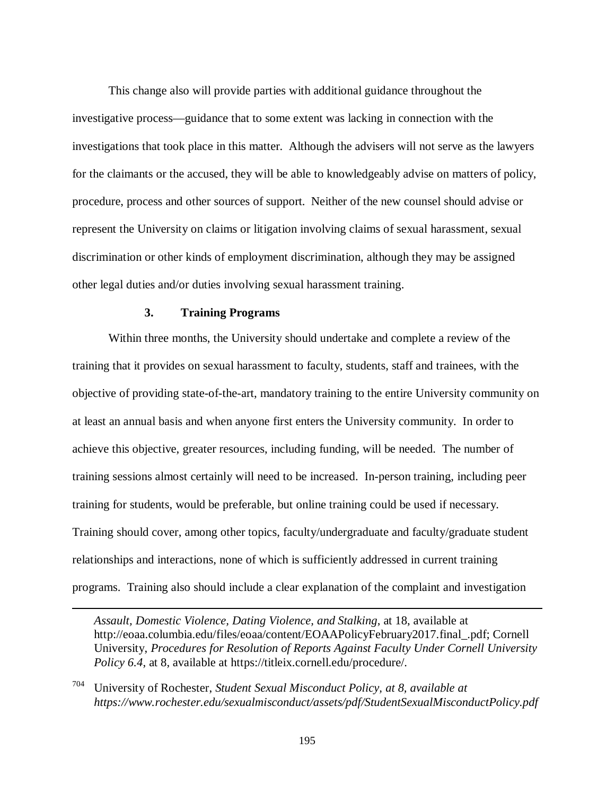This change also will provide parties with additional guidance throughout the investigative process—guidance that to some extent was lacking in connection with the investigations that took place in this matter. Although the advisers will not serve as the lawyers for the claimants or the accused, they will be able to knowledgeably advise on matters of policy, procedure, process and other sources of support. Neither of the new counsel should advise or represent the University on claims or litigation involving claims of sexual harassment, sexual discrimination or other kinds of employment discrimination, although they may be assigned other legal duties and/or duties involving sexual harassment training.

#### **3. Training Programs**

 $\overline{a}$ 

Within three months, the University should undertake and complete a review of the training that it provides on sexual harassment to faculty, students, staff and trainees, with the objective of providing state-of-the-art, mandatory training to the entire University community on at least an annual basis and when anyone first enters the University community. In order to achieve this objective, greater resources, including funding, will be needed. The number of training sessions almost certainly will need to be increased. In-person training, including peer training for students, would be preferable, but online training could be used if necessary. Training should cover, among other topics, faculty/undergraduate and faculty/graduate student relationships and interactions, none of which is sufficiently addressed in current training programs. Training also should include a clear explanation of the complaint and investigation

*Assault, Domestic Violence, Dating Violence, and Stalking*, at 18, available at http://eoaa.columbia.edu/files/eoaa/content/EOAAPolicyFebruary2017.final\_.pdf; Cornell University, *Procedures for Resolution of Reports Against Faculty Under Cornell University Policy 6.4, at 8, available at https://titleix.cornell.edu/procedure/.* 

<sup>704</sup> University of Rochester, *Student Sexual Misconduct Policy, at 8, available at https://www.rochester.edu/sexualmisconduct/assets/pdf/StudentSexualMisconductPolicy.pdf*

195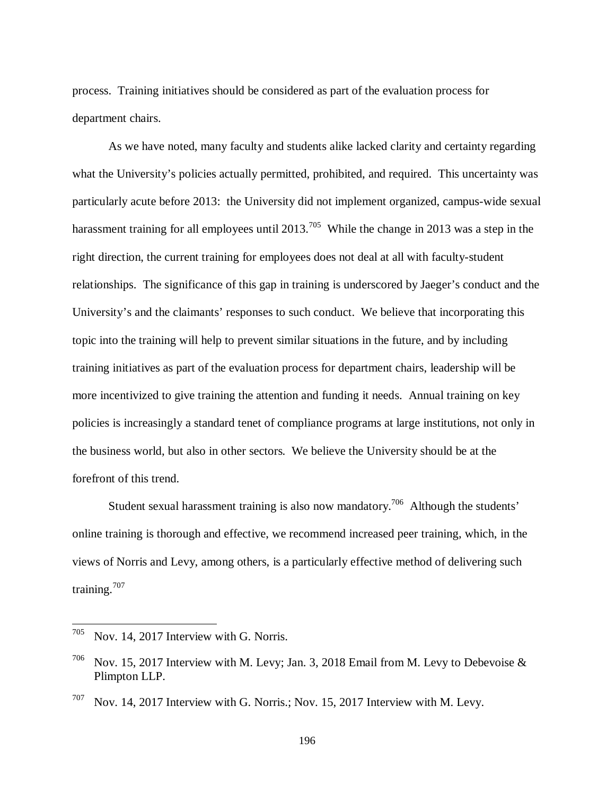process. Training initiatives should be considered as part of the evaluation process for department chairs.

As we have noted, many faculty and students alike lacked clarity and certainty regarding what the University's policies actually permitted, prohibited, and required. This uncertainty was particularly acute before 2013: the University did not implement organized, campus-wide sexual harassment training for all employees until 2013.<sup>705</sup> While the change in 2013 was a step in the right direction, the current training for employees does not deal at all with faculty-student relationships. The significance of this gap in training is underscored by Jaeger's conduct and the University's and the claimants' responses to such conduct. We believe that incorporating this topic into the training will help to prevent similar situations in the future, and by including training initiatives as part of the evaluation process for department chairs, leadership will be more incentivized to give training the attention and funding it needs. Annual training on key policies is increasingly a standard tenet of compliance programs at large institutions, not only in the business world, but also in other sectors. We believe the University should be at the forefront of this trend.

Student sexual harassment training is also now mandatory.<sup>706</sup> Although the students' online training is thorough and effective, we recommend increased peer training, which, in the views of Norris and Levy, among others, is a particularly effective method of delivering such training.<sup>707</sup>

 $705$  Nov. 14, 2017 Interview with G. Norris.

<sup>&</sup>lt;sup>706</sup> Nov. 15, 2017 Interview with M. Levy; Jan. 3, 2018 Email from M. Levy to Debevoise & Plimpton LLP.

 $707$  Nov. 14, 2017 Interview with G. Norris.; Nov. 15, 2017 Interview with M. Levy.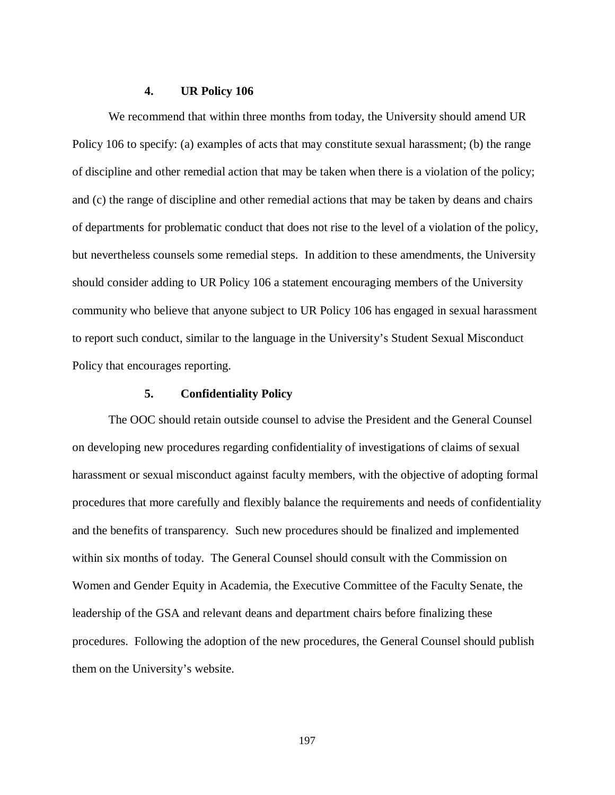#### **4. UR Policy 106**

We recommend that within three months from today, the University should amend UR Policy 106 to specify: (a) examples of acts that may constitute sexual harassment; (b) the range of discipline and other remedial action that may be taken when there is a violation of the policy; and (c) the range of discipline and other remedial actions that may be taken by deans and chairs of departments for problematic conduct that does not rise to the level of a violation of the policy, but nevertheless counsels some remedial steps. In addition to these amendments, the University should consider adding to UR Policy 106 a statement encouraging members of the University community who believe that anyone subject to UR Policy 106 has engaged in sexual harassment to report such conduct, similar to the language in the University's Student Sexual Misconduct Policy that encourages reporting.

### **5. Confidentiality Policy**

The OOC should retain outside counsel to advise the President and the General Counsel on developing new procedures regarding confidentiality of investigations of claims of sexual harassment or sexual misconduct against faculty members, with the objective of adopting formal procedures that more carefully and flexibly balance the requirements and needs of confidentiality and the benefits of transparency. Such new procedures should be finalized and implemented within six months of today. The General Counsel should consult with the Commission on Women and Gender Equity in Academia, the Executive Committee of the Faculty Senate, the leadership of the GSA and relevant deans and department chairs before finalizing these procedures. Following the adoption of the new procedures, the General Counsel should publish them on the University's website.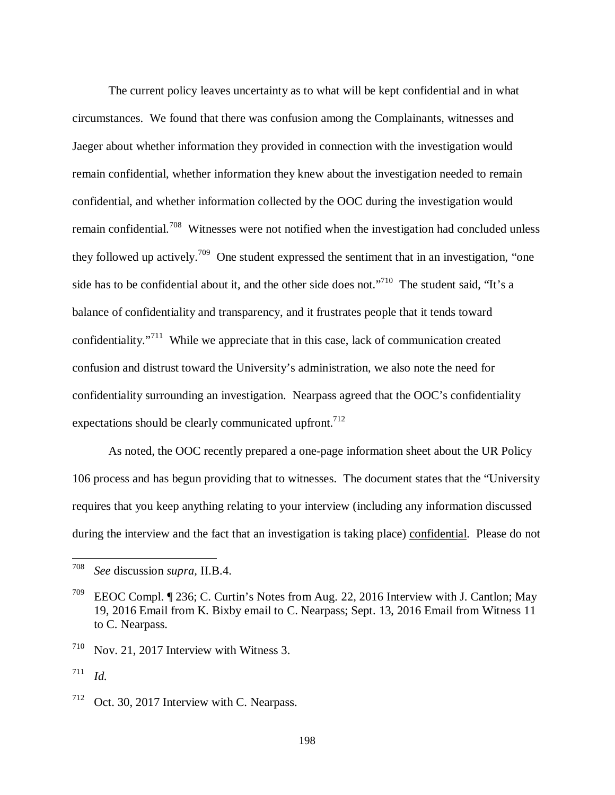The current policy leaves uncertainty as to what will be kept confidential and in what circumstances. We found that there was confusion among the Complainants, witnesses and Jaeger about whether information they provided in connection with the investigation would remain confidential, whether information they knew about the investigation needed to remain confidential, and whether information collected by the OOC during the investigation would remain confidential.<sup>708</sup> Witnesses were not notified when the investigation had concluded unless they followed up actively.<sup>709</sup> One student expressed the sentiment that in an investigation, "one side has to be confidential about it, and the other side does not."<sup>710</sup> The student said, "It's a balance of confidentiality and transparency, and it frustrates people that it tends toward confidentiality. $1^{711}$  While we appreciate that in this case, lack of communication created confusion and distrust toward the University's administration, we also note the need for confidentiality surrounding an investigation. Nearpass agreed that the OOC's confidentiality expectations should be clearly communicated upfront.<sup>712</sup>

As noted, the OOC recently prepared a one-page information sheet about the UR Policy 106 process and has begun providing that to witnesses. The document states that the "University requires that you keep anything relating to your interview (including any information discussed during the interview and the fact that an investigation is taking place) confidential. Please do not

<sup>708</sup> *See* discussion *supra,* II.B.4.

<sup>709</sup> EEOC Compl. ¶ 236; C. Curtin's Notes from Aug. 22, 2016 Interview with J. Cantlon; May 19, 2016 Email from K. Bixby email to C. Nearpass; Sept. 13, 2016 Email from Witness 11 to C. Nearpass.

<sup>710</sup> Nov. 21, 2017 Interview with Witness 3.

<sup>711</sup> *Id.*

<sup>712</sup> Oct. 30, 2017 Interview with C. Nearpass.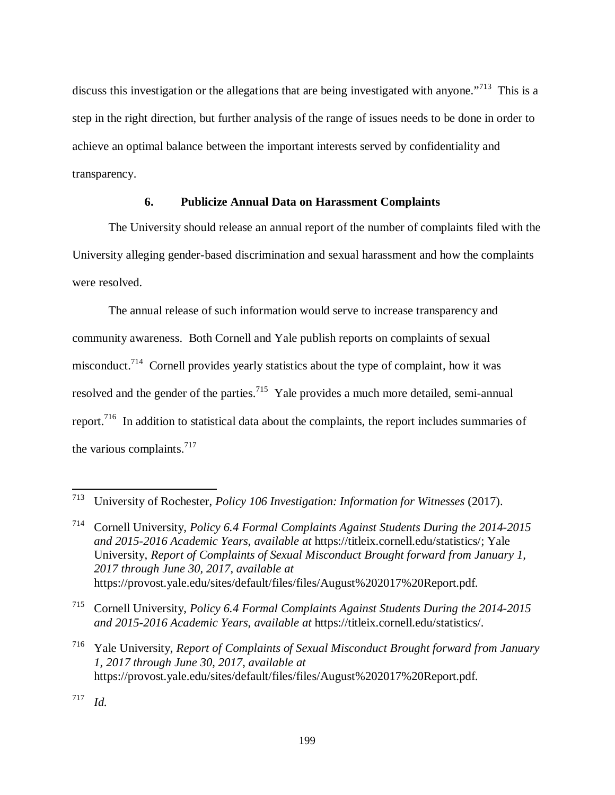discuss this investigation or the allegations that are being investigated with anyone."<sup>713</sup> This is a step in the right direction, but further analysis of the range of issues needs to be done in order to achieve an optimal balance between the important interests served by confidentiality and transparency.

# **6. Publicize Annual Data on Harassment Complaints**

The University should release an annual report of the number of complaints filed with the University alleging gender-based discrimination and sexual harassment and how the complaints were resolved.

The annual release of such information would serve to increase transparency and community awareness. Both Cornell and Yale publish reports on complaints of sexual misconduct.<sup>714</sup> Cornell provides yearly statistics about the type of complaint, how it was resolved and the gender of the parties.<sup>715</sup> Yale provides a much more detailed, semi-annual report.<sup>716</sup> In addition to statistical data about the complaints, the report includes summaries of the various complaints. $717$ 

<sup>714</sup> Cornell University, *Policy 6.4 Formal Complaints Against Students During the 2014-2015 and 2015-2016 Academic Years*, *available at* https://titleix.cornell.edu/statistics/; Yale University, *Report of Complaints of Sexual Misconduct Brought forward from January 1, 2017 through June 30, 2017*, *available at* https://provost.yale.edu/sites/default/files/files/August%202017%20Report.pdf.

<sup>715</sup> Cornell University, *Policy 6.4 Formal Complaints Against Students During the 2014-2015 and 2015-2016 Academic Years*, *available at* https://titleix.cornell.edu/statistics/.

<sup>716</sup> Yale University, *Report of Complaints of Sexual Misconduct Brought forward from January 1, 2017 through June 30, 2017*, *available at* https://provost.yale.edu/sites/default/files/files/August%202017%20Report.pdf.

717 *Id.*

<sup>713</sup> University of Rochester, *Policy 106 Investigation: Information for Witnesses* (2017).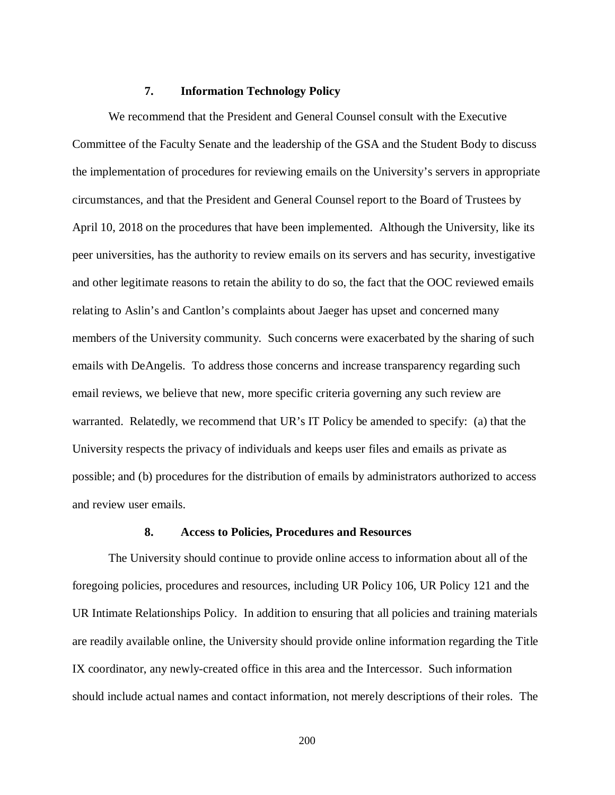#### **7. Information Technology Policy**

We recommend that the President and General Counsel consult with the Executive Committee of the Faculty Senate and the leadership of the GSA and the Student Body to discuss the implementation of procedures for reviewing emails on the University's servers in appropriate circumstances, and that the President and General Counsel report to the Board of Trustees by April 10, 2018 on the procedures that have been implemented. Although the University, like its peer universities, has the authority to review emails on its servers and has security, investigative and other legitimate reasons to retain the ability to do so, the fact that the OOC reviewed emails relating to Aslin's and Cantlon's complaints about Jaeger has upset and concerned many members of the University community. Such concerns were exacerbated by the sharing of such emails with DeAngelis. To address those concerns and increase transparency regarding such email reviews, we believe that new, more specific criteria governing any such review are warranted. Relatedly, we recommend that UR's IT Policy be amended to specify: (a) that the University respects the privacy of individuals and keeps user files and emails as private as possible; and (b) procedures for the distribution of emails by administrators authorized to access and review user emails.

#### **8. Access to Policies, Procedures and Resources**

The University should continue to provide online access to information about all of the foregoing policies, procedures and resources, including UR Policy 106, UR Policy 121 and the UR Intimate Relationships Policy. In addition to ensuring that all policies and training materials are readily available online, the University should provide online information regarding the Title IX coordinator, any newly-created office in this area and the Intercessor. Such information should include actual names and contact information, not merely descriptions of their roles. The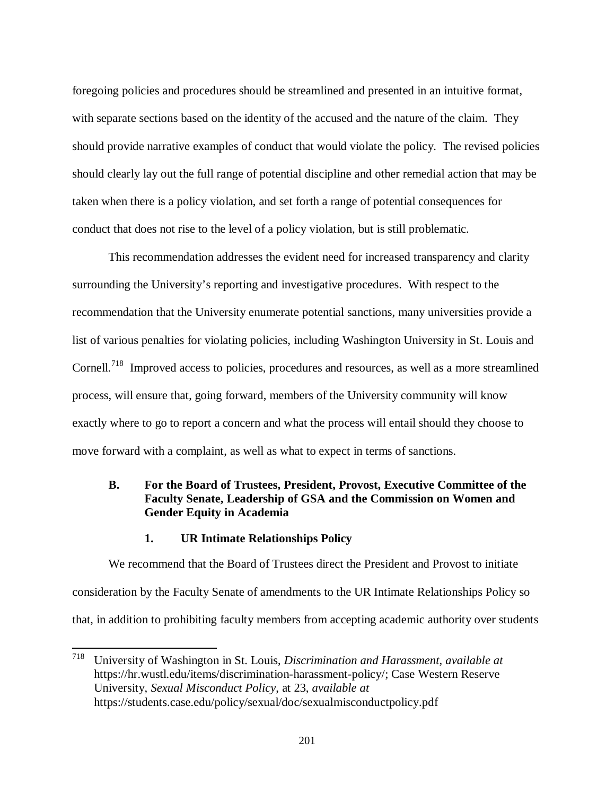foregoing policies and procedures should be streamlined and presented in an intuitive format, with separate sections based on the identity of the accused and the nature of the claim. They should provide narrative examples of conduct that would violate the policy. The revised policies should clearly lay out the full range of potential discipline and other remedial action that may be taken when there is a policy violation, and set forth a range of potential consequences for conduct that does not rise to the level of a policy violation, but is still problematic.

This recommendation addresses the evident need for increased transparency and clarity surrounding the University's reporting and investigative procedures. With respect to the recommendation that the University enumerate potential sanctions, many universities provide a list of various penalties for violating policies, including Washington University in St. Louis and Cornell.<sup>718</sup> Improved access to policies, procedures and resources, as well as a more streamlined process, will ensure that, going forward, members of the University community will know exactly where to go to report a concern and what the process will entail should they choose to move forward with a complaint, as well as what to expect in terms of sanctions.

# **B. For the Board of Trustees, President, Provost, Executive Committee of the Faculty Senate, Leadership of GSA and the Commission on Women and Gender Equity in Academia**

### **1. UR Intimate Relationships Policy**

l

We recommend that the Board of Trustees direct the President and Provost to initiate consideration by the Faculty Senate of amendments to the UR Intimate Relationships Policy so that, in addition to prohibiting faculty members from accepting academic authority over students

<sup>718</sup> University of Washington in St. Louis, *Discrimination and Harassment*, *available at* https://hr.wustl.edu/items/discrimination-harassment-policy/; Case Western Reserve University, *Sexual Misconduct Policy*, at 23, *available at* https://students.case.edu/policy/sexual/doc/sexualmisconductpolicy.pdf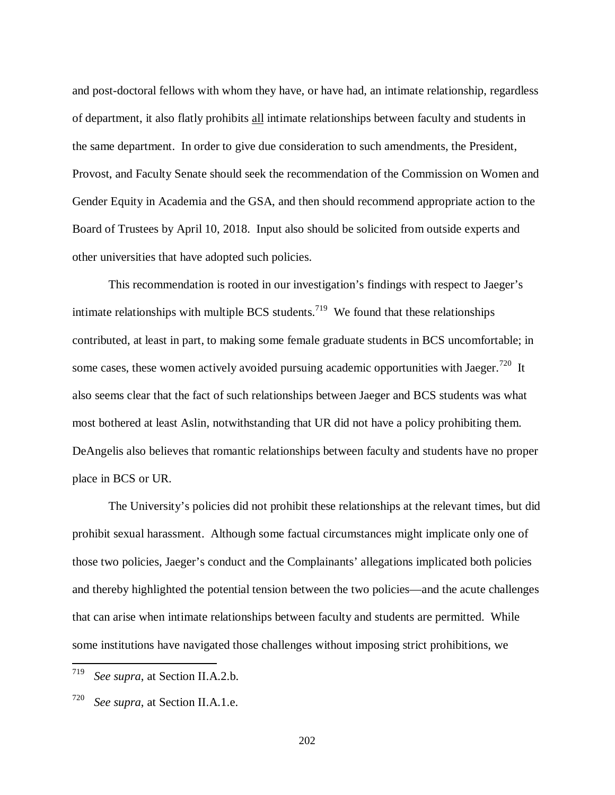and post-doctoral fellows with whom they have, or have had, an intimate relationship, regardless of department, it also flatly prohibits all intimate relationships between faculty and students in the same department. In order to give due consideration to such amendments, the President, Provost, and Faculty Senate should seek the recommendation of the Commission on Women and Gender Equity in Academia and the GSA, and then should recommend appropriate action to the Board of Trustees by April 10, 2018. Input also should be solicited from outside experts and other universities that have adopted such policies.

This recommendation is rooted in our investigation's findings with respect to Jaeger's intimate relationships with multiple BCS students.<sup>719</sup> We found that these relationships contributed, at least in part, to making some female graduate students in BCS uncomfortable; in some cases, these women actively avoided pursuing academic opportunities with Jaeger.<sup>720</sup> It also seems clear that the fact of such relationships between Jaeger and BCS students was what most bothered at least Aslin, notwithstanding that UR did not have a policy prohibiting them. DeAngelis also believes that romantic relationships between faculty and students have no proper place in BCS or UR.

The University's policies did not prohibit these relationships at the relevant times, but did prohibit sexual harassment. Although some factual circumstances might implicate only one of those two policies, Jaeger's conduct and the Complainants' allegations implicated both policies and thereby highlighted the potential tension between the two policies—and the acute challenges that can arise when intimate relationships between faculty and students are permitted. While some institutions have navigated those challenges without imposing strict prohibitions, we

<sup>719</sup> *See supra*, at Section II.A.2.b.

<sup>720</sup> *See supra*, at Section II.A.1.e.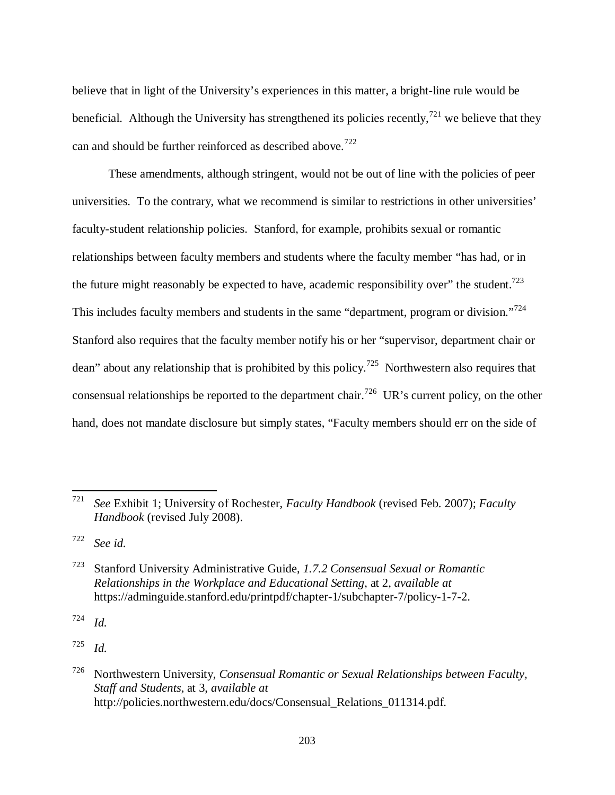believe that in light of the University's experiences in this matter, a bright-line rule would be beneficial. Although the University has strengthened its policies recently,<sup>721</sup> we believe that they can and should be further reinforced as described above.<sup>722</sup>

These amendments, although stringent, would not be out of line with the policies of peer universities. To the contrary, what we recommend is similar to restrictions in other universities' faculty-student relationship policies. Stanford, for example, prohibits sexual or romantic relationships between faculty members and students where the faculty member "has had, or in the future might reasonably be expected to have, academic responsibility over" the student.<sup>723</sup> This includes faculty members and students in the same "department, program or division."<sup>724</sup> Stanford also requires that the faculty member notify his or her "supervisor, department chair or dean" about any relationship that is prohibited by this policy.<sup>725</sup> Northwestern also requires that consensual relationships be reported to the department chair.<sup>726</sup> UR's current policy, on the other hand, does not mandate disclosure but simply states, "Faculty members should err on the side of

722 *See id.*

l

724 *Id.*

725 *Id.*

<sup>721</sup> *See* Exhibit 1; University of Rochester, *Faculty Handbook* (revised Feb. 2007); *Faculty Handbook* (revised July 2008).

<sup>723</sup> Stanford University Administrative Guide, *1.7.2 Consensual Sexual or Romantic Relationships in the Workplace and Educational Setting*, at 2, *available at* https://adminguide.stanford.edu/printpdf/chapter-1/subchapter-7/policy-1-7-2.

<sup>726</sup> Northwestern University, *Consensual Romantic or Sexual Relationships between Faculty, Staff and Students*, at 3, *available at* http://policies.northwestern.edu/docs/Consensual\_Relations\_011314.pdf.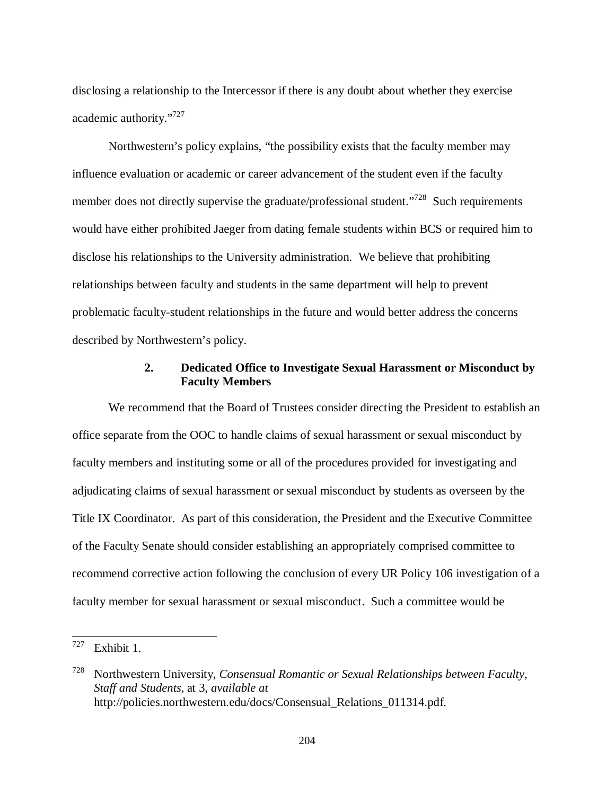disclosing a relationship to the Intercessor if there is any doubt about whether they exercise academic authority."<sup>727</sup>

Northwestern's policy explains, "the possibility exists that the faculty member may influence evaluation or academic or career advancement of the student even if the faculty member does not directly supervise the graduate/professional student."<sup>728</sup> Such requirements would have either prohibited Jaeger from dating female students within BCS or required him to disclose his relationships to the University administration. We believe that prohibiting relationships between faculty and students in the same department will help to prevent problematic faculty-student relationships in the future and would better address the concerns described by Northwestern's policy.

## **2. Dedicated Office to Investigate Sexual Harassment or Misconduct by Faculty Members**

We recommend that the Board of Trustees consider directing the President to establish an office separate from the OOC to handle claims of sexual harassment or sexual misconduct by faculty members and instituting some or all of the procedures provided for investigating and adjudicating claims of sexual harassment or sexual misconduct by students as overseen by the Title IX Coordinator. As part of this consideration, the President and the Executive Committee of the Faculty Senate should consider establishing an appropriately comprised committee to recommend corrective action following the conclusion of every UR Policy 106 investigation of a faculty member for sexual harassment or sexual misconduct. Such a committee would be

 $727$  Exhibit 1.

<sup>728</sup> Northwestern University, *Consensual Romantic or Sexual Relationships between Faculty, Staff and Students*, at 3, *available at* http://policies.northwestern.edu/docs/Consensual\_Relations\_011314.pdf.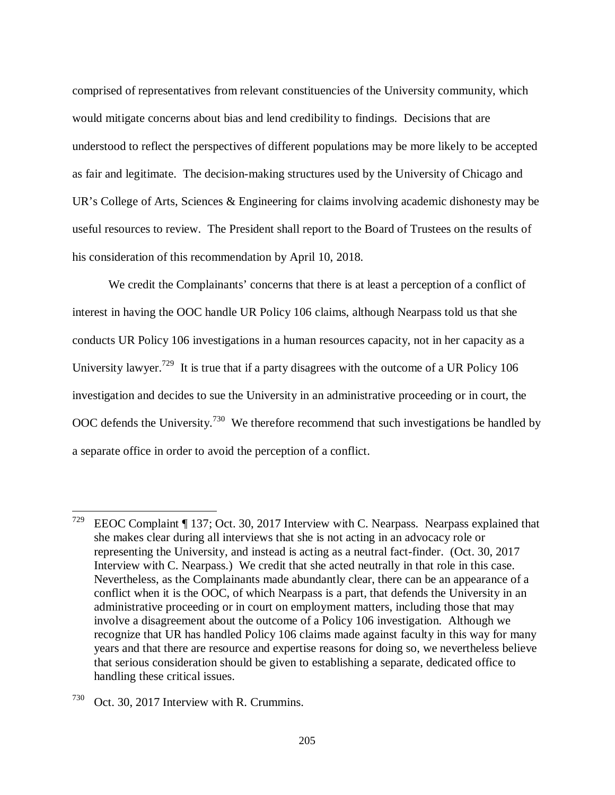comprised of representatives from relevant constituencies of the University community, which would mitigate concerns about bias and lend credibility to findings. Decisions that are understood to reflect the perspectives of different populations may be more likely to be accepted as fair and legitimate. The decision-making structures used by the University of Chicago and UR's College of Arts, Sciences & Engineering for claims involving academic dishonesty may be useful resources to review. The President shall report to the Board of Trustees on the results of his consideration of this recommendation by April 10, 2018.

We credit the Complainants' concerns that there is at least a perception of a conflict of interest in having the OOC handle UR Policy 106 claims, although Nearpass told us that she conducts UR Policy 106 investigations in a human resources capacity, not in her capacity as a University lawyer.<sup>729</sup> It is true that if a party disagrees with the outcome of a UR Policy 106 investigation and decides to sue the University in an administrative proceeding or in court, the OOC defends the University.<sup>730</sup> We therefore recommend that such investigations be handled by a separate office in order to avoid the perception of a conflict.

<sup>&</sup>lt;sup>729</sup> EEOC Complaint  $\P$  137; Oct. 30, 2017 Interview with C. Nearpass. Nearpass explained that she makes clear during all interviews that she is not acting in an advocacy role or representing the University, and instead is acting as a neutral fact-finder. (Oct. 30, 2017 Interview with C. Nearpass.) We credit that she acted neutrally in that role in this case. Nevertheless, as the Complainants made abundantly clear, there can be an appearance of a conflict when it is the OOC, of which Nearpass is a part, that defends the University in an administrative proceeding or in court on employment matters, including those that may involve a disagreement about the outcome of a Policy 106 investigation. Although we recognize that UR has handled Policy 106 claims made against faculty in this way for many years and that there are resource and expertise reasons for doing so, we nevertheless believe that serious consideration should be given to establishing a separate, dedicated office to handling these critical issues.

<sup>730</sup> Oct. 30, 2017 Interview with R. Crummins.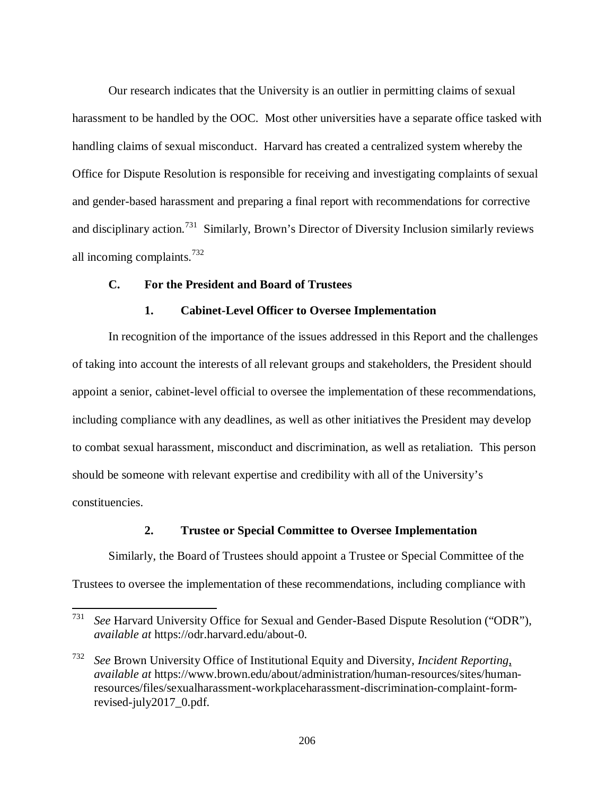Our research indicates that the University is an outlier in permitting claims of sexual harassment to be handled by the OOC. Most other universities have a separate office tasked with handling claims of sexual misconduct. Harvard has created a centralized system whereby the Office for Dispute Resolution is responsible for receiving and investigating complaints of sexual and gender-based harassment and preparing a final report with recommendations for corrective and disciplinary action.<sup>731</sup> Similarly, Brown's Director of Diversity Inclusion similarly reviews all incoming complaints.<sup>732</sup>

# **C. For the President and Board of Trustees**

 $\overline{a}$ 

### **1. Cabinet-Level Officer to Oversee Implementation**

In recognition of the importance of the issues addressed in this Report and the challenges of taking into account the interests of all relevant groups and stakeholders, the President should appoint a senior, cabinet-level official to oversee the implementation of these recommendations, including compliance with any deadlines, as well as other initiatives the President may develop to combat sexual harassment, misconduct and discrimination, as well as retaliation. This person should be someone with relevant expertise and credibility with all of the University's constituencies.

## **2. Trustee or Special Committee to Oversee Implementation**

Similarly, the Board of Trustees should appoint a Trustee or Special Committee of the

Trustees to oversee the implementation of these recommendations, including compliance with

<sup>731</sup> *See* Harvard University Office for Sexual and Gender-Based Dispute Resolution ("ODR"), *available at* https://odr.harvard.edu/about-0.

<sup>732</sup> *See* Brown University Office of Institutional Equity and Diversity, *Incident Reporting*, *available at* https://www.brown.edu/about/administration/human-resources/sites/humanresources/files/sexualharassment-workplaceharassment-discrimination-complaint-formrevised-july2017\_0.pdf.